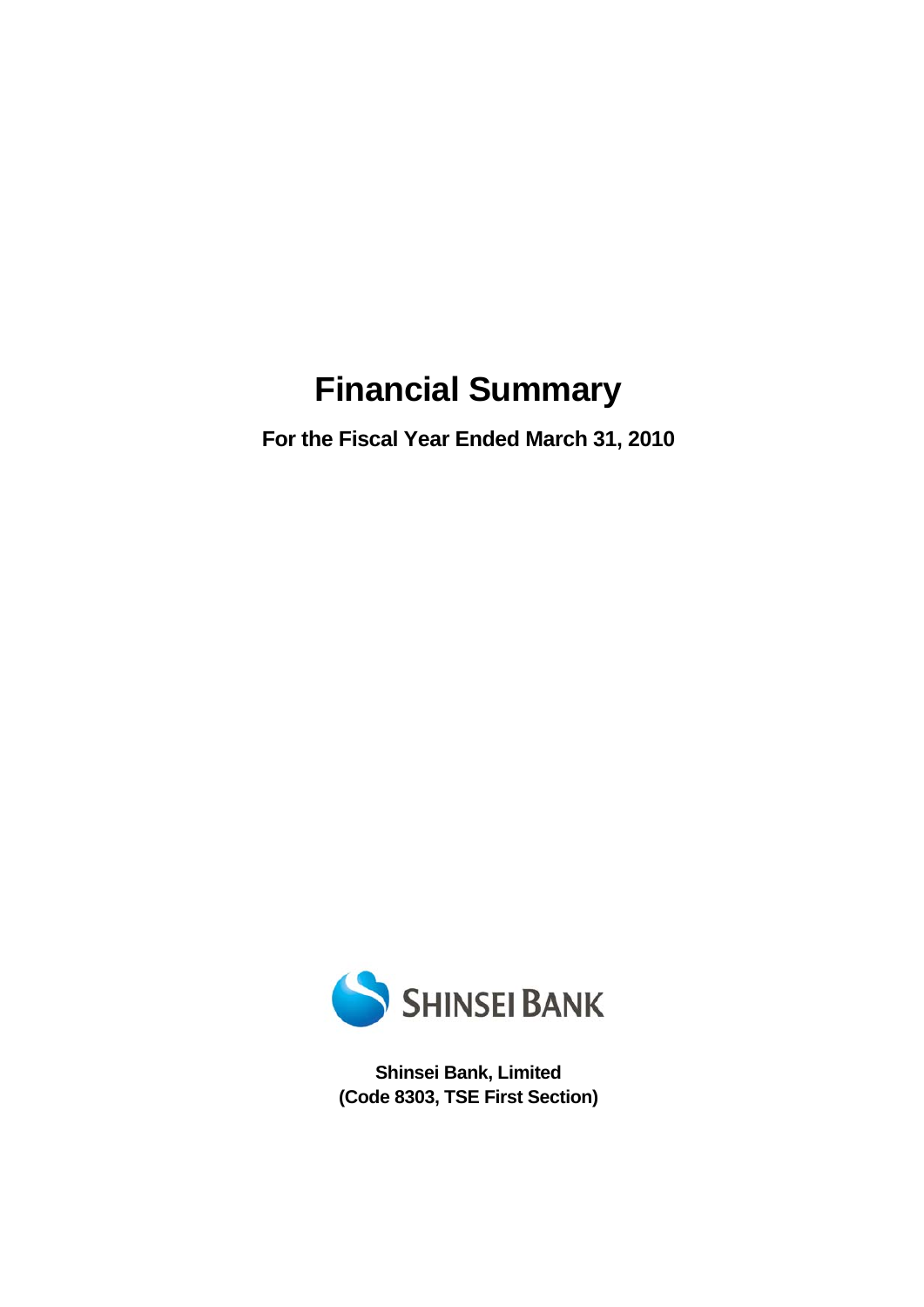# **Financial Summary**

**For the Fiscal Year Ended March 31, 2010** 



**Shinsei Bank, Limited (Code 8303, TSE First Section)**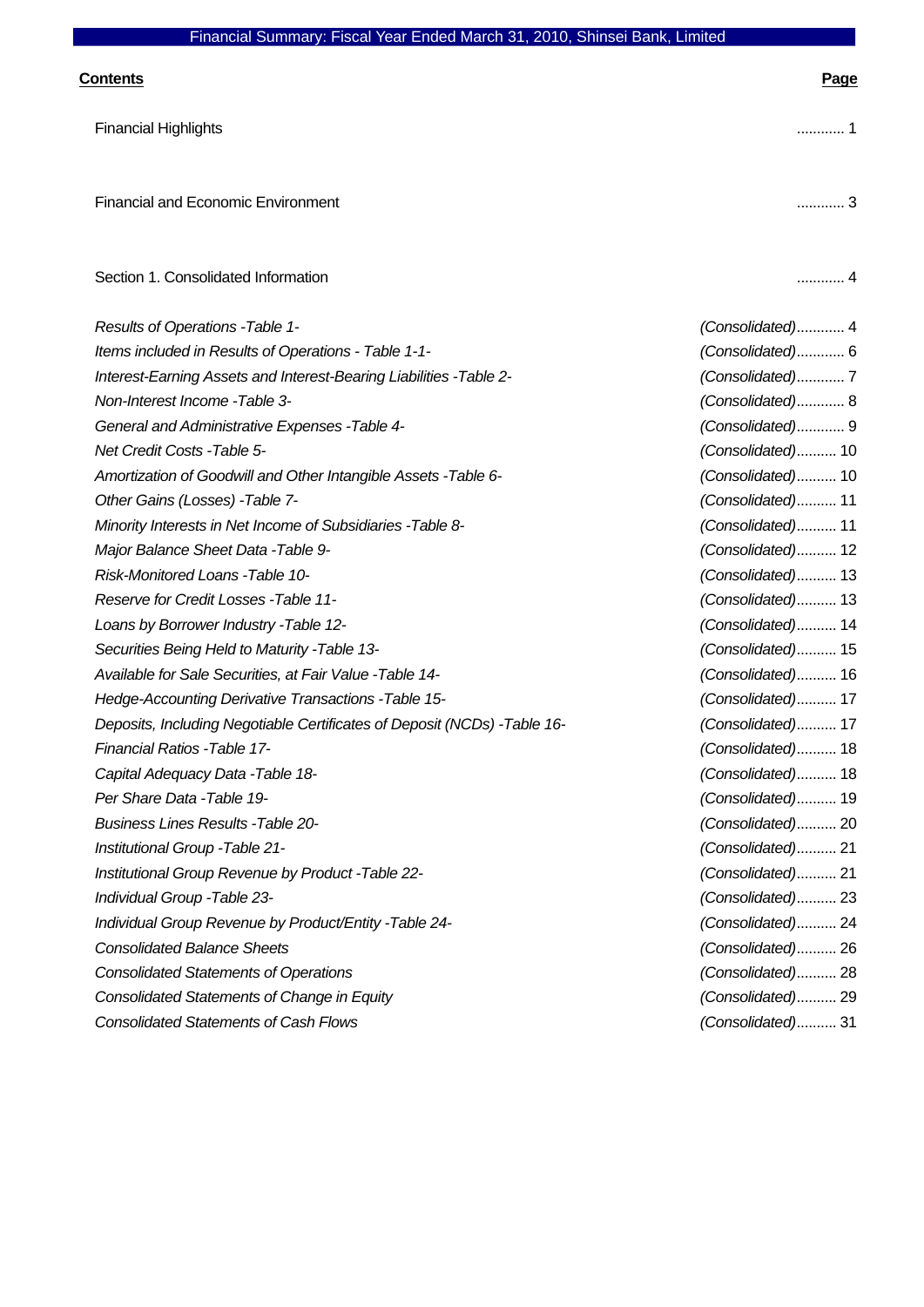| Financial Summary: Fiscal Year Ended March 31, 2010, Shinsei Bank, Limited |                   |
|----------------------------------------------------------------------------|-------------------|
| <b>Contents</b>                                                            | <u>Page</u>       |
| <b>Financial Highlights</b>                                                | 1                 |
| <b>Financial and Economic Environment</b>                                  | 3                 |
| Section 1. Consolidated Information                                        |                   |
| Results of Operations - Table 1-                                           | (Consolidated) 4  |
| Items included in Results of Operations - Table 1-1-                       | (Consolidated) 6  |
| Interest-Earning Assets and Interest-Bearing Liabilities - Table 2-        | (Consolidated)7   |
| Non-Interest Income -Table 3-                                              | (Consolidated) 8  |
| General and Administrative Expenses - Table 4-                             | (Consolidated) 9  |
| Net Credit Costs - Table 5-                                                | (Consolidated) 10 |
| Amortization of Goodwill and Other Intangible Assets - Table 6-            | (Consolidated) 10 |
| Other Gains (Losses) - Table 7-                                            | (Consolidated) 11 |
| Minority Interests in Net Income of Subsidiaries - Table 8-                | (Consolidated) 11 |
| Major Balance Sheet Data - Table 9-                                        | (Consolidated) 12 |
| Risk-Monitored Loans -Table 10-                                            | (Consolidated) 13 |
| Reserve for Credit Losses - Table 11-                                      | (Consolidated) 13 |
| Loans by Borrower Industry - Table 12-                                     | (Consolidated) 14 |
| Securities Being Held to Maturity - Table 13-                              | (Consolidated) 15 |
| Available for Sale Securities, at Fair Value - Table 14-                   | (Consolidated) 16 |
| Hedge-Accounting Derivative Transactions - Table 15-                       | (Consolidated) 17 |
| Deposits, Including Negotiable Certificates of Deposit (NCDs) - Table 16-  | (Consolidated) 17 |
| Financial Ratios - Table 17-                                               | (Consolidated) 18 |
| Capital Adequacy Data - Table 18-                                          | (Consolidated) 18 |
| Per Share Data - Table 19-                                                 | (Consolidated) 19 |
| <b>Business Lines Results - Table 20-</b>                                  | (Consolidated) 20 |
| Institutional Group - Table 21-                                            | (Consolidated) 21 |

*Institutional Group Revenue by Product -Table 22- (Consolidated)*.......... 21

*Individual Group -Table 23- (Consolidated)*.......... 23

*Individual Group Revenue by Product/Entity -Table 24- (Consolidated)*.......... 24

*Consolidated Balance Sheets (Consolidated)*.......... 26

*Consolidated Statements of Operations (Consolidated)*.......... 28

*Consolidated Statements of Change in Equity (Consolidated)*.......... 29

*Consolidated Statements of Cash Flows (Consolidated)*.......... 31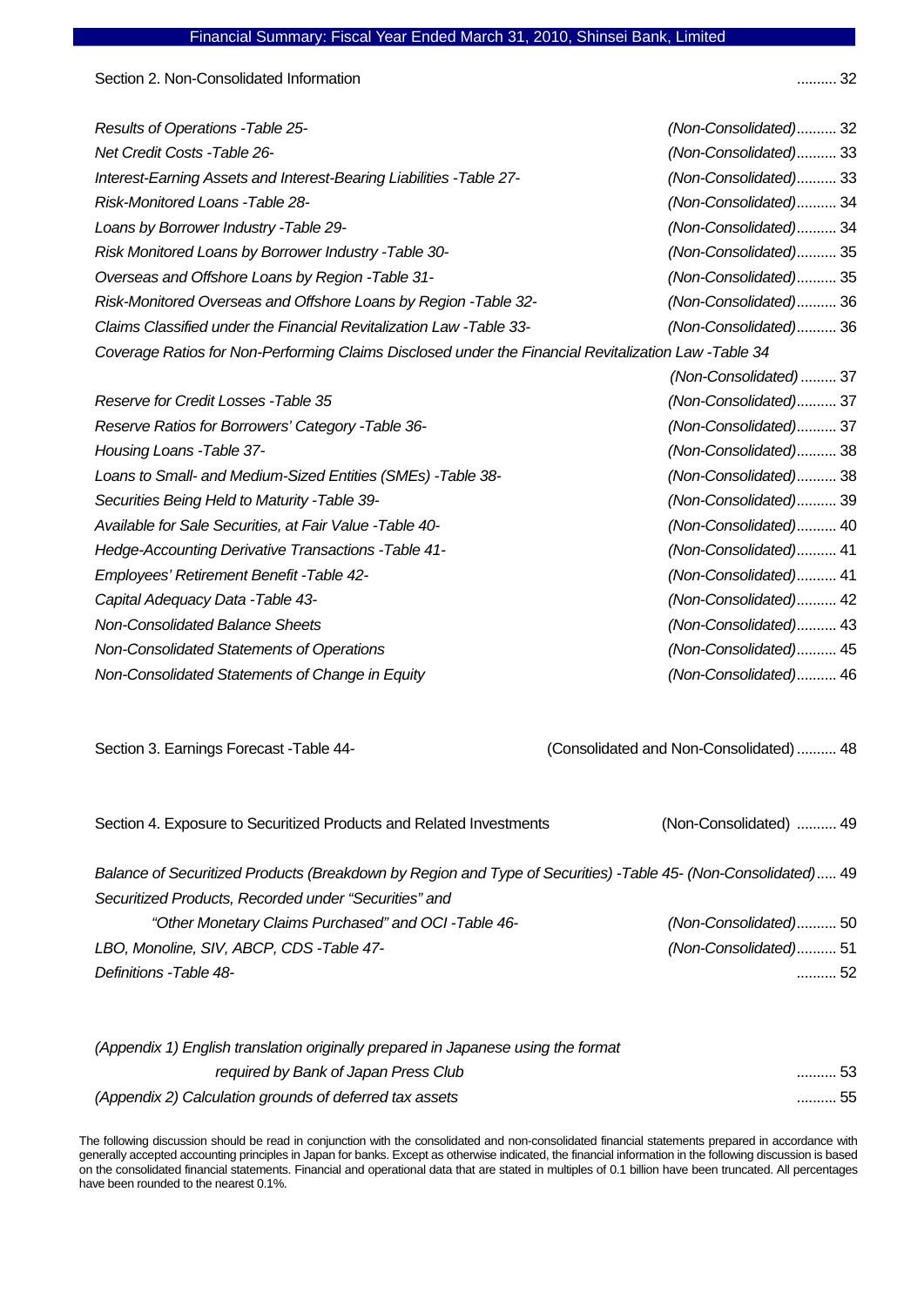Section 2. Non-Consolidated Information .......... 32

| Results of Operations - Table 25-                                                                    | (Non-Consolidated) 32 |
|------------------------------------------------------------------------------------------------------|-----------------------|
| <b>Net Credit Costs -Table 26-</b>                                                                   | (Non-Consolidated) 33 |
| Interest-Earning Assets and Interest-Bearing Liabilities -Table 27-                                  | (Non-Consolidated) 33 |
| Risk-Monitored Loans - Table 28-                                                                     | (Non-Consolidated) 34 |
| Loans by Borrower Industry - Table 29-                                                               | (Non-Consolidated) 34 |
| Risk Monitored Loans by Borrower Industry - Table 30-                                                | (Non-Consolidated) 35 |
| Overseas and Offshore Loans by Region - Table 31-                                                    | (Non-Consolidated) 35 |
| Risk-Monitored Overseas and Offshore Loans by Region - Table 32-                                     | (Non-Consolidated) 36 |
| Claims Classified under the Financial Revitalization Law -Table 33-                                  | (Non-Consolidated) 36 |
| Coverage Ratios for Non-Performing Claims Disclosed under the Financial Revitalization Law -Table 34 |                       |
|                                                                                                      | (Non-Consolidated) 37 |
| Reserve for Credit Losses - Table 35                                                                 | (Non-Consolidated) 37 |
| Reserve Ratios for Borrowers' Category - Table 36-                                                   | (Non-Consolidated) 37 |
| Housing Loans - Table 37-                                                                            | (Non-Consolidated) 38 |
| Loans to Small- and Medium-Sized Entities (SMEs) -Table 38-                                          | (Non-Consolidated) 38 |
| Securities Being Held to Maturity - Table 39-                                                        | (Non-Consolidated) 39 |
| Available for Sale Securities, at Fair Value - Table 40-                                             | (Non-Consolidated) 40 |
| Hedge-Accounting Derivative Transactions - Table 41-                                                 | (Non-Consolidated) 41 |
| Employees' Retirement Benefit - Table 42-                                                            | (Non-Consolidated) 41 |
| Capital Adequacy Data - Table 43-                                                                    | (Non-Consolidated) 42 |
| Non-Consolidated Balance Sheets                                                                      | (Non-Consolidated) 43 |
| Non-Consolidated Statements of Operations                                                            | (Non-Consolidated) 45 |
| Non-Consolidated Statements of Change in Equity                                                      | (Non-Consolidated) 46 |

Section 3. Earnings Forecast -Table 44- (Consolidated and Non-Consolidated) .......... 48

| Section 4. Exposure to Securitized Products and Related Investments                                           | (Non-Consolidated)  49 |
|---------------------------------------------------------------------------------------------------------------|------------------------|
| Balance of Securitized Products (Breakdown by Region and Type of Securities) -Table 45- (Non-Consolidated) 49 |                        |
| Securitized Products, Recorded under "Securities" and                                                         |                        |
| "Other Monetary Claims Purchased" and OCI-Table 46-                                                           | (Non-Consolidated)50   |
| LBO, Monoline, SIV, ABCP, CDS -Table 47-                                                                      | (Non-Consolidated)51   |
| Definitions - Table 48-                                                                                       | 52                     |

| (Appendix 1) English translation originally prepared in Japanese using the format |         |
|-----------------------------------------------------------------------------------|---------|
| required by Bank of Japan Press Club                                              | ………… 53 |
| (Appendix 2) Calculation grounds of deferred tax assets                           | 55      |

The following discussion should be read in conjunction with the consolidated and non-consolidated financial statements prepared in accordance with generally accepted accounting principles in Japan for banks. Except as otherwise indicated, the financial information in the following discussion is based on the consolidated financial statements. Financial and operational data that are stated in multiples of 0.1 billion have been truncated. All percentages have been rounded to the nearest 0.1%.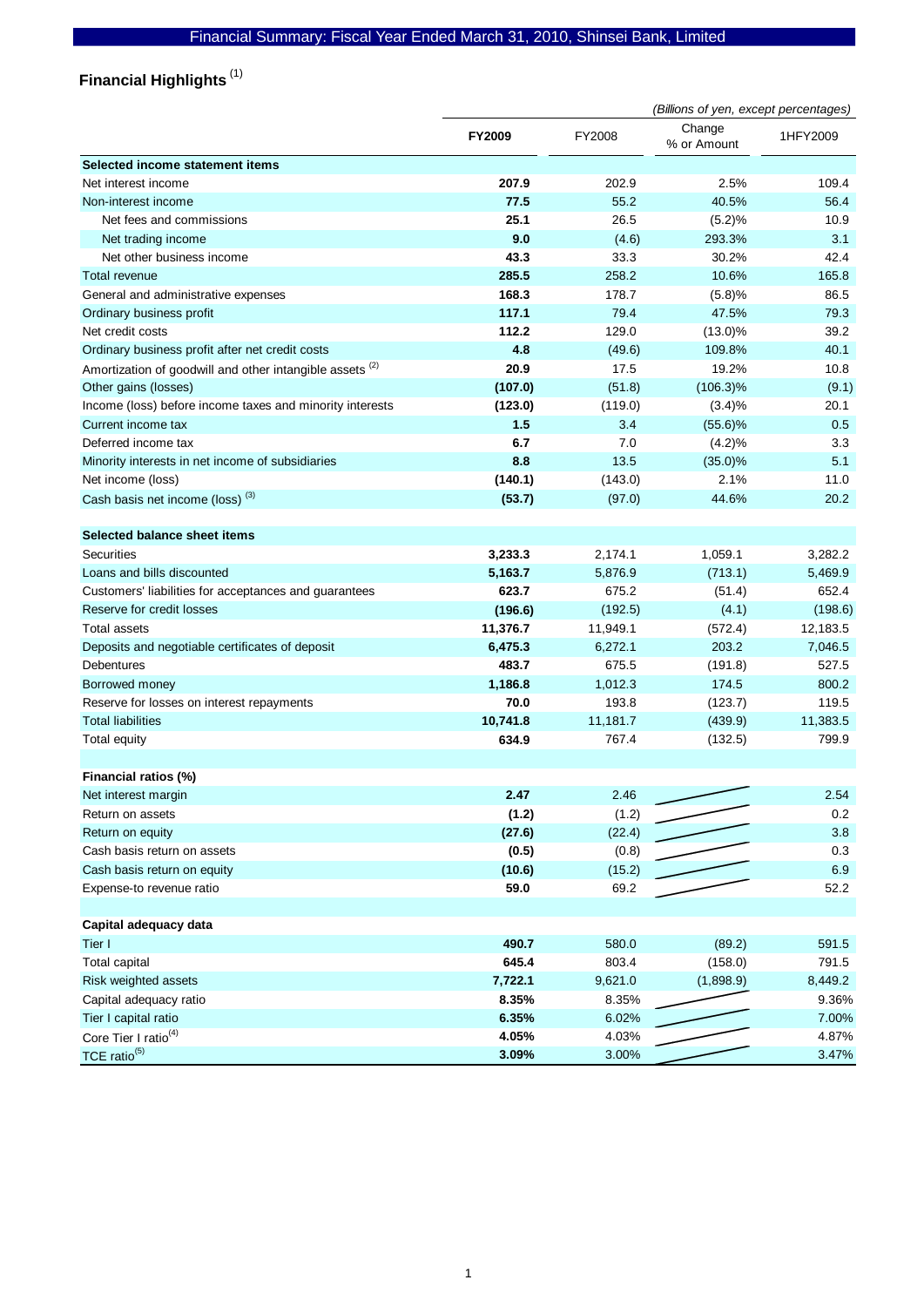# **Financial Highlights**  (1)

|                                                                     | (Billions of yen, except percentages) |          |                       |          |
|---------------------------------------------------------------------|---------------------------------------|----------|-----------------------|----------|
|                                                                     | FY2009                                | FY2008   | Change<br>% or Amount | 1HFY2009 |
| Selected income statement items                                     |                                       |          |                       |          |
| Net interest income                                                 | 207.9                                 | 202.9    | 2.5%                  | 109.4    |
| Non-interest income                                                 | 77.5                                  | 55.2     | 40.5%                 | 56.4     |
| Net fees and commissions                                            | 25.1                                  | 26.5     | (5.2)%                | 10.9     |
| Net trading income                                                  | 9.0                                   | (4.6)    | 293.3%                | 3.1      |
| Net other business income                                           | 43.3                                  | 33.3     | 30.2%                 | 42.4     |
| Total revenue                                                       | 285.5                                 | 258.2    | 10.6%                 | 165.8    |
| General and administrative expenses                                 | 168.3                                 | 178.7    | (5.8)%                | 86.5     |
| Ordinary business profit                                            | 117.1                                 | 79.4     | 47.5%                 | 79.3     |
| Net credit costs                                                    | 112.2                                 | 129.0    | $(13.0)\%$            | 39.2     |
| Ordinary business profit after net credit costs                     | 4.8                                   | (49.6)   | 109.8%                | 40.1     |
| Amortization of goodwill and other intangible assets <sup>(2)</sup> | 20.9                                  | 17.5     | 19.2%                 | 10.8     |
| Other gains (losses)                                                | (107.0)                               | (51.8)   | $(106.3)\%$           | (9.1)    |
| Income (loss) before income taxes and minority interests            | (123.0)                               | (119.0)  | (3.4)%                | 20.1     |
| Current income tax                                                  | 1.5                                   | 3.4      | $(55.6)\%$            | 0.5      |
| Deferred income tax                                                 | 6.7                                   | 7.0      | (4.2)%                | 3.3      |
| Minority interests in net income of subsidiaries                    | 8.8                                   | 13.5     | (35.0)%               | 5.1      |
| Net income (loss)                                                   | (140.1)                               | (143.0)  | 2.1%                  | 11.0     |
| Cash basis net income (loss) <sup>(3)</sup>                         | (53.7)                                | (97.0)   | 44.6%                 | 20.2     |
| Selected balance sheet items                                        |                                       |          |                       |          |
| Securities                                                          | 3,233.3                               | 2,174.1  | 1,059.1               | 3,282.2  |
| Loans and bills discounted                                          | 5,163.7                               | 5,876.9  | (713.1)               | 5,469.9  |
| Customers' liabilities for acceptances and guarantees               | 623.7                                 | 675.2    | (51.4)                | 652.4    |
| Reserve for credit losses                                           | (196.6)                               | (192.5)  | (4.1)                 | (198.6)  |
| Total assets                                                        | 11,376.7                              | 11,949.1 | (572.4)               | 12,183.5 |
| Deposits and negotiable certificates of deposit                     | 6,475.3                               | 6,272.1  | 203.2                 | 7,046.5  |
| Debentures                                                          | 483.7                                 | 675.5    | (191.8)               | 527.5    |
| Borrowed money                                                      | 1,186.8                               | 1,012.3  | 174.5                 | 800.2    |
| Reserve for losses on interest repayments                           | 70.0                                  | 193.8    | (123.7)               | 119.5    |
| <b>Total liabilities</b>                                            | 10,741.8                              | 11,181.7 | (439.9)               | 11,383.5 |
| Total equity                                                        | 634.9                                 | 767.4    | (132.5)               | 799.9    |
| Financial ratios (%)                                                |                                       |          |                       |          |
| Net interest margin                                                 | 2.47                                  | 2.46     |                       | 2.54     |
| Return on assets                                                    | (1.2)                                 | (1.2)    |                       | $0.2\,$  |
| Return on equity                                                    | (27.6)                                | (22.4)   |                       | 3.8      |
| Cash basis return on assets                                         | (0.5)                                 | (0.8)    |                       | $0.3\,$  |
| Cash basis return on equity                                         | (10.6)                                | (15.2)   |                       | 6.9      |
| Expense-to revenue ratio                                            | 59.0                                  | 69.2     |                       | 52.2     |
| Capital adequacy data                                               |                                       |          |                       |          |
| Tier I                                                              | 490.7                                 | 580.0    | (89.2)                | 591.5    |
| <b>Total capital</b>                                                | 645.4                                 | 803.4    | (158.0)               | 791.5    |
| Risk weighted assets                                                | 7,722.1                               | 9,621.0  | (1,898.9)             | 8,449.2  |
| Capital adequacy ratio                                              | 8.35%                                 | 8.35%    |                       | 9.36%    |
| Tier I capital ratio                                                | 6.35%                                 | 6.02%    |                       | 7.00%    |
| Core Tier I ratio <sup>(4)</sup>                                    | 4.05%                                 | 4.03%    |                       | 4.87%    |
| TCE ratio <sup>(5)</sup>                                            | 3.09%                                 | 3.00%    |                       | 3.47%    |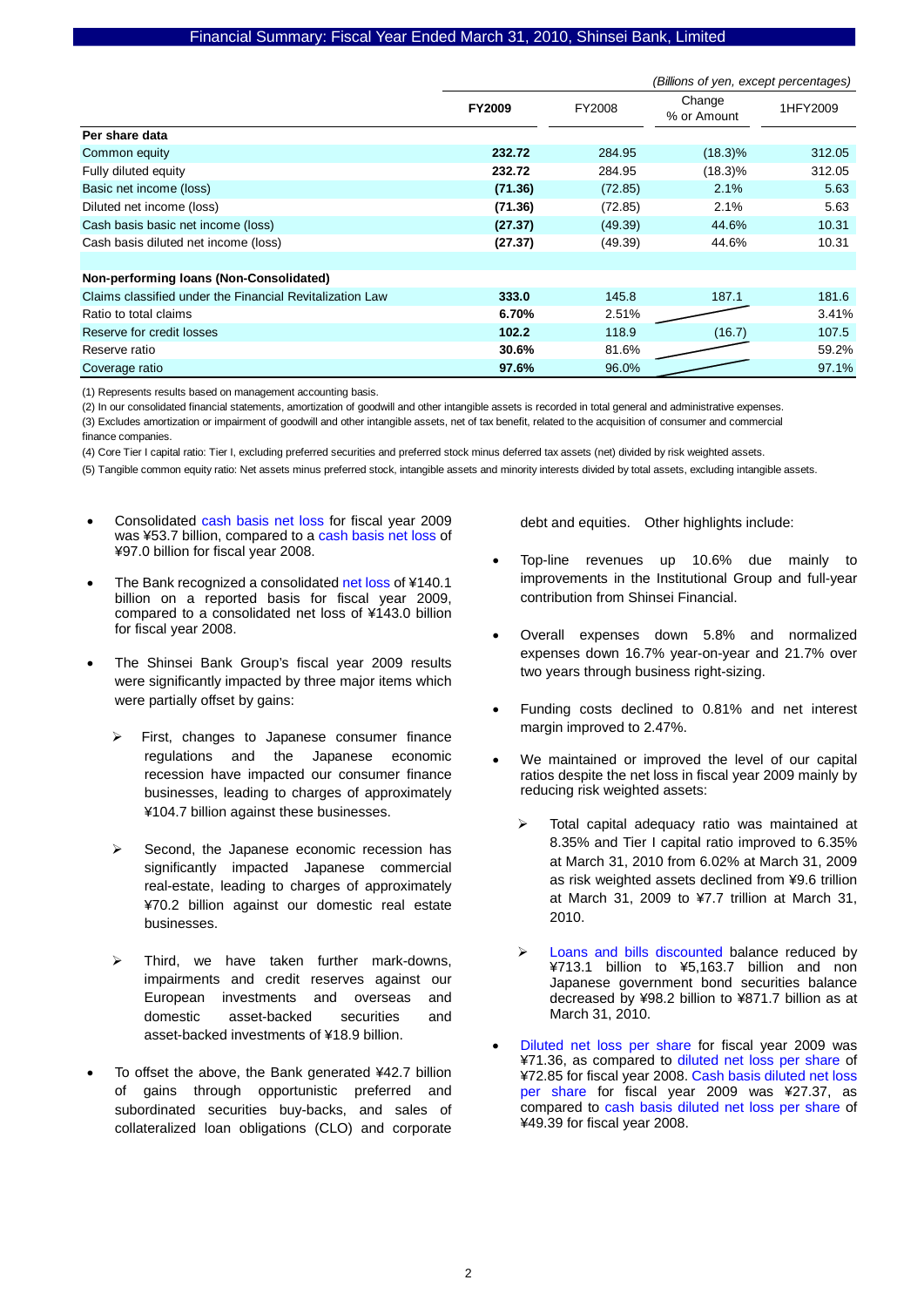|                                                          | (Billions of yen, except percentages) |         |                       |          |
|----------------------------------------------------------|---------------------------------------|---------|-----------------------|----------|
|                                                          | <b>FY2009</b>                         | FY2008  | Change<br>% or Amount | 1HFY2009 |
| Per share data                                           |                                       |         |                       |          |
| Common equity                                            | 232.72                                | 284.95  | $(18.3)\%$            | 312.05   |
| Fully diluted equity                                     | 232.72                                | 284.95  | $(18.3)\%$            | 312.05   |
| Basic net income (loss)                                  | (71.36)                               | (72.85) | 2.1%                  | 5.63     |
| Diluted net income (loss)                                | (71.36)                               | (72.85) | 2.1%                  | 5.63     |
| Cash basis basic net income (loss)                       | (27.37)                               | (49.39) | 44.6%                 | 10.31    |
| Cash basis diluted net income (loss)                     | (27.37)                               | (49.39) | 44.6%                 | 10.31    |
|                                                          |                                       |         |                       |          |
| Non-performing loans (Non-Consolidated)                  |                                       |         |                       |          |
| Claims classified under the Financial Revitalization Law | 333.0                                 | 145.8   | 187.1                 | 181.6    |
| Ratio to total claims                                    | 6.70%                                 | 2.51%   |                       | 3.41%    |
| Reserve for credit losses                                | 102.2                                 | 118.9   | (16.7)                | 107.5    |
| Reserve ratio                                            | 30.6%                                 | 81.6%   |                       | 59.2%    |
| Coverage ratio                                           | 97.6%                                 | 96.0%   |                       | 97.1%    |

(1) Represents results based on management accounting basis.

(2) In our consolidated financial statements, amortization of goodwill and other intangible assets is recorded in total general and administrative expenses.

(3) Excludes amortization or impairment of goodwill and other intangible assets, net of tax benefit, related to the acquisition of consumer and commercial

finance companies.

(4) Core Tier I capital ratio: Tier I, excluding preferred securities and preferred stock minus deferred tax assets (net) divided by risk weighted assets.

(5) Tangible common equity ratio: Net assets minus preferred stock, intangible assets and minority interests divided by total assets, excluding intangible assets.

- Consolidated cash basis net loss for fiscal year 2009 was ¥53.7 billion, compared to a cash basis net loss of ¥97.0 billion for fiscal year 2008.
- The Bank recognized a consolidated net loss of ¥140.1 billion on a reported basis for fiscal year 2009, compared to a consolidated net loss of ¥143.0 billion for fiscal year 2008.
- The Shinsei Bank Group's fiscal year 2009 results were significantly impacted by three major items which were partially offset by gains:
	- ¾ First, changes to Japanese consumer finance regulations and the Japanese economic recession have impacted our consumer finance businesses, leading to charges of approximately ¥104.7 billion against these businesses.
	- $\triangleright$  Second, the Japanese economic recession has significantly impacted Japanese commercial real-estate, leading to charges of approximately ¥70.2 billion against our domestic real estate businesses.
	- Third, we have taken further mark-downs, impairments and credit reserves against our European investments and overseas and domestic asset-backed securities and asset-backed investments of ¥18.9 billion.
- To offset the above, the Bank generated ¥42.7 billion of gains through opportunistic preferred and subordinated securities buy-backs, and sales of collateralized loan obligations (CLO) and corporate

debt and equities. Other highlights include:

- Top-line revenues up 10.6% due mainly to improvements in the Institutional Group and full-year contribution from Shinsei Financial.
- Overall expenses down 5.8% and normalized expenses down 16.7% year-on-year and 21.7% over two years through business right-sizing.
- Funding costs declined to 0.81% and net interest margin improved to 2.47%.
- We maintained or improved the level of our capital ratios despite the net loss in fiscal year 2009 mainly by reducing risk weighted assets:
	- Total capital adequacy ratio was maintained at 8.35% and Tier I capital ratio improved to 6.35% at March 31, 2010 from 6.02% at March 31, 2009 as risk weighted assets declined from ¥9.6 trillion at March 31, 2009 to ¥7.7 trillion at March 31, 2010.
	- Loans and bills discounted balance reduced by ¥713.1 billion to ¥5,163.7 billion and non Japanese government bond securities balance decreased by ¥98.2 billion to ¥871.7 billion as at March 31, 2010.
- Diluted net loss per share for fiscal year 2009 was ¥71.36, as compared to diluted net loss per share of ¥72.85 for fiscal year 2008. Cash basis diluted net loss per share for fiscal year 2009 was ¥27.37, as compared to cash basis diluted net loss per share of ¥49.39 for fiscal year 2008.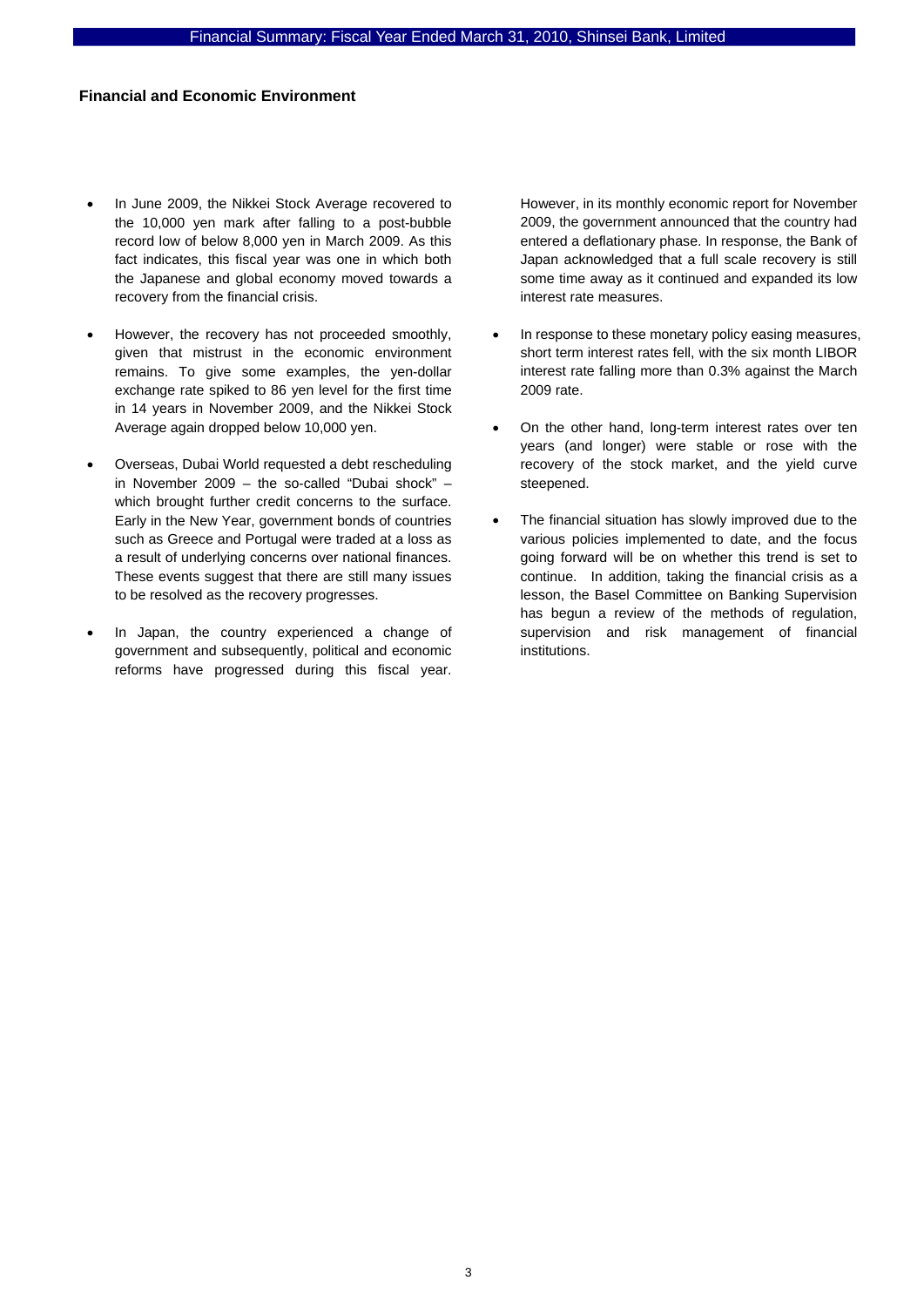# **Financial and Economic Environment**

- In June 2009, the Nikkei Stock Average recovered to the 10,000 yen mark after falling to a post-bubble record low of below 8,000 yen in March 2009. As this fact indicates, this fiscal year was one in which both the Japanese and global economy moved towards a recovery from the financial crisis.
- However, the recovery has not proceeded smoothly, given that mistrust in the economic environment remains. To give some examples, the yen-dollar exchange rate spiked to 86 yen level for the first time in 14 years in November 2009, and the Nikkei Stock Average again dropped below 10,000 yen.
- Overseas, Dubai World requested a debt rescheduling in November 2009 – the so-called "Dubai shock" – which brought further credit concerns to the surface. Early in the New Year, government bonds of countries such as Greece and Portugal were traded at a loss as a result of underlying concerns over national finances. These events suggest that there are still many issues to be resolved as the recovery progresses.
- In Japan, the country experienced a change of government and subsequently, political and economic reforms have progressed during this fiscal year.

However, in its monthly economic report for November 2009, the government announced that the country had entered a deflationary phase. In response, the Bank of Japan acknowledged that a full scale recovery is still some time away as it continued and expanded its low interest rate measures.

- In response to these monetary policy easing measures, short term interest rates fell, with the six month LIBOR interest rate falling more than 0.3% against the March 2009 rate.
- On the other hand, long-term interest rates over ten years (and longer) were stable or rose with the recovery of the stock market, and the yield curve steepened.
- The financial situation has slowly improved due to the various policies implemented to date, and the focus going forward will be on whether this trend is set to continue. In addition, taking the financial crisis as a lesson, the Basel Committee on Banking Supervision has begun a review of the methods of regulation, supervision and risk management of financial institutions.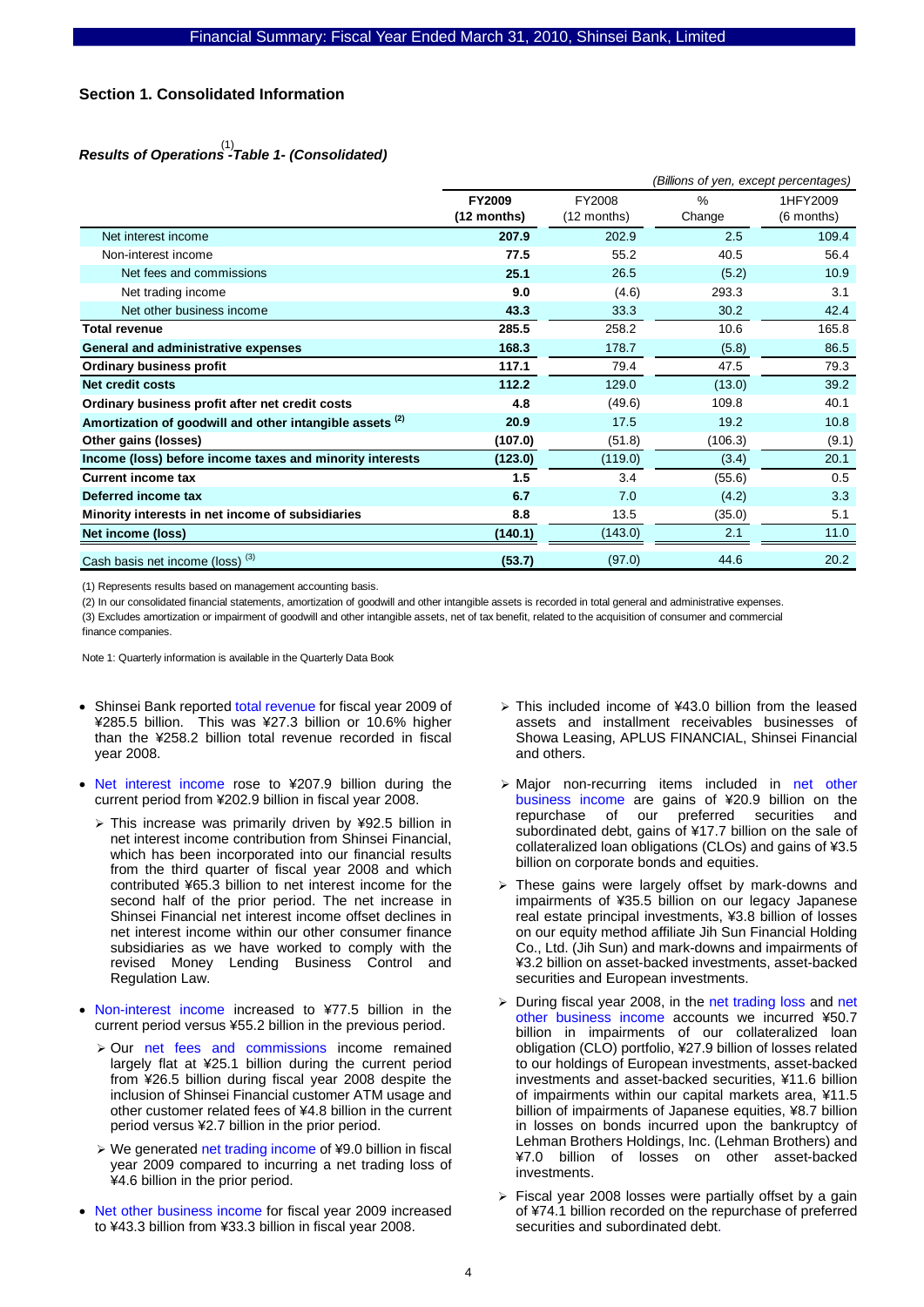# **Section 1. Consolidated Information**

# *Results of Operations -Table 1- (Consolidated)*  (1)

|                                                                     |                       | (Billions of yen, except percentages) |                |                        |  |
|---------------------------------------------------------------------|-----------------------|---------------------------------------|----------------|------------------------|--|
|                                                                     | FY2009<br>(12 months) | FY2008<br>(12 months)                 | $\%$<br>Change | 1HFY2009<br>(6 months) |  |
| Net interest income                                                 | 207.9                 | 202.9                                 | 2.5            | 109.4                  |  |
| Non-interest income                                                 | 77.5                  | 55.2                                  | 40.5           | 56.4                   |  |
| Net fees and commissions                                            | 25.1                  | 26.5                                  | (5.2)          | 10.9                   |  |
| Net trading income                                                  | 9.0                   | (4.6)                                 | 293.3          | 3.1                    |  |
| Net other business income                                           | 43.3                  | 33.3                                  | 30.2           | 42.4                   |  |
| <b>Total revenue</b>                                                | 285.5                 | 258.2                                 | 10.6           | 165.8                  |  |
| General and administrative expenses                                 | 168.3                 | 178.7                                 | (5.8)          | 86.5                   |  |
| <b>Ordinary business profit</b>                                     | 117.1                 | 79.4                                  | 47.5           | 79.3                   |  |
| Net credit costs                                                    | 112.2                 | 129.0                                 | (13.0)         | 39.2                   |  |
| Ordinary business profit after net credit costs                     | 4.8                   | (49.6)                                | 109.8          | 40.1                   |  |
| Amortization of goodwill and other intangible assets <sup>(2)</sup> | 20.9                  | 17.5                                  | 19.2           | 10.8                   |  |
| Other gains (losses)                                                | (107.0)               | (51.8)                                | (106.3)        | (9.1)                  |  |
| Income (loss) before income taxes and minority interests            | (123.0)               | (119.0)                               | (3.4)          | 20.1                   |  |
| <b>Current income tax</b>                                           | 1.5                   | 3.4                                   | (55.6)         | 0.5                    |  |
| Deferred income tax                                                 | 6.7                   | 7.0                                   | (4.2)          | 3.3                    |  |
| Minority interests in net income of subsidiaries                    | 8.8                   | 13.5                                  | (35.0)         | 5.1                    |  |
| Net income (loss)                                                   | (140.1)               | (143.0)                               | 2.1            | 11.0                   |  |
| Cash basis net income (loss) <sup>(3)</sup>                         | (53.7)                | (97.0)                                | 44.6           | 20.2                   |  |

(1) Represents results based on management accounting basis.

(2) In our consolidated financial statements, amortization of goodwill and other intangible assets is recorded in total general and administrative expenses.

(3) Excludes amortization or impairment of goodwill and other intangible assets, net of tax benefit, related to the acquisition of consumer and commercial finance companies.

- Shinsei Bank reported total revenue for fiscal year 2009 of ¥285.5 billion. This was ¥27.3 billion or 10.6% higher than the ¥258.2 billion total revenue recorded in fiscal year 2008.
- Net interest income rose to ¥207.9 billion during the current period from ¥202.9 billion in fiscal year 2008.
	- ¾ This increase was primarily driven by ¥92.5 billion in net interest income contribution from Shinsei Financial, which has been incorporated into our financial results from the third quarter of fiscal year 2008 and which contributed ¥65.3 billion to net interest income for the second half of the prior period. The net increase in Shinsei Financial net interest income offset declines in net interest income within our other consumer finance subsidiaries as we have worked to comply with the revised Money Lending Business Control and Regulation Law.
- Non-interest income increased to ¥77.5 billion in the current period versus ¥55.2 billion in the previous period.
	- ¾ Our net fees and commissions income remained largely flat at ¥25.1 billion during the current period from ¥26.5 billion during fiscal year 2008 despite the inclusion of Shinsei Financial customer ATM usage and other customer related fees of ¥4.8 billion in the current period versus ¥2.7 billion in the prior period.
	- ¾ We generated net trading income of ¥9.0 billion in fiscal year 2009 compared to incurring a net trading loss of ¥4.6 billion in the prior period.
- Net other business income for fiscal year 2009 increased to ¥43.3 billion from ¥33.3 billion in fiscal year 2008.
- $\ge$  This included income of ¥43.0 billion from the leased assets and installment receivables businesses of Showa Leasing, APLUS FINANCIAL, Shinsei Financial and others.
- ¾ Major non-recurring items included in net other business income are gains of ¥20.9 billion on the repurchase of our preferred securities and subordinated debt, gains of ¥17.7 billion on the sale of collateralized loan obligations (CLOs) and gains of ¥3.5 billion on corporate bonds and equities.
- ¾ These gains were largely offset by mark-downs and impairments of ¥35.5 billion on our legacy Japanese real estate principal investments, ¥3.8 billion of losses on our equity method affiliate Jih Sun Financial Holding Co., Ltd. (Jih Sun) and mark-downs and impairments of ¥3.2 billion on asset-backed investments, asset-backed securities and European investments.
- $\geq$  During fiscal year 2008, in the net trading loss and net other business income accounts we incurred ¥50.7 billion in impairments of our collateralized loan obligation (CLO) portfolio, ¥27.9 billion of losses related to our holdings of European investments, asset-backed investments and asset-backed securities, ¥11.6 billion of impairments within our capital markets area, ¥11.5 billion of impairments of Japanese equities, ¥8.7 billion in losses on bonds incurred upon the bankruptcy of Lehman Brothers Holdings, Inc. (Lehman Brothers) and ¥7.0 billion of losses on other asset-backed investments.
- ¾ Fiscal year 2008 losses were partially offset by a gain of ¥74.1 billion recorded on the repurchase of preferred securities and subordinated debt.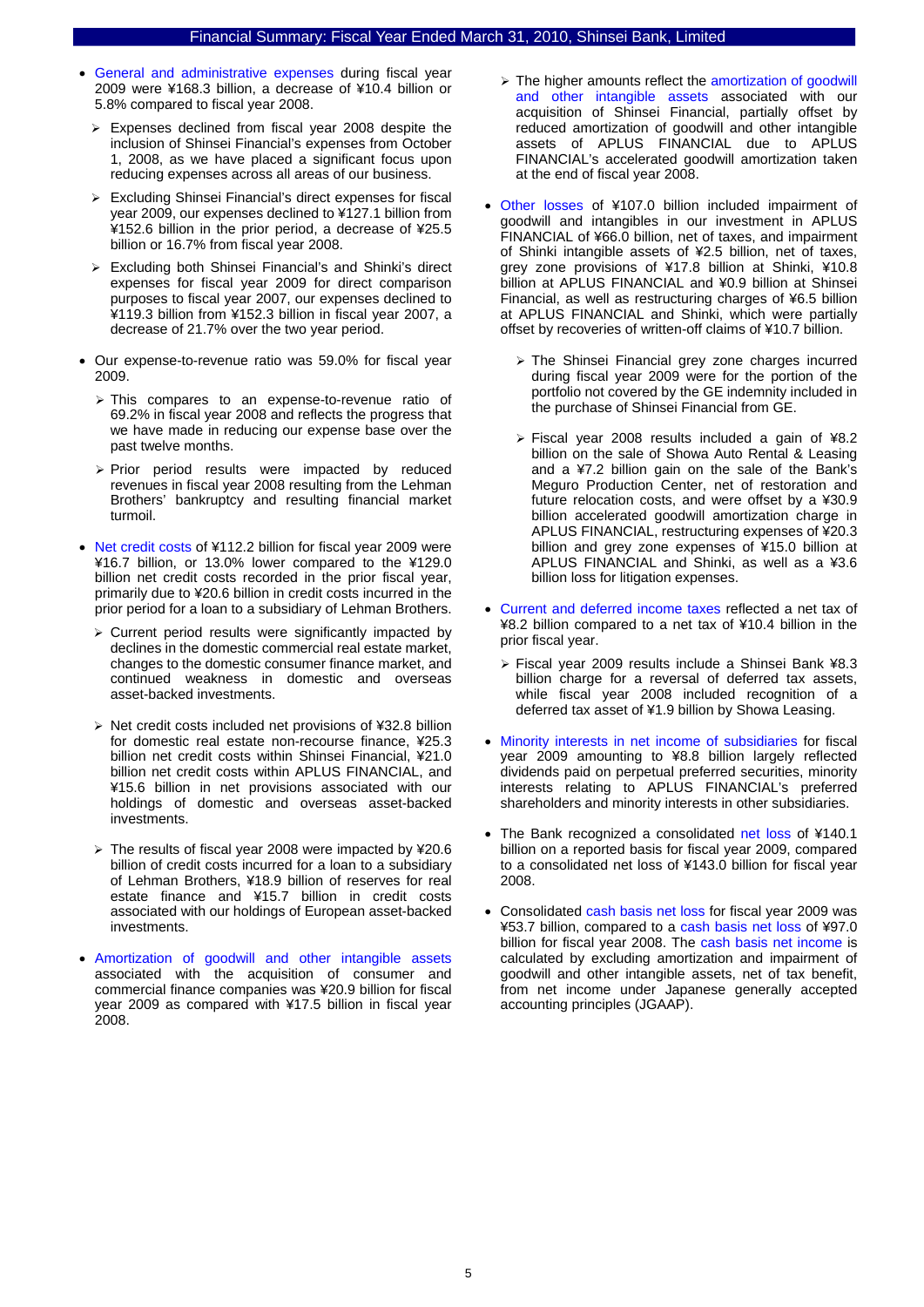- General and administrative expenses during fiscal year 2009 were ¥168.3 billion, a decrease of ¥10.4 billion or 5.8% compared to fiscal year 2008.
	- ¾ Expenses declined from fiscal year 2008 despite the inclusion of Shinsei Financial's expenses from October 1, 2008, as we have placed a significant focus upon reducing expenses across all areas of our business.
	- $\triangleright$  Excluding Shinsei Financial's direct expenses for fiscal year 2009, our expenses declined to ¥127.1 billion from ¥152.6 billion in the prior period, a decrease of ¥25.5 billion or 16.7% from fiscal year 2008.
	- $\triangleright$  Excluding both Shinsei Financial's and Shinki's direct expenses for fiscal year 2009 for direct comparison purposes to fiscal year 2007, our expenses declined to ¥119.3 billion from ¥152.3 billion in fiscal year 2007, a decrease of 21.7% over the two year period.
- Our expense-to-revenue ratio was 59.0% for fiscal year 2009.
	- ¾ This compares to an expense-to-revenue ratio of 69.2% in fiscal year 2008 and reflects the progress that we have made in reducing our expense base over the past twelve months.
	- $\triangleright$  Prior period results were impacted by reduced revenues in fiscal year 2008 resulting from the Lehman Brothers' bankruptcy and resulting financial market turmoil.
- Net credit costs of ¥112.2 billion for fiscal year 2009 were ¥16.7 billion, or 13.0% lower compared to the ¥129.0 billion net credit costs recorded in the prior fiscal year, primarily due to ¥20.6 billion in credit costs incurred in the prior period for a loan to a subsidiary of Lehman Brothers.
	- $\triangleright$  Current period results were significantly impacted by declines in the domestic commercial real estate market, changes to the domestic consumer finance market, and continued weakness in domestic and overseas asset-backed investments.
	- $\triangleright$  Net credit costs included net provisions of ¥32.8 billion for domestic real estate non-recourse finance, ¥25.3 billion net credit costs within Shinsei Financial, ¥21.0 billion net credit costs within APLUS FINANCIAL, and ¥15.6 billion in net provisions associated with our holdings of domestic and overseas asset-backed investments.
	- ¾ The results of fiscal year 2008 were impacted by ¥20.6 billion of credit costs incurred for a loan to a subsidiary of Lehman Brothers, ¥18.9 billion of reserves for real estate finance and ¥15.7 billion in credit costs associated with our holdings of European asset-backed investments.
- Amortization of goodwill and other intangible assets associated with the acquisition of consumer and commercial finance companies was ¥20.9 billion for fiscal year 2009 as compared with ¥17.5 billion in fiscal year 2008.
- ¾ The higher amounts reflect the amortization of goodwill and other intangible assets associated with our acquisition of Shinsei Financial, partially offset by reduced amortization of goodwill and other intangible assets of APLUS FINANCIAL due to APLUS FINANCIAL's accelerated goodwill amortization taken at the end of fiscal year 2008.
- Other losses of ¥107.0 billion included impairment of goodwill and intangibles in our investment in APLUS FINANCIAL of ¥66.0 billion, net of taxes, and impairment of Shinki intangible assets of ¥2.5 billion, net of taxes, grey zone provisions of ¥17.8 billion at Shinki, ¥10.8 billion at APLUS FINANCIAL and ¥0.9 billion at Shinsei Financial, as well as restructuring charges of ¥6.5 billion at APLUS FINANCIAL and Shinki, which were partially offset by recoveries of written-off claims of ¥10.7 billion.
	- $\triangleright$  The Shinsei Financial grey zone charges incurred during fiscal year 2009 were for the portion of the portfolio not covered by the GE indemnity included in the purchase of Shinsei Financial from GE.
	- $\triangleright$  Fiscal year 2008 results included a gain of ¥8.2 billion on the sale of Showa Auto Rental & Leasing and a ¥7.2 billion gain on the sale of the Bank's Meguro Production Center, net of restoration and future relocation costs, and were offset by a ¥30.9 billion accelerated goodwill amortization charge in APLUS FINANCIAL, restructuring expenses of ¥20.3 billion and grey zone expenses of ¥15.0 billion at APLUS FINANCIAL and Shinki, as well as a ¥3.6 billion loss for litigation expenses.
- Current and deferred income taxes reflected a net tax of ¥8.2 billion compared to a net tax of ¥10.4 billion in the prior fiscal year.
	- ¾ Fiscal year 2009 results include a Shinsei Bank ¥8.3 billion charge for a reversal of deferred tax assets, while fiscal year 2008 included recognition of a deferred tax asset of ¥1.9 billion by Showa Leasing.
- Minority interests in net income of subsidiaries for fiscal year 2009 amounting to ¥8.8 billion largely reflected dividends paid on perpetual preferred securities, minority interests relating to APLUS FINANCIAL's preferred shareholders and minority interests in other subsidiaries.
- The Bank recognized a consolidated net loss of ¥140.1 billion on a reported basis for fiscal year 2009, compared to a consolidated net loss of ¥143.0 billion for fiscal year 2008.
- Consolidated cash basis net loss for fiscal year 2009 was ¥53.7 billion, compared to a cash basis net loss of ¥97.0 billion for fiscal year 2008. The cash basis net income is calculated by excluding amortization and impairment of goodwill and other intangible assets, net of tax benefit, from net income under Japanese generally accepted accounting principles (JGAAP).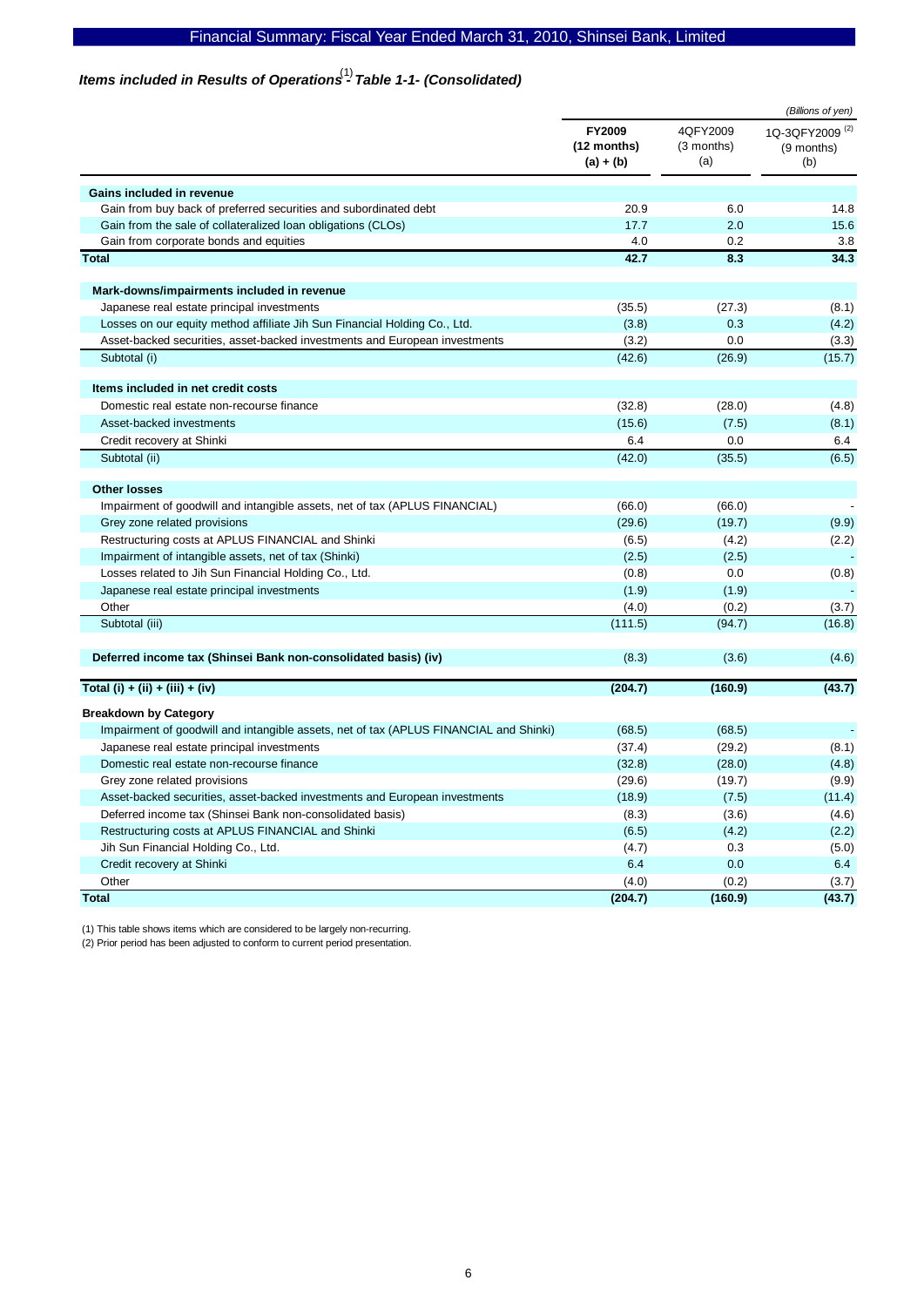# Items included in Results of Operations<sup>(1)</sup> Table 1-1- (Consolidated)

|                                                                                       |                                      |                               | (Billions of yen)                               |
|---------------------------------------------------------------------------------------|--------------------------------------|-------------------------------|-------------------------------------------------|
|                                                                                       | FY2009<br>(12 months)<br>$(a) + (b)$ | 4QFY2009<br>(3 months)<br>(a) | 1Q-3QFY2009 <sup>(2)</sup><br>(9 months)<br>(b) |
| Gains included in revenue                                                             |                                      |                               |                                                 |
| Gain from buy back of preferred securities and subordinated debt                      | 20.9                                 | 6.0                           | 14.8                                            |
| Gain from the sale of collateralized loan obligations (CLOs)                          | 17.7                                 | 2.0                           | 15.6                                            |
| Gain from corporate bonds and equities                                                | 4.0                                  | 0.2                           | 3.8                                             |
| <b>Total</b>                                                                          | 42.7                                 | 8.3                           | 34.3                                            |
| Mark-downs/impairments included in revenue                                            |                                      |                               |                                                 |
| Japanese real estate principal investments                                            | (35.5)                               | (27.3)                        | (8.1)                                           |
| Losses on our equity method affiliate Jih Sun Financial Holding Co., Ltd.             | (3.8)                                | 0.3                           | (4.2)                                           |
| Asset-backed securities, asset-backed investments and European investments            | (3.2)                                | 0.0                           | (3.3)                                           |
| Subtotal (i)                                                                          | (42.6)                               | (26.9)                        | (15.7)                                          |
| Items included in net credit costs                                                    |                                      |                               |                                                 |
| Domestic real estate non-recourse finance                                             | (32.8)                               | (28.0)                        | (4.8)                                           |
| Asset-backed investments                                                              | (15.6)                               | (7.5)                         | (8.1)                                           |
| Credit recovery at Shinki                                                             | 6.4                                  | 0.0                           | 6.4                                             |
| Subtotal (ii)                                                                         | (42.0)                               | (35.5)                        | (6.5)                                           |
|                                                                                       |                                      |                               |                                                 |
| <b>Other losses</b>                                                                   |                                      |                               |                                                 |
| Impairment of goodwill and intangible assets, net of tax (APLUS FINANCIAL)            | (66.0)                               | (66.0)                        |                                                 |
| Grey zone related provisions                                                          | (29.6)                               | (19.7)                        | (9.9)                                           |
| Restructuring costs at APLUS FINANCIAL and Shinki                                     | (6.5)                                | (4.2)                         | (2.2)                                           |
| Impairment of intangible assets, net of tax (Shinki)                                  | (2.5)                                | (2.5)<br>0.0                  |                                                 |
| Losses related to Jih Sun Financial Holding Co., Ltd.                                 | (0.8)                                |                               | (0.8)                                           |
| Japanese real estate principal investments<br>Other                                   | (1.9)                                | (1.9)                         |                                                 |
| Subtotal (iii)                                                                        | (4.0)<br>(111.5)                     | (0.2)<br>(94.7)               | (3.7)<br>(16.8)                                 |
|                                                                                       |                                      |                               |                                                 |
| Deferred income tax (Shinsei Bank non-consolidated basis) (iv)                        | (8.3)                                | (3.6)                         | (4.6)                                           |
| Total (i) + (ii) + (iii) + (iv)                                                       | (204.7)                              | (160.9)                       | (43.7)                                          |
| <b>Breakdown by Category</b>                                                          |                                      |                               |                                                 |
| Impairment of goodwill and intangible assets, net of tax (APLUS FINANCIAL and Shinki) | (68.5)                               | (68.5)                        |                                                 |
| Japanese real estate principal investments                                            | (37.4)                               | (29.2)                        | (8.1)                                           |
| Domestic real estate non-recourse finance                                             | (32.8)                               | (28.0)                        | (4.8)                                           |
| Grey zone related provisions                                                          | (29.6)                               | (19.7)                        | (9.9)                                           |
| Asset-backed securities, asset-backed investments and European investments            | (18.9)                               | (7.5)                         | (11.4)                                          |
| Deferred income tax (Shinsei Bank non-consolidated basis)                             | (8.3)                                | (3.6)                         | (4.6)                                           |
| Restructuring costs at APLUS FINANCIAL and Shinki                                     | (6.5)                                | (4.2)                         | (2.2)                                           |
| Jih Sun Financial Holding Co., Ltd.                                                   | (4.7)                                | 0.3                           | (5.0)                                           |
| Credit recovery at Shinki                                                             | 6.4                                  | 0.0                           | 6.4                                             |
| Other                                                                                 | (4.0)                                | (0.2)                         | (3.7)                                           |
| <b>Total</b>                                                                          | (204.7)                              | (160.9)                       | (43.7)                                          |

(1) This table shows items which are considered to be largely non-recurring.

(2) Prior period has been adjusted to conform to current period presentation.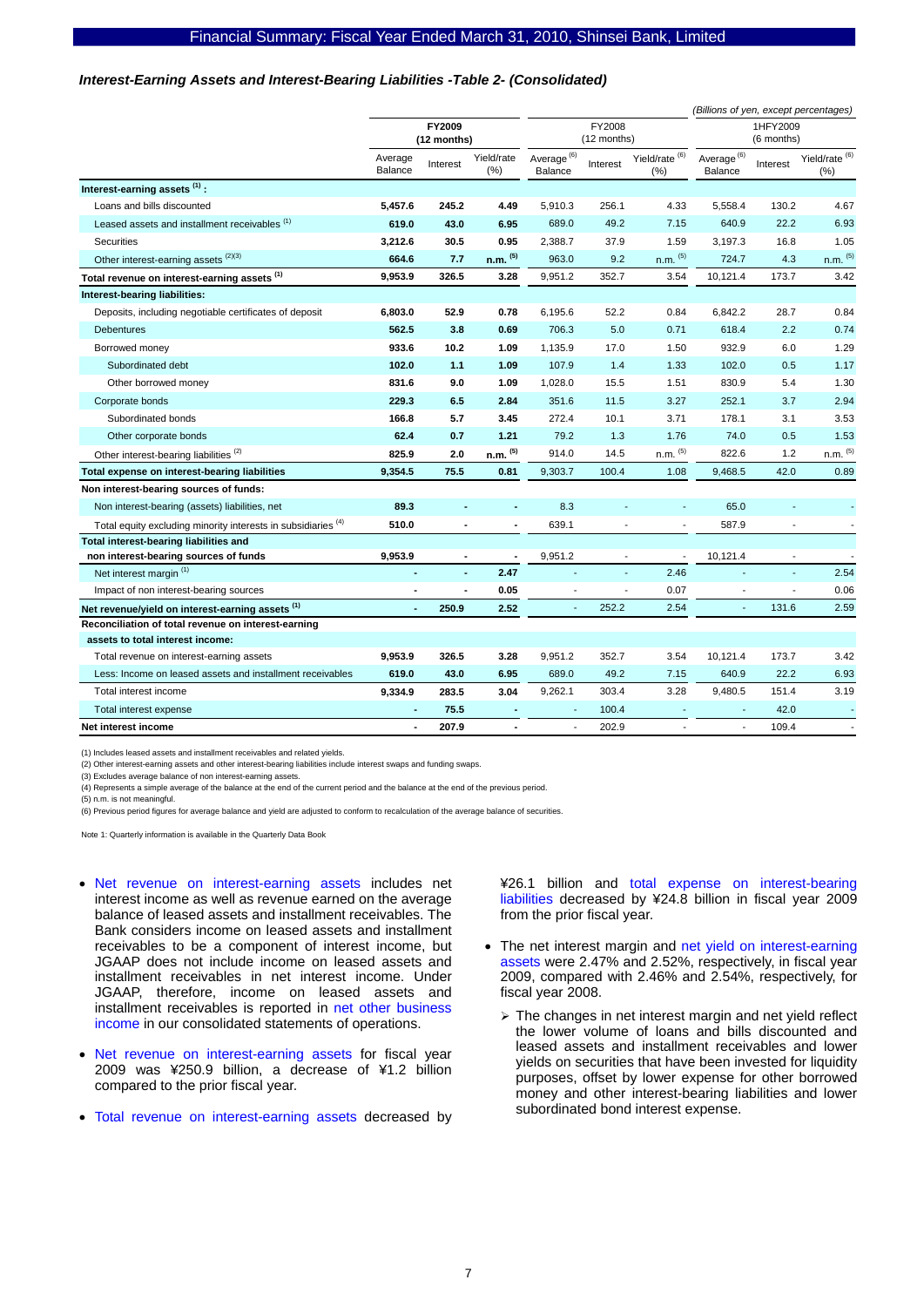#### *Interest-Earning Assets and Interest-Bearing Liabilities -Table 2- (Consolidated)*

|                                                               |                       |                |                       |                                   |                        |                                   |                                          |                | (Billions of yen, except percentages) |
|---------------------------------------------------------------|-----------------------|----------------|-----------------------|-----------------------------------|------------------------|-----------------------------------|------------------------------------------|----------------|---------------------------------------|
|                                                               | FY2009<br>(12 months) |                | FY2008<br>(12 months) |                                   | 1HFY2009<br>(6 months) |                                   |                                          |                |                                       |
|                                                               | Average<br>Balance    | Interest       | Yield/rate<br>(%)     | Average <sup>(6)</sup><br>Balance | Interest               | Yield/rate <sup>(6)</sup><br>(% ) | Average <sup>(6)</sup><br><b>Balance</b> | Interest       | Yield/rate $^{(6)}$<br>$(\% )$        |
| Interest-earning assets (1):                                  |                       |                |                       |                                   |                        |                                   |                                          |                |                                       |
| Loans and bills discounted                                    | 5,457.6               | 245.2          | 4.49                  | 5,910.3                           | 256.1                  | 4.33                              | 5,558.4                                  | 130.2          | 4.67                                  |
| Leased assets and installment receivables (1)                 | 619.0                 | 43.0           | 6.95                  | 689.0                             | 49.2                   | 7.15                              | 640.9                                    | 22.2           | 6.93                                  |
| <b>Securities</b>                                             | 3,212.6               | 30.5           | 0.95                  | 2,388.7                           | 37.9                   | 1.59                              | 3,197.3                                  | 16.8           | 1.05                                  |
| Other interest-earning assets (2)(3)                          | 664.6                 | 7.7            | $n.m.$ $(5)$          | 963.0                             | 9.2                    | $n.m.$ $(5)$                      | 724.7                                    | 4.3            | $n.m.$ (5)                            |
| Total revenue on interest-earning assets (1)                  | 9,953.9               | 326.5          | 3.28                  | 9,951.2                           | 352.7                  | 3.54                              | 10,121.4                                 | 173.7          | 3.42                                  |
| Interest-bearing liabilities:                                 |                       |                |                       |                                   |                        |                                   |                                          |                |                                       |
| Deposits, including negotiable certificates of deposit        | 6,803.0               | 52.9           | 0.78                  | 6,195.6                           | 52.2                   | 0.84                              | 6,842.2                                  | 28.7           | 0.84                                  |
| <b>Debentures</b>                                             | 562.5                 | 3.8            | 0.69                  | 706.3                             | 5.0                    | 0.71                              | 618.4                                    | 2.2            | 0.74                                  |
| Borrowed money                                                | 933.6                 | 10.2           | 1.09                  | 1,135.9                           | 17.0                   | 1.50                              | 932.9                                    | 6.0            | 1.29                                  |
| Subordinated debt                                             | 102.0                 | 1.1            | 1.09                  | 107.9                             | 1.4                    | 1.33                              | 102.0                                    | 0.5            | 1.17                                  |
| Other borrowed money                                          | 831.6                 | 9.0            | 1.09                  | 1,028.0                           | 15.5                   | 1.51                              | 830.9                                    | 5.4            | 1.30                                  |
| Corporate bonds                                               | 229.3                 | 6.5            | 2.84                  | 351.6                             | 11.5                   | 3.27                              | 252.1                                    | 3.7            | 2.94                                  |
| Subordinated bonds                                            | 166.8                 | 5.7            | 3.45                  | 272.4                             | 10.1                   | 3.71                              | 178.1                                    | 3.1            | 3.53                                  |
| Other corporate bonds                                         | 62.4                  | 0.7            | 1.21                  | 79.2                              | 1.3                    | 1.76                              | 74.0                                     | 0.5            | 1.53                                  |
| Other interest-bearing liabilities <sup>(2)</sup>             | 825.9                 | 2.0            | $n.m.$ $(5)$          | 914.0                             | 14.5                   | $n.m.$ (5)                        | 822.6                                    | 1.2            | $n.m.$ (5)                            |
| Total expense on interest-bearing liabilities                 | 9,354.5               | 75.5           | 0.81                  | 9,303.7                           | 100.4                  | 1.08                              | 9,468.5                                  | 42.0           | 0.89                                  |
| Non interest-bearing sources of funds:                        |                       |                |                       |                                   |                        |                                   |                                          |                |                                       |
| Non interest-bearing (assets) liabilities, net                | 89.3                  |                | $\blacksquare$        | 8.3                               |                        | $\overline{\phantom{a}}$          | 65.0                                     |                |                                       |
| Total equity excluding minority interests in subsidiaries (4) | 510.0                 |                |                       | 639.1                             |                        |                                   | 587.9                                    |                |                                       |
| Total interest-bearing liabilities and                        |                       |                |                       |                                   |                        |                                   |                                          |                |                                       |
| non interest-bearing sources of funds                         | 9,953.9               | $\blacksquare$ |                       | 9,951.2                           | $\blacksquare$         | $\overline{a}$                    | 10,121.4                                 | $\overline{a}$ | $\blacksquare$                        |
| Net interest margin <sup>(1)</sup>                            | ä,                    | ä,             | 2.47                  |                                   | ä,                     | 2.46                              |                                          | $\blacksquare$ | 2.54                                  |
| Impact of non interest-bearing sources                        |                       |                | 0.05                  |                                   | L,                     | 0.07                              | ÷,                                       |                | 0.06                                  |
| Net revenue/yield on interest-earning assets (1)              | $\blacksquare$        | 250.9          | 2.52                  |                                   | 252.2                  | 2.54                              | ä,                                       | 131.6          | 2.59                                  |
| Reconciliation of total revenue on interest-earning           |                       |                |                       |                                   |                        |                                   |                                          |                |                                       |
| assets to total interest income:                              |                       |                |                       |                                   |                        |                                   |                                          |                |                                       |
| Total revenue on interest-earning assets                      | 9,953.9               | 326.5          | 3.28                  | 9,951.2                           | 352.7                  | 3.54                              | 10,121.4                                 | 173.7          | 3.42                                  |
| Less: Income on leased assets and installment receivables     | 619.0                 | 43.0           | 6.95                  | 689.0                             | 49.2                   | 7.15                              | 640.9                                    | 22.2           | 6.93                                  |
| Total interest income                                         | 9,334.9               | 283.5          | 3.04                  | 9,262.1                           | 303.4                  | 3.28                              | 9,480.5                                  | 151.4          | 3.19                                  |
| Total interest expense                                        |                       | 75.5           |                       |                                   | 100.4                  |                                   |                                          | 42.0           |                                       |
| Net interest income                                           | $\blacksquare$        | 207.9          |                       | $\overline{\phantom{a}}$          | 202.9                  | $\blacksquare$                    | ÷.                                       | 109.4          |                                       |

(1) Includes leased assets and installment receivables and related yields.

(2) Other interest-earning assets and other interest-bearing liabilities include interest swaps and funding swaps. (3) Excludes average balance of non interest-earning assets.

(4) Represents a simple average of the balance at the end of the current period and the balance at the end of the previous period.

 $(5)$  n.m. is not meaningful.

(6) Previous period figures for average balance and yield are adjusted to conform to recalculation of the average balance of securities.

Note 1: Quarterly information is available in the Quarterly Data Book

- Net revenue on interest-earning assets includes net interest income as well as revenue earned on the average balance of leased assets and installment receivables. The Bank considers income on leased assets and installment receivables to be a component of interest income, but JGAAP does not include income on leased assets and installment receivables in net interest income. Under JGAAP, therefore, income on leased assets and installment receivables is reported in net other business income in our consolidated statements of operations.
- Net revenue on interest-earning assets for fiscal year 2009 was ¥250.9 billion, a decrease of ¥1.2 billion compared to the prior fiscal year.
- Total revenue on interest-earning assets decreased by

¥26.1 billion and total expense on interest-bearing liabilities decreased by ¥24.8 billion in fiscal year 2009 from the prior fiscal year.

- The net interest margin and net yield on interest-earning assets were 2.47% and 2.52%, respectively, in fiscal year 2009, compared with 2.46% and 2.54%, respectively, for fiscal year 2008.
	- $\triangleright$  The changes in net interest margin and net yield reflect the lower volume of loans and bills discounted and leased assets and installment receivables and lower yields on securities that have been invested for liquidity purposes, offset by lower expense for other borrowed money and other interest-bearing liabilities and lower subordinated bond interest expense.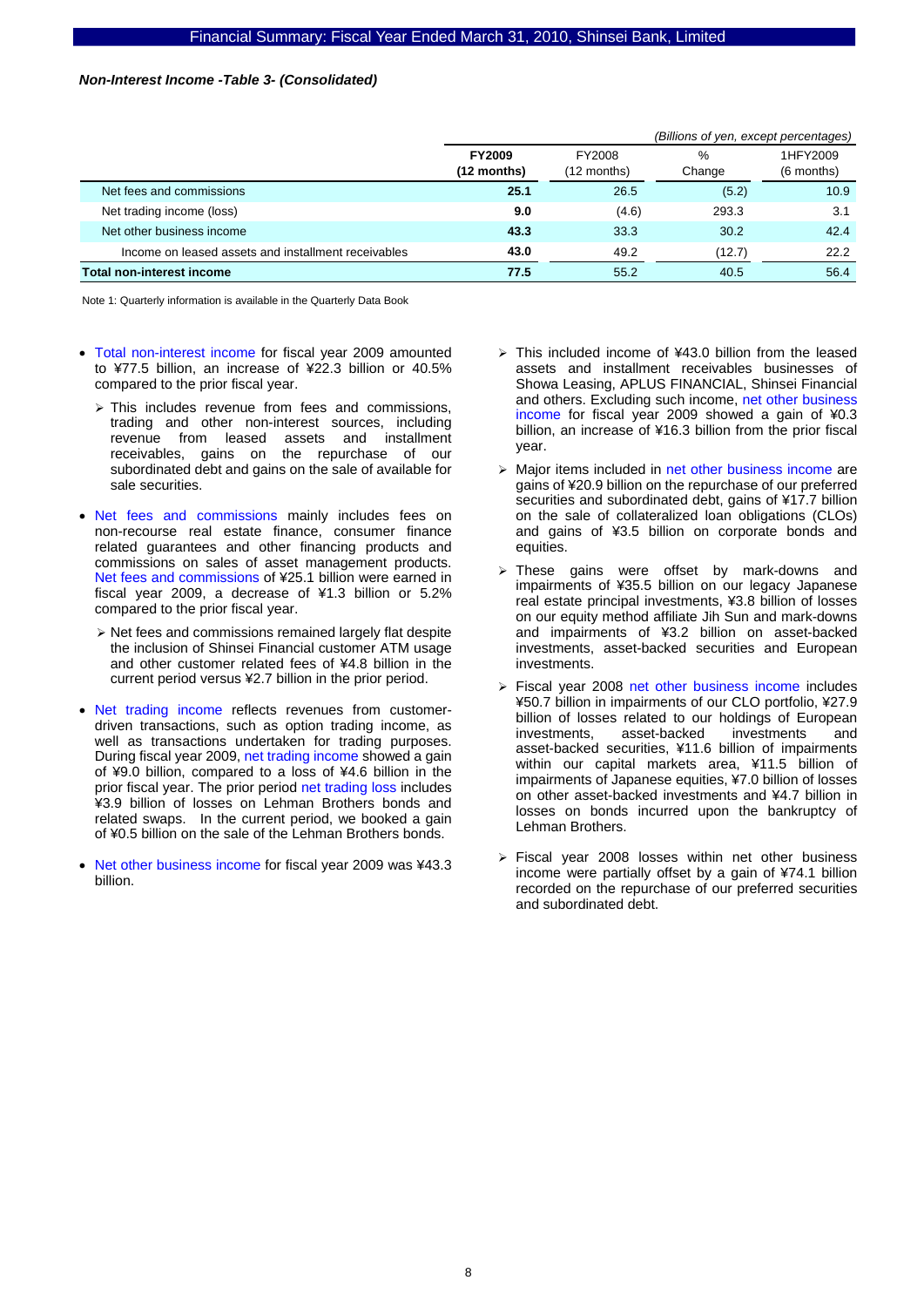#### *Non-Interest Income -Table 3- (Consolidated)*

|                                                     |                              | (Billions of yen, except percentages) |             |                        |  |
|-----------------------------------------------------|------------------------------|---------------------------------------|-------------|------------------------|--|
|                                                     | <b>FY2009</b><br>(12 months) | FY2008<br>(12 months)                 | %<br>Change | 1HFY2009<br>(6 months) |  |
| Net fees and commissions                            | 25.1                         | 26.5                                  | (5.2)       | 10.9                   |  |
| Net trading income (loss)                           | 9.0                          | (4.6)                                 | 293.3       | 3.1                    |  |
| Net other business income                           | 43.3                         | 33.3                                  | 30.2        | 42.4                   |  |
| Income on leased assets and installment receivables | 43.0                         | 49.2                                  | (12.7)      | 22.2                   |  |
| <b>Total non-interest income</b>                    | 77.5                         | 55.2                                  | 40.5        | 56.4                   |  |

- Total non-interest income for fiscal year 2009 amounted to ¥77.5 billion, an increase of ¥22.3 billion or 40.5% compared to the prior fiscal year.
	- $\triangleright$  This includes revenue from fees and commissions, trading and other non-interest sources, including revenue from leased assets and installment receivables, gains on the repurchase of our subordinated debt and gains on the sale of available for sale securities.
- Net fees and commissions mainly includes fees on non-recourse real estate finance, consumer finance related guarantees and other financing products and commissions on sales of asset management products. Net fees and commissions of ¥25.1 billion were earned in fiscal year 2009, a decrease of ¥1.3 billion or 5.2% compared to the prior fiscal year.
	- $\triangleright$  Net fees and commissions remained largely flat despite the inclusion of Shinsei Financial customer ATM usage and other customer related fees of ¥4.8 billion in the current period versus ¥2.7 billion in the prior period.
- Net trading income reflects revenues from customerdriven transactions, such as option trading income, as well as transactions undertaken for trading purposes. During fiscal year 2009, net trading income showed a gain of ¥9.0 billion, compared to a loss of ¥4.6 billion in the prior fiscal year. The prior period net trading loss includes ¥3.9 billion of losses on Lehman Brothers bonds and related swaps. In the current period, we booked a gain of ¥0.5 billion on the sale of the Lehman Brothers bonds.
- Net other business income for fiscal year 2009 was ¥43.3 billion.
- $\triangleright$  This included income of ¥43.0 billion from the leased assets and installment receivables businesses of Showa Leasing, APLUS FINANCIAL, Shinsei Financial and others. Excluding such income, net other business income for fiscal year 2009 showed a gain of ¥0.3 billion, an increase of ¥16.3 billion from the prior fiscal year.
- ¾ Major items included in net other business income are gains of ¥20.9 billion on the repurchase of our preferred securities and subordinated debt, gains of ¥17.7 billion on the sale of collateralized loan obligations (CLOs) and gains of ¥3.5 billion on corporate bonds and equities.
- $\ge$  These gains were offset by mark-downs and impairments of ¥35.5 billion on our legacy Japanese real estate principal investments, ¥3.8 billion of losses on our equity method affiliate Jih Sun and mark-downs and impairments of ¥3.2 billion on asset-backed investments, asset-backed securities and European investments.
- ¾ Fiscal year 2008 net other business income includes ¥50.7 billion in impairments of our CLO portfolio, ¥27.9 billion of losses related to our holdings of European<br>investments. asset-backed investments and investments, asset-backed investments and asset-backed securities, ¥11.6 billion of impairments within our capital markets area, ¥11.5 billion of impairments of Japanese equities, ¥7.0 billion of losses on other asset-backed investments and ¥4.7 billion in losses on bonds incurred upon the bankruptcy of Lehman Brothers.
- $\triangleright$  Fiscal year 2008 losses within net other business income were partially offset by a gain of ¥74.1 billion recorded on the repurchase of our preferred securities and subordinated debt.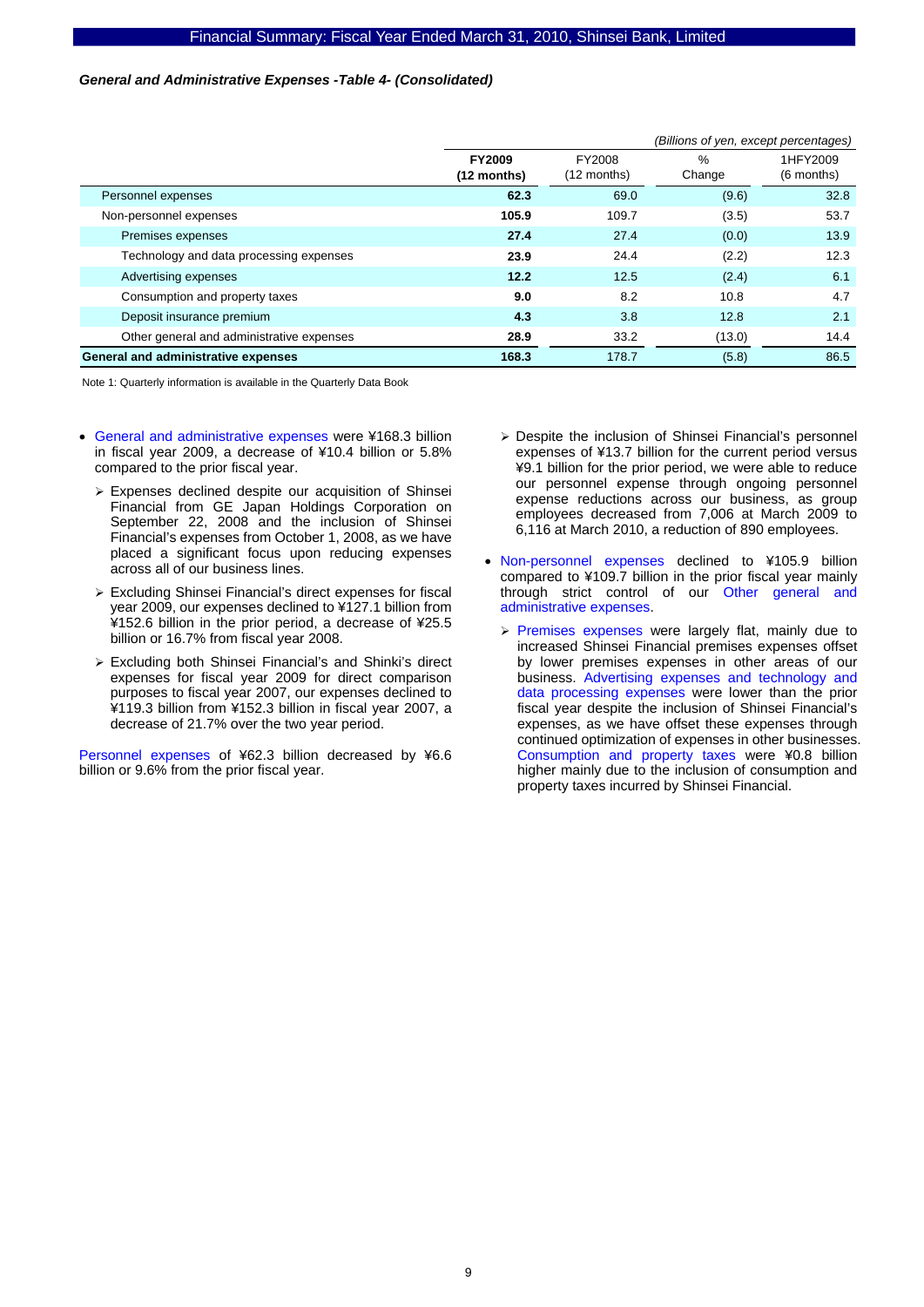#### *General and Administrative Expenses -Table 4- (Consolidated)*

|                                           | (Billions of yen, except percentages) |                         |             |                        |
|-------------------------------------------|---------------------------------------|-------------------------|-------------|------------------------|
|                                           | <b>FY2009</b><br>$(12$ months)        | FY2008<br>$(12$ months) | %<br>Change | 1HFY2009<br>(6 months) |
| Personnel expenses                        | 62.3                                  | 69.0                    | (9.6)       | 32.8                   |
| Non-personnel expenses                    | 105.9                                 | 109.7                   | (3.5)       | 53.7                   |
| Premises expenses                         | 27.4                                  | 27.4                    | (0.0)       | 13.9                   |
| Technology and data processing expenses   | 23.9                                  | 24.4                    | (2.2)       | 12.3                   |
| Advertising expenses                      | 12.2                                  | 12.5                    | (2.4)       | 6.1                    |
| Consumption and property taxes            | 9.0                                   | 8.2                     | 10.8        | 4.7                    |
| Deposit insurance premium                 | 4.3                                   | 3.8                     | 12.8        | 2.1                    |
| Other general and administrative expenses | 28.9                                  | 33.2                    | (13.0)      | 14.4                   |
| General and administrative expenses       | 168.3                                 | 178.7                   | (5.8)       | 86.5                   |

Note 1: Quarterly information is available in the Quarterly Data Book

- General and administrative expenses were ¥168.3 billion in fiscal year 2009, a decrease of ¥10.4 billion or 5.8% compared to the prior fiscal year.
	- $\triangleright$  Expenses declined despite our acquisition of Shinsei Financial from GE Japan Holdings Corporation on September 22, 2008 and the inclusion of Shinsei Financial's expenses from October 1, 2008, as we have placed a significant focus upon reducing expenses across all of our business lines.
	- $\triangleright$  Excluding Shinsei Financial's direct expenses for fiscal year 2009, our expenses declined to ¥127.1 billion from ¥152.6 billion in the prior period, a decrease of ¥25.5 billion or 16.7% from fiscal year 2008.
	- ¾ Excluding both Shinsei Financial's and Shinki's direct expenses for fiscal year 2009 for direct comparison purposes to fiscal year 2007, our expenses declined to ¥119.3 billion from ¥152.3 billion in fiscal year 2007, a decrease of 21.7% over the two year period.

Personnel expenses of ¥62.3 billion decreased by ¥6.6 billion or 9.6% from the prior fiscal year.

- ¾ Despite the inclusion of Shinsei Financial's personnel expenses of ¥13.7 billion for the current period versus ¥9.1 billion for the prior period, we were able to reduce our personnel expense through ongoing personnel expense reductions across our business, as group employees decreased from 7,006 at March 2009 to 6,116 at March 2010, a reduction of 890 employees.
- Non-personnel expenses declined to ¥105.9 billion compared to ¥109.7 billion in the prior fiscal year mainly through strict control of our Other general and administrative expenses.
	- $\triangleright$  Premises expenses were largely flat, mainly due to increased Shinsei Financial premises expenses offset by lower premises expenses in other areas of our business. Advertising expenses and technology and data processing expenses were lower than the prior fiscal year despite the inclusion of Shinsei Financial's expenses, as we have offset these expenses through continued optimization of expenses in other businesses. Consumption and property taxes were ¥0.8 billion higher mainly due to the inclusion of consumption and property taxes incurred by Shinsei Financial.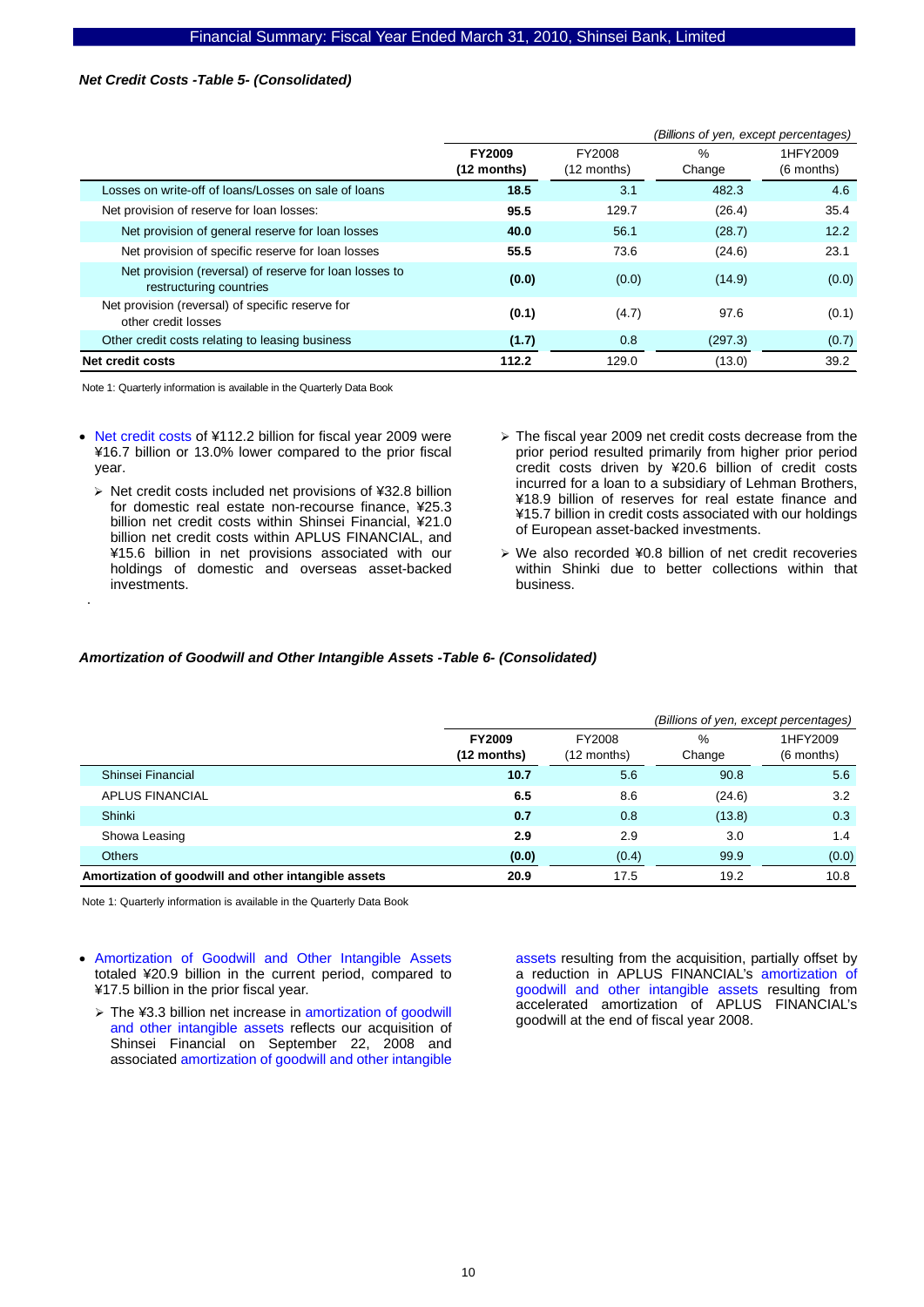#### *Net Credit Costs -Table 5- (Consolidated)*

|                                                                                   |                                        |                       | (Billions of yen, except percentages) |                          |
|-----------------------------------------------------------------------------------|----------------------------------------|-----------------------|---------------------------------------|--------------------------|
|                                                                                   | <b>FY2009</b><br>$(12 \text{ months})$ | FY2008<br>(12 months) | $\%$<br>Change                        | 1HFY2009<br>$(6$ months) |
| Losses on write-off of loans/Losses on sale of loans                              | 18.5                                   | 3.1                   | 482.3                                 | 4.6                      |
| Net provision of reserve for loan losses:                                         | 95.5                                   | 129.7                 | (26.4)                                | 35.4                     |
| Net provision of general reserve for loan losses                                  | 40.0                                   | 56.1                  | (28.7)                                | 12.2                     |
| Net provision of specific reserve for loan losses                                 | 55.5                                   | 73.6                  | (24.6)                                | 23.1                     |
| Net provision (reversal) of reserve for loan losses to<br>restructuring countries | (0.0)                                  | (0.0)                 | (14.9)                                | (0.0)                    |
| Net provision (reversal) of specific reserve for<br>other credit losses           | (0.1)                                  | (4.7)                 | 97.6                                  | (0.1)                    |
| Other credit costs relating to leasing business                                   | (1.7)                                  | 0.8                   | (297.3)                               | (0.7)                    |
| Net credit costs                                                                  | 112.2                                  | 129.0                 | (13.0)                                | 39.2                     |

Note 1: Quarterly information is available in the Quarterly Data Book

.

- Net credit costs of ¥112.2 billion for fiscal year 2009 were ¥16.7 billion or 13.0% lower compared to the prior fiscal year.
	- ¾ Net credit costs included net provisions of ¥32.8 billion for domestic real estate non-recourse finance, ¥25.3 billion net credit costs within Shinsei Financial, ¥21.0 billion net credit costs within APLUS FINANCIAL, and ¥15.6 billion in net provisions associated with our holdings of domestic and overseas asset-backed investments.
- $\geq$  The fiscal year 2009 net credit costs decrease from the prior period resulted primarily from higher prior period credit costs driven by ¥20.6 billion of credit costs incurred for a loan to a subsidiary of Lehman Brothers, ¥18.9 billion of reserves for real estate finance and ¥15.7 billion in credit costs associated with our holdings of European asset-backed investments.
- ¾ We also recorded ¥0.8 billion of net credit recoveries within Shinki due to better collections within that business.

#### *Amortization of Goodwill and Other Intangible Assets -Table 6- (Consolidated)*

|                                                      |                              |                       | (Billions of yen, except percentages) |                        |  |  |  |
|------------------------------------------------------|------------------------------|-----------------------|---------------------------------------|------------------------|--|--|--|
|                                                      | <b>FY2009</b><br>(12 months) | FY2008<br>(12 months) | %<br>Change                           | 1HFY2009<br>(6 months) |  |  |  |
| Shinsei Financial                                    | 10.7                         | 5.6                   | 90.8                                  | 5.6                    |  |  |  |
| <b>APLUS FINANCIAL</b>                               | 6.5                          | 8.6                   | (24.6)                                | 3.2                    |  |  |  |
| Shinki                                               | 0.7                          | 0.8                   | (13.8)                                | 0.3                    |  |  |  |
| Showa Leasing                                        | 2.9                          | 2.9                   | 3.0                                   | 1.4                    |  |  |  |
| <b>Others</b>                                        | (0.0)                        | (0.4)                 | 99.9                                  | (0.0)                  |  |  |  |
| Amortization of goodwill and other intangible assets | 20.9                         | 17.5                  | 19.2                                  | 10.8                   |  |  |  |

Note 1: Quarterly information is available in the Quarterly Data Book

- Amortization of Goodwill and Other Intangible Assets totaled ¥20.9 billion in the current period, compared to ¥17.5 billion in the prior fiscal year.
	- ¾ The ¥3.3 billion net increase in amortization of goodwill and other intangible assets reflects our acquisition of Shinsei Financial on September 22, 2008 and associated amortization of goodwill and other intangible

assets resulting from the acquisition, partially offset by a reduction in APLUS FINANCIAL's amortization of goodwill and other intangible assets resulting from accelerated amortization of APLUS FINANCIAL's goodwill at the end of fiscal year 2008.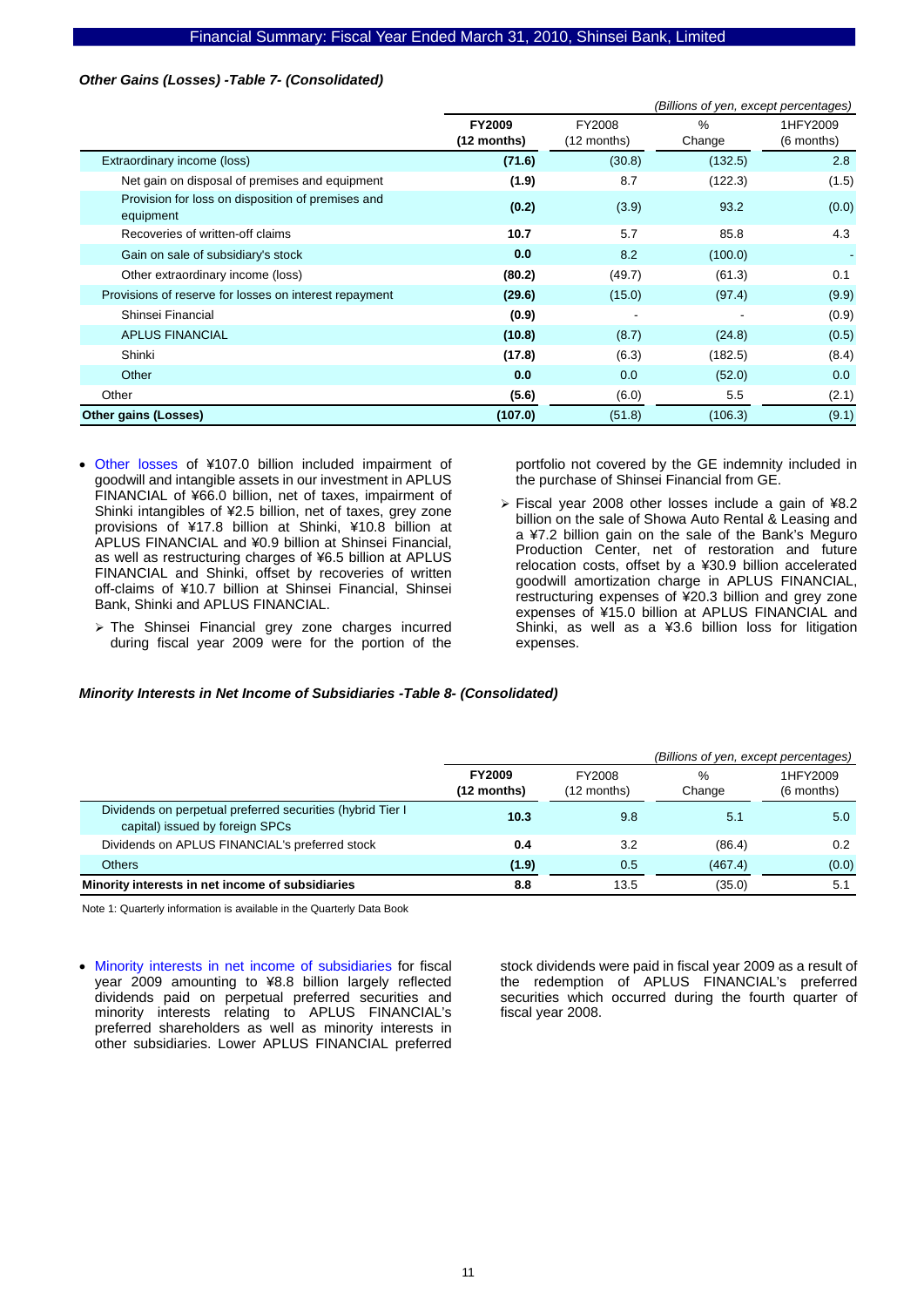### *Other Gains (Losses) -Table 7- (Consolidated)*

|                                                                | (Billions of yen, except percentages) |                       |                         |                        |  |  |
|----------------------------------------------------------------|---------------------------------------|-----------------------|-------------------------|------------------------|--|--|
|                                                                | <b>FY2009</b><br>$(12$ months)        | FY2008<br>(12 months) | $\frac{0}{0}$<br>Change | 1HFY2009<br>(6 months) |  |  |
| Extraordinary income (loss)                                    | (71.6)                                | (30.8)                | (132.5)                 | 2.8                    |  |  |
| Net gain on disposal of premises and equipment                 | (1.9)                                 | 8.7                   | (122.3)                 | (1.5)                  |  |  |
| Provision for loss on disposition of premises and<br>equipment | (0.2)                                 | (3.9)                 | 93.2                    | (0.0)                  |  |  |
| Recoveries of written-off claims                               | 10.7                                  | 5.7                   | 85.8                    | 4.3                    |  |  |
| Gain on sale of subsidiary's stock                             | 0.0                                   | 8.2                   | (100.0)                 |                        |  |  |
| Other extraordinary income (loss)                              | (80.2)                                | (49.7)                | (61.3)                  | 0.1                    |  |  |
| Provisions of reserve for losses on interest repayment         | (29.6)                                | (15.0)                | (97.4)                  | (9.9)                  |  |  |
| Shinsei Financial                                              | (0.9)                                 |                       |                         | (0.9)                  |  |  |
| <b>APLUS FINANCIAL</b>                                         | (10.8)                                | (8.7)                 | (24.8)                  | (0.5)                  |  |  |
| Shinki                                                         | (17.8)                                | (6.3)                 | (182.5)                 | (8.4)                  |  |  |
| Other                                                          | 0.0                                   | 0.0                   | (52.0)                  | 0.0                    |  |  |
| Other                                                          | (5.6)                                 | (6.0)                 | 5.5                     | (2.1)                  |  |  |
| Other gains (Losses)                                           | (107.0)                               | (51.8)                | (106.3)                 | (9.1)                  |  |  |

- Other losses of ¥107.0 billion included impairment of goodwill and intangible assets in our investment in APLUS FINANCIAL of ¥66.0 billion, net of taxes, impairment of Shinki intangibles of ¥2.5 billion, net of taxes, grey zone provisions of ¥17.8 billion at Shinki, ¥10.8 billion at APLUS FINANCIAL and ¥0.9 billion at Shinsei Financial, as well as restructuring charges of ¥6.5 billion at APLUS FINANCIAL and Shinki, offset by recoveries of written off-claims of ¥10.7 billion at Shinsei Financial, Shinsei Bank, Shinki and APLUS FINANCIAL.
	- ¾ The Shinsei Financial grey zone charges incurred during fiscal year 2009 were for the portion of the

portfolio not covered by the GE indemnity included in the purchase of Shinsei Financial from GE.

¾ Fiscal year 2008 other losses include a gain of ¥8.2 billion on the sale of Showa Auto Rental & Leasing and a ¥7.2 billion gain on the sale of the Bank's Meguro Production Center, net of restoration and future relocation costs, offset by a ¥30.9 billion accelerated goodwill amortization charge in APLUS FINANCIAL, restructuring expenses of ¥20.3 billion and grey zone expenses of ¥15.0 billion at APLUS FINANCIAL and Shinki, as well as a ¥3.6 billion loss for litigation expenses.

# *Minority Interests in Net Income of Subsidiaries -Table 8- (Consolidated)*

|                                                                                               |                              |                         | (Billions of yen, except percentages) |                        |  |  |
|-----------------------------------------------------------------------------------------------|------------------------------|-------------------------|---------------------------------------|------------------------|--|--|
|                                                                                               | <b>FY2009</b><br>(12 months) | FY2008<br>$(12$ months) | %<br>Change                           | 1HFY2009<br>(6 months) |  |  |
| Dividends on perpetual preferred securities (hybrid Tier I<br>capital) issued by foreign SPCs | 10.3                         | 9.8                     | 5.1                                   | 5.0                    |  |  |
| Dividends on APLUS FINANCIAL's preferred stock                                                | 0.4                          | 3.2                     | (86.4)                                | 0.2                    |  |  |
| <b>Others</b>                                                                                 | (1.9)                        | 0.5                     | (467.4)                               | (0.0)                  |  |  |
| Minority interests in net income of subsidiaries                                              | 8.8                          | 13.5                    | (35.0)                                | 5.1                    |  |  |

Note 1: Quarterly information is available in the Quarterly Data Book

• Minority interests in net income of subsidiaries for fiscal year 2009 amounting to ¥8.8 billion largely reflected dividends paid on perpetual preferred securities and minority interests relating to APLUS FINANCIAL's preferred shareholders as well as minority interests in other subsidiaries. Lower APLUS FINANCIAL preferred

stock dividends were paid in fiscal year 2009 as a result of the redemption of APLUS FINANCIAL's preferred securities which occurred during the fourth quarter of fiscal year 2008.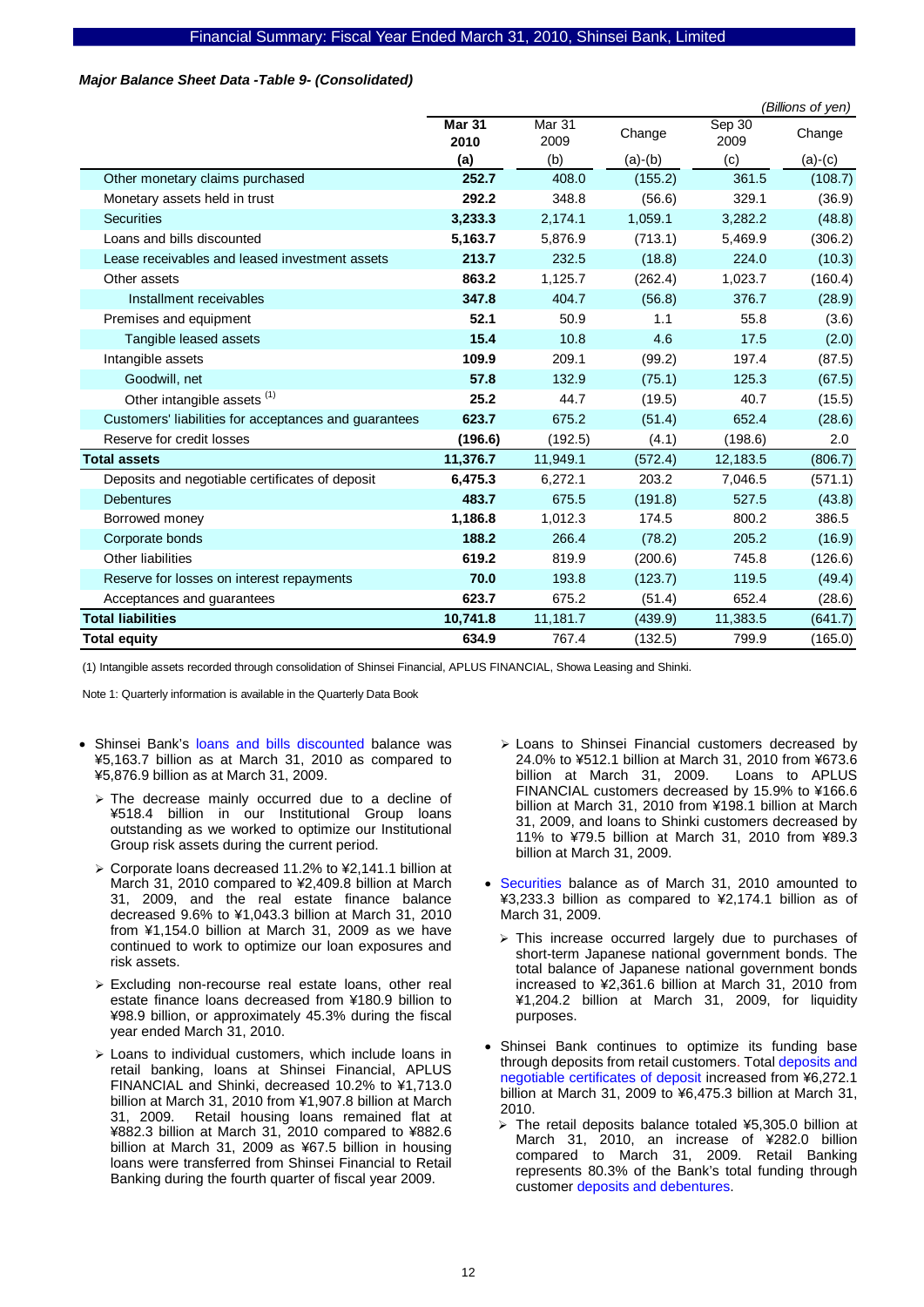#### *Major Balance Sheet Data -Table 9- (Consolidated)*

|                                                       |                       |                           |           |                | (Billions of yen) |
|-------------------------------------------------------|-----------------------|---------------------------|-----------|----------------|-------------------|
|                                                       | <b>Mar 31</b><br>2010 | Mar <sub>31</sub><br>2009 | Change    | Sep 30<br>2009 | Change            |
|                                                       | (a)                   | (b)                       | $(a)-(b)$ | (c)            | $(a)-(c)$         |
| Other monetary claims purchased                       | 252.7                 | 408.0                     | (155.2)   | 361.5          | (108.7)           |
| Monetary assets held in trust                         | 292.2                 | 348.8                     | (56.6)    | 329.1          | (36.9)            |
| <b>Securities</b>                                     | 3,233.3               | 2,174.1                   | 1,059.1   | 3,282.2        | (48.8)            |
| Loans and bills discounted                            | 5,163.7               | 5,876.9                   | (713.1)   | 5,469.9        | (306.2)           |
| Lease receivables and leased investment assets        | 213.7                 | 232.5                     | (18.8)    | 224.0          | (10.3)            |
| Other assets                                          | 863.2                 | 1,125.7                   | (262.4)   | 1,023.7        | (160.4)           |
| Installment receivables                               | 347.8                 | 404.7                     | (56.8)    | 376.7          | (28.9)            |
| Premises and equipment                                | 52.1                  | 50.9                      | 1.1       | 55.8           | (3.6)             |
| Tangible leased assets                                | 15.4                  | 10.8                      | 4.6       | 17.5           | (2.0)             |
| Intangible assets                                     | 109.9                 | 209.1                     | (99.2)    | 197.4          | (87.5)            |
| Goodwill, net                                         | 57.8                  | 132.9                     | (75.1)    | 125.3          | (67.5)            |
| Other intangible assets (1)                           | 25.2                  | 44.7                      | (19.5)    | 40.7           | (15.5)            |
| Customers' liabilities for acceptances and guarantees | 623.7                 | 675.2                     | (51.4)    | 652.4          | (28.6)            |
| Reserve for credit losses                             | (196.6)               | (192.5)                   | (4.1)     | (198.6)        | 2.0               |
| <b>Total assets</b>                                   | 11,376.7              | 11,949.1                  | (572.4)   | 12,183.5       | (806.7)           |
| Deposits and negotiable certificates of deposit       | 6,475.3               | 6,272.1                   | 203.2     | 7,046.5        | (571.1)           |
| <b>Debentures</b>                                     | 483.7                 | 675.5                     | (191.8)   | 527.5          | (43.8)            |
| Borrowed money                                        | 1,186.8               | 1,012.3                   | 174.5     | 800.2          | 386.5             |
| Corporate bonds                                       | 188.2                 | 266.4                     | (78.2)    | 205.2          | (16.9)            |
| <b>Other liabilities</b>                              | 619.2                 | 819.9                     | (200.6)   | 745.8          | (126.6)           |
| Reserve for losses on interest repayments             | 70.0                  | 193.8                     | (123.7)   | 119.5          | (49.4)            |
| Acceptances and guarantees                            | 623.7                 | 675.2                     | (51.4)    | 652.4          | (28.6)            |
| <b>Total liabilities</b>                              | 10,741.8              | 11,181.7                  | (439.9)   | 11,383.5       | (641.7)           |
| <b>Total equity</b>                                   | 634.9                 | 767.4                     | (132.5)   | 799.9          | (165.0)           |

(1) Intangible assets recorded through consolidation of Shinsei Financial, APLUS FINANCIAL, Showa Leasing and Shinki.

- Shinsei Bank's loans and bills discounted balance was ¥5,163.7 billion as at March 31, 2010 as compared to ¥5,876.9 billion as at March 31, 2009.
	- $\ge$  The decrease mainly occurred due to a decline of ¥518.4 billion in our Institutional Group loans outstanding as we worked to optimize our Institutional Group risk assets during the current period.
	- ¾ Corporate loans decreased 11.2% to ¥2,141.1 billion at March 31, 2010 compared to ¥2,409.8 billion at March 31, 2009, and the real estate finance balance decreased 9.6% to ¥1,043.3 billion at March 31, 2010 from ¥1,154.0 billion at March 31, 2009 as we have continued to work to optimize our loan exposures and risk assets.
	- $\triangleright$  Excluding non-recourse real estate loans, other real estate finance loans decreased from ¥180.9 billion to ¥98.9 billion, or approximately 45.3% during the fiscal year ended March 31, 2010.
	- $\geq$  Loans to individual customers, which include loans in retail banking, loans at Shinsei Financial, APLUS FINANCIAL and Shinki, decreased 10.2% to ¥1,713.0 billion at March 31, 2010 from ¥1,907.8 billion at March 31, 2009. Retail housing loans remained flat at ¥882.3 billion at March 31, 2010 compared to ¥882.6 billion at March 31, 2009 as ¥67.5 billion in housing loans were transferred from Shinsei Financial to Retail Banking during the fourth quarter of fiscal year 2009.
- ¾ Loans to Shinsei Financial customers decreased by 24.0% to ¥512.1 billion at March 31, 2010 from ¥673.6 billion at March 31, 2009. Loans to APLUS FINANCIAL customers decreased by 15.9% to ¥166.6 billion at March 31, 2010 from ¥198.1 billion at March 31, 2009, and loans to Shinki customers decreased by 11% to ¥79.5 billion at March 31, 2010 from ¥89.3 billion at March 31, 2009.
- Securities balance as of March 31, 2010 amounted to ¥3,233.3 billion as compared to ¥2,174.1 billion as of March 31, 2009.
	- $\triangleright$  This increase occurred largely due to purchases of short-term Japanese national government bonds. The total balance of Japanese national government bonds increased to ¥2,361.6 billion at March 31, 2010 from ¥1,204.2 billion at March 31, 2009, for liquidity purposes.
- Shinsei Bank continues to optimize its funding base through deposits from retail customers. Total deposits and negotiable certificates of deposit increased from ¥6,272.1 billion at March 31, 2009 to ¥6,475.3 billion at March 31, 2010.
	- $\geq$  The retail deposits balance totaled ¥5,305.0 billion at March 31, 2010, an increase of ¥282.0 billion compared to March 31, 2009. Retail Banking represents 80.3% of the Bank's total funding through customer deposits and debentures.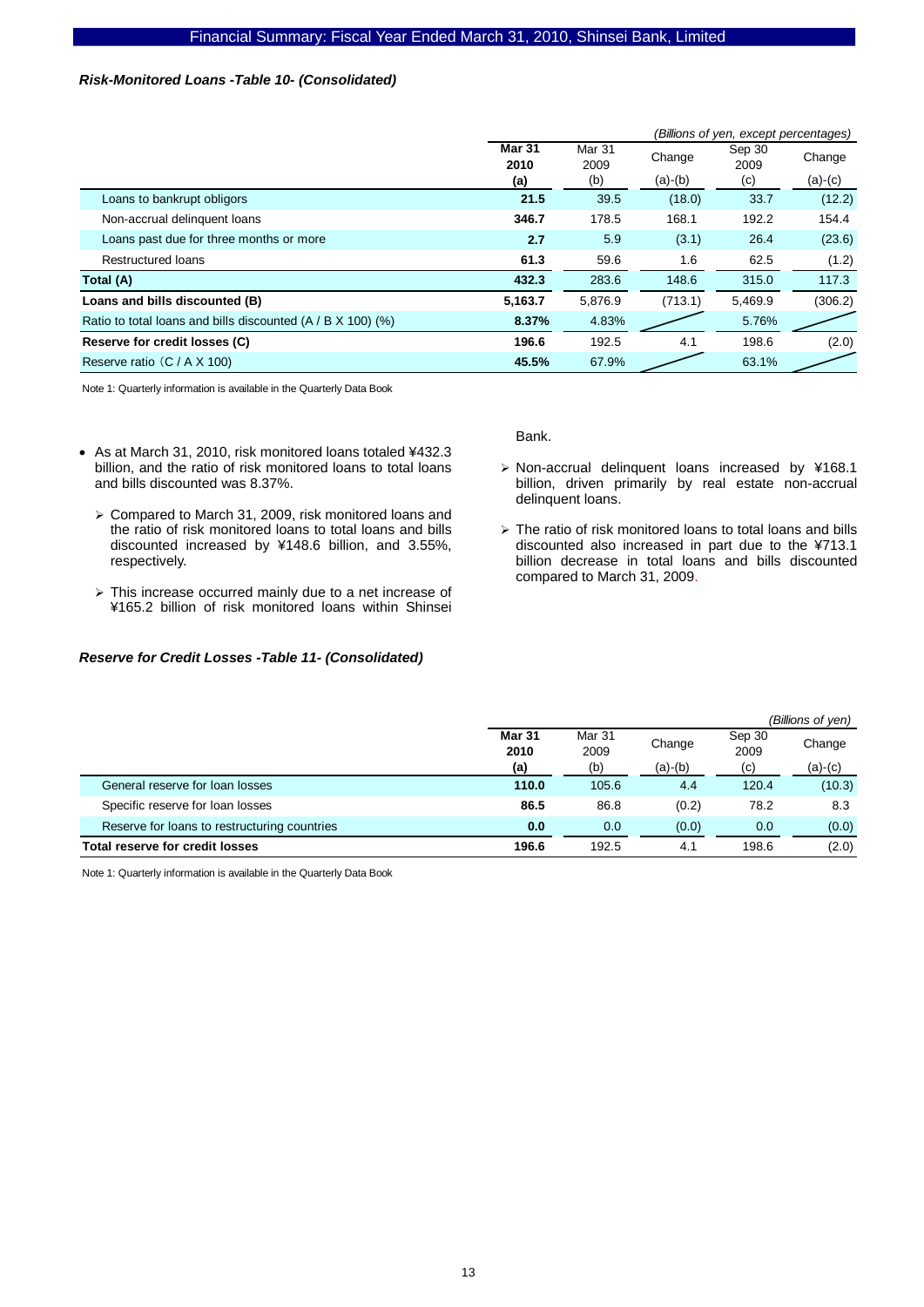### *Risk-Monitored Loans -Table 10- (Consolidated)*

|                                                               | (Billions of yen, except percentages) |                       |           |                |           |  |
|---------------------------------------------------------------|---------------------------------------|-----------------------|-----------|----------------|-----------|--|
|                                                               | <b>Mar 31</b><br>2010                 | <b>Mar 31</b><br>2009 | Change    | Sep 30<br>2009 | Change    |  |
|                                                               | (a)                                   | (b)                   | $(a)-(b)$ | (c)            | $(a)-(c)$ |  |
| Loans to bankrupt obligors                                    | 21.5                                  | 39.5                  | (18.0)    | 33.7           | (12.2)    |  |
| Non-accrual delinquent loans                                  | 346.7                                 | 178.5                 | 168.1     | 192.2          | 154.4     |  |
| Loans past due for three months or more                       | 2.7                                   | 5.9                   | (3.1)     | 26.4           | (23.6)    |  |
| <b>Restructured loans</b>                                     | 61.3                                  | 59.6                  | 1.6       | 62.5           | (1.2)     |  |
| Total (A)                                                     | 432.3                                 | 283.6                 | 148.6     | 315.0          | 117.3     |  |
| Loans and bills discounted (B)                                | 5,163.7                               | 5,876.9               | (713.1)   | 5,469.9        | (306.2)   |  |
| Ratio to total loans and bills discounted $(A / B X 100)$ (%) | 8.37%                                 | 4.83%                 |           | 5.76%          |           |  |
| Reserve for credit losses (C)                                 | 196.6                                 | 192.5                 | 4.1       | 198.6          | (2.0)     |  |
| Reserve ratio (C / A X 100)                                   | 45.5%                                 | 67.9%                 |           | 63.1%          |           |  |

Note 1: Quarterly information is available in the Quarterly Data Book

- As at March 31, 2010, risk monitored loans totaled ¥432.3 billion, and the ratio of risk monitored loans to total loans and bills discounted was 8.37%.
	- ¾ Compared to March 31, 2009, risk monitored loans and the ratio of risk monitored loans to total loans and bills discounted increased by ¥148.6 billion, and 3.55%, respectively.
	- $\triangleright$  This increase occurred mainly due to a net increase of ¥165.2 billion of risk monitored loans within Shinsei

#### *Reserve for Credit Losses -Table 11- (Consolidated)*

Bank.

- ¾ Non-accrual delinquent loans increased by ¥168.1 billion, driven primarily by real estate non-accrual delinquent loans.
- $\triangleright$  The ratio of risk monitored loans to total loans and bills discounted also increased in part due to the ¥713.1 billion decrease in total loans and bills discounted compared to March 31, 2009.

|                                              |                       |                |           |                | (Billions of yen) |
|----------------------------------------------|-----------------------|----------------|-----------|----------------|-------------------|
|                                              | <b>Mar 31</b><br>2010 | Mar 31<br>2009 | Change    | Sep 30<br>2009 | Change            |
|                                              | (a)                   | (b)            | $(a)-(b)$ | (c)            | $(a)-(c)$         |
| General reserve for loan losses              | 110.0                 | 105.6          | 4.4       | 120.4          | (10.3)            |
| Specific reserve for loan losses             | 86.5                  | 86.8           | (0.2)     | 78.2           | 8.3               |
| Reserve for loans to restructuring countries | 0.0                   | 0.0            | (0.0)     | 0.0            | (0.0)             |
| Total reserve for credit losses              | 196.6                 | 192.5          | 4.1       | 198.6          | (2.0)             |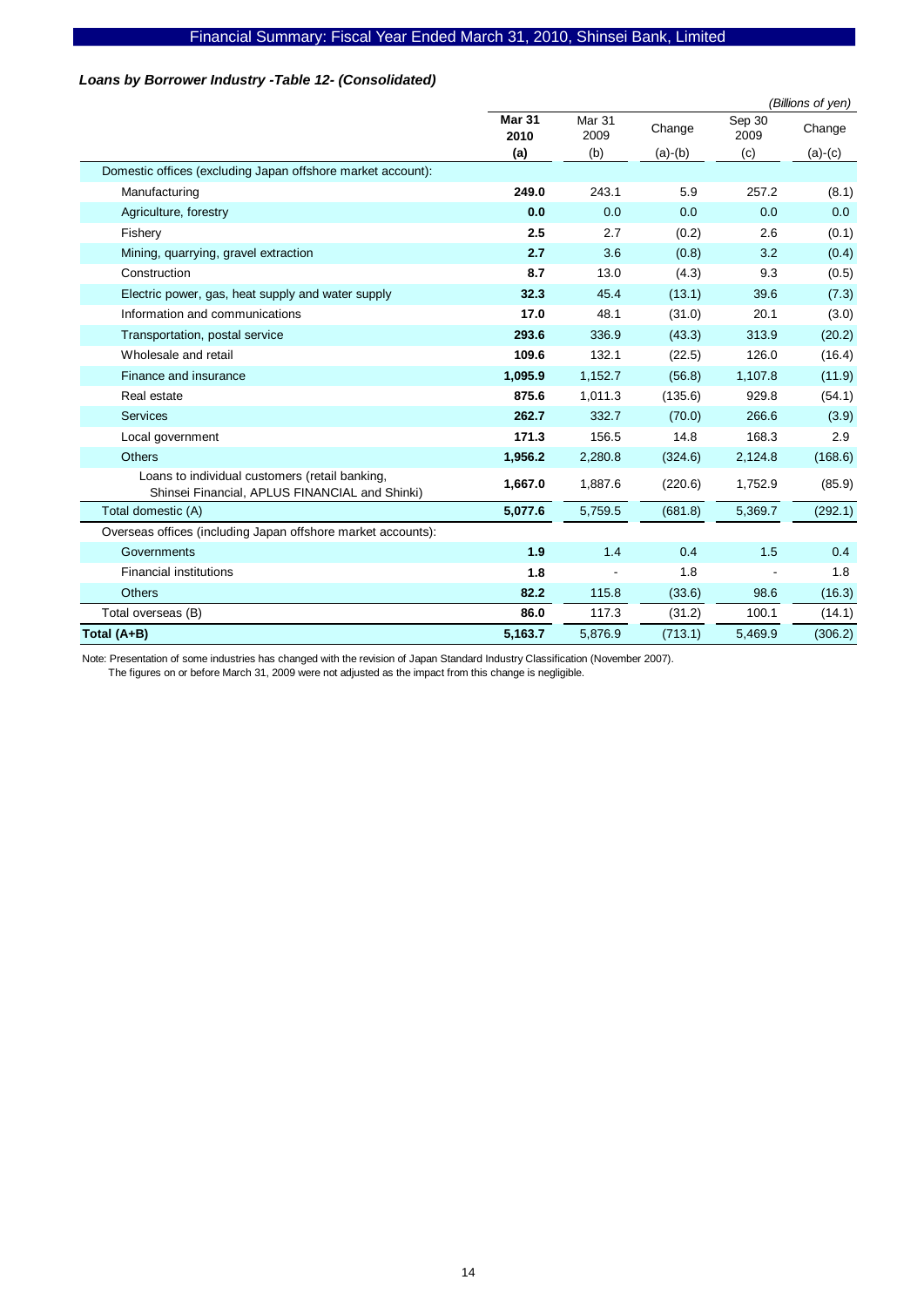# *Loans by Borrower Industry -Table 12- (Consolidated)*

|                                                                                                  |                       |                |           |                | (Billions of yen) |
|--------------------------------------------------------------------------------------------------|-----------------------|----------------|-----------|----------------|-------------------|
|                                                                                                  | <b>Mar 31</b><br>2010 | Mar 31<br>2009 | Change    | Sep 30<br>2009 | Change            |
|                                                                                                  | (a)                   | (b)            | $(a)-(b)$ | (c)            | $(a)-(c)$         |
| Domestic offices (excluding Japan offshore market account):                                      |                       |                |           |                |                   |
| Manufacturing                                                                                    | 249.0                 | 243.1          | 5.9       | 257.2          | (8.1)             |
| Agriculture, forestry                                                                            | 0.0                   | 0.0            | 0.0       | 0.0            | 0.0               |
| Fishery                                                                                          | 2.5                   | 2.7            | (0.2)     | 2.6            | (0.1)             |
| Mining, quarrying, gravel extraction                                                             | 2.7                   | 3.6            | (0.8)     | 3.2            | (0.4)             |
| Construction                                                                                     | 8.7                   | 13.0           | (4.3)     | 9.3            | (0.5)             |
| Electric power, gas, heat supply and water supply                                                | 32.3                  | 45.4           | (13.1)    | 39.6           | (7.3)             |
| Information and communications                                                                   | 17.0                  | 48.1           | (31.0)    | 20.1           | (3.0)             |
| Transportation, postal service                                                                   | 293.6                 | 336.9          | (43.3)    | 313.9          | (20.2)            |
| Wholesale and retail                                                                             | 109.6                 | 132.1          | (22.5)    | 126.0          | (16.4)            |
| Finance and insurance                                                                            | 1,095.9               | 1,152.7        | (56.8)    | 1,107.8        | (11.9)            |
| Real estate                                                                                      | 875.6                 | 1,011.3        | (135.6)   | 929.8          | (54.1)            |
| <b>Services</b>                                                                                  | 262.7                 | 332.7          | (70.0)    | 266.6          | (3.9)             |
| Local government                                                                                 | 171.3                 | 156.5          | 14.8      | 168.3          | 2.9               |
| <b>Others</b>                                                                                    | 1,956.2               | 2,280.8        | (324.6)   | 2,124.8        | (168.6)           |
| Loans to individual customers (retail banking,<br>Shinsei Financial, APLUS FINANCIAL and Shinki) | 1,667.0               | 1,887.6        | (220.6)   | 1,752.9        | (85.9)            |
| Total domestic (A)                                                                               | 5,077.6               | 5,759.5        | (681.8)   | 5,369.7        | (292.1)           |
| Overseas offices (including Japan offshore market accounts):                                     |                       |                |           |                |                   |
| Governments                                                                                      | 1.9                   | 1.4            | 0.4       | 1.5            | 0.4               |
| <b>Financial institutions</b>                                                                    | 1.8                   |                | 1.8       |                | 1.8               |
| <b>Others</b>                                                                                    | 82.2                  | 115.8          | (33.6)    | 98.6           | (16.3)            |
| Total overseas (B)                                                                               | 86.0                  | 117.3          | (31.2)    | 100.1          | (14.1)            |
| Total (A+B)                                                                                      | 5,163.7               | 5,876.9        | (713.1)   | 5,469.9        | (306.2)           |

Note: Presentation of some industries has changed with the revision of Japan Standard Industry Classification (November 2007).

The figures on or before March 31, 2009 were not adjusted as the impact from this change is negligible.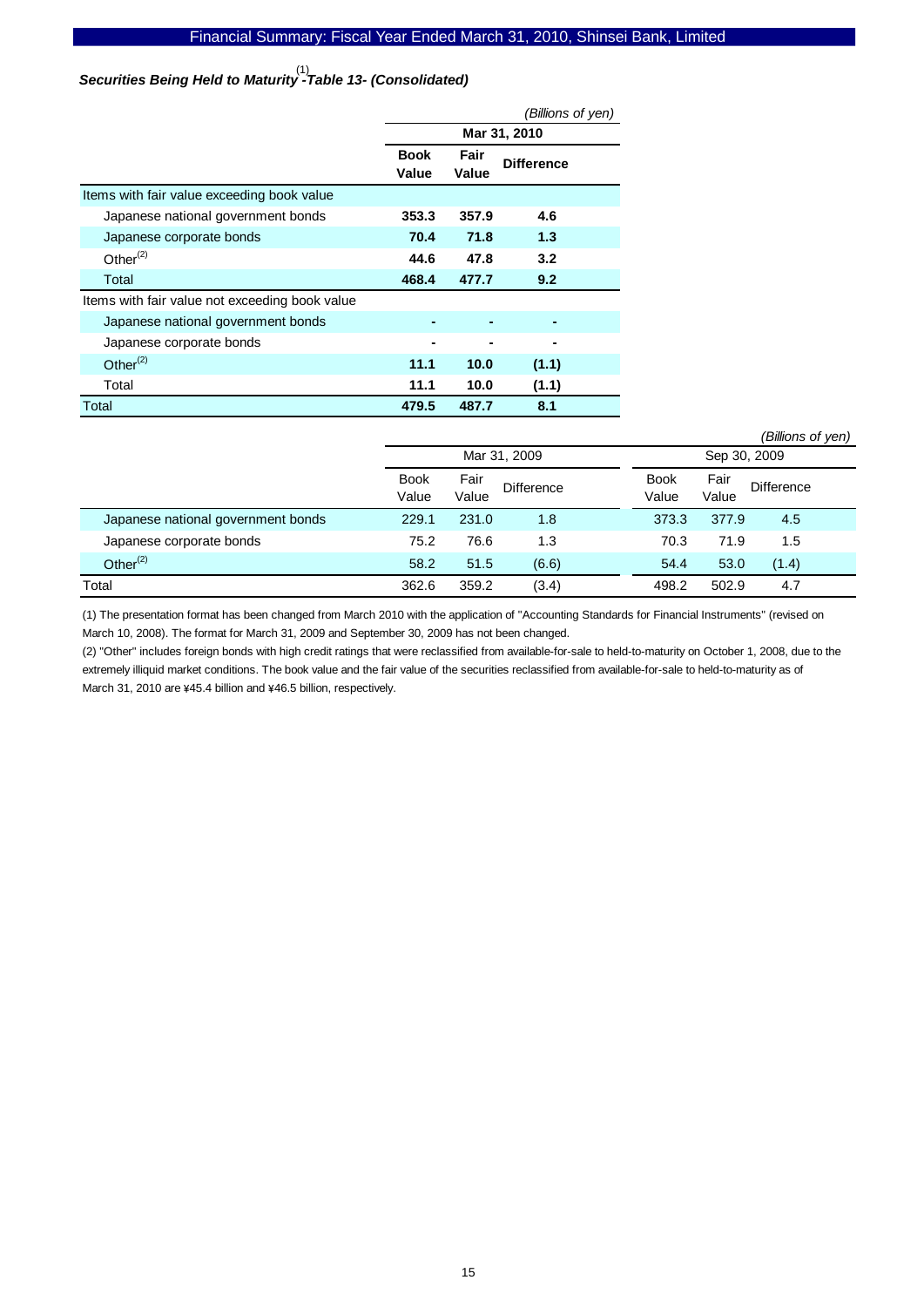# Securities Being Held to Maturity<sup>(1)</sup><br>Securities Being Held to Maturity -Table 13- (Consolidated)

|                                                | <i>(Billions of yen)</i> |                   |              |  |  |
|------------------------------------------------|--------------------------|-------------------|--------------|--|--|
|                                                |                          |                   | Mar 31, 2010 |  |  |
|                                                | <b>Book</b><br>Value     | <b>Difference</b> |              |  |  |
| Items with fair value exceeding book value     |                          |                   |              |  |  |
| Japanese national government bonds             | 353.3                    | 357.9             | 4.6          |  |  |
| Japanese corporate bonds                       | 70.4                     | 71.8              | 1.3          |  |  |
| Other $(2)$                                    | 44.6                     | 47.8              | 3.2          |  |  |
| Total                                          | 468.4                    | 477.7             | 9.2          |  |  |
| Items with fair value not exceeding book value |                          |                   |              |  |  |
| Japanese national government bonds             |                          |                   |              |  |  |
| Japanese corporate bonds                       |                          |                   |              |  |  |
| Other $(2)$                                    | 11.1                     | 10.0              | (1.1)        |  |  |
| Total                                          | 11.1                     | 10.0              | (1.1)        |  |  |
| Total                                          | 479.5                    | 487.7             | 8.1          |  |  |

|                                    |                      |               |                   |                      |               | (Billions of yen) |  |
|------------------------------------|----------------------|---------------|-------------------|----------------------|---------------|-------------------|--|
|                                    |                      | Mar 31, 2009  |                   |                      | Sep 30, 2009  |                   |  |
|                                    | <b>Book</b><br>Value | Fair<br>Value | <b>Difference</b> | <b>Book</b><br>Value | Fair<br>Value | <b>Difference</b> |  |
| Japanese national government bonds | 229.1                | 231.0         | 1.8               | 373.3                | 377.9         | 4.5               |  |
| Japanese corporate bonds           | 75.2                 | 76.6          | 1.3               | 70.3                 | 71.9          | 1.5               |  |
| Other $^{(2)}$                     | 58.2                 | 51.5          | (6.6)             | 54.4                 | 53.0          | (1.4)             |  |
| Total                              | 362.6                | 359.2         | (3.4)             | 498.2                | 502.9         | 4.7               |  |

(1) The presentation format has been changed from March 2010 with the application of "Accounting Standards for Financial Instruments" (revised on March 10, 2008). The format for March 31, 2009 and September 30, 2009 has not been changed.

(2) "Other" includes foreign bonds with high credit ratings that were reclassified from available-for-sale to held-to-maturity on October 1, 2008, due to the extremely illiquid market conditions. The book value and the fair value of the securities reclassified from available-for-sale to held-to-maturity as of March 31, 2010 are ¥45.4 billion and ¥46.5 billion, respectively.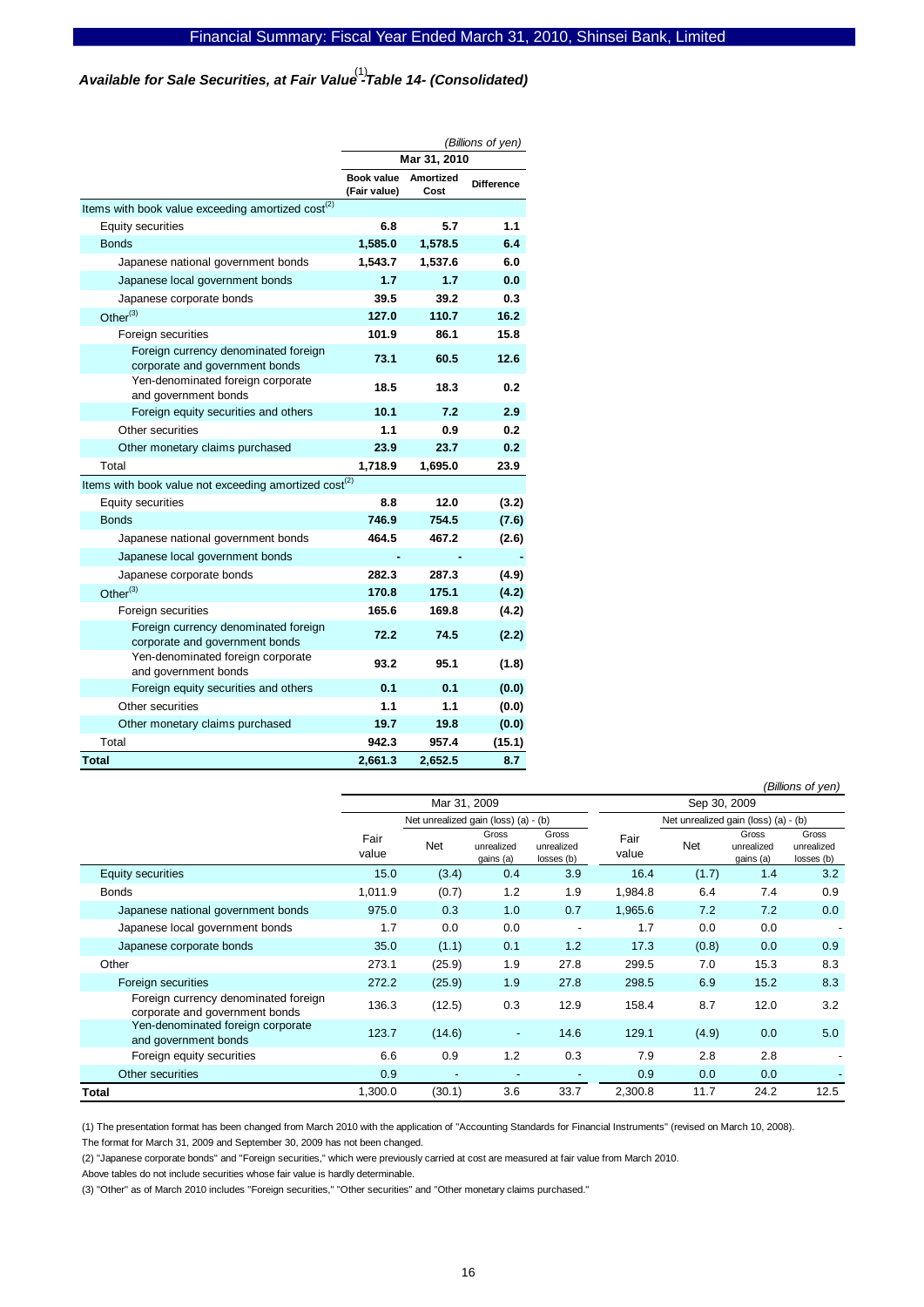*Available for Sale Securities, at Fair Value -Table 14- (Consolidated)*  (1)

|                                                                        | (Billions of yen)                 |                          |                   |  |
|------------------------------------------------------------------------|-----------------------------------|--------------------------|-------------------|--|
|                                                                        | Mar 31, 2010                      |                          |                   |  |
|                                                                        | <b>Book value</b><br>(Fair value) | <b>Amortized</b><br>Cost | <b>Difference</b> |  |
| Items with book value exceeding amortized cost <sup>(2)</sup>          |                                   |                          |                   |  |
| <b>Equity securities</b>                                               | 6.8                               | 5.7                      | 1.1               |  |
| <b>Bonds</b>                                                           | 1.585.0                           | 1.578.5                  | 6.4               |  |
| Japanese national government bonds                                     | 1,543.7                           | 1,537.6                  | 6.0               |  |
| Japanese local government bonds                                        | 1.7                               | 1.7                      | 0.0               |  |
| Japanese corporate bonds                                               | 39.5                              | 39.2                     | 0.3               |  |
| Other $^{(3)}$                                                         | 127.0                             | 110.7                    | 16.2              |  |
| Foreign securities                                                     | 101.9                             | 86.1                     | 15.8              |  |
| Foreign currency denominated foreign<br>corporate and government bonds | 73.1                              | 60.5                     | 12.6              |  |
| Yen-denominated foreign corporate<br>and government bonds              | 18.5                              | 18.3                     | 0.2               |  |
| Foreign equity securities and others                                   | 10.1                              | 7.2                      | 2.9               |  |
| Other securities                                                       | 1.1                               | 0.9                      | 0.2               |  |
| Other monetary claims purchased                                        | 23.9                              | 23.7                     | 0.2               |  |
| Total                                                                  | 1,718.9                           | 1,695.0                  | 23.9              |  |
| Items with book value not exceeding amortized cost <sup>(2)</sup>      |                                   |                          |                   |  |
| Equity securities                                                      | 8.8                               | 12.0                     | (3.2)             |  |
| <b>Bonds</b>                                                           | 746.9                             | 754.5                    | (7.6)             |  |
| Japanese national government bonds                                     | 464.5                             | 467.2                    | (2.6)             |  |
| Japanese local government bonds                                        |                                   |                          |                   |  |
| Japanese corporate bonds                                               | 282.3                             | 287.3                    | (4.9)             |  |
| Other $^{(3)}$                                                         | 170.8                             | 175.1                    | (4.2)             |  |
| Foreign securities                                                     | 165.6                             | 169.8                    | (4.2)             |  |
| Foreign currency denominated foreign<br>corporate and government bonds | 72.2                              | 74.5                     | (2.2)             |  |
| Yen-denominated foreign corporate<br>and government bonds              | 93.2                              | 95.1                     | (1.8)             |  |
| Foreign equity securities and others                                   | 0.1                               | 0.1                      | (0.0)             |  |
| Other securities                                                       | 1.1                               | 1.1                      | (0.0)             |  |
| Other monetary claims purchased                                        | 19.7                              | 19.8                     | (0.0)             |  |
| Total                                                                  | 942.3                             | 957.4                    | (15.1)            |  |
| Total                                                                  | 2,661.3                           | 2,652.5                  | 8.7               |  |

|                                                                        |               |                                      |                                  |                                   |               |                                      |                                  | (Billions of yen)                |
|------------------------------------------------------------------------|---------------|--------------------------------------|----------------------------------|-----------------------------------|---------------|--------------------------------------|----------------------------------|----------------------------------|
|                                                                        |               | Mar 31, 2009                         |                                  |                                   |               | Sep 30, 2009                         |                                  |                                  |
|                                                                        |               | Net unrealized gain (loss) (a) - (b) |                                  |                                   |               | Net unrealized gain (loss) (a) - (b) |                                  |                                  |
|                                                                        | Fair<br>value | <b>Net</b>                           | Gross<br>unrealized<br>gains (a) | Gross<br>unrealized<br>losses (b) | Fair<br>value | Net                                  | Gross<br>unrealized<br>gains (a) | Gross<br>unrealized<br>losses(b) |
| Equity securities                                                      | 15.0          | (3.4)                                | 0.4                              | 3.9                               | 16.4          | (1.7)                                | 1.4                              | 3.2                              |
| <b>Bonds</b>                                                           | 1,011.9       | (0.7)                                | 1.2                              | 1.9                               | 1,984.8       | 6.4                                  | 7.4                              | 0.9                              |
| Japanese national government bonds                                     | 975.0         | 0.3                                  | 1.0                              | 0.7                               | 1,965.6       | 7.2                                  | 7.2                              | 0.0                              |
| Japanese local government bonds                                        | 1.7           | 0.0                                  | 0.0                              |                                   | 1.7           | 0.0                                  | 0.0                              |                                  |
| Japanese corporate bonds                                               | 35.0          | (1.1)                                | 0.1                              | 1.2                               | 17.3          | (0.8)                                | 0.0                              | 0.9                              |
| Other                                                                  | 273.1         | (25.9)                               | 1.9                              | 27.8                              | 299.5         | 7.0                                  | 15.3                             | 8.3                              |
| Foreign securities                                                     | 272.2         | (25.9)                               | 1.9                              | 27.8                              | 298.5         | 6.9                                  | 15.2                             | 8.3                              |
| Foreign currency denominated foreign<br>corporate and government bonds | 136.3         | (12.5)                               | 0.3                              | 12.9                              | 158.4         | 8.7                                  | 12.0                             | 3.2                              |
| Yen-denominated foreign corporate<br>and government bonds              | 123.7         | (14.6)                               | $\overline{\phantom{a}}$         | 14.6                              | 129.1         | (4.9)                                | 0.0                              | 5.0                              |
| Foreign equity securities                                              | 6.6           | 0.9                                  | 1.2                              | 0.3                               | 7.9           | 2.8                                  | 2.8                              |                                  |
| Other securities                                                       | 0.9           | $\overline{a}$                       |                                  |                                   | 0.9           | 0.0                                  | 0.0                              |                                  |
| <b>Total</b>                                                           | 1,300.0       | (30.1)                               | 3.6                              | 33.7                              | 2,300.8       | 11.7                                 | 24.2                             | 12.5                             |

(1) The presentation format has been changed from March 2010 with the application of "Accounting Standards for Financial Instruments" (revised on March 10, 2008). The format for March 31, 2009 and September 30, 2009 has not been changed.

(2) "Japanese corporate bonds" and "Foreign securities," which were previously carried at cost are measured at fair value from March 2010.

Above tables do not include securities whose fair value is hardly determinable.

(3) "Other" as of March 2010 includes "Foreign securities," "Other securities" and "Other monetary claims purchased."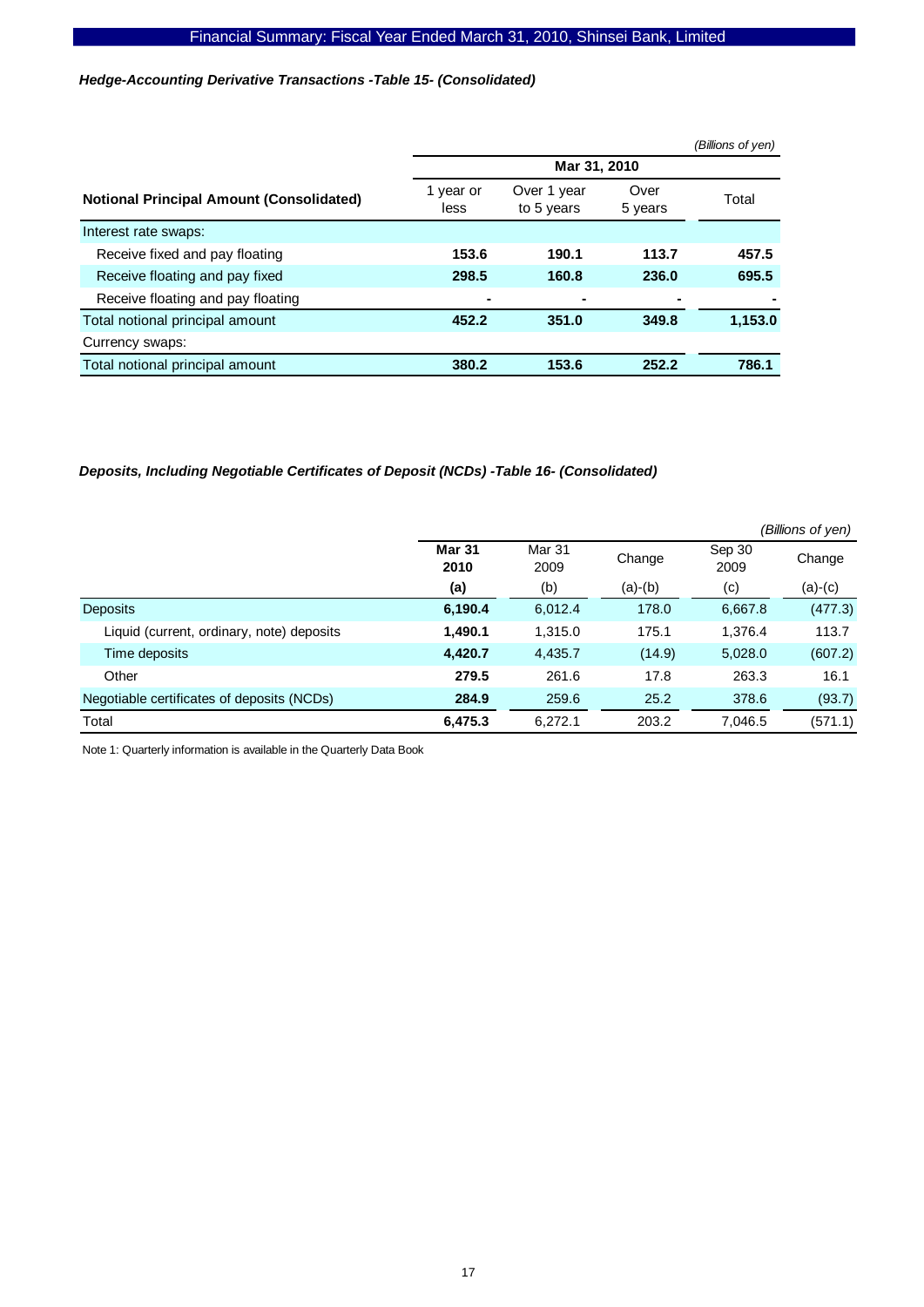*Hedge-Accounting Derivative Transactions -Table 15- (Consolidated)* 

|                                                 |                   |                           |                 | (Billions of yen) |
|-------------------------------------------------|-------------------|---------------------------|-----------------|-------------------|
|                                                 |                   | Mar 31, 2010              |                 |                   |
| <b>Notional Principal Amount (Consolidated)</b> | 1 year or<br>less | Over 1 year<br>to 5 years | Over<br>5 years | Total             |
| Interest rate swaps:                            |                   |                           |                 |                   |
| Receive fixed and pay floating                  | 153.6             | 190.1                     | 113.7           | 457.5             |
| Receive floating and pay fixed                  | 298.5             | 160.8                     | 236.0           | 695.5             |
| Receive floating and pay floating               |                   |                           |                 |                   |
| Total notional principal amount                 | 452.2             | 351.0                     | 349.8           | 1,153.0           |
| Currency swaps:                                 |                   |                           |                 |                   |
| Total notional principal amount                 | 380.2             | 153.6                     | 252.2           | 786.1             |

*Deposits, Including Negotiable Certificates of Deposit (NCDs) -Table 16- (Consolidated)* 

|                                            |                       |                |           |                | (Billions of yen) |
|--------------------------------------------|-----------------------|----------------|-----------|----------------|-------------------|
|                                            | <b>Mar 31</b><br>2010 | Mar 31<br>2009 | Change    | Sep 30<br>2009 | Change            |
|                                            | (a)                   | (b)            | $(a)-(b)$ | (c)            | (a)-(c)           |
| <b>Deposits</b>                            | 6,190.4               | 6,012.4        | 178.0     | 6,667.8        | (477.3)           |
| Liquid (current, ordinary, note) deposits  | 1,490.1               | 1,315.0        | 175.1     | 1.376.4        | 113.7             |
| Time deposits                              | 4,420.7               | 4,435.7        | (14.9)    | 5,028.0        | (607.2)           |
| Other                                      | 279.5                 | 261.6          | 17.8      | 263.3          | 16.1              |
| Negotiable certificates of deposits (NCDs) | 284.9                 | 259.6          | 25.2      | 378.6          | (93.7)            |
| Total                                      | 6,475.3               | 6.272.1        | 203.2     | 7,046.5        | (571.1)           |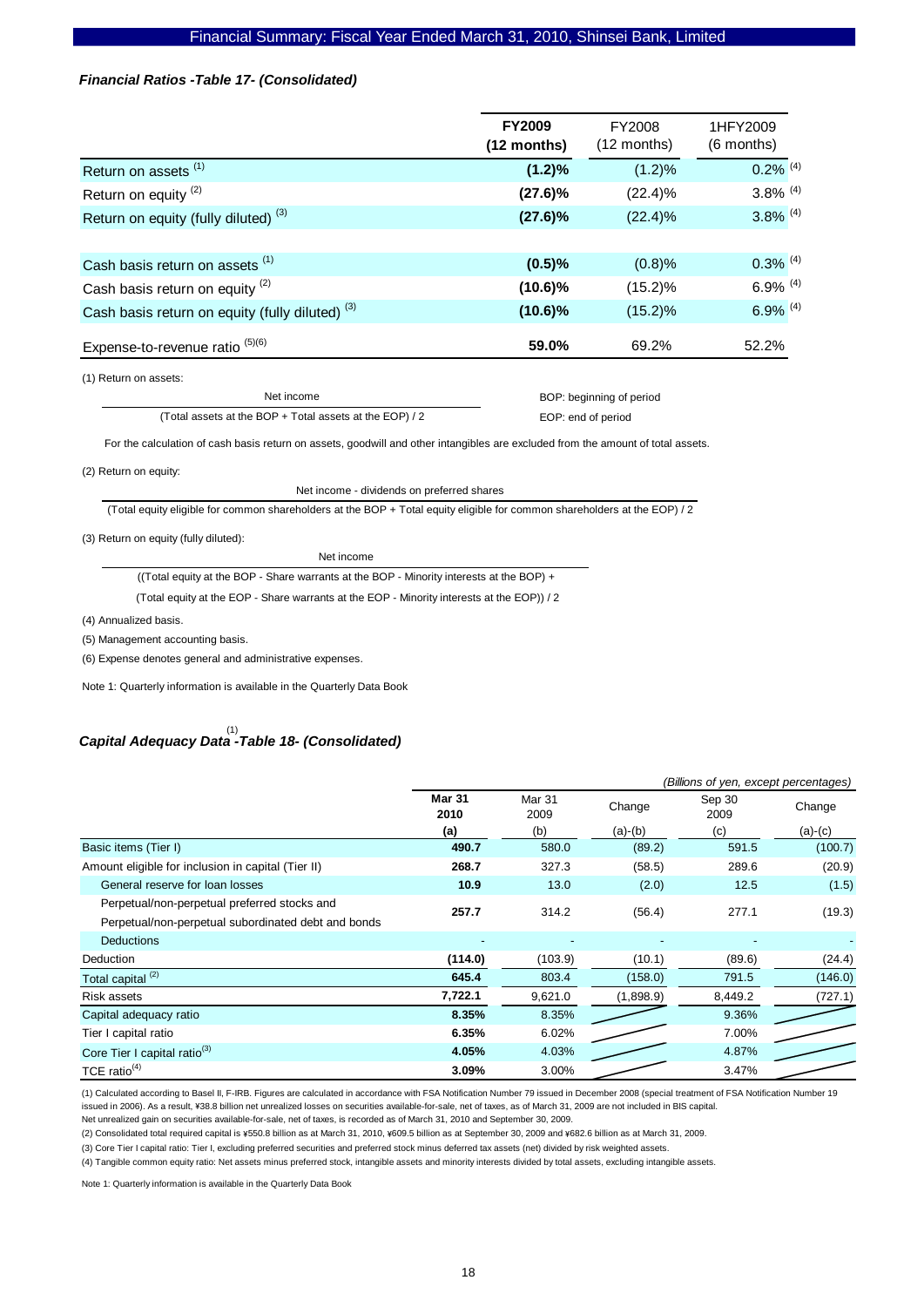#### *Financial Ratios -Table 17- (Consolidated)*

|                                                            | <b>FY2009</b><br>$(12$ months) | FY2008<br>(12 months) | 1HFY2009<br>(6 months) |
|------------------------------------------------------------|--------------------------------|-----------------------|------------------------|
| Return on assets <sup>(1)</sup>                            | $(1.2)\%$                      | (1.2)%                | $0.2\%$ <sup>(4)</sup> |
| Return on equity <sup>(2)</sup>                            | $(27.6)\%$                     | $(22.4)\%$            | $3.8\%$ <sup>(4)</sup> |
| Return on equity (fully diluted) <sup>(3)</sup>            | $(27.6)\%$                     | $(22.4)\%$            | $3.8\%$ <sup>(4)</sup> |
|                                                            |                                |                       |                        |
| Cash basis return on assets (1)                            | (0.5)%                         | (0.8)%                | $0.3\%$ <sup>(4)</sup> |
| Cash basis return on equity <sup>(2)</sup>                 | $(10.6)\%$                     | $(15.2)\%$            | $6.9\%$ <sup>(4)</sup> |
| Cash basis return on equity (fully diluted) <sup>(3)</sup> | $(10.6)\%$                     | $(15.2)\%$            | $6.9\%$ <sup>(4)</sup> |
| Expense-to-revenue ratio $(5)(6)$                          | 59.0%                          | 69.2%                 | 52.2%                  |
| $(4)$ Doturn on appator                                    |                                |                       |                        |

(1) Return on assets:

Net income (Total assets at the BOP + Total assets at the EOP) / 2  BOP: beginning of period EOP: end of period

For the calculation of cash basis return on assets, goodwill and other intangibles are excluded from the amount of total assets.

#### (2) Return on equity:

Net income - dividends on preferred shares

(Total equity eligible for common shareholders at the BOP + Total equity eligible for common shareholders at the EOP) / 2

(3) Return on equity (fully diluted):

Net income

((Total equity at the BOP - Share warrants at the BOP - Minority interests at the BOP) +

(Total equity at the EOP - Share warrants at the EOP - Minority interests at the EOP)) / 2

(4) Annualized basis.

(5) Management accounting basis.

(6) Expense denotes general and administrative expenses.

Note 1: Quarterly information is available in the Quarterly Data Book

# *Capital Adequacy Data -Table 18- (Consolidated)*  (1)

|                                                     | (Billions of yen, except percentages) |                |           |                |           |
|-----------------------------------------------------|---------------------------------------|----------------|-----------|----------------|-----------|
|                                                     | <b>Mar 31</b><br>2010                 | Mar 31<br>2009 | Change    | Sep 30<br>2009 | Change    |
|                                                     | (a)                                   | (b)            | $(a)-(b)$ | (c)            | $(a)-(c)$ |
| Basic items (Tier I)                                | 490.7                                 | 580.0          | (89.2)    | 591.5          | (100.7)   |
| Amount eligible for inclusion in capital (Tier II)  | 268.7                                 | 327.3          | (58.5)    | 289.6          | (20.9)    |
| General reserve for loan losses                     | 10.9                                  | 13.0           | (2.0)     | 12.5           | (1.5)     |
| Perpetual/non-perpetual preferred stocks and        | 257.7                                 | 314.2          | (56.4)    | 277.1          | (19.3)    |
| Perpetual/non-perpetual subordinated debt and bonds |                                       |                |           |                |           |
| <b>Deductions</b>                                   |                                       | ٠              |           |                |           |
| Deduction                                           | (114.0)                               | (103.9)        | (10.1)    | (89.6)         | (24.4)    |
| Total capital <sup>(2)</sup>                        | 645.4                                 | 803.4          | (158.0)   | 791.5          | (146.0)   |
| Risk assets                                         | 7,722.1                               | 9,621.0        | (1,898.9) | 8,449.2        | (727.1)   |
| Capital adequacy ratio                              | 8.35%                                 | 8.35%          |           | 9.36%          |           |
| Tier I capital ratio                                | 6.35%                                 | 6.02%          |           | 7.00%          |           |
| Core Tier I capital ratio <sup>(3)</sup>            | 4.05%                                 | 4.03%          |           | 4.87%          |           |
| TCE ratio $(4)$                                     | 3.09%                                 | 3.00%          |           | 3.47%          |           |

(1) Calculated according to Basel II, F-IRB. Figures are calculated in accordance with FSA Notification Number 79 issued in December 2008 (special treatment of FSA Notification Number 19 issued in 2006). As a result, ¥38.8 billion net unrealized losses on securities available-for-sale, net of taxes, as of March 31, 2009 are not included in BIS capital

Net unrealized gain on securities available-for-sale, net of taxes, is recorded as of March 31, 2010 and September 30, 2009.

(2) Consolidated total required capital is ¥550.8 billion as at March 31, 2010, ¥609.5 billion as at September 30, 2009 and ¥682.6 billion as at March 31, 2009.

(3) Core Tier I capital ratio: Tier I, excluding preferred securities and preferred stock minus deferred tax assets (net) divided by risk weighted assets.

(4) Tangible common equity ratio: Net assets minus preferred stock, intangible assets and minority interests divided by total assets, excluding intangible assets.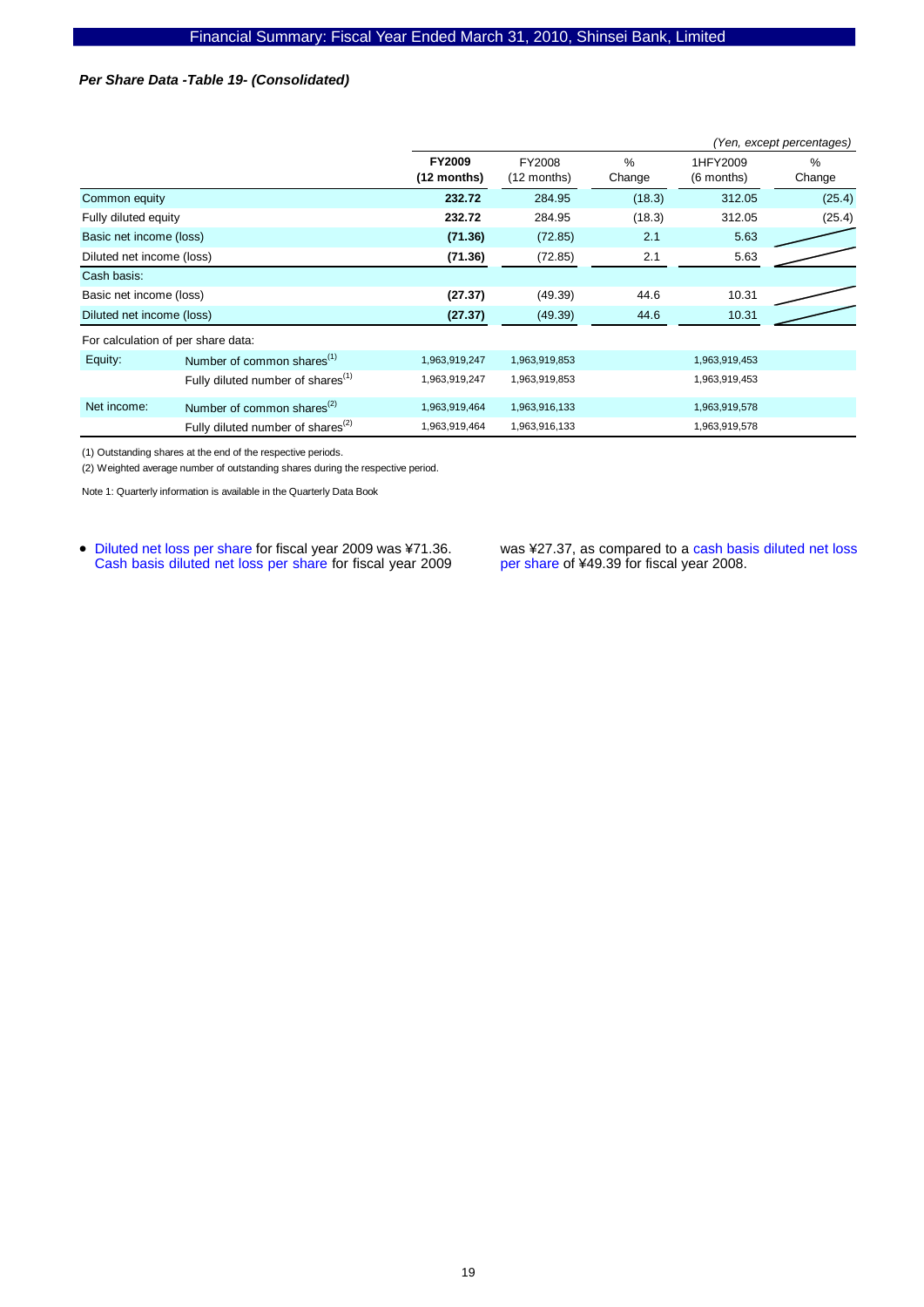### *Per Share Data -Table 19- (Consolidated)*

|                           |                                                     |                              |                       |             |                        | (Yen, except percentages) |
|---------------------------|-----------------------------------------------------|------------------------------|-----------------------|-------------|------------------------|---------------------------|
|                           |                                                     | <b>FY2009</b><br>(12 months) | FY2008<br>(12 months) | %<br>Change | 1HFY2009<br>(6 months) | $\%$<br>Change            |
| Common equity             |                                                     | 232.72                       | 284.95                | (18.3)      | 312.05                 | (25.4)                    |
| Fully diluted equity      |                                                     | 232.72                       | 284.95                | (18.3)      | 312.05                 | (25.4)                    |
| Basic net income (loss)   |                                                     | (71.36)                      | (72.85)               | 2.1         | 5.63                   |                           |
| Diluted net income (loss) |                                                     | (71.36)                      | (72.85)               | 2.1         | 5.63                   |                           |
| Cash basis:               |                                                     |                              |                       |             |                        |                           |
| Basic net income (loss)   |                                                     | (27.37)                      | (49.39)               | 44.6        | 10.31                  |                           |
| Diluted net income (loss) |                                                     | (27.37)                      | (49.39)               | 44.6        | 10.31                  |                           |
|                           | For calculation of per share data:                  |                              |                       |             |                        |                           |
| Equity:                   | Number of common shares <sup>(1)</sup>              | 1,963,919,247                | 1,963,919,853         |             | 1,963,919,453          |                           |
|                           | Fully diluted number of shares <sup>(1)</sup>       | 1,963,919,247                | 1,963,919,853         |             | 1,963,919,453          |                           |
| Net income:               | Number of common shares <sup><math>(2)</math></sup> | 1,963,919,464                | 1,963,916,133         |             | 1,963,919,578          |                           |
|                           | Fully diluted number of shares <sup>(2)</sup>       | 1,963,919,464                | 1,963,916,133         |             | 1,963,919,578          |                           |

(1) Outstanding shares at the end of the respective periods.

(2) Weighted average number of outstanding shares during the respective period.

Note 1: Quarterly information is available in the Quarterly Data Book

• Diluted net loss per share for fiscal year 2009 was ¥71.36. Cash basis diluted net loss per share for fiscal year 2009 was ¥27.37, as compared to a cash basis diluted net loss per share of ¥49.39 for fiscal year 2008.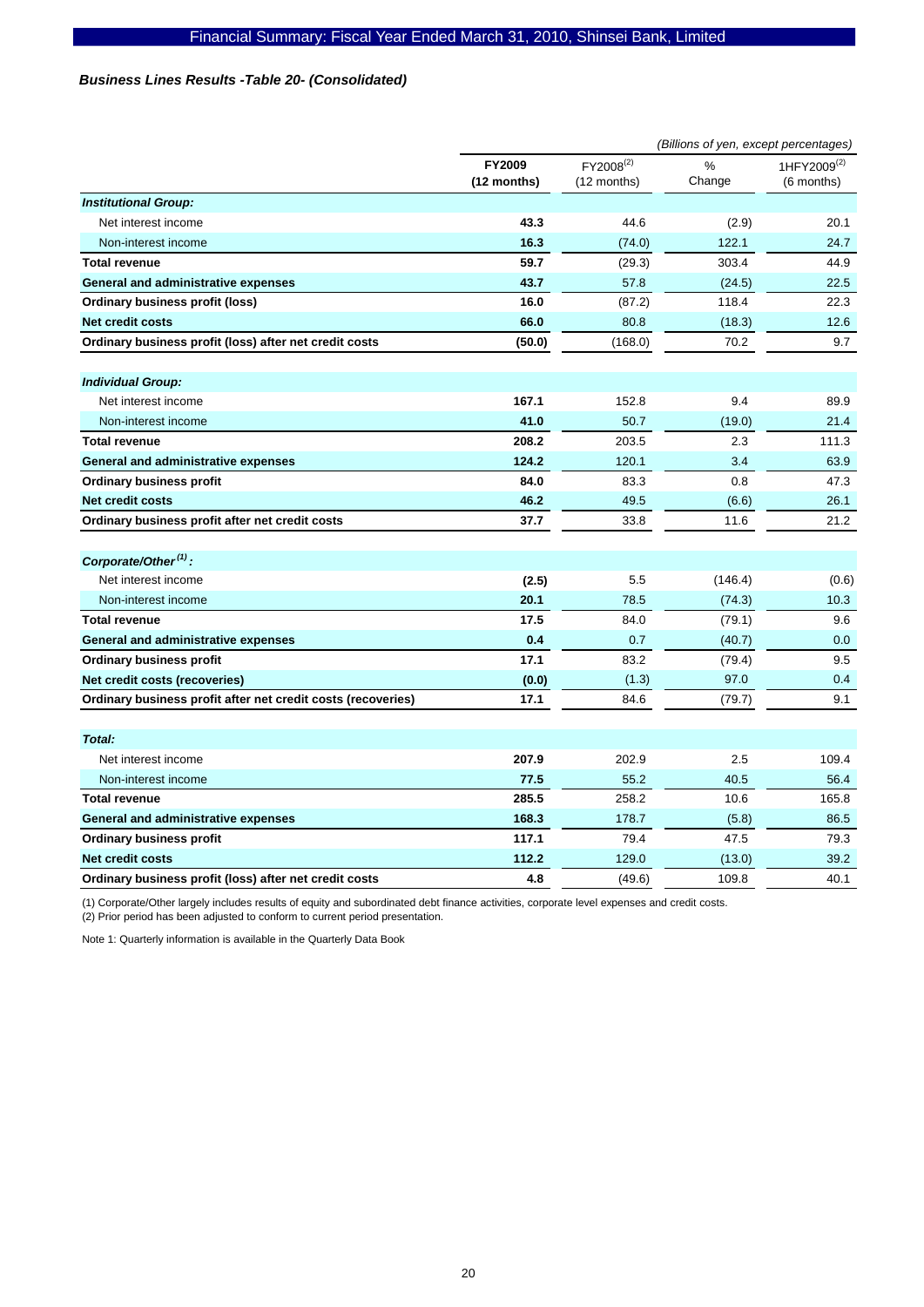# *Business Lines Results -Table 20- (Consolidated)*

|                                                              | (Billions of yen, except percentages) |                               |                |                                       |
|--------------------------------------------------------------|---------------------------------------|-------------------------------|----------------|---------------------------------------|
|                                                              | <b>FY2009</b><br>(12 months)          | $FY2008^{(2)}$<br>(12 months) | $\%$<br>Change | 1HFY2009 <sup>(2)</sup><br>(6 months) |
| <b>Institutional Group:</b>                                  |                                       |                               |                |                                       |
| Net interest income                                          | 43.3                                  | 44.6                          | (2.9)          | 20.1                                  |
| Non-interest income                                          | 16.3                                  | (74.0)                        | 122.1          | 24.7                                  |
| <b>Total revenue</b>                                         | 59.7                                  | (29.3)                        | 303.4          | 44.9                                  |
| General and administrative expenses                          | 43.7                                  | 57.8                          | (24.5)         | 22.5                                  |
| <b>Ordinary business profit (loss)</b>                       | 16.0                                  | (87.2)                        | 118.4          | 22.3                                  |
| Net credit costs                                             | 66.0                                  | 80.8                          | (18.3)         | 12.6                                  |
| Ordinary business profit (loss) after net credit costs       | (50.0)                                | (168.0)                       | 70.2           | 9.7                                   |
| <b>Individual Group:</b>                                     |                                       |                               |                |                                       |
| Net interest income                                          | 167.1                                 | 152.8                         | 9.4            | 89.9                                  |
| Non-interest income                                          | 41.0                                  | 50.7                          | (19.0)         | 21.4                                  |
| <b>Total revenue</b>                                         | 208.2                                 | 203.5                         | 2.3            | 111.3                                 |
| General and administrative expenses                          | 124.2                                 | 120.1                         | 3.4            | 63.9                                  |
| <b>Ordinary business profit</b>                              | 84.0                                  | 83.3                          | 0.8            | 47.3                                  |
| Net credit costs                                             | 46.2                                  | 49.5                          | (6.6)          | 26.1                                  |
| Ordinary business profit after net credit costs              | 37.7                                  | 33.8                          | 11.6           | 21.2                                  |
| Corporate/Other <sup>(1)</sup> :                             |                                       |                               |                |                                       |
| Net interest income                                          | (2.5)                                 | 5.5                           | (146.4)        | (0.6)                                 |
| Non-interest income                                          | 20.1                                  | 78.5                          | (74.3)         | 10.3                                  |
| <b>Total revenue</b>                                         | 17.5                                  | 84.0                          | (79.1)         | 9.6                                   |
| General and administrative expenses                          | 0.4                                   | 0.7                           | (40.7)         | 0.0                                   |
| <b>Ordinary business profit</b>                              | 17.1                                  | 83.2                          | (79.4)         | 9.5                                   |
| Net credit costs (recoveries)                                | (0.0)                                 | (1.3)                         | 97.0           | 0.4                                   |
| Ordinary business profit after net credit costs (recoveries) | 17.1                                  | 84.6                          | (79.7)         | 9.1                                   |
| Total:                                                       |                                       |                               |                |                                       |
| Net interest income                                          | 207.9                                 | 202.9                         | 2.5            | 109.4                                 |
| Non-interest income                                          | 77.5                                  | 55.2                          | 40.5           | 56.4                                  |
| <b>Total revenue</b>                                         | 285.5                                 | 258.2                         | 10.6           | 165.8                                 |
| General and administrative expenses                          | 168.3                                 | 178.7                         | (5.8)          | 86.5                                  |
| <b>Ordinary business profit</b>                              | 117.1                                 | 79.4                          | 47.5           | 79.3                                  |
| <b>Net credit costs</b>                                      | 112.2                                 | 129.0                         | (13.0)         | 39.2                                  |
| Ordinary business profit (loss) after net credit costs       | 4.8                                   | (49.6)                        | 109.8          | 40.1                                  |

(1) Corporate/Other largely includes results of equity and subordinated debt finance activities, corporate level expenses and credit costs.

(2) Prior period has been adjusted to conform to current period presentation.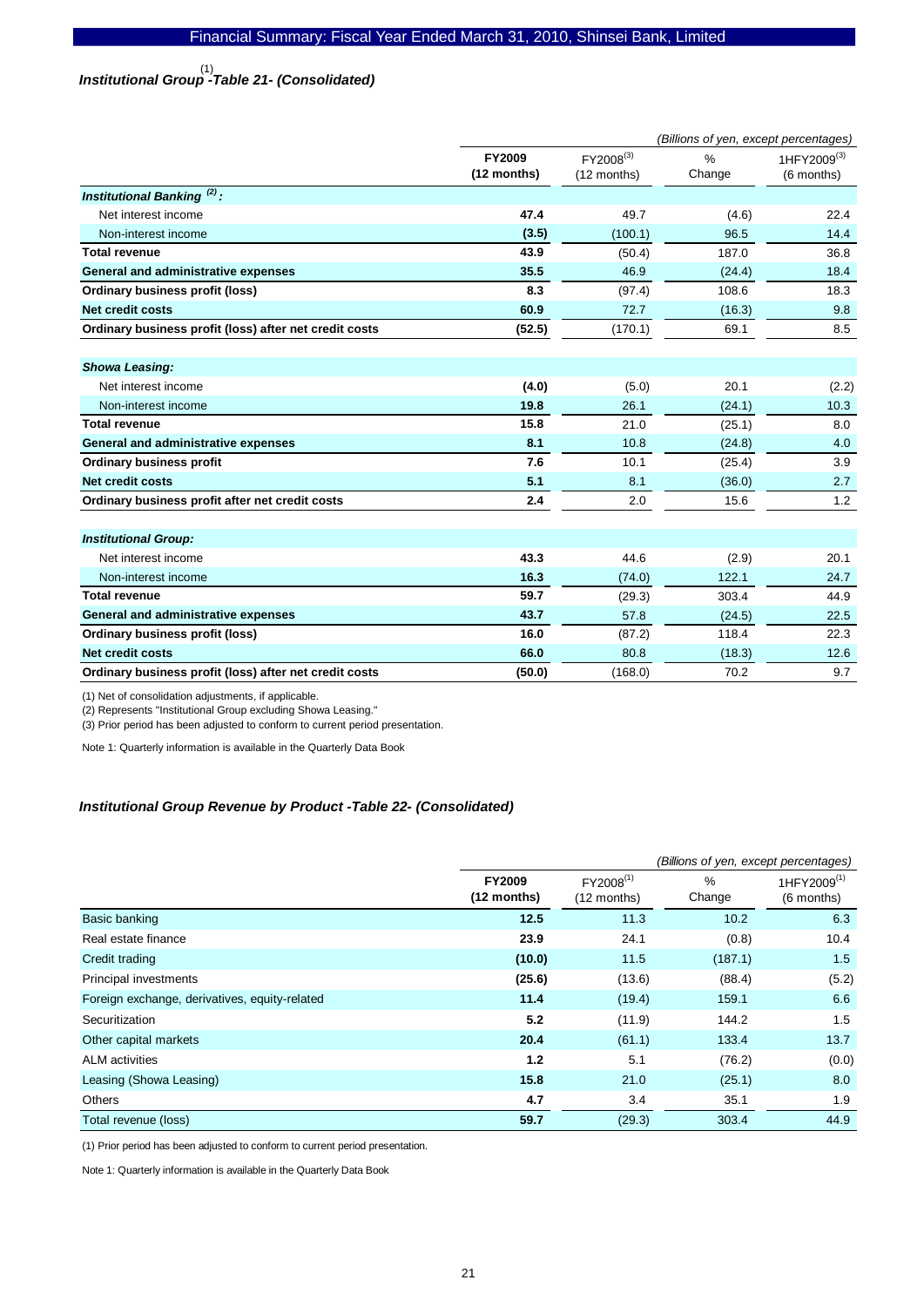# *Institutional Group -Table 21- (Consolidated)*  (1)

|                                                        | (Billions of yen, except percentages) |             |               |                         |
|--------------------------------------------------------|---------------------------------------|-------------|---------------|-------------------------|
|                                                        | FY2009                                | FY2008(3)   | $\frac{0}{0}$ | 1HFY2009 <sup>(3)</sup> |
|                                                        | (12 months)                           | (12 months) | Change        | (6 months)              |
| Institutional Banking <sup>(2)</sup> :                 |                                       |             |               |                         |
| Net interest income                                    | 47.4                                  | 49.7        | (4.6)         | 22.4                    |
| Non-interest income                                    | (3.5)                                 | (100.1)     | 96.5          | 14.4                    |
| <b>Total revenue</b>                                   | 43.9                                  | (50.4)      | 187.0         | 36.8                    |
| General and administrative expenses                    | 35.5                                  | 46.9        | (24.4)        | 18.4                    |
| Ordinary business profit (loss)                        | 8.3                                   | (97.4)      | 108.6         | 18.3                    |
| <b>Net credit costs</b>                                | 60.9                                  | 72.7        | (16.3)        | 9.8                     |
| Ordinary business profit (loss) after net credit costs | (52.5)                                | (170.1)     | 69.1          | 8.5                     |
|                                                        |                                       |             |               |                         |
| <b>Showa Leasing:</b>                                  |                                       |             |               |                         |
| Net interest income                                    | (4.0)                                 | (5.0)       | 20.1          | (2.2)                   |
| Non-interest income                                    | 19.8                                  | 26.1        | (24.1)        | 10.3                    |
| <b>Total revenue</b>                                   | 15.8                                  | 21.0        | (25.1)        | 8.0                     |
| General and administrative expenses                    | 8.1                                   | 10.8        | (24.8)        | 4.0                     |
| <b>Ordinary business profit</b>                        | 7.6                                   | 10.1        | (25.4)        | 3.9                     |
| <b>Net credit costs</b>                                | 5.1                                   | 8.1         | (36.0)        | 2.7                     |
| Ordinary business profit after net credit costs        | 2.4                                   | 2.0         | 15.6          | 1.2                     |
|                                                        |                                       |             |               |                         |
| <b>Institutional Group:</b>                            |                                       |             |               |                         |
| Net interest income                                    | 43.3                                  | 44.6        | (2.9)         | 20.1                    |
| Non-interest income                                    | 16.3                                  | (74.0)      | 122.1         | 24.7                    |
| <b>Total revenue</b>                                   | 59.7                                  | (29.3)      | 303.4         | 44.9                    |
| General and administrative expenses                    | 43.7                                  | 57.8        | (24.5)        | 22.5                    |
| Ordinary business profit (loss)                        | 16.0                                  | (87.2)      | 118.4         | 22.3                    |
| <b>Net credit costs</b>                                | 66.0                                  | 80.8        | (18.3)        | 12.6                    |
| Ordinary business profit (loss) after net credit costs | (50.0)                                | (168.0)     | 70.2          | 9.7                     |

(1) Net of consolidation adjustments, if applicable.

(2) Represents "Institutional Group excluding Showa Leasing."

(3) Prior period has been adjusted to conform to current period presentation.

Note 1: Quarterly information is available in the Quarterly Data Book

# *Institutional Group Revenue by Product -Table 22- (Consolidated)*

|                                               |                                | (Billions of yen, except percentages) |                         |                                       |  |
|-----------------------------------------------|--------------------------------|---------------------------------------|-------------------------|---------------------------------------|--|
|                                               | <b>FY2009</b><br>$(12$ months) | $FY2008^{(1)}$<br>(12 months)         | $\frac{0}{0}$<br>Change | 1HFY2009 <sup>(1)</sup><br>(6 months) |  |
| Basic banking                                 | 12.5                           | 11.3                                  | 10.2                    | 6.3                                   |  |
| Real estate finance                           | 23.9                           | 24.1                                  | (0.8)                   | 10.4                                  |  |
| Credit trading                                | (10.0)                         | 11.5                                  | (187.1)                 | 1.5                                   |  |
| Principal investments                         | (25.6)                         | (13.6)                                | (88.4)                  | (5.2)                                 |  |
| Foreign exchange, derivatives, equity-related | 11.4                           | (19.4)                                | 159.1                   | 6.6                                   |  |
| Securitization                                | 5.2                            | (11.9)                                | 144.2                   | 1.5                                   |  |
| Other capital markets                         | 20.4                           | (61.1)                                | 133.4                   | 13.7                                  |  |
| <b>ALM</b> activities                         | 1.2                            | 5.1                                   | (76.2)                  | (0.0)                                 |  |
| Leasing (Showa Leasing)                       | 15.8                           | 21.0                                  | (25.1)                  | 8.0                                   |  |
| Others                                        | 4.7                            | 3.4                                   | 35.1                    | 1.9                                   |  |
| Total revenue (loss)                          | 59.7                           | (29.3)                                | 303.4                   | 44.9                                  |  |

(1) Prior period has been adjusted to conform to current period presentation.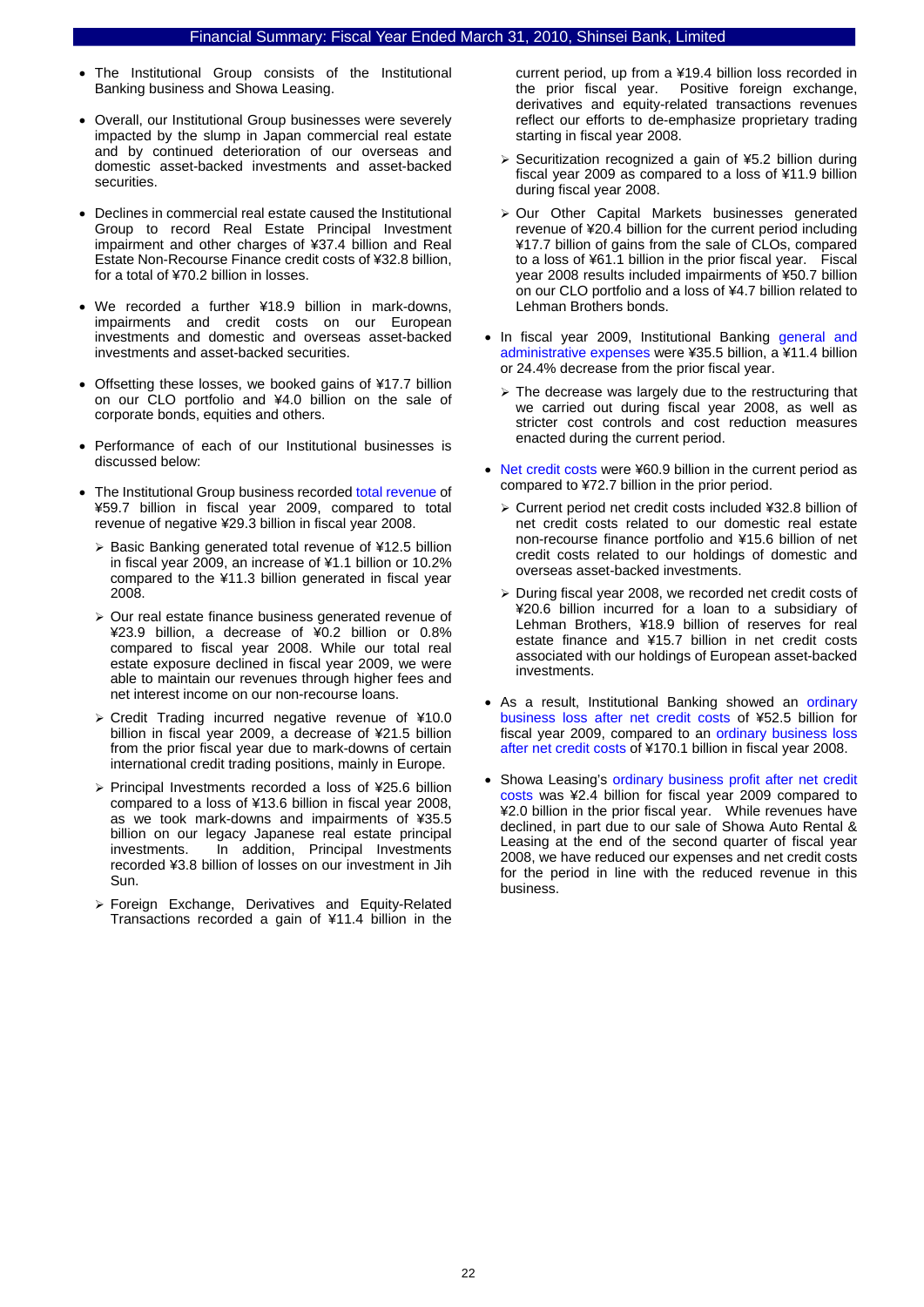- The Institutional Group consists of the Institutional Banking business and Showa Leasing.
- Overall, our Institutional Group businesses were severely impacted by the slump in Japan commercial real estate and by continued deterioration of our overseas and domestic asset-backed investments and asset-backed securities.
- Declines in commercial real estate caused the Institutional Group to record Real Estate Principal Investment impairment and other charges of ¥37.4 billion and Real Estate Non-Recourse Finance credit costs of ¥32.8 billion, for a total of ¥70.2 billion in losses.
- We recorded a further ¥18.9 billion in mark-downs, impairments and credit costs on our European investments and domestic and overseas asset-backed investments and asset-backed securities.
- Offsetting these losses, we booked gains of ¥17.7 billion on our CLO portfolio and ¥4.0 billion on the sale of corporate bonds, equities and others.
- Performance of each of our Institutional businesses is discussed below:
- The Institutional Group business recorded total revenue of ¥59.7 billion in fiscal year 2009, compared to total revenue of negative ¥29.3 billion in fiscal year 2008.
	- ¾ Basic Banking generated total revenue of ¥12.5 billion in fiscal year 2009, an increase of ¥1.1 billion or 10.2% compared to the ¥11.3 billion generated in fiscal year 2008.
	- ¾ Our real estate finance business generated revenue of ¥23.9 billion, a decrease of ¥0.2 billion or 0.8% compared to fiscal year 2008. While our total real estate exposure declined in fiscal year 2009, we were able to maintain our revenues through higher fees and net interest income on our non-recourse loans.
	- ¾ Credit Trading incurred negative revenue of ¥10.0 billion in fiscal year 2009, a decrease of ¥21.5 billion from the prior fiscal year due to mark-downs of certain international credit trading positions, mainly in Europe.
	- ¾ Principal Investments recorded a loss of ¥25.6 billion compared to a loss of ¥13.6 billion in fiscal year 2008, as we took mark-downs and impairments of ¥35.5 billion on our legacy Japanese real estate principal investments. In addition, Principal Investments recorded ¥3.8 billion of losses on our investment in Jih Sun.
	- ¾ Foreign Exchange, Derivatives and Equity-Related Transactions recorded a gain of ¥11.4 billion in the

current period, up from a ¥19.4 billion loss recorded in the prior fiscal year. Positive foreign exchange, derivatives and equity-related transactions revenues reflect our efforts to de-emphasize proprietary trading starting in fiscal year 2008.

- ¾ Securitization recognized a gain of ¥5.2 billion during fiscal year 2009 as compared to a loss of ¥11.9 billion during fiscal year 2008.
- ¾ Our Other Capital Markets businesses generated revenue of ¥20.4 billion for the current period including ¥17.7 billion of gains from the sale of CLOs, compared to a loss of ¥61.1 billion in the prior fiscal year. Fiscal year 2008 results included impairments of ¥50.7 billion on our CLO portfolio and a loss of ¥4.7 billion related to Lehman Brothers bonds.
- In fiscal year 2009, Institutional Banking general and administrative expenses were ¥35.5 billion, a ¥11.4 billion or 24.4% decrease from the prior fiscal year.
	- $\triangleright$  The decrease was largely due to the restructuring that we carried out during fiscal year 2008, as well as stricter cost controls and cost reduction measures enacted during the current period.
- Net credit costs were ¥60.9 billion in the current period as compared to ¥72.7 billion in the prior period.
	- ¾ Current period net credit costs included ¥32.8 billion of net credit costs related to our domestic real estate non-recourse finance portfolio and ¥15.6 billion of net credit costs related to our holdings of domestic and overseas asset-backed investments.
	- ¾ During fiscal year 2008, we recorded net credit costs of ¥20.6 billion incurred for a loan to a subsidiary of Lehman Brothers, ¥18.9 billion of reserves for real estate finance and ¥15.7 billion in net credit costs associated with our holdings of European asset-backed investments.
- As a result, Institutional Banking showed an ordinary business loss after net credit costs of ¥52.5 billion for fiscal year 2009, compared to an ordinary business loss after net credit costs of ¥170.1 billion in fiscal year 2008.
- Showa Leasing's ordinary business profit after net credit costs was ¥2.4 billion for fiscal year 2009 compared to ¥2.0 billion in the prior fiscal year. While revenues have declined, in part due to our sale of Showa Auto Rental & Leasing at the end of the second quarter of fiscal year 2008, we have reduced our expenses and net credit costs for the period in line with the reduced revenue in this business.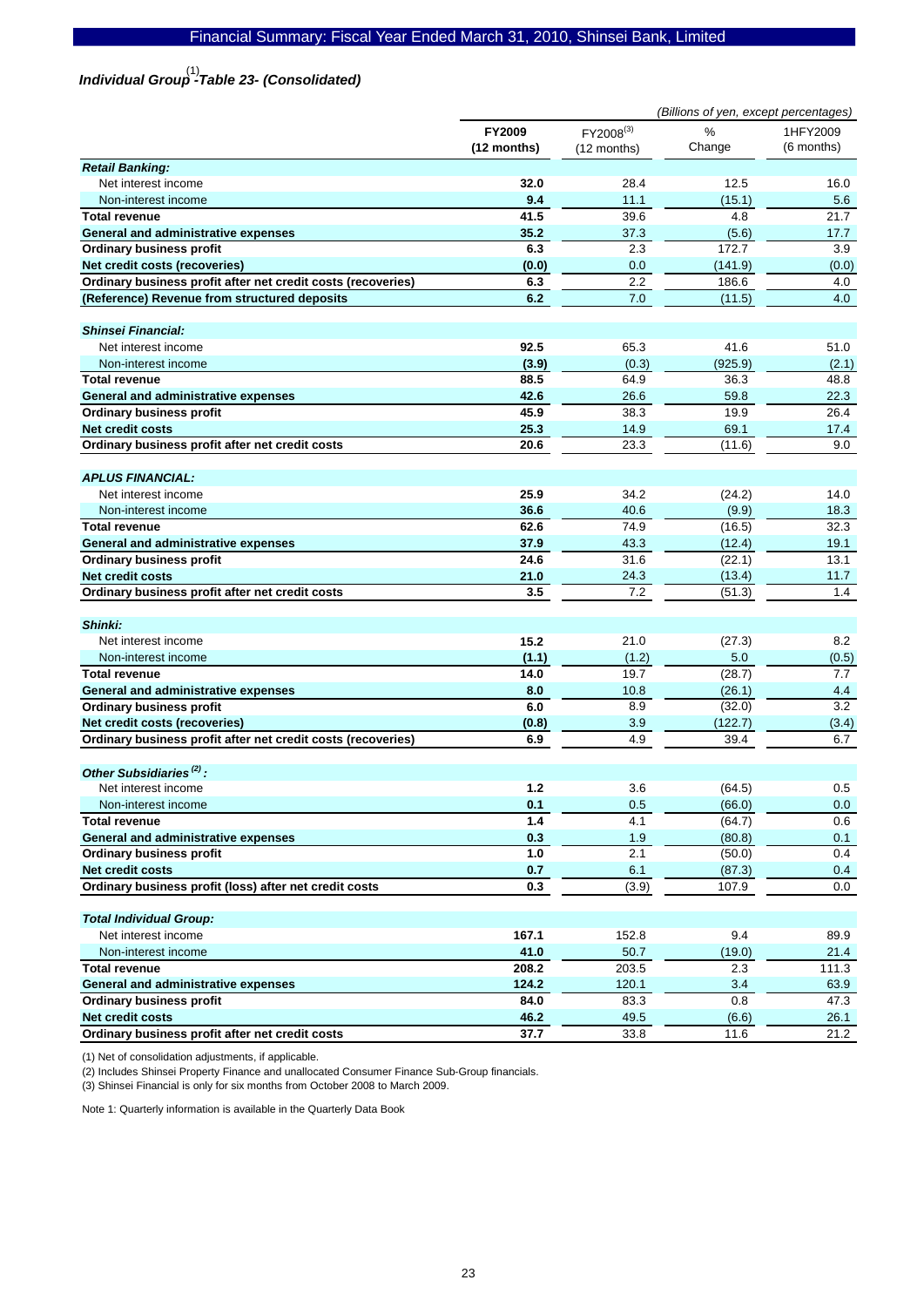# *Individual Group -Table 23- (Consolidated)*  (1)

|                                                                            | (Billions of yen, except percentages) |                          |                 |                        |
|----------------------------------------------------------------------------|---------------------------------------|--------------------------|-----------------|------------------------|
|                                                                            | <b>FY2009</b><br>(12 months)          | FY2008(3)<br>(12 months) | %<br>Change     | 1HFY2009<br>(6 months) |
| <b>Retail Banking:</b>                                                     |                                       |                          |                 |                        |
| Net interest income                                                        | 32.0                                  | 28.4                     | 12.5            | 16.0                   |
| Non-interest income                                                        | 9.4                                   | 11.1                     | (15.1)          | 5.6                    |
| <b>Total revenue</b>                                                       | 41.5                                  | 39.6                     | 4.8             | 21.7                   |
| <b>General and administrative expenses</b>                                 | 35.2                                  | 37.3                     | (5.6)           | 17.7                   |
| <b>Ordinary business profit</b>                                            | 6.3                                   | 2.3                      | 172.7           | 3.9                    |
| Net credit costs (recoveries)                                              | (0.0)                                 | 0.0                      | (141.9)         | (0.0)                  |
| Ordinary business profit after net credit costs (recoveries)               | 6.3                                   | 2.2                      | 186.6           | 4.0                    |
| (Reference) Revenue from structured deposits                               | 6.2                                   | 7.0                      | (11.5)          | 4.0                    |
| <b>Shinsei Financial:</b>                                                  |                                       |                          |                 |                        |
| Net interest income                                                        | 92.5                                  | 65.3                     | 41.6            | 51.0                   |
| Non-interest income                                                        | (3.9)                                 | (0.3)                    | (925.9)         | (2.1)                  |
| <b>Total revenue</b>                                                       | 88.5                                  | 64.9                     | 36.3            | 48.8                   |
| <b>General and administrative expenses</b>                                 | 42.6                                  | 26.6                     | 59.8            | 22.3                   |
| <b>Ordinary business profit</b>                                            | 45.9                                  | 38.3                     | 19.9            | 26.4                   |
| <b>Net credit costs</b>                                                    | 25.3                                  | 14.9                     | 69.1            | 17.4                   |
| Ordinary business profit after net credit costs                            | 20.6                                  | 23.3                     | (11.6)          | 9.0                    |
| <b>APLUS FINANCIAL:</b>                                                    |                                       |                          |                 |                        |
| Net interest income                                                        | 25.9                                  | 34.2                     | (24.2)          | 14.0                   |
| Non-interest income                                                        | 36.6                                  | 40.6                     | (9.9)           | 18.3                   |
| <b>Total revenue</b>                                                       | 62.6                                  | 74.9                     | (16.5)          | 32.3                   |
| General and administrative expenses                                        | 37.9                                  | 43.3                     | (12.4)          | 19.1                   |
| <b>Ordinary business profit</b>                                            | 24.6                                  | 31.6                     | (22.1)          | 13.1                   |
| <b>Net credit costs</b>                                                    | 21.0                                  | 24.3                     | (13.4)          | 11.7                   |
| Ordinary business profit after net credit costs                            | 3.5                                   | 7.2                      | (51.3)          | 1.4                    |
| Shinki:                                                                    |                                       |                          |                 |                        |
| Net interest income                                                        | 15.2                                  | 21.0                     | (27.3)          | 8.2                    |
| Non-interest income                                                        | (1.1)                                 | (1.2)                    | 5.0             | (0.5)                  |
| <b>Total revenue</b>                                                       | 14.0                                  | 19.7                     | (28.7)          | 7.7                    |
| General and administrative expenses                                        | 8.0                                   | 10.8                     | (26.1)          | 4.4                    |
| <b>Ordinary business profit</b>                                            | 6.0                                   | 8.9                      | (32.0)          | 3.2                    |
| Net credit costs (recoveries)                                              | (0.8)                                 | 3.9                      | (122.7)         | (3.4)                  |
| Ordinary business profit after net credit costs (recoveries)               | 6.9                                   | 4.9                      | 39.4            | 6.7                    |
| Other Subsidiaries <sup>(2)</sup> :                                        |                                       |                          |                 |                        |
| Net interest income                                                        | 1.2                                   | 3.6                      | (64.5)          | 0.5                    |
| Non-interest income                                                        | 0.1                                   | 0.5                      | (66.0)          | $0.0\,$                |
| <b>Total revenue</b>                                                       | 1.4                                   | 4.1                      | (64.7)          | 0.6                    |
| General and administrative expenses                                        | 0.3                                   | 1.9                      | (80.8)          | 0.1                    |
| <b>Ordinary business profit</b>                                            | 1.0                                   | 2.1                      | (50.0)          | 0.4                    |
| Net credit costs<br>Ordinary business profit (loss) after net credit costs | 0.7<br>0.3                            | 6.1<br>(3.9)             | (87.3)<br>107.9 | 0.4<br>0.0             |
|                                                                            |                                       |                          |                 |                        |
| <b>Total Individual Group:</b><br>Net interest income                      |                                       |                          |                 |                        |
|                                                                            | 167.1                                 | 152.8                    | 9.4             | 89.9                   |
| Non-interest income                                                        | 41.0                                  | 50.7                     | (19.0)          | 21.4                   |
| <b>Total revenue</b>                                                       | 208.2                                 | 203.5                    | 2.3             | 111.3                  |
| General and administrative expenses<br><b>Ordinary business profit</b>     | 124.2<br>84.0                         | 120.1<br>83.3            | 3.4<br>0.8      | 63.9<br>47.3           |
| Net credit costs                                                           | 46.2                                  | 49.5                     | (6.6)           | 26.1                   |
| Ordinary business profit after net credit costs                            | 37.7                                  | 33.8                     | 11.6            | 21.2                   |

(1) Net of consolidation adjustments, if applicable.

(2) Includes Shinsei Property Finance and unallocated Consumer Finance Sub-Group financials.

(3) Shinsei Financial is only for six months from October 2008 to March 2009.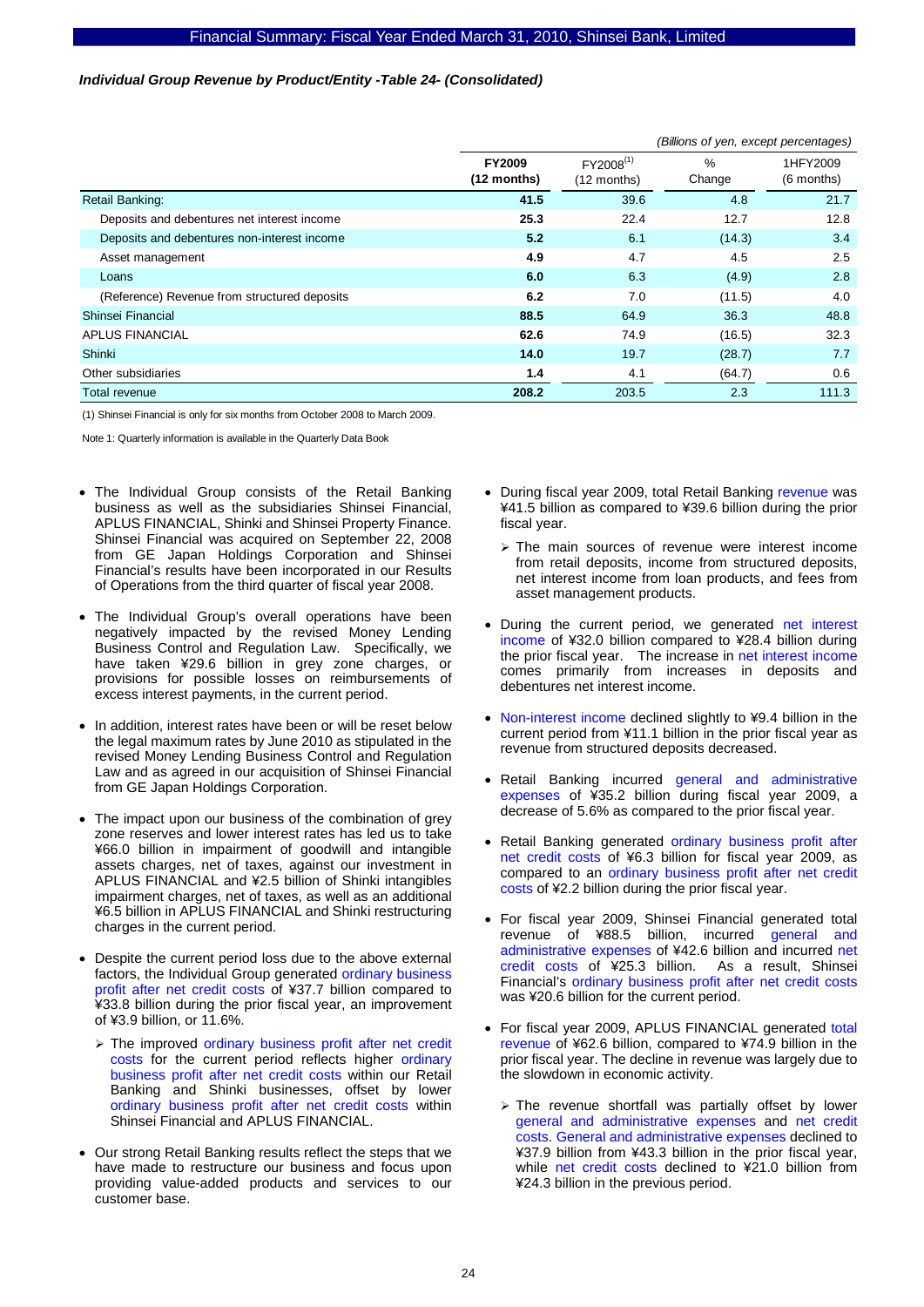#### *Individual Group Revenue by Product/Entity -Table 24- (Consolidated)*

|                                              | (Billions of yen, except percentages) |                                        |                |                        |
|----------------------------------------------|---------------------------------------|----------------------------------------|----------------|------------------------|
|                                              | <b>FY2009</b><br>$(12$ months)        | FY2008 <sup>(1)</sup><br>$(12$ months) | $\%$<br>Change | 1HFY2009<br>(6 months) |
| Retail Banking:                              | 41.5                                  | 39.6                                   | 4.8            | 21.7                   |
| Deposits and debentures net interest income  | 25.3                                  | 22.4                                   | 12.7           | 12.8                   |
| Deposits and debentures non-interest income  | 5.2                                   | 6.1                                    | (14.3)         | 3.4                    |
| Asset management                             | 4.9                                   | 4.7                                    | 4.5            | 2.5                    |
| Loans                                        | 6.0                                   | 6.3                                    | (4.9)          | 2.8                    |
| (Reference) Revenue from structured deposits | 6.2                                   | 7.0                                    | (11.5)         | 4.0                    |
| Shinsei Financial                            | 88.5                                  | 64.9                                   | 36.3           | 48.8                   |
| <b>APLUS FINANCIAL</b>                       | 62.6                                  | 74.9                                   | (16.5)         | 32.3                   |
| Shinki                                       | 14.0                                  | 19.7                                   | (28.7)         | 7.7                    |
| Other subsidiaries                           | 1.4                                   | 4.1                                    | (64.7)         | 0.6                    |
| Total revenue                                | 208.2                                 | 203.5                                  | 2.3            | 111.3                  |

(1) Shinsei Financial is only for six months from October 2008 to March 2009.

- The Individual Group consists of the Retail Banking business as well as the subsidiaries Shinsei Financial, APLUS FINANCIAL, Shinki and Shinsei Property Finance. Shinsei Financial was acquired on September 22, 2008 from GE Japan Holdings Corporation and Shinsei Financial's results have been incorporated in our Results of Operations from the third quarter of fiscal year 2008.
- The Individual Group's overall operations have been negatively impacted by the revised Money Lending Business Control and Regulation Law. Specifically, we have taken ¥29.6 billion in grey zone charges, or provisions for possible losses on reimbursements of excess interest payments, in the current period.
- In addition, interest rates have been or will be reset below the legal maximum rates by June 2010 as stipulated in the revised Money Lending Business Control and Regulation Law and as agreed in our acquisition of Shinsei Financial from GE Japan Holdings Corporation.
- The impact upon our business of the combination of grey zone reserves and lower interest rates has led us to take ¥66.0 billion in impairment of goodwill and intangible assets charges, net of taxes, against our investment in APLUS FINANCIAL and ¥2.5 billion of Shinki intangibles impairment charges, net of taxes, as well as an additional ¥6.5 billion in APLUS FINANCIAL and Shinki restructuring charges in the current period.
- Despite the current period loss due to the above external factors, the Individual Group generated ordinary business profit after net credit costs of ¥37.7 billion compared to ¥33.8 billion during the prior fiscal year, an improvement of ¥3.9 billion, or 11.6%.
	- ¾ The improved ordinary business profit after net credit costs for the current period reflects higher ordinary business profit after net credit costs within our Retail Banking and Shinki businesses, offset by lower ordinary business profit after net credit costs within Shinsei Financial and APLUS FINANCIAL.
- Our strong Retail Banking results reflect the steps that we have made to restructure our business and focus upon providing value-added products and services to our customer base.
- During fiscal year 2009, total Retail Banking revenue was ¥41.5 billion as compared to ¥39.6 billion during the prior fiscal year.
	- $\triangleright$  The main sources of revenue were interest income from retail deposits, income from structured deposits, net interest income from loan products, and fees from asset management products.
- During the current period, we generated net interest income of ¥32.0 billion compared to ¥28.4 billion during the prior fiscal year. The increase in net interest income comes primarily from increases in deposits and debentures net interest income.
- Non-interest income declined slightly to ¥9.4 billion in the current period from ¥11.1 billion in the prior fiscal year as revenue from structured deposits decreased.
- Retail Banking incurred general and administrative expenses of ¥35.2 billion during fiscal year 2009, a decrease of 5.6% as compared to the prior fiscal year.
- Retail Banking generated ordinary business profit after net credit costs of ¥6.3 billion for fiscal year 2009, as compared to an ordinary business profit after net credit costs of ¥2.2 billion during the prior fiscal year.
- For fiscal year 2009, Shinsei Financial generated total revenue of ¥88.5 billion, incurred general and administrative expenses of ¥42.6 billion and incurred net credit costs of ¥25.3 billion. As a result, Shinsei Financial's ordinary business profit after net credit costs was ¥20.6 billion for the current period.
- For fiscal year 2009, APLUS FINANCIAL generated total revenue of ¥62.6 billion, compared to ¥74.9 billion in the prior fiscal year. The decline in revenue was largely due to the slowdown in economic activity.
	- $\triangleright$  The revenue shortfall was partially offset by lower general and administrative expenses and net credit costs. General and administrative expenses declined to ¥37.9 billion from ¥43.3 billion in the prior fiscal year, while net credit costs declined to ¥21.0 billion from ¥24.3 billion in the previous period.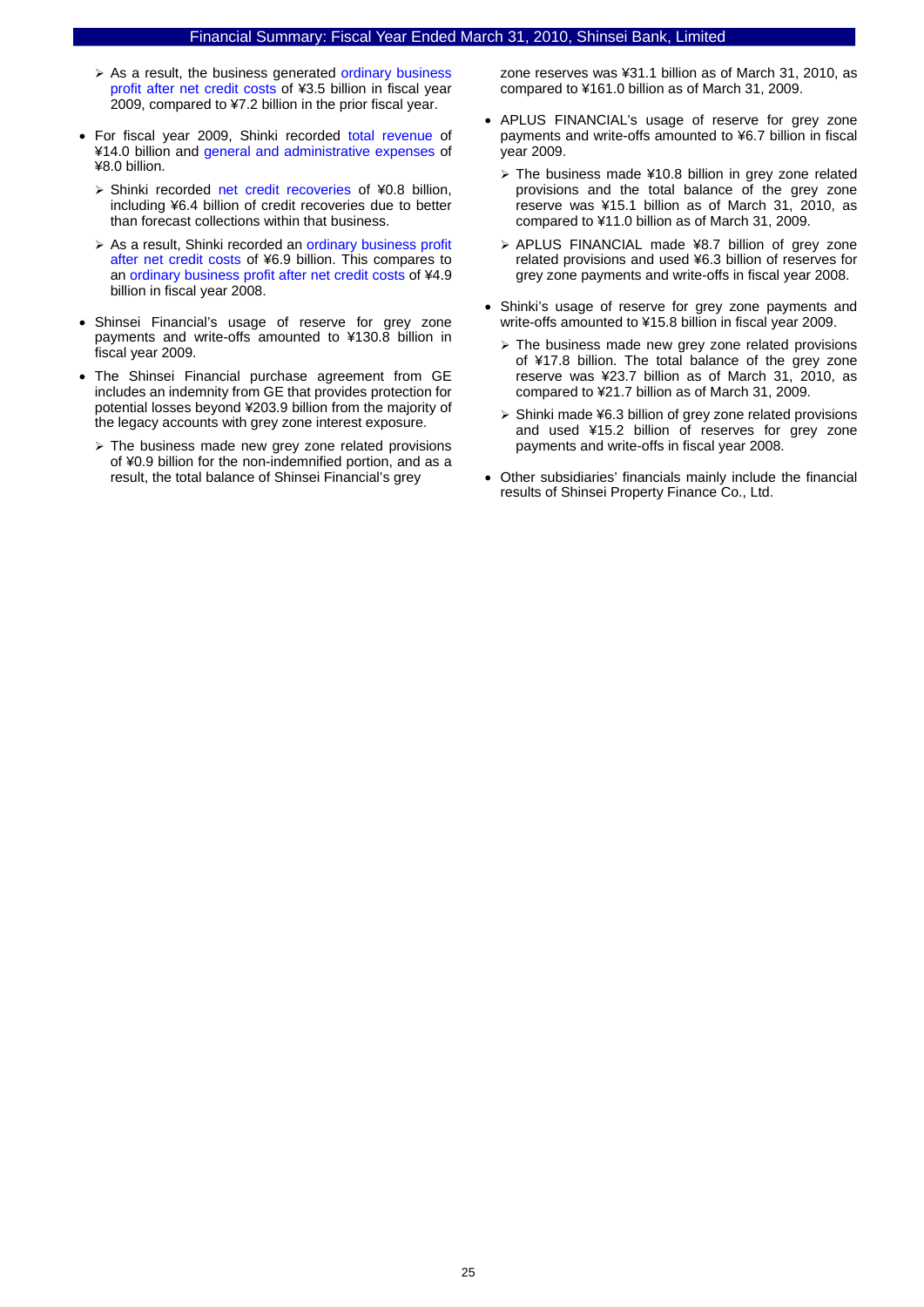- $\triangleright$  As a result, the business generated ordinary business profit after net credit costs of ¥3.5 billion in fiscal year 2009, compared to ¥7.2 billion in the prior fiscal year.
- For fiscal year 2009, Shinki recorded total revenue of ¥14.0 billion and general and administrative expenses of ¥8.0 billion.
	- ¾ Shinki recorded net credit recoveries of ¥0.8 billion, including ¥6.4 billion of credit recoveries due to better than forecast collections within that business.
	- ¾ As a result, Shinki recorded an ordinary business profit after net credit costs of ¥6.9 billion. This compares to an ordinary business profit after net credit costs of ¥4.9 billion in fiscal year 2008.
- Shinsei Financial's usage of reserve for grey zone payments and write-offs amounted to ¥130.8 billion in fiscal year 2009.
- The Shinsei Financial purchase agreement from GE includes an indemnity from GE that provides protection for potential losses beyond ¥203.9 billion from the majority of the legacy accounts with grey zone interest exposure.
	- ¾ The business made new grey zone related provisions of ¥0.9 billion for the non-indemnified portion, and as a result, the total balance of Shinsei Financial's grey

zone reserves was ¥31.1 billion as of March 31, 2010, as compared to ¥161.0 billion as of March 31, 2009.

- APLUS FINANCIAL's usage of reserve for grey zone payments and write-offs amounted to ¥6.7 billion in fiscal year 2009.
	- $\ge$  The business made ¥10.8 billion in grey zone related provisions and the total balance of the grey zone reserve was ¥15.1 billion as of March 31, 2010, as compared to ¥11.0 billion as of March 31, 2009.
	- ¾ APLUS FINANCIAL made ¥8.7 billion of grey zone related provisions and used ¥6.3 billion of reserves for grey zone payments and write-offs in fiscal year 2008.
- Shinki's usage of reserve for grey zone payments and write-offs amounted to ¥15.8 billion in fiscal year 2009.
	- $\triangleright$  The business made new grey zone related provisions of ¥17.8 billion. The total balance of the grey zone reserve was ¥23.7 billion as of March 31, 2010, as compared to ¥21.7 billion as of March 31, 2009.
	- ¾ Shinki made ¥6.3 billion of grey zone related provisions and used ¥15.2 billion of reserves for grey zone payments and write-offs in fiscal year 2008.
- Other subsidiaries' financials mainly include the financial results of Shinsei Property Finance Co., Ltd.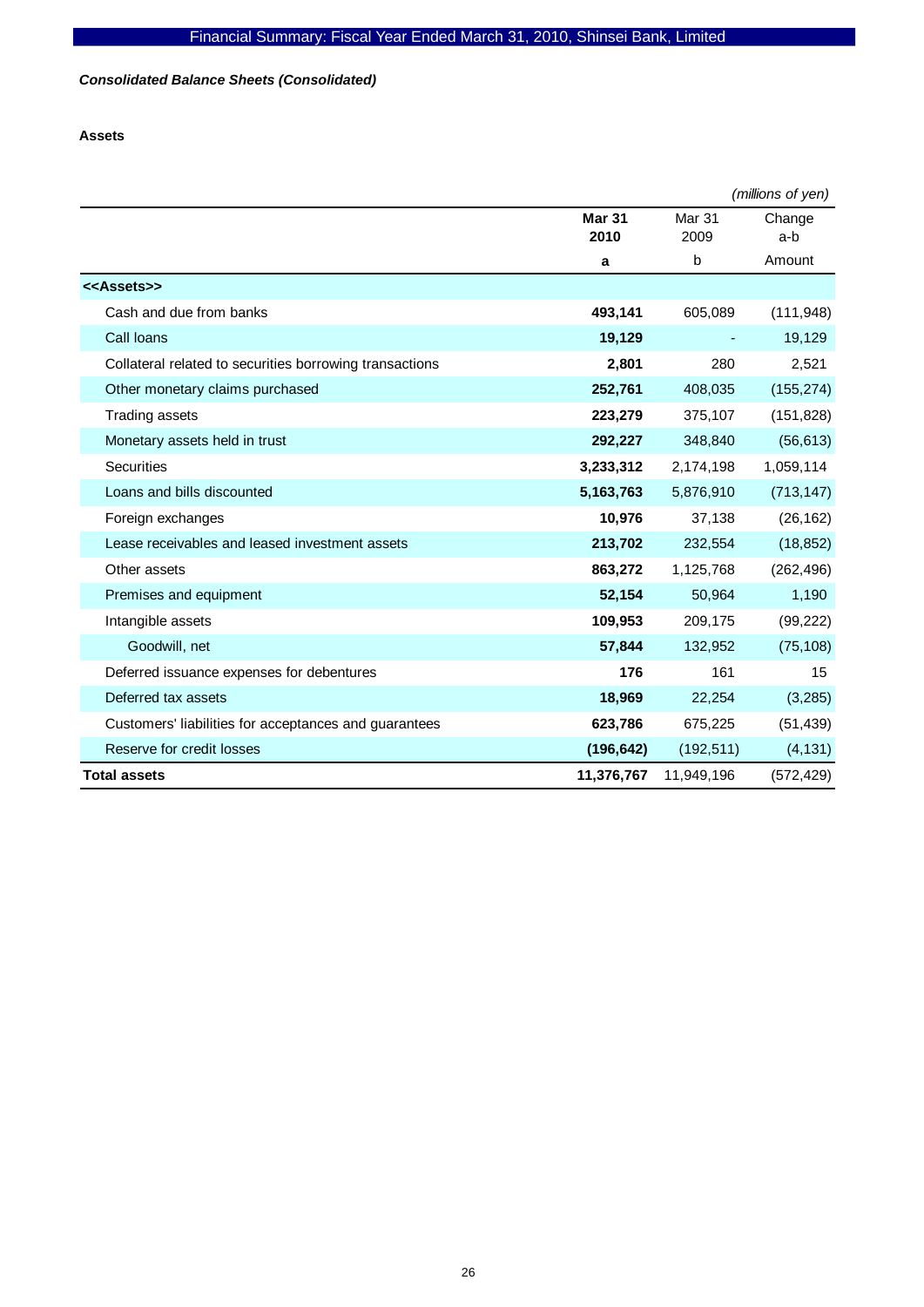# *Consolidated Balance Sheets (Consolidated)*

# **Assets**

|                                                         |               |            | (millions of yen) |
|---------------------------------------------------------|---------------|------------|-------------------|
|                                                         | <b>Mar 31</b> | Mar 31     | Change            |
|                                                         | 2010          | 2009       | a-b               |
|                                                         | a             | b          | Amount            |
| < <assets>&gt;</assets>                                 |               |            |                   |
| Cash and due from banks                                 | 493,141       | 605,089    | (111, 948)        |
| Call loans                                              | 19,129        |            | 19,129            |
| Collateral related to securities borrowing transactions | 2,801         | 280        | 2,521             |
| Other monetary claims purchased                         | 252,761       | 408,035    | (155, 274)        |
| <b>Trading assets</b>                                   | 223,279       | 375,107    | (151, 828)        |
| Monetary assets held in trust                           | 292,227       | 348,840    | (56, 613)         |
| <b>Securities</b>                                       | 3,233,312     | 2,174,198  | 1,059,114         |
| Loans and bills discounted                              | 5,163,763     | 5,876,910  | (713, 147)        |
| Foreign exchanges                                       | 10,976        | 37,138     | (26, 162)         |
| Lease receivables and leased investment assets          | 213,702       | 232,554    | (18, 852)         |
| Other assets                                            | 863,272       | 1,125,768  | (262, 496)        |
| Premises and equipment                                  | 52,154        | 50,964     | 1,190             |
| Intangible assets                                       | 109,953       | 209,175    | (99, 222)         |
| Goodwill, net                                           | 57,844        | 132,952    | (75, 108)         |
| Deferred issuance expenses for debentures               | 176           | 161        | 15                |
| Deferred tax assets                                     | 18,969        | 22,254     | (3,285)           |
| Customers' liabilities for acceptances and guarantees   | 623,786       | 675,225    | (51, 439)         |
| Reserve for credit losses                               | (196, 642)    | (192, 511) | (4, 131)          |
| <b>Total assets</b>                                     | 11,376,767    | 11,949,196 | (572, 429)        |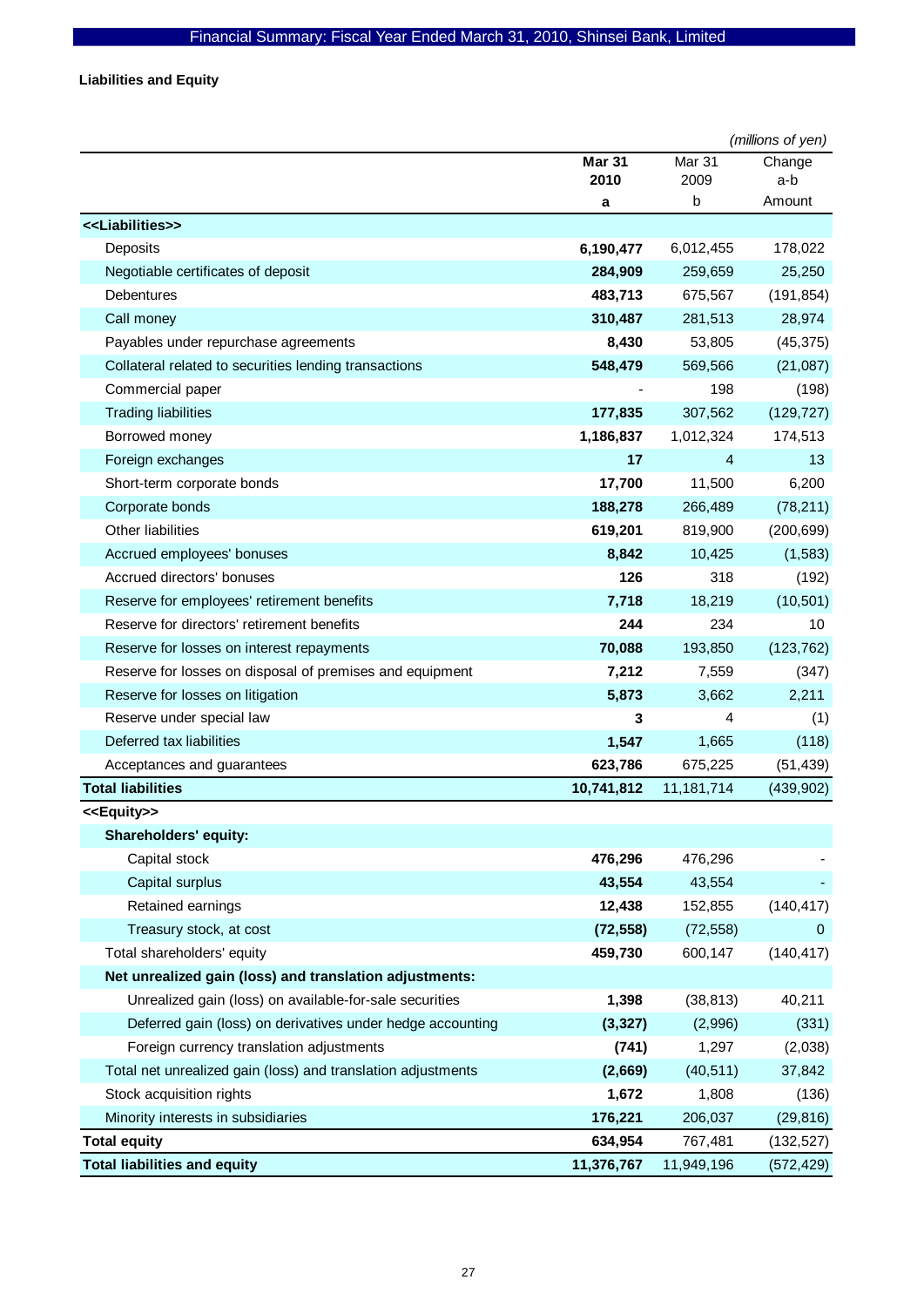**Liabilities and Equity** 

|                                                              |                       |                | (millions of yen) |
|--------------------------------------------------------------|-----------------------|----------------|-------------------|
|                                                              | <b>Mar 31</b><br>2010 | Mar 31<br>2009 | Change<br>a-b     |
|                                                              | a                     | b              | Amount            |
| < <liabilities>&gt;</liabilities>                            |                       |                |                   |
| Deposits                                                     | 6,190,477             | 6,012,455      | 178,022           |
| Negotiable certificates of deposit                           | 284,909               | 259,659        | 25,250            |
| <b>Debentures</b>                                            | 483,713               | 675,567        | (191, 854)        |
| Call money                                                   | 310,487               | 281,513        | 28,974            |
| Payables under repurchase agreements                         | 8,430                 | 53,805         | (45, 375)         |
| Collateral related to securities lending transactions        | 548,479               | 569,566        | (21,087)          |
| Commercial paper                                             |                       | 198            | (198)             |
| <b>Trading liabilities</b>                                   | 177,835               | 307,562        | (129, 727)        |
| Borrowed money                                               | 1,186,837             | 1,012,324      | 174,513           |
| Foreign exchanges                                            | 17                    | 4              | 13                |
| Short-term corporate bonds                                   | 17,700                | 11,500         | 6,200             |
| Corporate bonds                                              | 188,278               | 266,489        | (78, 211)         |
| Other liabilities                                            | 619,201               | 819,900        | (200, 699)        |
| Accrued employees' bonuses                                   | 8,842                 | 10,425         | (1, 583)          |
| Accrued directors' bonuses                                   | 126                   | 318            | (192)             |
| Reserve for employees' retirement benefits                   | 7,718                 | 18,219         | (10, 501)         |
| Reserve for directors' retirement benefits                   | 244                   | 234            | 10                |
| Reserve for losses on interest repayments                    | 70,088                | 193,850        | (123, 762)        |
| Reserve for losses on disposal of premises and equipment     | 7,212                 | 7,559          | (347)             |
| Reserve for losses on litigation                             | 5,873                 | 3,662          | 2,211             |
| Reserve under special law                                    | 3                     | 4              | (1)               |
| Deferred tax liabilities                                     | 1,547                 | 1,665          | (118)             |
| Acceptances and guarantees                                   | 623,786               | 675,225        | (51, 439)         |
| <b>Total liabilities</b>                                     | 10,741,812            | 11, 181, 714   | (439, 902)        |
| < <equity>&gt;</equity>                                      |                       |                |                   |
| Shareholders' equity:                                        |                       |                |                   |
| Capital stock                                                | 476,296               | 476,296        |                   |
| Capital surplus                                              | 43,554                | 43,554         |                   |
| Retained earnings                                            | 12,438                | 152,855        | (140, 417)        |
| Treasury stock, at cost                                      | (72, 558)             | (72, 558)      | $\mathbf 0$       |
| Total shareholders' equity                                   | 459,730               | 600,147        | (140, 417)        |
| Net unrealized gain (loss) and translation adjustments:      |                       |                |                   |
| Unrealized gain (loss) on available-for-sale securities      | 1,398                 | (38, 813)      | 40,211            |
| Deferred gain (loss) on derivatives under hedge accounting   | (3, 327)              | (2,996)        | (331)             |
| Foreign currency translation adjustments                     | (741)                 | 1,297          | (2,038)           |
| Total net unrealized gain (loss) and translation adjustments | (2,669)               | (40, 511)      | 37,842            |
| Stock acquisition rights                                     | 1,672                 | 1,808          | (136)             |
| Minority interests in subsidiaries                           | 176,221               | 206,037        | (29, 816)         |
| <b>Total equity</b>                                          | 634,954               | 767,481        | (132, 527)        |
| <b>Total liabilities and equity</b>                          | 11,376,767            | 11,949,196     | (572, 429)        |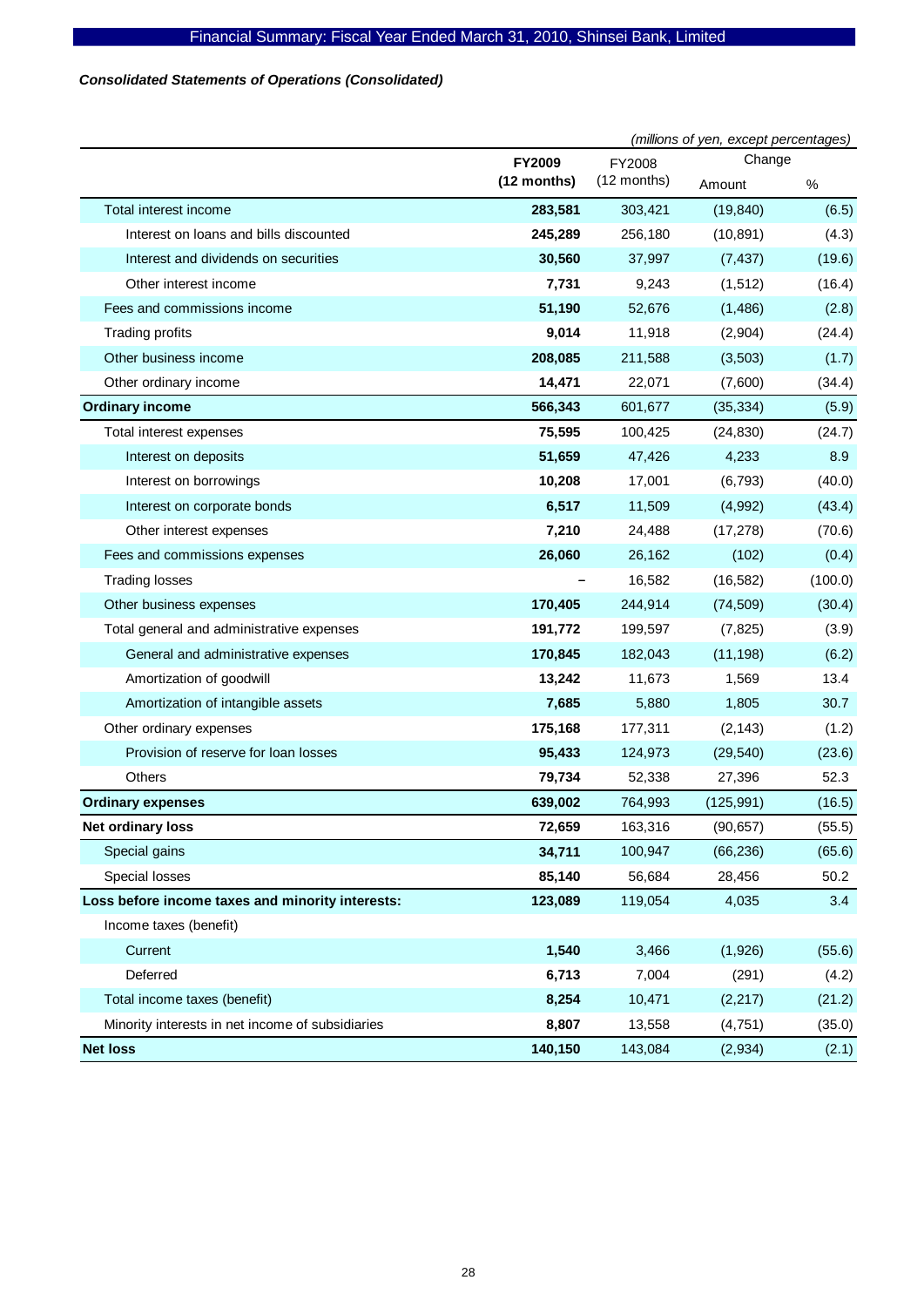# *Consolidated Statements of Operations (Consolidated)*

|                                                  |               | (millions of yen, except percentages) |            |         |
|--------------------------------------------------|---------------|---------------------------------------|------------|---------|
|                                                  | FY2009        | FY2008                                | Change     |         |
|                                                  | $(12$ months) | $(12$ months)                         | Amount     | $\%$    |
| Total interest income                            | 283,581       | 303,421                               | (19, 840)  | (6.5)   |
| Interest on loans and bills discounted           | 245,289       | 256,180                               | (10, 891)  | (4.3)   |
| Interest and dividends on securities             | 30,560        | 37,997                                | (7, 437)   | (19.6)  |
| Other interest income                            | 7,731         | 9,243                                 | (1, 512)   | (16.4)  |
| Fees and commissions income                      | 51,190        | 52,676                                | (1,486)    | (2.8)   |
| Trading profits                                  | 9,014         | 11,918                                | (2,904)    | (24.4)  |
| Other business income                            | 208,085       | 211,588                               | (3,503)    | (1.7)   |
| Other ordinary income                            | 14,471        | 22,071                                | (7,600)    | (34.4)  |
| <b>Ordinary income</b>                           | 566,343       | 601,677                               | (35, 334)  | (5.9)   |
| Total interest expenses                          | 75,595        | 100,425                               | (24, 830)  | (24.7)  |
| Interest on deposits                             | 51,659        | 47,426                                | 4,233      | 8.9     |
| Interest on borrowings                           | 10,208        | 17,001                                | (6, 793)   | (40.0)  |
| Interest on corporate bonds                      | 6,517         | 11,509                                | (4,992)    | (43.4)  |
| Other interest expenses                          | 7,210         | 24,488                                | (17, 278)  | (70.6)  |
| Fees and commissions expenses                    | 26,060        | 26,162                                | (102)      | (0.4)   |
| <b>Trading losses</b>                            |               | 16,582                                | (16, 582)  | (100.0) |
| Other business expenses                          | 170,405       | 244,914                               | (74, 509)  | (30.4)  |
| Total general and administrative expenses        | 191,772       | 199,597                               | (7, 825)   | (3.9)   |
| General and administrative expenses              | 170,845       | 182,043                               | (11, 198)  | (6.2)   |
| Amortization of goodwill                         | 13,242        | 11,673                                | 1,569      | 13.4    |
| Amortization of intangible assets                | 7,685         | 5,880                                 | 1,805      | 30.7    |
| Other ordinary expenses                          | 175,168       | 177,311                               | (2, 143)   | (1.2)   |
| Provision of reserve for loan losses             | 95,433        | 124,973                               | (29, 540)  | (23.6)  |
| Others                                           | 79,734        | 52,338                                | 27,396     | 52.3    |
| <b>Ordinary expenses</b>                         | 639,002       | 764,993                               | (125, 991) | (16.5)  |
| Net ordinary loss                                | 72,659        | 163,316                               | (90, 657)  | (55.5)  |
| Special gains                                    | 34,711        | 100,947                               | (66, 236)  | (65.6)  |
| Special losses                                   | 85,140        | 56,684                                | 28,456     | 50.2    |
| Loss before income taxes and minority interests: | 123,089       | 119,054                               | 4,035      | 3.4     |
| Income taxes (benefit)                           |               |                                       |            |         |
| Current                                          | 1,540         | 3,466                                 | (1,926)    | (55.6)  |
| Deferred                                         | 6,713         | 7,004                                 | (291)      | (4.2)   |
| Total income taxes (benefit)                     | 8,254         | 10,471                                | (2, 217)   | (21.2)  |
| Minority interests in net income of subsidiaries | 8,807         | 13,558                                | (4,751)    | (35.0)  |
| <b>Net loss</b>                                  | 140,150       | 143,084                               | (2,934)    | (2.1)   |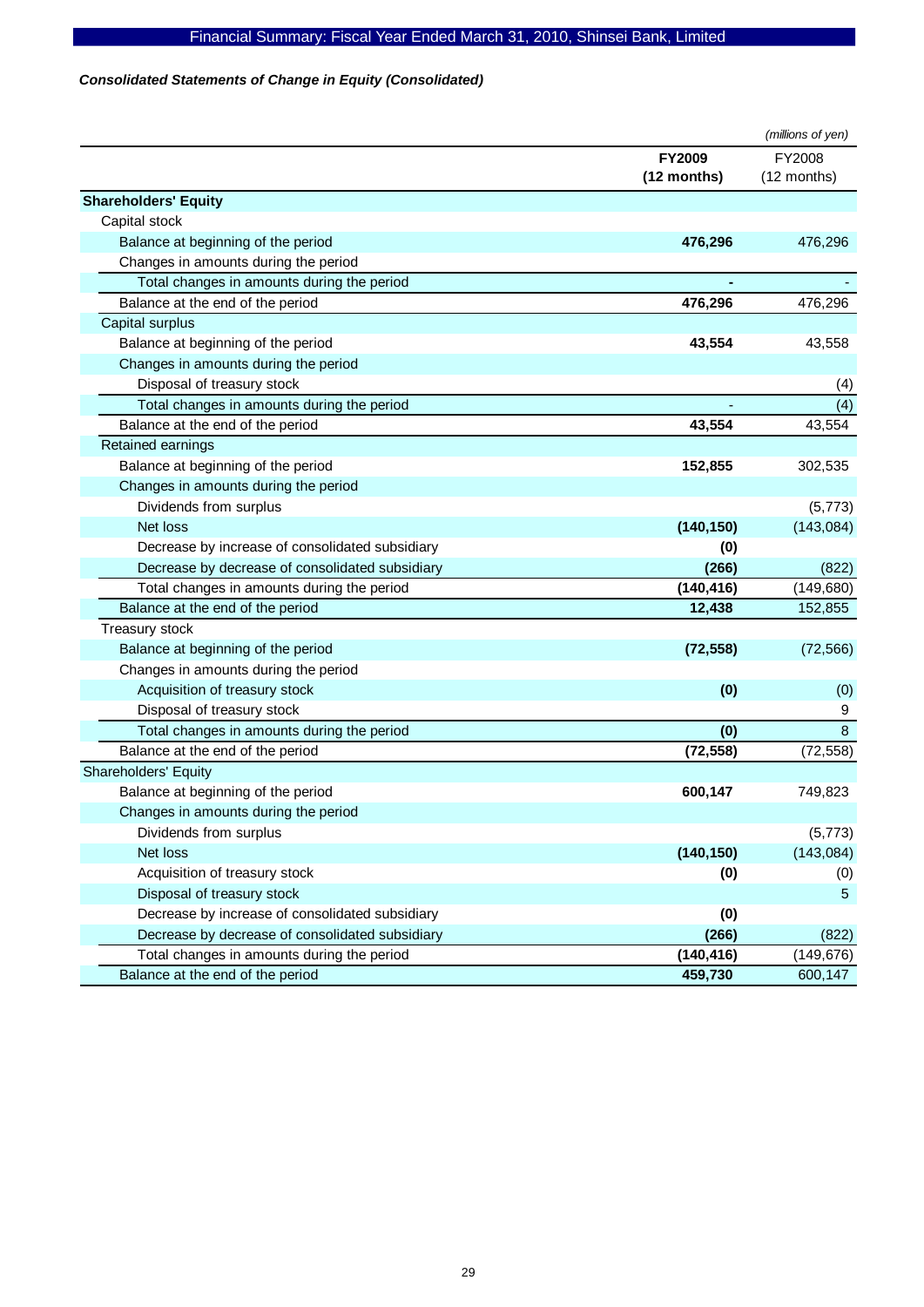# *Consolidated Statements of Change in Equity (Consolidated)*

|                                                 |               | (millions of yen) |
|-------------------------------------------------|---------------|-------------------|
|                                                 | <b>FY2009</b> | FY2008            |
|                                                 | (12 months)   | (12 months)       |
| <b>Shareholders' Equity</b>                     |               |                   |
| Capital stock                                   |               |                   |
| Balance at beginning of the period              | 476,296       | 476,296           |
| Changes in amounts during the period            |               |                   |
| Total changes in amounts during the period      |               |                   |
| Balance at the end of the period                | 476,296       | 476,296           |
| Capital surplus                                 |               |                   |
| Balance at beginning of the period              | 43,554        | 43,558            |
| Changes in amounts during the period            |               |                   |
| Disposal of treasury stock                      |               | (4)               |
| Total changes in amounts during the period      |               | (4)               |
| Balance at the end of the period                | 43,554        | 43,554            |
| Retained earnings                               |               |                   |
| Balance at beginning of the period              | 152,855       | 302,535           |
| Changes in amounts during the period            |               |                   |
| Dividends from surplus                          |               | (5, 773)          |
| Net loss                                        | (140, 150)    | (143, 084)        |
| Decrease by increase of consolidated subsidiary | (0)           |                   |
| Decrease by decrease of consolidated subsidiary | (266)         | (822)             |
| Total changes in amounts during the period      | (140, 416)    | (149, 680)        |
| Balance at the end of the period                | 12,438        | 152,855           |
| Treasury stock                                  |               |                   |
| Balance at beginning of the period              | (72, 558)     | (72, 566)         |
| Changes in amounts during the period            |               |                   |
| Acquisition of treasury stock                   | (0)           | (0)               |
| Disposal of treasury stock                      |               | 9                 |
| Total changes in amounts during the period      | (0)           | 8                 |
| Balance at the end of the period                | (72, 558)     | (72, 558)         |
| <b>Shareholders' Equity</b>                     |               |                   |
| Balance at beginning of the period              | 600,147       | 749,823           |
| Changes in amounts during the period            |               |                   |
| Dividends from surplus                          |               | (5, 773)          |
| Net loss                                        | (140, 150)    | (143, 084)        |
| Acquisition of treasury stock                   | (0)           | (0)               |
| Disposal of treasury stock                      |               | 5                 |
| Decrease by increase of consolidated subsidiary | (0)           |                   |
| Decrease by decrease of consolidated subsidiary | (266)         | (822)             |
| Total changes in amounts during the period      | (140, 416)    | (149, 676)        |
| Balance at the end of the period                | 459,730       | 600,147           |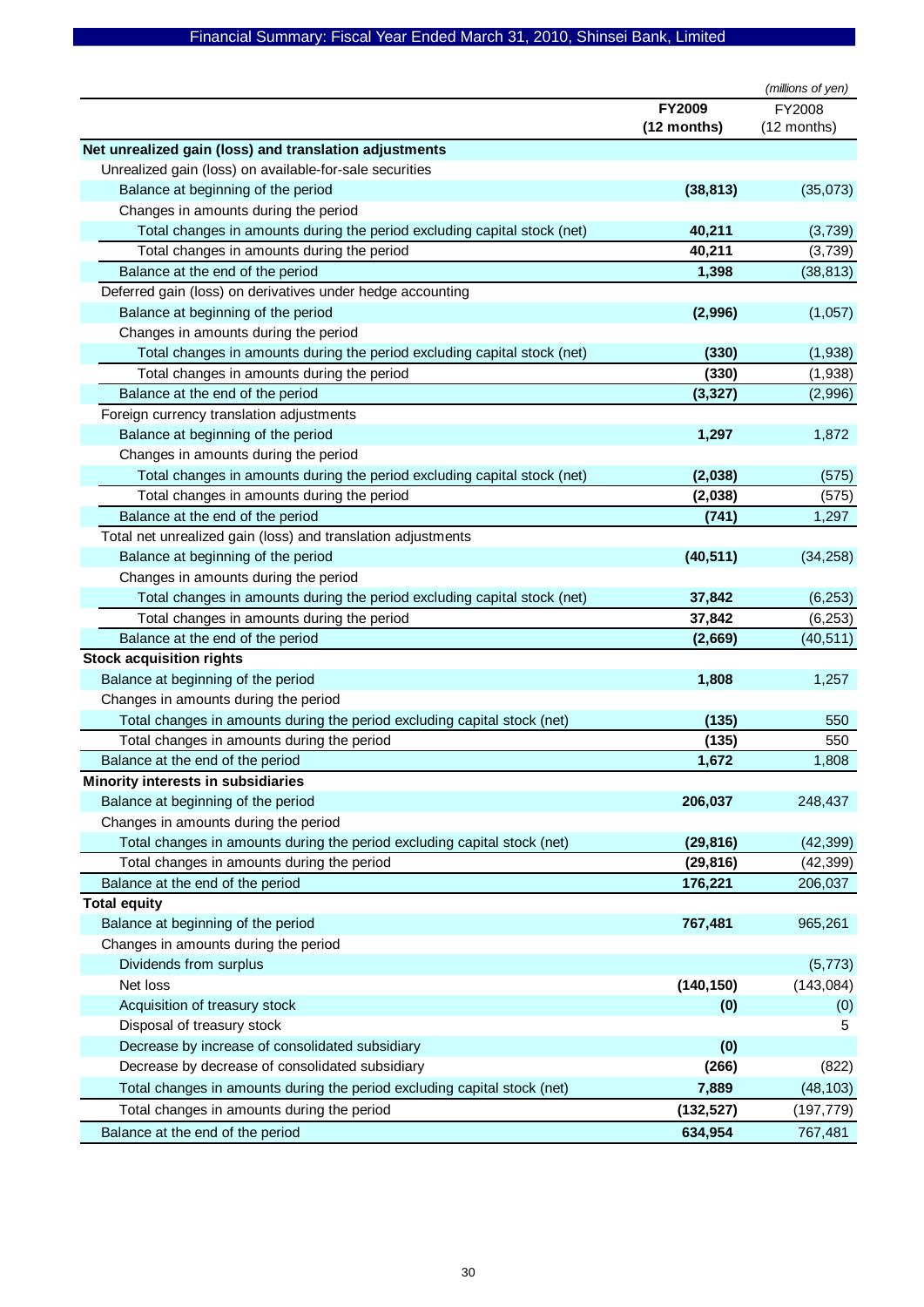|                                                                               |               | (millions of yen)     |
|-------------------------------------------------------------------------------|---------------|-----------------------|
|                                                                               | <b>FY2009</b> | FY2008                |
|                                                                               | (12 months)   | (12 months)           |
| Net unrealized gain (loss) and translation adjustments                        |               |                       |
| Unrealized gain (loss) on available-for-sale securities                       |               |                       |
| Balance at beginning of the period                                            | (38, 813)     | (35,073)              |
| Changes in amounts during the period                                          |               |                       |
| Total changes in amounts during the period excluding capital stock (net)      | 40,211        | (3,739)               |
| Total changes in amounts during the period                                    | 40,211        | (3,739)               |
| Balance at the end of the period                                              | 1,398         | (38, 813)             |
| Deferred gain (loss) on derivatives under hedge accounting                    |               |                       |
| Balance at beginning of the period                                            | (2,996)       | (1,057)               |
| Changes in amounts during the period                                          |               |                       |
| Total changes in amounts during the period excluding capital stock (net)      | (330)         | (1,938)               |
| Total changes in amounts during the period                                    | (330)         | (1,938)               |
| Balance at the end of the period                                              | (3, 327)      | (2,996)               |
| Foreign currency translation adjustments                                      |               |                       |
| Balance at beginning of the period                                            | 1,297         | 1,872                 |
| Changes in amounts during the period                                          |               |                       |
| Total changes in amounts during the period excluding capital stock (net)      | (2,038)       | (575)                 |
| Total changes in amounts during the period                                    | (2,038)       | (575)                 |
| Balance at the end of the period                                              | (741)         | 1,297                 |
| Total net unrealized gain (loss) and translation adjustments                  |               |                       |
| Balance at beginning of the period                                            | (40, 511)     | (34, 258)             |
| Changes in amounts during the period                                          |               |                       |
| Total changes in amounts during the period excluding capital stock (net)      | 37,842        | (6, 253)              |
| Total changes in amounts during the period                                    | 37,842        | (6, 253)              |
| Balance at the end of the period                                              | (2,669)       | (40, 511)             |
| <b>Stock acquisition rights</b>                                               |               |                       |
| Balance at beginning of the period                                            | 1,808         | 1,257                 |
| Changes in amounts during the period                                          |               |                       |
| Total changes in amounts during the period excluding capital stock (net)      | (135)         | 550                   |
| Total changes in amounts during the period                                    | (135)         | 550                   |
| Balance at the end of the period                                              | 1,672         | 1,808                 |
| Minority interests in subsidiaries                                            |               |                       |
| Balance at beginning of the period                                            | 206,037       | 248,437               |
| Changes in amounts during the period                                          |               |                       |
| Total changes in amounts during the period excluding capital stock (net)      | (29, 816)     | (42, 399)             |
| Total changes in amounts during the period                                    | (29, 816)     | (42, 399)             |
| Balance at the end of the period                                              | 176,221       | 206,037               |
| <b>Total equity</b>                                                           |               |                       |
| Balance at beginning of the period<br>Changes in amounts during the period    | 767,481       | 965,261               |
|                                                                               |               |                       |
| Dividends from surplus<br>Net loss                                            | (140, 150)    | (5, 773)<br>(143,084) |
| Acquisition of treasury stock                                                 |               |                       |
|                                                                               | (0)           | (0)                   |
| Disposal of treasury stock<br>Decrease by increase of consolidated subsidiary |               | 5                     |
| Decrease by decrease of consolidated subsidiary                               | (0)           |                       |
|                                                                               | (266)         | (822)                 |
| Total changes in amounts during the period excluding capital stock (net)      | 7,889         | (48, 103)             |
| Total changes in amounts during the period                                    | (132, 527)    | (197, 779)            |
| Balance at the end of the period                                              | 634,954       | 767,481               |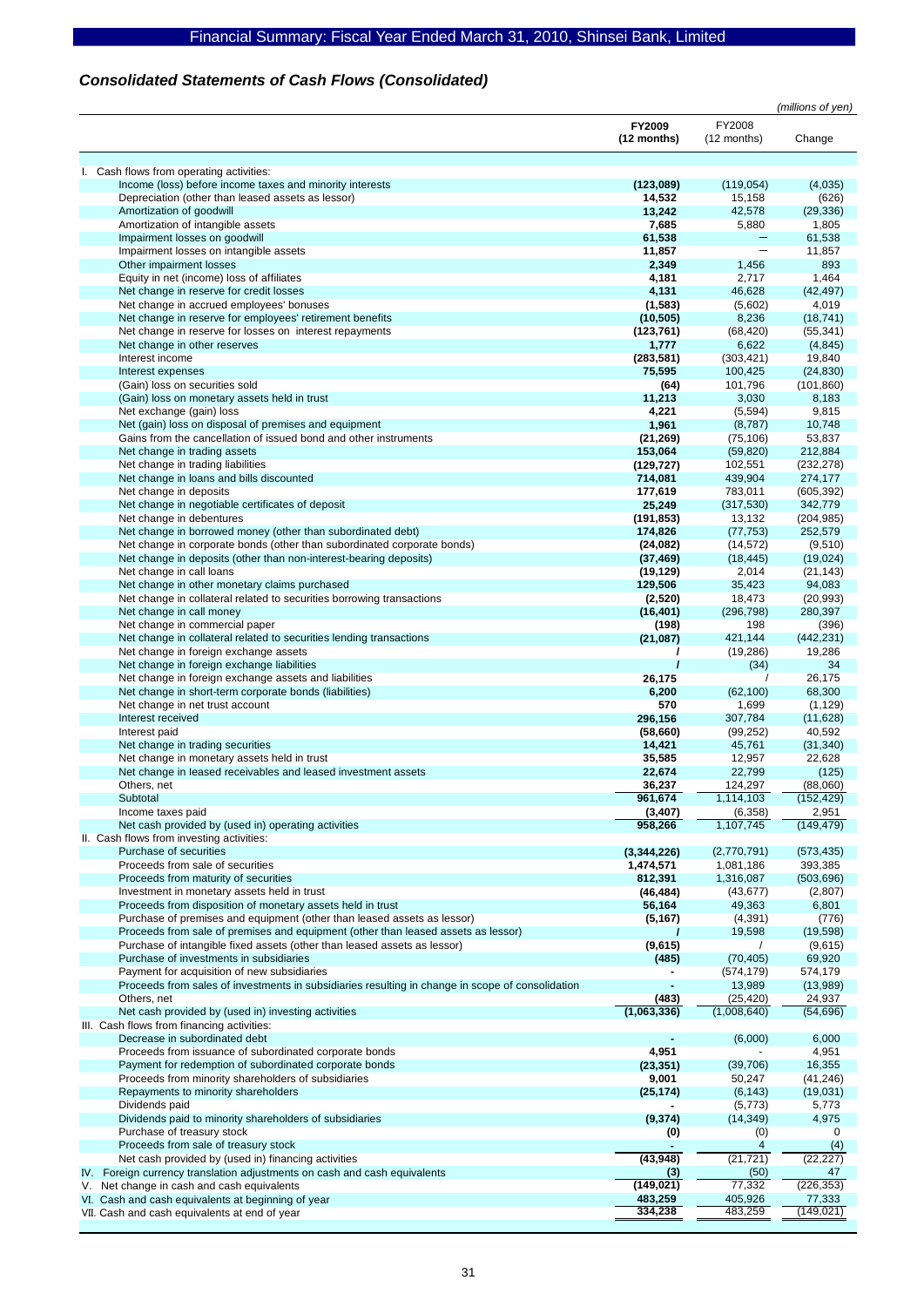# *Consolidated Statements of Cash Flows (Consolidated)*

|                                                                                                  |             |             | (millions of yen) |
|--------------------------------------------------------------------------------------------------|-------------|-------------|-------------------|
|                                                                                                  | FY2009      | FY2008      |                   |
|                                                                                                  | (12 months) | (12 months) | Change            |
|                                                                                                  |             |             |                   |
| I. Cash flows from operating activities:                                                         |             |             |                   |
| Income (loss) before income taxes and minority interests                                         | (123,089)   | (119, 054)  | (4,035)           |
| Depreciation (other than leased assets as lessor)                                                | 14,532      | 15,158      | (626)             |
| Amortization of goodwill                                                                         | 13,242      | 42,578      | (29, 336)         |
| Amortization of intangible assets                                                                | 7,685       | 5,880       | 1,805             |
| Impairment losses on goodwill                                                                    | 61,538      |             | 61,538            |
| Impairment losses on intangible assets                                                           | 11,857      |             | 11,857            |
| Other impairment losses                                                                          | 2,349       | 1,456       | 893               |
| Equity in net (income) loss of affiliates                                                        | 4,181       | 2,717       | 1,464             |
| Net change in reserve for credit losses                                                          | 4,131       | 46,628      | (42, 497)         |
| Net change in accrued employees' bonuses                                                         | (1,583)     | (5,602)     | 4,019             |
| Net change in reserve for employees' retirement benefits                                         | (10, 505)   | 8,236       | (18, 741)         |
| Net change in reserve for losses on interest repayments                                          | (123, 761)  | (68, 420)   | (55, 341)         |
| Net change in other reserves                                                                     | 1,777       | 6,622       | (4, 845)          |
| Interest income                                                                                  | (283, 581)  | (303, 421)  | 19,840            |
|                                                                                                  | 75,595      |             |                   |
| Interest expenses                                                                                |             | 100,425     | (24, 830)         |
| (Gain) loss on securities sold                                                                   | (64)        | 101,796     | (101, 860)        |
| (Gain) loss on monetary assets held in trust                                                     | 11,213      | 3,030       | 8,183             |
| Net exchange (gain) loss                                                                         | 4,221       | (5, 594)    | 9,815             |
| Net (gain) loss on disposal of premises and equipment                                            | 1,961       | (8,787)     | 10,748            |
| Gains from the cancellation of issued bond and other instruments                                 | (21, 269)   | (75, 106)   | 53,837            |
| Net change in trading assets                                                                     | 153,064     | (59, 820)   | 212,884           |
| Net change in trading liabilities                                                                | (129, 727)  | 102,551     | (232, 278)        |
| Net change in loans and bills discounted                                                         | 714,081     | 439,904     | 274,177           |
| Net change in deposits                                                                           | 177,619     | 783,011     | (605, 392)        |
| Net change in negotiable certificates of deposit                                                 | 25,249      | (317, 530)  | 342,779           |
| Net change in debentures                                                                         | (191, 853)  | 13,132      | (204, 985)        |
| Net change in borrowed money (other than subordinated debt)                                      | 174,826     | (77, 753)   | 252,579           |
| Net change in corporate bonds (other than subordinated corporate bonds)                          | (24, 082)   | (14, 572)   | (9,510)           |
| Net change in deposits (other than non-interest-bearing deposits)                                | (37, 469)   | (18, 445)   | (19,024)          |
| Net change in call loans                                                                         | (19, 129)   | 2,014       | (21, 143)         |
| Net change in other monetary claims purchased                                                    | 129,506     | 35,423      | 94,083            |
| Net change in collateral related to securities borrowing transactions                            | (2,520)     | 18,473      | (20, 993)         |
| Net change in call money                                                                         | (16, 401)   | (296, 798)  | 280,397           |
| Net change in commercial paper                                                                   | (198)       | 198         | (396)             |
| Net change in collateral related to securities lending transactions                              | (21, 087)   | 421,144     | (442, 231)        |
| Net change in foreign exchange assets                                                            |             | (19, 286)   | 19,286            |
| Net change in foreign exchange liabilities                                                       |             | (34)        | 34                |
| Net change in foreign exchange assets and liabilities                                            | 26,175      |             | 26,175            |
| Net change in short-term corporate bonds (liabilities)                                           | 6,200       | (62, 100)   | 68,300            |
| Net change in net trust account                                                                  | 570         | 1,699       | (1, 129)          |
| Interest received                                                                                | 296,156     | 307,784     | (11,628)          |
|                                                                                                  | (58, 660)   | (99, 252)   | 40,592            |
| Interest paid                                                                                    | 14,421      | 45,761      |                   |
| Net change in trading securities                                                                 |             |             | (31, 340)         |
| Net change in monetary assets held in trust                                                      | 35,585      | 12,957      | 22,628            |
| Net change in leased receivables and leased investment assets                                    | 22,674      | 22,799      | (125)             |
| Others, net                                                                                      | 36,237      | 124,297     | (88,060)          |
| Subtotal                                                                                         | 961,674     | 1,114,103   | (152, 429)        |
| Income taxes paid                                                                                | (3, 407)    | (6, 358)    | 2,951             |
| Net cash provided by (used in) operating activities                                              | 958,266     | 1,107,745   | (149, 479)        |
| II. Cash flows from investing activities:                                                        |             |             |                   |
| Purchase of securities                                                                           | (3,344,226) | (2,770,791) | (573, 435)        |
| Proceeds from sale of securities                                                                 | 1,474,571   | 1,081,186   | 393,385           |
| Proceeds from maturity of securities                                                             | 812,391     | 1,316,087   | (503, 696)        |
| Investment in monetary assets held in trust                                                      | (46, 484)   | (43, 677)   | (2,807)           |
| Proceeds from disposition of monetary assets held in trust                                       | 56,164      | 49,363      | 6,801             |
| Purchase of premises and equipment (other than leased assets as lessor)                          | (5, 167)    | (4, 391)    | (776)             |
| Proceeds from sale of premises and equipment (other than leased assets as lessor)                |             | 19,598      | (19, 598)         |
| Purchase of intangible fixed assets (other than leased assets as lessor)                         | (9,615)     |             | (9,615)           |
| Purchase of investments in subsidiaries                                                          | (485)       | (70, 405)   | 69,920            |
| Payment for acquisition of new subsidiaries                                                      |             | (574, 179)  | 574,179           |
| Proceeds from sales of investments in subsidiaries resulting in change in scope of consolidation |             | 13,989      | (13,989)          |
| Others, net                                                                                      | (483)       | (25, 420)   | 24,937            |
| Net cash provided by (used in) investing activities                                              | (1,063,336) | (1,008,640) | (54, 696)         |
| III. Cash flows from financing activities:                                                       |             |             |                   |
| Decrease in subordinated debt                                                                    |             | (6,000)     | 6,000             |
| Proceeds from issuance of subordinated corporate bonds                                           | 4,951       |             | 4,951             |
| Payment for redemption of subordinated corporate bonds                                           | (23, 351)   | (39, 706)   | 16,355            |
| Proceeds from minority shareholders of subsidiaries                                              | 9,001       | 50,247      | (41, 246)         |
| Repayments to minority shareholders                                                              | (25, 174)   | (6, 143)    | (19,031)          |
| Dividends paid                                                                                   |             | (5, 773)    | 5,773             |
| Dividends paid to minority shareholders of subsidiaries                                          | (9,374)     | (14, 349)   | 4,975             |
| Purchase of treasury stock                                                                       | (0)         | (0)         | 0                 |
| Proceeds from sale of treasury stock                                                             |             | 4           | (4)               |
| Net cash provided by (used in) financing activities                                              | (43, 948)   | (21, 721)   | (22, 227)         |
| IV. Foreign currency translation adjustments on cash and cash equivalents                        | (3)         | (50)        | 47                |
| Net change in cash and cash equivalents<br>V.                                                    | (149, 021)  | 77,332      | (226, 353)        |
| VI. Cash and cash equivalents at beginning of year                                               | 483,259     | 405,926     | 77,333            |
| VII. Cash and cash equivalents at end of year                                                    | 334,238     | 483,259     | (149, 021)        |
|                                                                                                  |             |             |                   |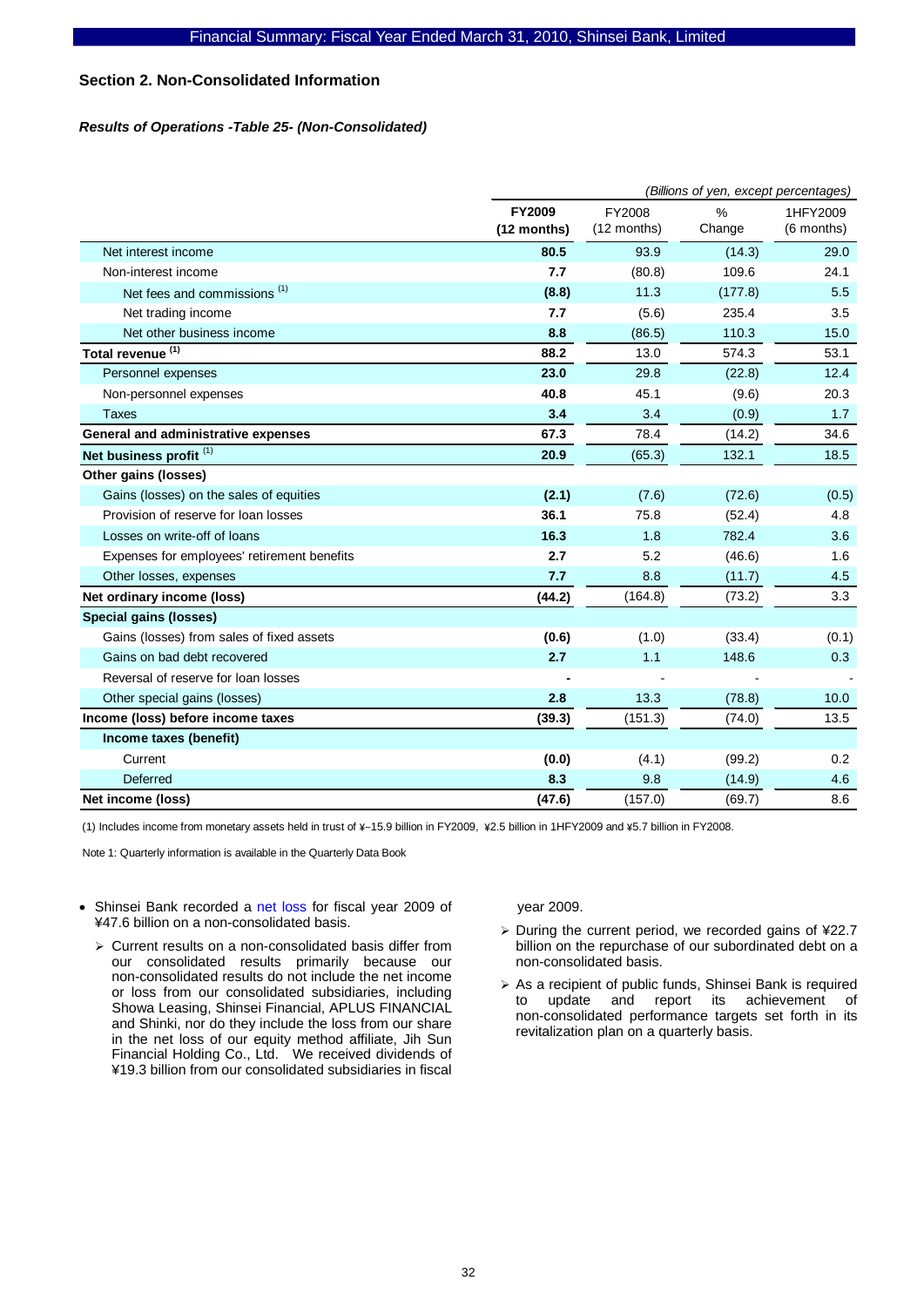# **Section 2. Non-Consolidated Information**

#### *Results of Operations -Table 25- (Non-Consolidated)*

|                                             | (Billions of yen, except percentages) |             |         |            |  |  |
|---------------------------------------------|---------------------------------------|-------------|---------|------------|--|--|
|                                             | FY2009                                | FY2008      | $\%$    | 1HFY2009   |  |  |
|                                             | (12 months)                           | (12 months) | Change  | (6 months) |  |  |
| Net interest income                         | 80.5                                  | 93.9        | (14.3)  | 29.0       |  |  |
| Non-interest income                         | 7.7                                   | (80.8)      | 109.6   | 24.1       |  |  |
| Net fees and commissions <sup>(1)</sup>     | (8.8)                                 | 11.3        | (177.8) | 5.5        |  |  |
| Net trading income                          | 7.7                                   | (5.6)       | 235.4   | 3.5        |  |  |
| Net other business income                   | 8.8                                   | (86.5)      | 110.3   | 15.0       |  |  |
| Total revenue <sup>(1)</sup>                | 88.2                                  | 13.0        | 574.3   | 53.1       |  |  |
| Personnel expenses                          | 23.0                                  | 29.8        | (22.8)  | 12.4       |  |  |
| Non-personnel expenses                      | 40.8                                  | 45.1        | (9.6)   | 20.3       |  |  |
| <b>Taxes</b>                                | 3.4                                   | 3.4         | (0.9)   | 1.7        |  |  |
| General and administrative expenses         | 67.3                                  | 78.4        | (14.2)  | 34.6       |  |  |
| Net business profit <sup>(1)</sup>          | 20.9                                  | (65.3)      | 132.1   | 18.5       |  |  |
| Other gains (losses)                        |                                       |             |         |            |  |  |
| Gains (losses) on the sales of equities     | (2.1)                                 | (7.6)       | (72.6)  | (0.5)      |  |  |
| Provision of reserve for loan losses        | 36.1                                  | 75.8        | (52.4)  | 4.8        |  |  |
| Losses on write-off of loans                | 16.3                                  | 1.8         | 782.4   | 3.6        |  |  |
| Expenses for employees' retirement benefits | 2.7                                   | 5.2         | (46.6)  | 1.6        |  |  |
| Other losses, expenses                      | 7.7                                   | 8.8         | (11.7)  | 4.5        |  |  |
| Net ordinary income (loss)                  | (44.2)                                | (164.8)     | (73.2)  | 3.3        |  |  |
| Special gains (losses)                      |                                       |             |         |            |  |  |
| Gains (losses) from sales of fixed assets   | (0.6)                                 | (1.0)       | (33.4)  | (0.1)      |  |  |
| Gains on bad debt recovered                 | 2.7                                   | 1.1         | 148.6   | 0.3        |  |  |
| Reversal of reserve for loan losses         |                                       |             |         |            |  |  |
| Other special gains (losses)                | 2.8                                   | 13.3        | (78.8)  | 10.0       |  |  |
| Income (loss) before income taxes           | (39.3)                                | (151.3)     | (74.0)  | 13.5       |  |  |
| Income taxes (benefit)                      |                                       |             |         |            |  |  |
| Current                                     | (0.0)                                 | (4.1)       | (99.2)  | 0.2        |  |  |
| Deferred                                    | 8.3                                   | 9.8         | (14.9)  | 4.6        |  |  |
| Net income (loss)                           | (47.6)                                | (157.0)     | (69.7)  | 8.6        |  |  |

(1) Includes income from monetary assets held in trust of \-15.9 billion in FY2009, \2.5 billion in 1HFY2009 and \5.7 billion in FY2008.

Note 1: Quarterly information is available in the Quarterly Data Book

- Shinsei Bank recorded a net loss for fiscal year 2009 of ¥47.6 billion on a non-consolidated basis.
	- $\triangleright$  Current results on a non-consolidated basis differ from our consolidated results primarily because our non-consolidated results do not include the net income or loss from our consolidated subsidiaries, including Showa Leasing, Shinsei Financial, APLUS FINANCIAL and Shinki, nor do they include the loss from our share in the net loss of our equity method affiliate, Jih Sun Financial Holding Co., Ltd. We received dividends of ¥19.3 billion from our consolidated subsidiaries in fiscal

year 2009.

- ¾ During the current period, we recorded gains of ¥22.7 billion on the repurchase of our subordinated debt on a non-consolidated basis.
- ¾ As a recipient of public funds, Shinsei Bank is required to update and report its achievement of non-consolidated performance targets set forth in its revitalization plan on a quarterly basis.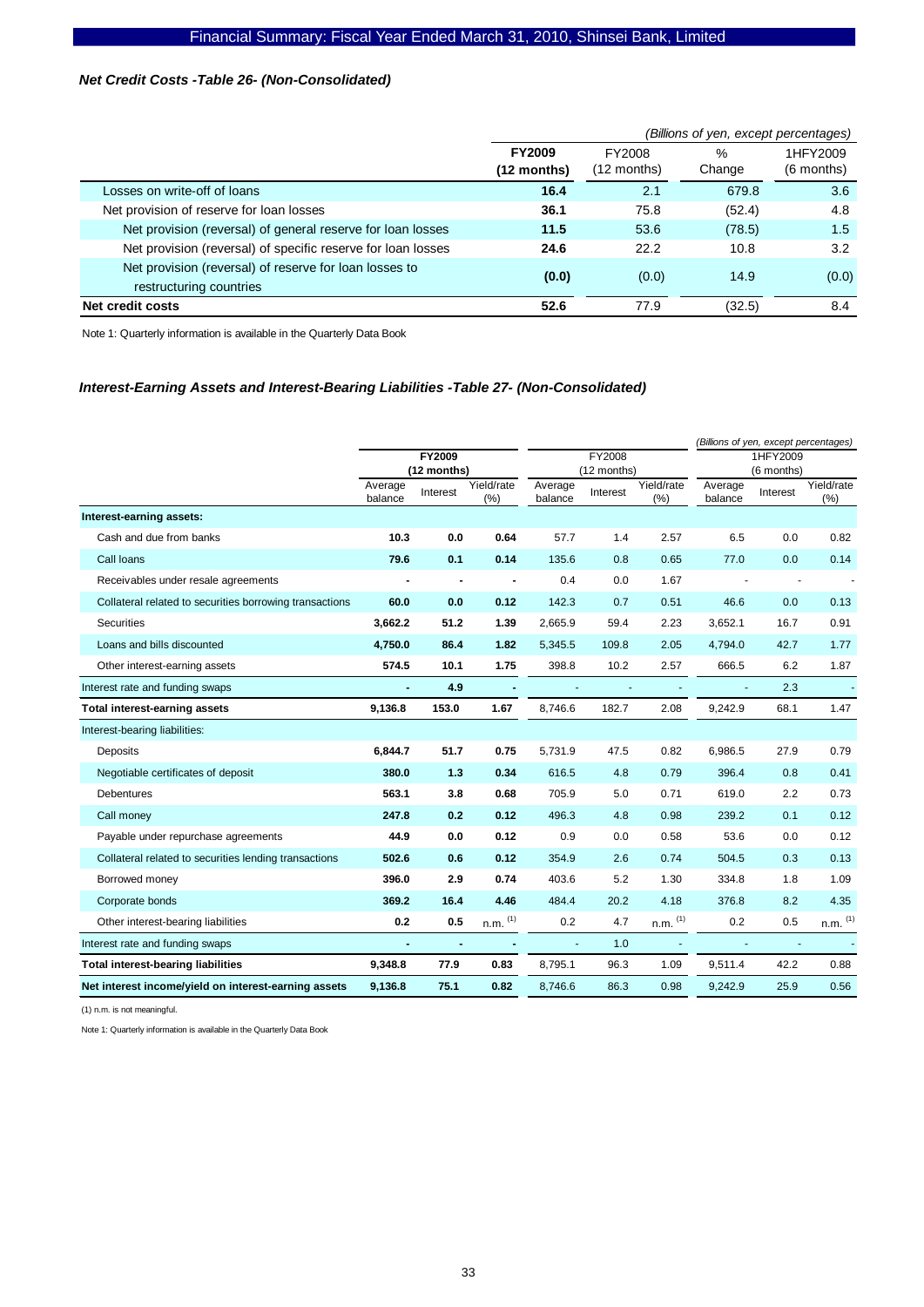# *Net Credit Costs -Table 26- (Non-Consolidated)*

|                                                                                   | (Billions of yen, except percentages) |                         |                         |                        |  |  |
|-----------------------------------------------------------------------------------|---------------------------------------|-------------------------|-------------------------|------------------------|--|--|
|                                                                                   | <b>FY2009</b><br>$(12$ months)        | FY2008<br>$(12$ months) | $\frac{0}{0}$<br>Change | 1HFY2009<br>(6 months) |  |  |
| Losses on write-off of loans                                                      | 16.4                                  | 2.1                     | 679.8                   | 3.6                    |  |  |
| Net provision of reserve for loan losses                                          | 36.1                                  | 75.8                    | (52.4)                  | 4.8                    |  |  |
| Net provision (reversal) of general reserve for loan losses                       | 11.5                                  | 53.6                    | (78.5)                  | 1.5                    |  |  |
| Net provision (reversal) of specific reserve for loan losses                      | 24.6                                  | 22.2                    | 10.8                    | 3.2                    |  |  |
| Net provision (reversal) of reserve for loan losses to<br>restructuring countries | (0.0)                                 | (0.0)                   | 14.9                    | (0.0)                  |  |  |
| Net credit costs                                                                  | 52.6                                  | 77.9                    | (32.5)                  | 8.4                    |  |  |

Note 1: Quarterly information is available in the Quarterly Data Book

# *Interest-Earning Assets and Interest-Bearing Liabilities -Table 27- (Non-Consolidated)*

|                                                         |                    |                              |                   |                       |          |                   | (Billions of yen, except percentages) |                          |                   |
|---------------------------------------------------------|--------------------|------------------------------|-------------------|-----------------------|----------|-------------------|---------------------------------------|--------------------------|-------------------|
|                                                         |                    | <b>FY2009</b><br>(12 months) |                   | FY2008<br>(12 months) |          |                   | 1HFY2009<br>(6 months)                |                          |                   |
|                                                         | Average<br>balance | Interest                     | Yield/rate<br>(%) | Average<br>balance    | Interest | Yield/rate<br>(%) | Average<br>balance                    | Interest                 | Yield/rate<br>(%) |
| Interest-earning assets:                                |                    |                              |                   |                       |          |                   |                                       |                          |                   |
| Cash and due from banks                                 | 10.3               | 0.0                          | 0.64              | 57.7                  | 1.4      | 2.57              | 6.5                                   | 0.0                      | 0.82              |
| Call Ioans                                              | 79.6               | 0.1                          | 0.14              | 135.6                 | 0.8      | 0.65              | 77.0                                  | 0.0                      | 0.14              |
| Receivables under resale agreements                     |                    | ٠                            | $\blacksquare$    | 0.4                   | 0.0      | 1.67              |                                       | $\overline{\phantom{a}}$ |                   |
| Collateral related to securities borrowing transactions | 60.0               | 0.0                          | 0.12              | 142.3                 | 0.7      | 0.51              | 46.6                                  | 0.0                      | 0.13              |
| <b>Securities</b>                                       | 3,662.2            | 51.2                         | 1.39              | 2,665.9               | 59.4     | 2.23              | 3,652.1                               | 16.7                     | 0.91              |
| Loans and bills discounted                              | 4,750.0            | 86.4                         | 1.82              | 5,345.5               | 109.8    | 2.05              | 4,794.0                               | 42.7                     | 1.77              |
| Other interest-earning assets                           | 574.5              | 10.1                         | 1.75              | 398.8                 | 10.2     | 2.57              | 666.5                                 | 6.2                      | 1.87              |
| Interest rate and funding swaps                         |                    | 4.9                          |                   |                       |          |                   |                                       | 2.3                      |                   |
| Total interest-earning assets                           | 9,136.8            | 153.0                        | 1.67              | 8,746.6               | 182.7    | 2.08              | 9,242.9                               | 68.1                     | 1.47              |
| Interest-bearing liabilities:                           |                    |                              |                   |                       |          |                   |                                       |                          |                   |
| <b>Deposits</b>                                         | 6,844.7            | 51.7                         | 0.75              | 5,731.9               | 47.5     | 0.82              | 6,986.5                               | 27.9                     | 0.79              |
| Negotiable certificates of deposit                      | 380.0              | 1.3                          | 0.34              | 616.5                 | 4.8      | 0.79              | 396.4                                 | 0.8                      | 0.41              |
| Debentures                                              | 563.1              | 3.8                          | 0.68              | 705.9                 | 5.0      | 0.71              | 619.0                                 | 2.2                      | 0.73              |
| Call money                                              | 247.8              | 0.2                          | 0.12              | 496.3                 | 4.8      | 0.98              | 239.2                                 | 0.1                      | 0.12              |
| Payable under repurchase agreements                     | 44.9               | 0.0                          | 0.12              | 0.9                   | 0.0      | 0.58              | 53.6                                  | 0.0                      | 0.12              |
| Collateral related to securities lending transactions   | 502.6              | 0.6                          | 0.12              | 354.9                 | 2.6      | 0.74              | 504.5                                 | 0.3                      | 0.13              |
| Borrowed money                                          | 396.0              | 2.9                          | 0.74              | 403.6                 | 5.2      | 1.30              | 334.8                                 | 1.8                      | 1.09              |
| Corporate bonds                                         | 369.2              | 16.4                         | 4.46              | 484.4                 | 20.2     | 4.18              | 376.8                                 | 8.2                      | 4.35              |
| Other interest-bearing liabilities                      | 0.2                | 0.5                          | $n.m.$ $(1)$      | 0.2                   | 4.7      | $n.m.$ $(1)$      | 0.2                                   | 0.5                      | $n.m.$ $(1)$      |
| Interest rate and funding swaps                         | $\sim$             | $\sim$                       |                   | $\mathbf{r}$          | 1.0      |                   |                                       | $\blacksquare$           |                   |
| <b>Total interest-bearing liabilities</b>               | 9,348.8            | 77.9                         | 0.83              | 8,795.1               | 96.3     | 1.09              | 9,511.4                               | 42.2                     | 0.88              |
| Net interest income/yield on interest-earning assets    | 9,136.8            | 75.1                         | 0.82              | 8,746.6               | 86.3     | 0.98              | 9,242.9                               | 25.9                     | 0.56              |

(1) n.m. is not meaningful.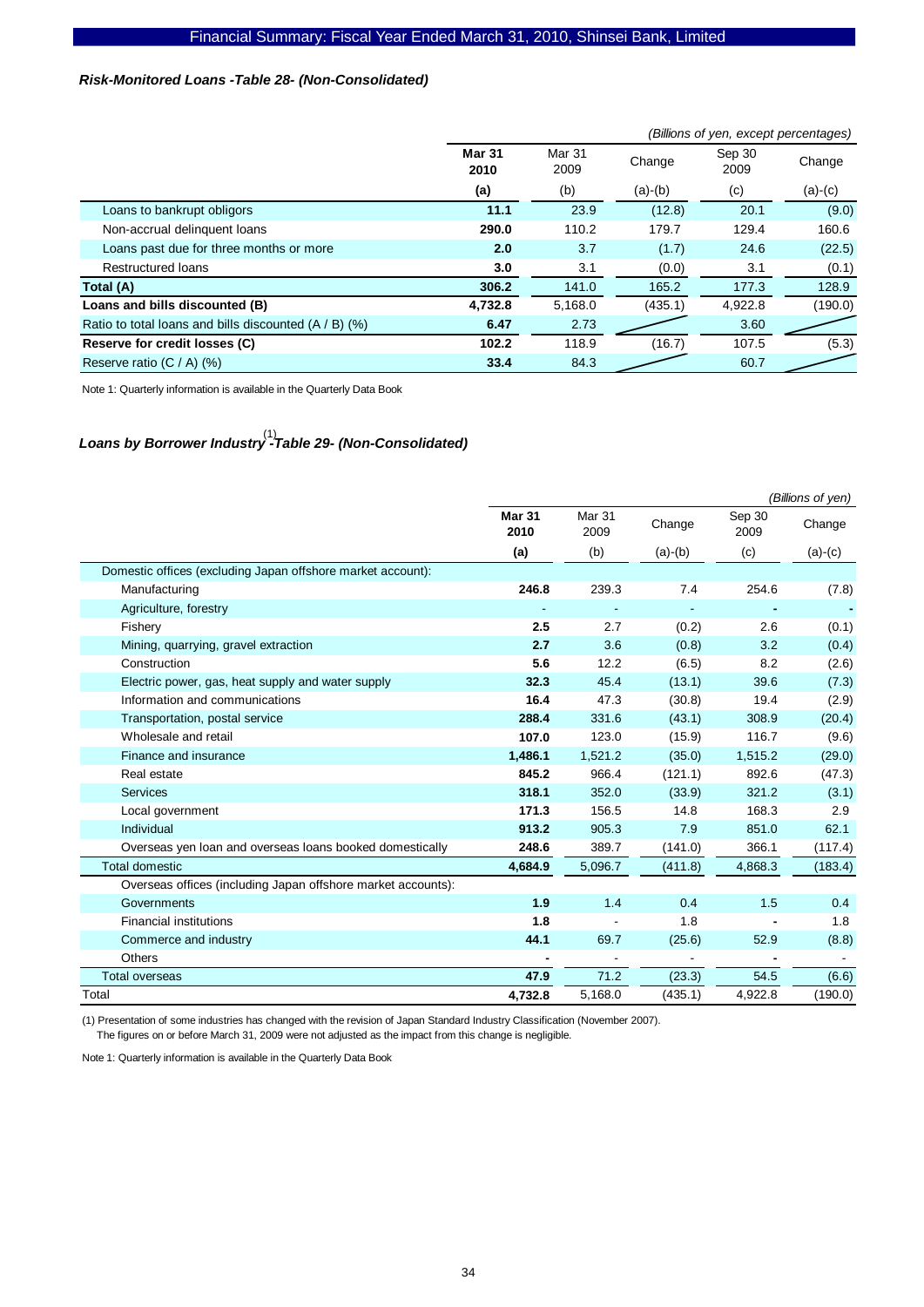# *Risk-Monitored Loans -Table 28- (Non-Consolidated)*

|                                                         |                       | (Billions of yen, except percentages) |           |                |           |  |  |  |
|---------------------------------------------------------|-----------------------|---------------------------------------|-----------|----------------|-----------|--|--|--|
|                                                         | <b>Mar 31</b><br>2010 | <b>Mar 31</b><br>Change<br>2009       |           | Sep 30<br>2009 | Change    |  |  |  |
|                                                         | (a)                   | (b)                                   | $(a)-(b)$ | (c)            | $(a)-(c)$ |  |  |  |
| Loans to bankrupt obligors                              | 11.1                  | 23.9                                  | (12.8)    | 20.1           | (9.0)     |  |  |  |
| Non-accrual delinquent loans                            | 290.0                 | 110.2                                 | 179.7     | 129.4          | 160.6     |  |  |  |
| Loans past due for three months or more                 | 2.0                   | 3.7                                   | (1.7)     | 24.6           | (22.5)    |  |  |  |
| <b>Restructured loans</b>                               | 3.0                   | 3.1                                   | (0.0)     | 3.1            | (0.1)     |  |  |  |
| Total (A)                                               | 306.2                 | 141.0                                 | 165.2     | 177.3          | 128.9     |  |  |  |
| Loans and bills discounted (B)                          | 4,732.8               | 5,168.0                               | (435.1)   | 4,922.8        | (190.0)   |  |  |  |
| Ratio to total loans and bills discounted $(A / B)$ (%) | 6.47                  | 2.73                                  |           | 3.60           |           |  |  |  |
| Reserve for credit losses (C)                           | 102.2                 | 118.9                                 | (16.7)    | 107.5          | (5.3)     |  |  |  |
| Reserve ratio $(C / A)$ (%)                             | 33.4                  | 84.3                                  |           | 60.7           |           |  |  |  |

Note 1: Quarterly information is available in the Quarterly Data Book

# *Loans by Borrower Industry -Table 29- (Non-Consolidated)*  (1)

|                                                              | (Billions of yen)     |                |           |                |           |
|--------------------------------------------------------------|-----------------------|----------------|-----------|----------------|-----------|
|                                                              | <b>Mar 31</b><br>2010 | Mar 31<br>2009 | Change    | Sep 30<br>2009 | Change    |
|                                                              | (a)                   | (b)            | $(a)-(b)$ | (c)            | $(a)-(c)$ |
| Domestic offices (excluding Japan offshore market account):  |                       |                |           |                |           |
| Manufacturing                                                | 246.8                 | 239.3          | 7.4       | 254.6          | (7.8)     |
| Agriculture, forestry                                        |                       |                |           |                |           |
| Fishery                                                      | 2.5                   | 2.7            | (0.2)     | 2.6            | (0.1)     |
| Mining, quarrying, gravel extraction                         | 2.7                   | 3.6            | (0.8)     | 3.2            | (0.4)     |
| Construction                                                 | 5.6                   | 12.2           | (6.5)     | 8.2            | (2.6)     |
| Electric power, gas, heat supply and water supply            | 32.3                  | 45.4           | (13.1)    | 39.6           | (7.3)     |
| Information and communications                               | 16.4                  | 47.3           | (30.8)    | 19.4           | (2.9)     |
| Transportation, postal service                               | 288.4                 | 331.6          | (43.1)    | 308.9          | (20.4)    |
| Wholesale and retail                                         | 107.0                 | 123.0          | (15.9)    | 116.7          | (9.6)     |
| Finance and insurance                                        | 1,486.1               | 1,521.2        | (35.0)    | 1,515.2        | (29.0)    |
| Real estate                                                  | 845.2                 | 966.4          | (121.1)   | 892.6          | (47.3)    |
| <b>Services</b>                                              | 318.1                 | 352.0          | (33.9)    | 321.2          | (3.1)     |
| Local government                                             | 171.3                 | 156.5          | 14.8      | 168.3          | 2.9       |
| Individual                                                   | 913.2                 | 905.3          | 7.9       | 851.0          | 62.1      |
| Overseas yen loan and overseas loans booked domestically     | 248.6                 | 389.7          | (141.0)   | 366.1          | (117.4)   |
| <b>Total domestic</b>                                        | 4,684.9               | 5,096.7        | (411.8)   | 4,868.3        | (183.4)   |
| Overseas offices (including Japan offshore market accounts): |                       |                |           |                |           |
| Governments                                                  | 1.9                   | 1.4            | 0.4       | 1.5            | 0.4       |
| <b>Financial institutions</b>                                | 1.8                   |                | 1.8       |                | 1.8       |
| Commerce and industry                                        | 44.1                  | 69.7           | (25.6)    | 52.9           | (8.8)     |
| Others                                                       |                       |                |           |                |           |
| <b>Total overseas</b>                                        | 47.9                  | 71.2           | (23.3)    | 54.5           | (6.6)     |
| Total                                                        | 4,732.8               | 5,168.0        | (435.1)   | 4,922.8        | (190.0)   |

(1) Presentation of some industries has changed with the revision of Japan Standard Industry Classification (November 2007). The figures on or before March 31, 2009 were not adjusted as the impact from this change is negligible.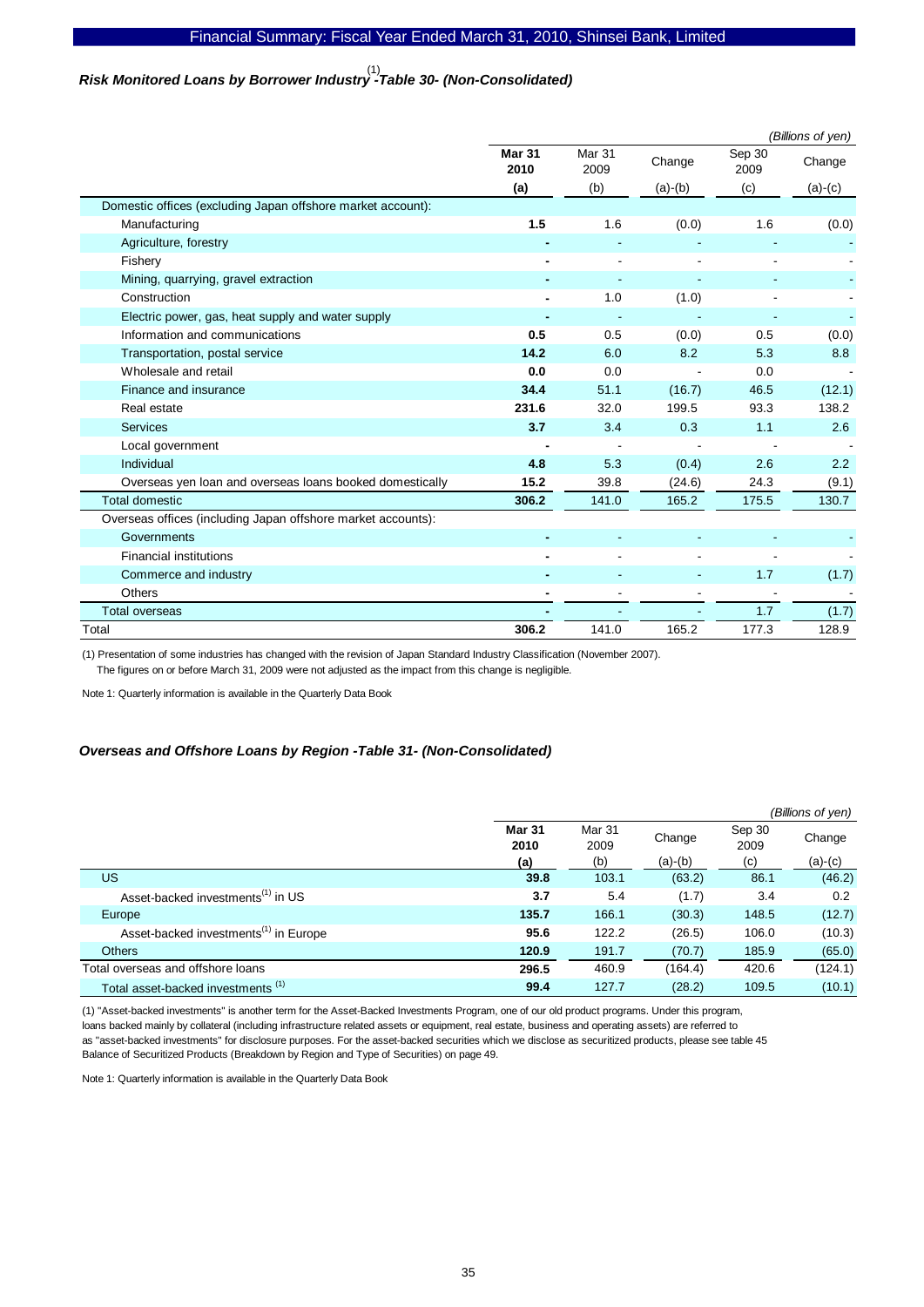# *Risk Monitored Loans by Borrower Industry -Table 30- (Non-Consolidated)*  (1)

|                                                              | (Billions of yen)     |                |           |                |           |
|--------------------------------------------------------------|-----------------------|----------------|-----------|----------------|-----------|
|                                                              | <b>Mar 31</b><br>2010 | Mar 31<br>2009 | Change    | Sep 30<br>2009 | Change    |
|                                                              | (a)                   | (b)            | $(a)-(b)$ | (c)            | $(a)-(c)$ |
| Domestic offices (excluding Japan offshore market account):  |                       |                |           |                |           |
| Manufacturing                                                | 1.5                   | 1.6            | (0.0)     | 1.6            | (0.0)     |
| Agriculture, forestry                                        |                       |                |           |                |           |
| Fishery                                                      |                       |                |           |                |           |
| Mining, quarrying, gravel extraction                         |                       |                |           |                |           |
| Construction                                                 |                       | 1.0            | (1.0)     |                |           |
| Electric power, gas, heat supply and water supply            |                       |                |           |                |           |
| Information and communications                               | 0.5                   | 0.5            | (0.0)     | 0.5            | (0.0)     |
| Transportation, postal service                               | 14.2                  | 6.0            | 8.2       | 5.3            | 8.8       |
| Wholesale and retail                                         | 0.0                   | 0.0            |           | 0.0            |           |
| Finance and insurance                                        | 34.4                  | 51.1           | (16.7)    | 46.5           | (12.1)    |
| Real estate                                                  | 231.6                 | 32.0           | 199.5     | 93.3           | 138.2     |
| <b>Services</b>                                              | 3.7                   | 3.4            | 0.3       | 1.1            | 2.6       |
| Local government                                             |                       |                |           |                |           |
| Individual                                                   | 4.8                   | 5.3            | (0.4)     | 2.6            | 2.2       |
| Overseas yen loan and overseas loans booked domestically     | 15.2                  | 39.8           | (24.6)    | 24.3           | (9.1)     |
| <b>Total domestic</b>                                        | 306.2                 | 141.0          | 165.2     | 175.5          | 130.7     |
| Overseas offices (including Japan offshore market accounts): |                       |                |           |                |           |
| Governments                                                  |                       |                |           |                |           |
| <b>Financial institutions</b>                                |                       |                |           |                |           |
| Commerce and industry                                        |                       |                |           | 1.7            | (1.7)     |
| Others                                                       |                       |                |           |                |           |
| <b>Total overseas</b>                                        |                       |                |           | 1.7            | (1.7)     |
| Total                                                        | 306.2                 | 141.0          | 165.2     | 177.3          | 128.9     |

(1) Presentation of some industries has changed with the revision of Japan Standard Industry Classification (November 2007).

The figures on or before March 31, 2009 were not adjusted as the impact from this change is negligible.

Note 1: Quarterly information is available in the Quarterly Data Book

#### *Overseas and Offshore Loans by Region -Table 31- (Non-Consolidated)*

|                                                   |                       |                |           |                | (Billions of yen) |
|---------------------------------------------------|-----------------------|----------------|-----------|----------------|-------------------|
|                                                   | <b>Mar 31</b><br>2010 | Mar 31<br>2009 | Change    | Sep 30<br>2009 | Change            |
|                                                   | (a)                   | (b)            | $(a)-(b)$ | (c)            | $(a)-(c)$         |
| <b>US</b>                                         | 39.8                  | 103.1          | (63.2)    | 86.1           | (46.2)            |
| Asset-backed investments <sup>(1)</sup> in US     | 3.7                   | 5.4            | (1.7)     | 3.4            | 0.2               |
| Europe                                            | 135.7                 | 166.1          | (30.3)    | 148.5          | (12.7)            |
| Asset-backed investments <sup>(1)</sup> in Europe | 95.6                  | 122.2          | (26.5)    | 106.0          | (10.3)            |
| <b>Others</b>                                     | 120.9                 | 191.7          | (70.7)    | 185.9          | (65.0)            |
| Total overseas and offshore loans                 | 296.5                 | 460.9          | (164.4)   | 420.6          | (124.1)           |
| Total asset-backed investments <sup>(1)</sup>     | 99.4                  | 127.7          | (28.2)    | 109.5          | (10.1)            |

(1) "Asset-backed investments" is another term for the Asset-Backed Investments Program, one of our old product programs. Under this program, loans backed mainly by collateral (including infrastructure related assets or equipment, real estate, business and operating assets) are referred to as "asset-backed investments" for disclosure purposes. For the asset-backed securities which we disclose as securitized products, please see table 45 Balance of Securitized Products (Breakdown by Region and Type of Securities) on page 49.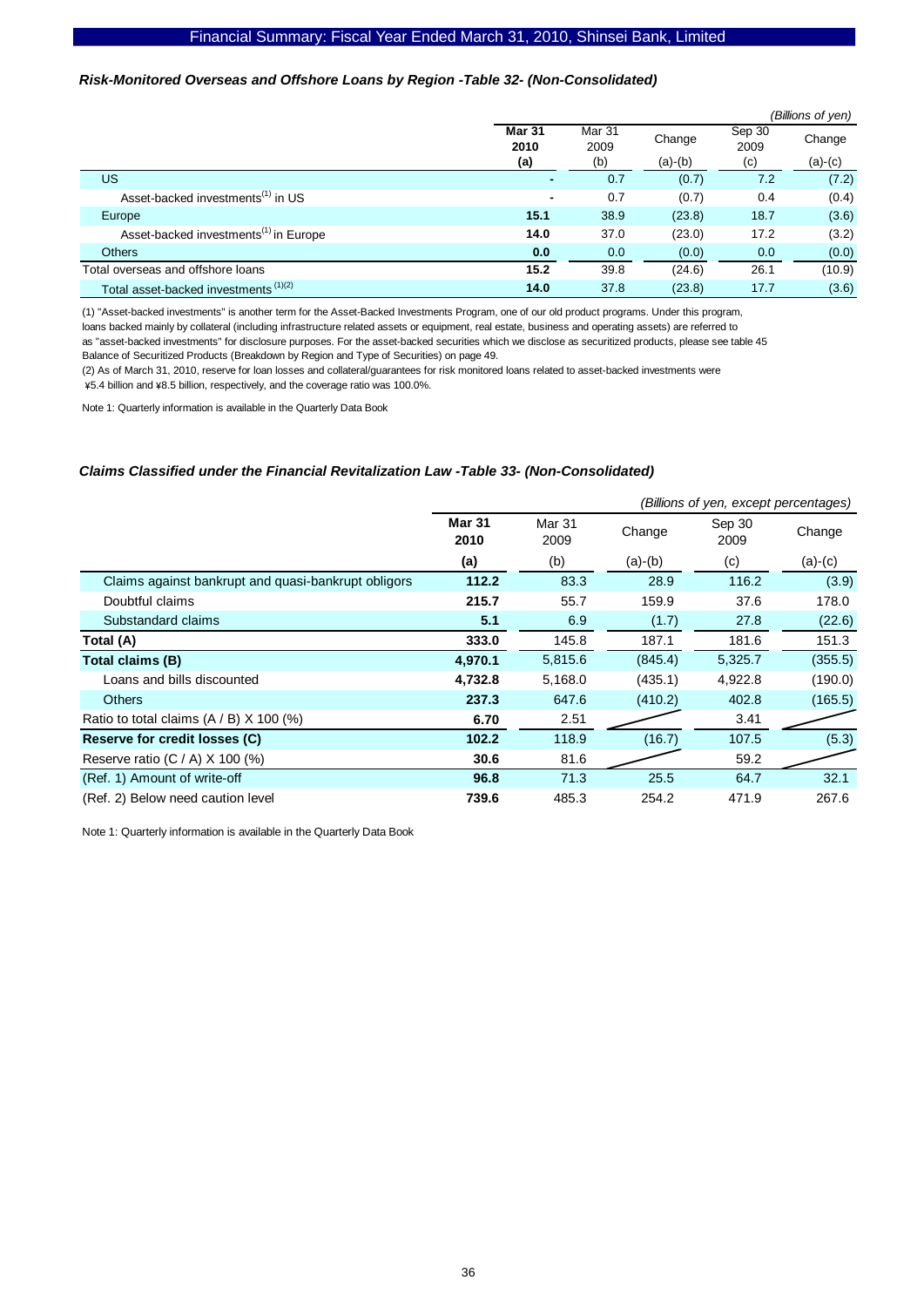# *Risk-Monitored Overseas and Offshore Loans by Region -Table 32- (Non-Consolidated)*

|                                                   |                       |                |           |                | (Billions of yen) |
|---------------------------------------------------|-----------------------|----------------|-----------|----------------|-------------------|
|                                                   | <b>Mar 31</b><br>2010 | Mar 31<br>2009 | Change    | Sep 30<br>2009 | Change            |
|                                                   | (a)                   | (b)            | $(a)-(b)$ | (c)            | $(a)-(c)$         |
| <b>US</b>                                         | $\blacksquare$        | 0.7            | (0.7)     | 7.2            | (7.2)             |
| Asset-backed investments <sup>(1)</sup> in US     | $\blacksquare$        | 0.7            | (0.7)     | 0.4            | (0.4)             |
| Europe                                            | 15.1                  | 38.9           | (23.8)    | 18.7           | (3.6)             |
| Asset-backed investments <sup>(1)</sup> in Europe | 14.0                  | 37.0           | (23.0)    | 17.2           | (3.2)             |
| <b>Others</b>                                     | 0.0                   | 0.0            | (0.0)     | 0.0            | (0.0)             |
| Total overseas and offshore loans                 | 15.2                  | 39.8           | (24.6)    | 26.1           | (10.9)            |
| Total asset-backed investments <sup>(1)(2)</sup>  | 14.0                  | 37.8           | (23.8)    | 17.7           | (3.6)             |

(1) "Asset-backed investments" is another term for the Asset-Backed Investments Program, one of our old product programs. Under this program,

loans backed mainly by collateral (including infrastructure related assets or equipment, real estate, business and operating assets) are referred to as "asset-backed investments" for disclosure purposes. For the asset-backed securities which we disclose as securitized products, please see table 45 Balance of Securitized Products (Breakdown by Region and Type of Securities) on page 49.

(2) As of March 31, 2010, reserve for loan losses and collateral/guarantees for risk monitored loans related to asset-backed investments were \5.4 billion and \8.5 billion, respectively, and the coverage ratio was 100.0%.

Note 1: Quarterly information is available in the Quarterly Data Book

### *Claims Classified under the Financial Revitalization Law -Table 33- (Non-Consolidated)*

|                                                     |                       | (Billions of yen, except percentages) |           |                |           |  |  |  |
|-----------------------------------------------------|-----------------------|---------------------------------------|-----------|----------------|-----------|--|--|--|
|                                                     | <b>Mar 31</b><br>2010 | <b>Mar 31</b><br>2009                 | Change    | Sep 30<br>2009 | Change    |  |  |  |
|                                                     | (a)                   | (b)                                   | $(a)-(b)$ | (c)            | $(a)-(c)$ |  |  |  |
| Claims against bankrupt and quasi-bankrupt obligors | 112.2                 | 83.3                                  | 28.9      | 116.2          | (3.9)     |  |  |  |
| Doubtful claims                                     | 215.7                 | 55.7                                  | 159.9     | 37.6           | 178.0     |  |  |  |
| Substandard claims                                  | 5.1                   | 6.9                                   | (1.7)     | 27.8           | (22.6)    |  |  |  |
| Total (A)                                           | 333.0                 | 145.8                                 | 187.1     | 181.6          | 151.3     |  |  |  |
| Total claims (B)                                    | 4,970.1               | 5,815.6                               | (845.4)   | 5,325.7        | (355.5)   |  |  |  |
| Loans and bills discounted                          | 4,732.8               | 5,168.0                               | (435.1)   | 4,922.8        | (190.0)   |  |  |  |
| <b>Others</b>                                       | 237.3                 | 647.6                                 | (410.2)   | 402.8          | (165.5)   |  |  |  |
| Ratio to total claims $(A / B)$ X 100 (%)           | 6.70                  | 2.51                                  |           | 3.41           |           |  |  |  |
| Reserve for credit losses (C)                       | 102.2                 | 118.9                                 | (16.7)    | 107.5          | (5.3)     |  |  |  |
| Reserve ratio $(C / A)$ X 100 $(\%)$                | 30.6                  | 81.6                                  |           | 59.2           |           |  |  |  |
| (Ref. 1) Amount of write-off                        | 96.8                  | 71.3                                  | 25.5      | 64.7           | 32.1      |  |  |  |
| (Ref. 2) Below need caution level                   | 739.6                 | 485.3                                 | 254.2     | 471.9          | 267.6     |  |  |  |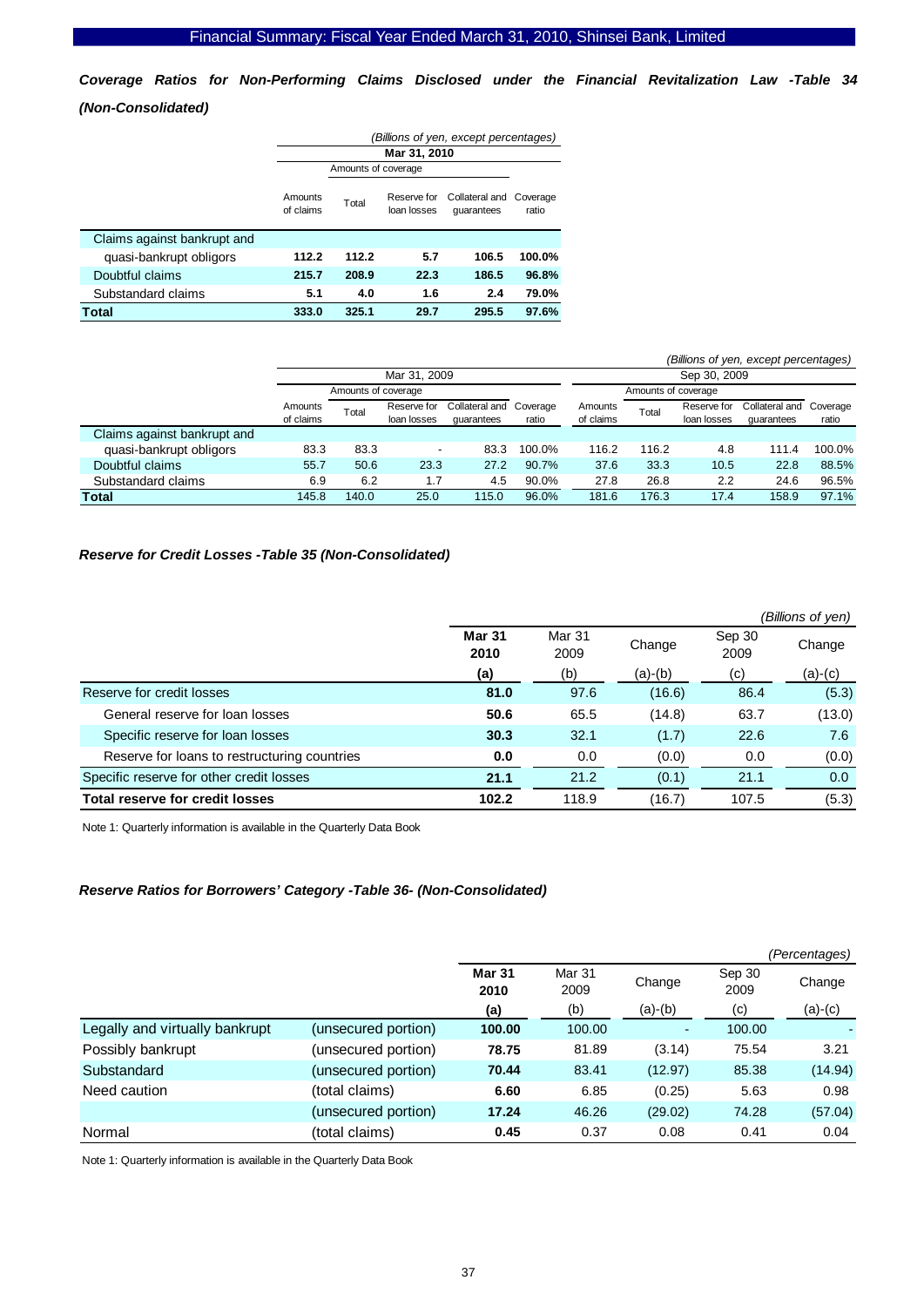*Coverage Ratios for Non-Performing Claims Disclosed under the Financial Revitalization Law -Table 34 (Non-Consolidated)* 

|                             | (Billions of yen, except percentages) |                     |                            |                              |                   |  |  |
|-----------------------------|---------------------------------------|---------------------|----------------------------|------------------------------|-------------------|--|--|
|                             |                                       |                     | Mar 31, 2010               |                              |                   |  |  |
|                             |                                       | Amounts of coverage |                            |                              |                   |  |  |
|                             | Amounts<br>of claims                  | Total               | Reserve for<br>loan losses | Collateral and<br>quarantees | Coverage<br>ratio |  |  |
| Claims against bankrupt and |                                       |                     |                            |                              |                   |  |  |
| quasi-bankrupt obligors     | 112.2                                 | 112.2               | 5.7                        | 106.5                        | 100.0%            |  |  |
| Doubtful claims             | 215.7                                 | 208.9               | 22.3                       | 186.5                        | 96.8%             |  |  |
| Substandard claims          | 5.1                                   | 4.0                 | 1.6                        | 2.4                          | 79.0%             |  |  |
| <b>Total</b>                | 333.0                                 | 325.1               | 29.7                       | 295.5                        | 97.6%             |  |  |

|                             |                      |                     |                            |                                       |        |                      |                     |                            | (Billions of yen, except percentages) |        |
|-----------------------------|----------------------|---------------------|----------------------------|---------------------------------------|--------|----------------------|---------------------|----------------------------|---------------------------------------|--------|
|                             |                      |                     | Mar 31, 2009               |                                       |        |                      |                     | Sep 30, 2009               |                                       |        |
|                             |                      | Amounts of coverage |                            |                                       |        |                      | Amounts of coverage |                            |                                       |        |
|                             | Amounts<br>of claims | Total               | Reserve for<br>loan losses | Collateral and Coverage<br>quarantees | ratio  | Amounts<br>of claims | Total               | Reserve for<br>loan losses | Collateral and Coverage<br>quarantees | ratio  |
| Claims against bankrupt and |                      |                     |                            |                                       |        |                      |                     |                            |                                       |        |
| quasi-bankrupt obligors     | 83.3                 | 83.3                | $\overline{\phantom{a}}$   | 83.3                                  | 100.0% | 116.2                | 116.2               | 4.8                        | 111.4                                 | 100.0% |
| Doubtful claims             | 55.7                 | 50.6                | 23.3                       | 27.2                                  | 90.7%  | 37.6                 | 33.3                | 10.5                       | 22.8                                  | 88.5%  |
| Substandard claims          | 6.9                  | 6.2                 | 1.7                        | 4.5                                   | 90.0%  | 27.8                 | 26.8                | 2.2                        | 24.6                                  | 96.5%  |
| <b>Total</b>                | 145.8                | 140.0               | 25.0                       | 115.0                                 | 96.0%  | 181.6                | 176.3               | 17.4                       | 158.9                                 | 97.1%  |

# *Reserve for Credit Losses -Table 35 (Non-Consolidated)*

|                                              |                       |                |         |                | (Billions of yen) |
|----------------------------------------------|-----------------------|----------------|---------|----------------|-------------------|
|                                              | <b>Mar 31</b><br>2010 | Mar 31<br>2009 | Change  | Sep 30<br>2009 | Change            |
|                                              | (a)                   | (b)            | (a)-(b) | (c)            | (a)-(c)           |
| Reserve for credit losses                    | 81.0                  | 97.6           | (16.6)  | 86.4           | (5.3)             |
| General reserve for loan losses              | 50.6                  | 65.5           | (14.8)  | 63.7           | (13.0)            |
| Specific reserve for loan losses             | 30.3                  | 32.1           | (1.7)   | 22.6           | 7.6               |
| Reserve for loans to restructuring countries | 0.0                   | 0.0            | (0.0)   | 0.0            | (0.0)             |
| Specific reserve for other credit losses     | 21.1                  | 21.2           | (0.1)   | 21.1           | 0.0               |
| <b>Total reserve for credit losses</b>       | 102.2                 | 118.9          | (16.7)  | 107.5          | (5.3)             |

Note 1: Quarterly information is available in the Quarterly Data Book

#### *Reserve Ratios for Borrowers' Category -Table 36- (Non-Consolidated)*

|                                |                     |                       |                |           |                | (Percentages) |
|--------------------------------|---------------------|-----------------------|----------------|-----------|----------------|---------------|
|                                |                     | <b>Mar 31</b><br>2010 | Mar 31<br>2009 | Change    | Sep 30<br>2009 | Change        |
|                                |                     | (a)                   | (b)            | $(a)-(b)$ | (c)            | $(a)-(c)$     |
| Legally and virtually bankrupt | (unsecured portion) | 100.00                | 100.00         | ٠         | 100.00         |               |
| Possibly bankrupt              | (unsecured portion) | 78.75                 | 81.89          | (3.14)    | 75.54          | 3.21          |
| Substandard                    | (unsecured portion) | 70.44                 | 83.41          | (12.97)   | 85.38          | (14.94)       |
| Need caution                   | (total claims)      | 6.60                  | 6.85           | (0.25)    | 5.63           | 0.98          |
|                                | (unsecured portion) | 17.24                 | 46.26          | (29.02)   | 74.28          | (57.04)       |
| Normal                         | (total claims)      | 0.45                  | 0.37           | 0.08      | 0.41           | 0.04          |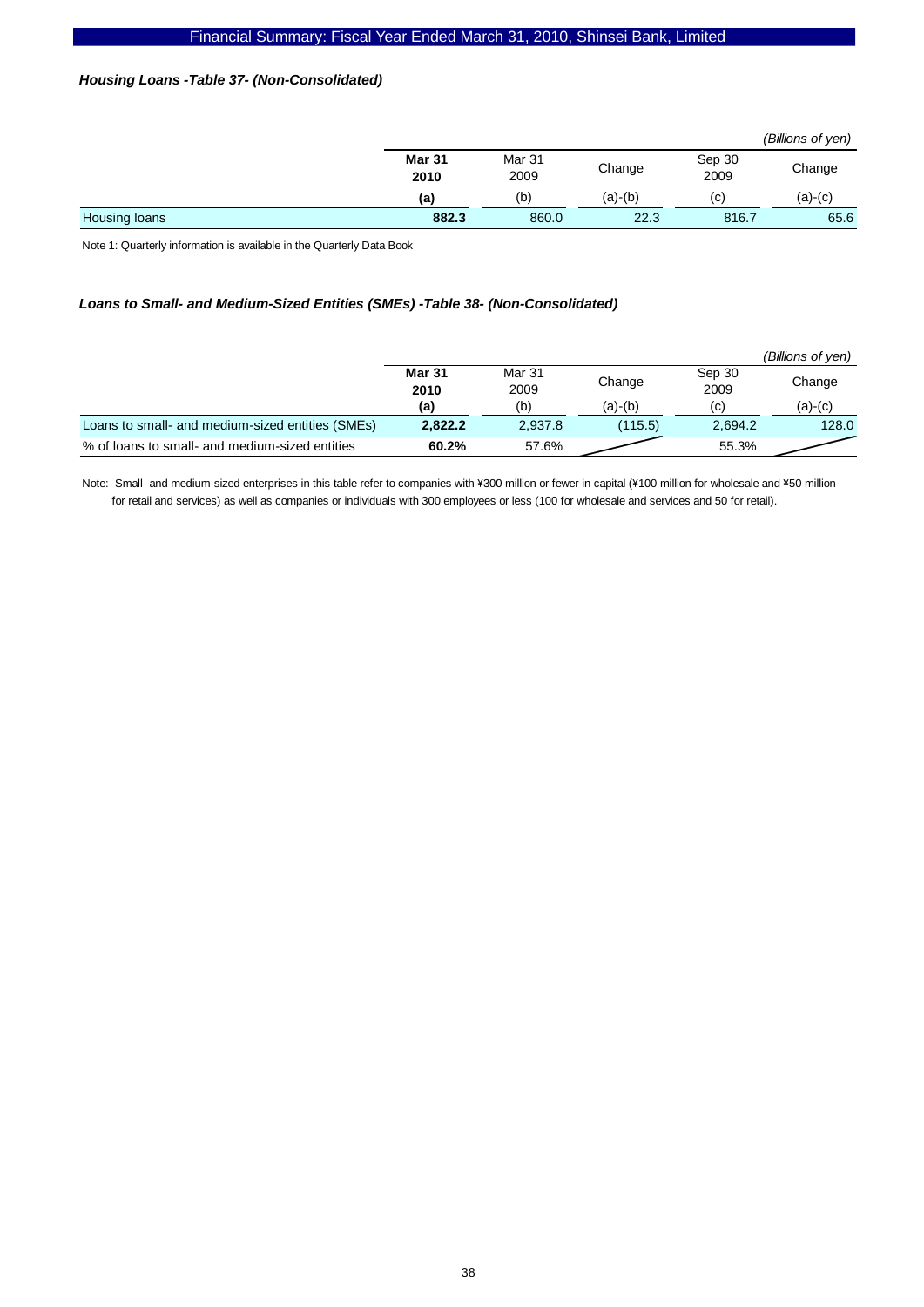# *Housing Loans -Table 37- (Non-Consolidated)*

|               |                       |                |           |                | (Billions of yen) |
|---------------|-----------------------|----------------|-----------|----------------|-------------------|
|               | <b>Mar 31</b><br>2010 | Mar 31<br>2009 | Change    | Sep 30<br>2009 | Change            |
|               | (a)                   | (b)            | $(a)-(b)$ | (C)            | (a)-(c)           |
| Housing loans | 882.3                 | 860.0          | 22.3      | 816.7          | 65.6              |

Note 1: Quarterly information is available in the Quarterly Data Book

# *Loans to Small- and Medium-Sized Entities (SMEs) -Table 38- (Non-Consolidated)*

|                                                  |                |                |         |                | (Billions of yen) |
|--------------------------------------------------|----------------|----------------|---------|----------------|-------------------|
|                                                  | Mar 31<br>2010 | Mar 31<br>2009 | Change  | Sep 30<br>2009 | Change            |
|                                                  | (a)            | (b)            | (a)-(b) | (C)            | (a)-(c)           |
| Loans to small- and medium-sized entities (SMEs) | 2.822.2        | 2,937.8        | (115.5) | 2.694.2        | 128.0             |
| % of loans to small- and medium-sized entities   | 60.2%          | 57.6%          |         | 55.3%          |                   |

Note: Small- and medium-sized enterprises in this table refer to companies with ¥300 million or fewer in capital (¥100 million for wholesale and ¥50 million for retail and services) as well as companies or individuals with 300 employees or less (100 for wholesale and services and 50 for retail).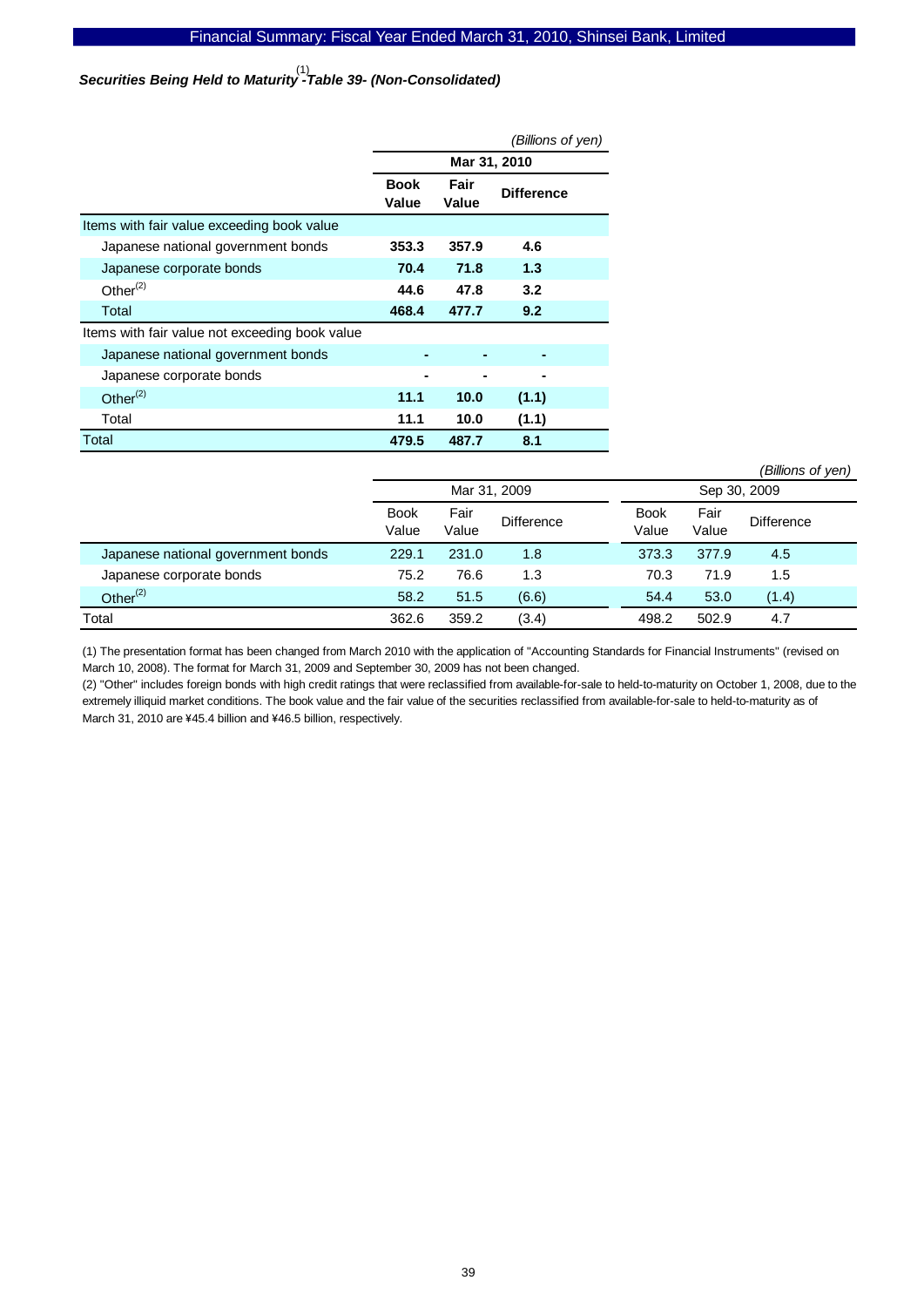Securities Being Held to Maturity<sup>(1)</sup><br>Securities Being Held to Maturity -Table 39- (Non-Consolidated)

|                                                |                      |               | (Billions of yen) |  |
|------------------------------------------------|----------------------|---------------|-------------------|--|
|                                                |                      | Mar 31, 2010  |                   |  |
|                                                | <b>Book</b><br>Value | Fair<br>Value | <b>Difference</b> |  |
| Items with fair value exceeding book value     |                      |               |                   |  |
| Japanese national government bonds             | 353.3                | 357.9         | 4.6               |  |
| Japanese corporate bonds                       | 70.4                 | 71.8          | 1.3               |  |
| Other $(2)$                                    | 44.6                 | 47.8          | 3.2               |  |
| Total                                          | 468.4                | 477.7         | 9.2               |  |
| Items with fair value not exceeding book value |                      |               |                   |  |
| Japanese national government bonds             |                      |               |                   |  |
| Japanese corporate bonds                       |                      |               |                   |  |
| Other $(2)$                                    | 11.1                 | 10.0          | (1.1)             |  |
| Total                                          | 11.1                 | 10.0          | (1.1)             |  |
| Total                                          | 479.5                | 487.7         | 8.1               |  |

|                                    |                      |               |                   |  |                      |               | (Billions of yen) |  |
|------------------------------------|----------------------|---------------|-------------------|--|----------------------|---------------|-------------------|--|
|                                    |                      | Mar 31, 2009  |                   |  | Sep 30, 2009         |               |                   |  |
|                                    | <b>Book</b><br>Value | Fair<br>Value | <b>Difference</b> |  | <b>Book</b><br>Value | Fair<br>Value | <b>Difference</b> |  |
| Japanese national government bonds | 229.1                | 231.0         | 1.8               |  | 373.3                | 377.9         | 4.5               |  |
| Japanese corporate bonds           | 75.2                 | 76.6          | 1.3               |  | 70.3                 | 71.9          | 1.5               |  |
| Other $(2)$                        | 58.2                 | 51.5          | (6.6)             |  | 54.4                 | 53.0          | (1.4)             |  |
| Total                              | 362.6                | 359.2         | (3.4)             |  | 498.2                | 502.9         | 4.7               |  |

(1) The presentation format has been changed from March 2010 with the application of "Accounting Standards for Financial Instruments" (revised on March 10, 2008). The format for March 31, 2009 and September 30, 2009 has not been changed.

(2) "Other" includes foreign bonds with high credit ratings that were reclassified from available-for-sale to held-to-maturity on October 1, 2008, due to the extremely illiquid market conditions. The book value and the fair value of the securities reclassified from available-for-sale to held-to-maturity as of March 31, 2010 are ¥45.4 billion and ¥46.5 billion, respectively.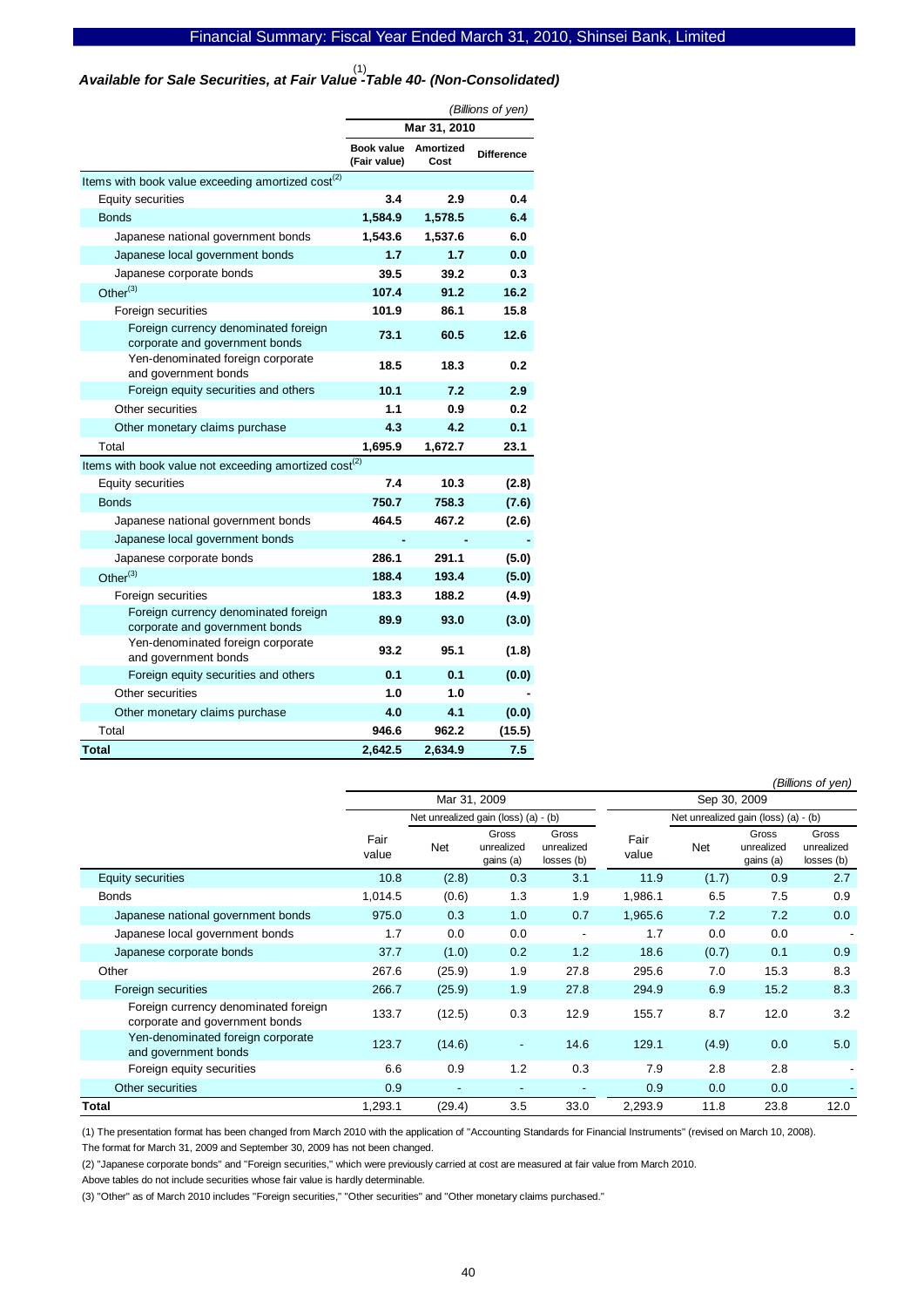# *Available for Sale Securities, at Fair Value -Table 40- (Non-Consolidated)*  (1)

|                                                                        | (Billions of yen)          |                   |                   |  |  |  |
|------------------------------------------------------------------------|----------------------------|-------------------|-------------------|--|--|--|
|                                                                        |                            | Mar 31, 2010      |                   |  |  |  |
|                                                                        | Book value<br>(Fair value) | Amortized<br>Cost | <b>Difference</b> |  |  |  |
| Items with book value exceeding amortized cost <sup>(2)</sup>          |                            |                   |                   |  |  |  |
| Equity securities                                                      | 3.4                        | 2.9               | 0.4               |  |  |  |
| <b>Bonds</b>                                                           | 1,584.9                    | 1,578.5           | 6.4               |  |  |  |
| Japanese national government bonds                                     | 1,543.6                    | 1,537.6           | 6.0               |  |  |  |
| Japanese local government bonds                                        | 1.7                        | 1.7               | 0.0               |  |  |  |
| Japanese corporate bonds                                               | 39.5                       | 39.2              | 0.3               |  |  |  |
| Other $^{(3)}$                                                         | 107.4                      | 91.2              | 16.2              |  |  |  |
| Foreign securities                                                     | 101.9                      | 86.1              | 15.8              |  |  |  |
| Foreign currency denominated foreign<br>corporate and government bonds | 73.1                       | 60.5              | 12.6              |  |  |  |
| Yen-denominated foreign corporate<br>and government bonds              | 18.5                       | 18.3              | 0.2               |  |  |  |
| Foreign equity securities and others                                   | 10.1                       | 7.2               | 2.9               |  |  |  |
| Other securities                                                       | 1.1                        | 0.9               | 0.2               |  |  |  |
| Other monetary claims purchase                                         | 4.3                        | 4.2               | 0.1               |  |  |  |
| Total                                                                  | 1,695.9                    | 1,672.7           | 23.1              |  |  |  |
| Items with book value not exceeding amortized cost <sup>(2)</sup>      |                            |                   |                   |  |  |  |
| <b>Equity securities</b>                                               | 7.4                        | 10.3              | (2.8)             |  |  |  |
| <b>Bonds</b>                                                           | 750.7                      | 758.3             | (7.6)             |  |  |  |
| Japanese national government bonds                                     | 464.5                      | 467.2             | (2.6)             |  |  |  |
| Japanese local government bonds                                        |                            |                   |                   |  |  |  |
| Japanese corporate bonds                                               | 286.1                      | 291.1             | (5.0)             |  |  |  |
| Other $^{(3)}$                                                         | 188.4                      | 193.4             | (5.0)             |  |  |  |
| Foreign securities                                                     | 183.3                      | 188.2             | (4.9)             |  |  |  |
| Foreign currency denominated foreign<br>corporate and government bonds | 89.9                       | 93.0              | (3.0)             |  |  |  |
| Yen-denominated foreign corporate<br>and government bonds              | 93.2                       | 95.1              | (1.8)             |  |  |  |
| Foreign equity securities and others                                   | 0.1                        | 0.1               | (0.0)             |  |  |  |
| Other securities                                                       | 1.0                        | 1.0               |                   |  |  |  |
| Other monetary claims purchase                                         | 4.0                        | 4.1               | (0.0)             |  |  |  |
| Total                                                                  | 946.6                      | 962.2             | (15.5)            |  |  |  |
| <b>Total</b>                                                           | 2.642.5                    | 2.634.9           | 7.5               |  |  |  |

*(Billions of yen)*

|                                                                        | Mar 31, 2009  |                                      |                                  |                                   |               | Sep 30, 2009                         |                                  |                                   |  |  |
|------------------------------------------------------------------------|---------------|--------------------------------------|----------------------------------|-----------------------------------|---------------|--------------------------------------|----------------------------------|-----------------------------------|--|--|
|                                                                        |               | Net unrealized gain (loss) (a) - (b) |                                  |                                   |               | Net unrealized gain (loss) (a) - (b) |                                  |                                   |  |  |
|                                                                        | Fair<br>value | Net                                  | Gross<br>unrealized<br>gains (a) | Gross<br>unrealized<br>losses (b) | Fair<br>value | <b>Net</b>                           | Gross<br>unrealized<br>gains (a) | Gross<br>unrealized<br>losses (b) |  |  |
| <b>Equity securities</b>                                               | 10.8          | (2.8)                                | 0.3                              | 3.1                               | 11.9          | (1.7)                                | 0.9                              | 2.7                               |  |  |
| <b>Bonds</b>                                                           | 1,014.5       | (0.6)                                | 1.3                              | 1.9                               | 1,986.1       | 6.5                                  | 7.5                              | 0.9                               |  |  |
| Japanese national government bonds                                     | 975.0         | 0.3                                  | 1.0                              | 0.7                               | 1,965.6       | 7.2                                  | 7.2                              | 0.0                               |  |  |
| Japanese local government bonds                                        | 1.7           | 0.0                                  | 0.0                              | $\overline{\phantom{a}}$          | 1.7           | 0.0                                  | 0.0                              |                                   |  |  |
| Japanese corporate bonds                                               | 37.7          | (1.0)                                | 0.2                              | 1.2                               | 18.6          | (0.7)                                | 0.1                              | 0.9                               |  |  |
| Other                                                                  | 267.6         | (25.9)                               | 1.9                              | 27.8                              | 295.6         | 7.0                                  | 15.3                             | 8.3                               |  |  |
| Foreign securities                                                     | 266.7         | (25.9)                               | 1.9                              | 27.8                              | 294.9         | 6.9                                  | 15.2                             | 8.3                               |  |  |
| Foreign currency denominated foreign<br>corporate and government bonds | 133.7         | (12.5)                               | 0.3                              | 12.9                              | 155.7         | 8.7                                  | 12.0                             | 3.2                               |  |  |
| Yen-denominated foreign corporate<br>and government bonds              | 123.7         | (14.6)                               | $\overline{\phantom{a}}$         | 14.6                              | 129.1         | (4.9)                                | 0.0                              | 5.0                               |  |  |
| Foreign equity securities                                              | 6.6           | 0.9                                  | 1.2                              | 0.3                               | 7.9           | 2.8                                  | 2.8                              |                                   |  |  |
| Other securities                                                       | 0.9           | ٠                                    | ٠                                | $\overline{\phantom{a}}$          | 0.9           | 0.0                                  | 0.0                              |                                   |  |  |
| <b>Total</b>                                                           | 1,293.1       | (29.4)                               | 3.5                              | 33.0                              | 2,293.9       | 11.8                                 | 23.8                             | 12.0                              |  |  |

(1) The presentation format has been changed from March 2010 with the application of "Accounting Standards for Financial Instruments" (revised on March 10, 2008). The format for March 31, 2009 and September 30, 2009 has not been changed.

(2) "Japanese corporate bonds" and "Foreign securities," which were previously carried at cost are measured at fair value from March 2010.

Above tables do not include securities whose fair value is hardly determinable.

(3) "Other" as of March 2010 includes "Foreign securities," "Other securities" and "Other monetary claims purchased."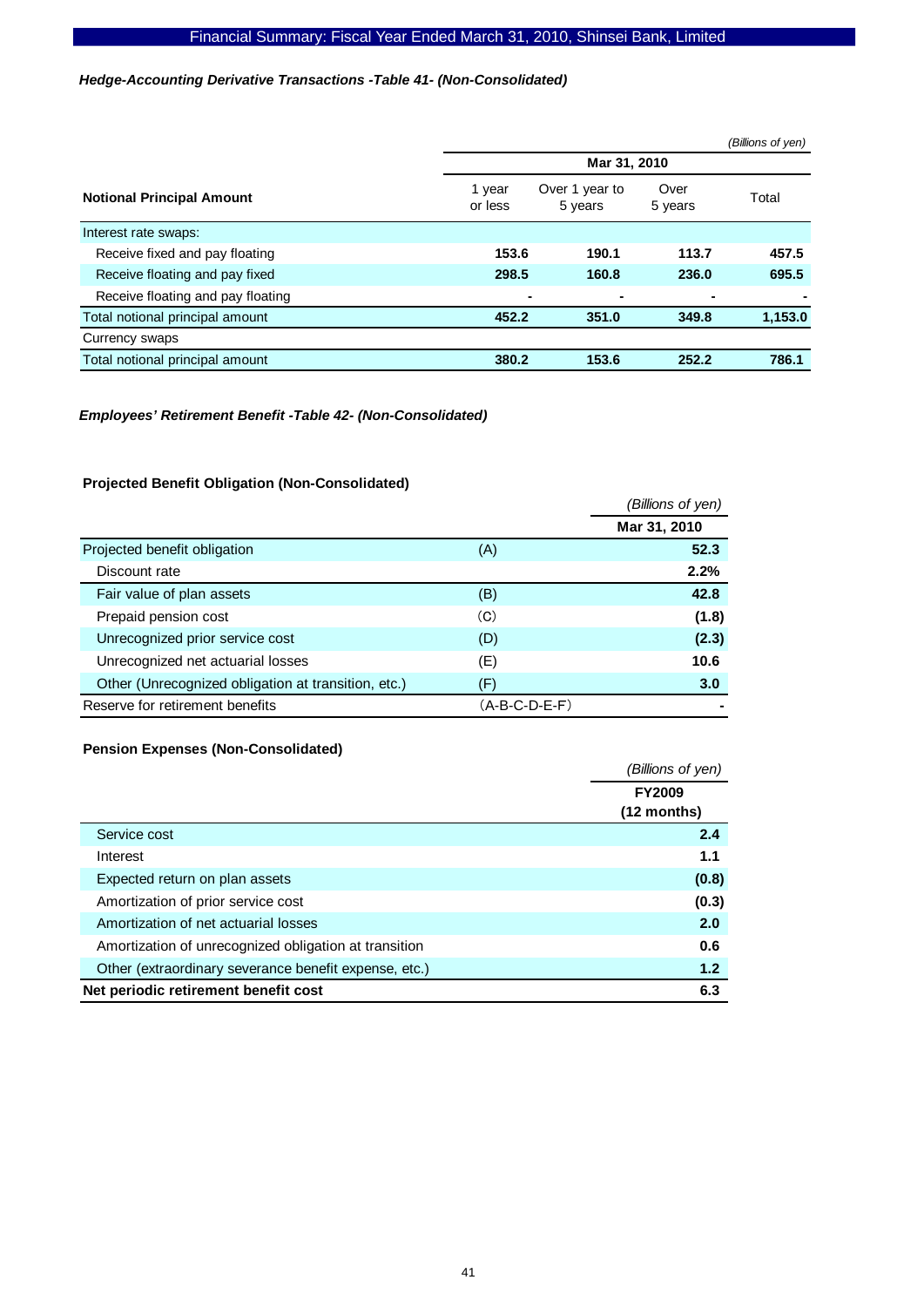# *Hedge-Accounting Derivative Transactions -Table 41- (Non-Consolidated)*

|                                   |                   |                           |                 | (Billions of yen) |
|-----------------------------------|-------------------|---------------------------|-----------------|-------------------|
|                                   |                   | Mar 31, 2010              |                 |                   |
| <b>Notional Principal Amount</b>  | 1 year<br>or less | Over 1 year to<br>5 years | Over<br>5 years | Total             |
| Interest rate swaps:              |                   |                           |                 |                   |
| Receive fixed and pay floating    | 153.6             | 190.1                     | 113.7           | 457.5             |
| Receive floating and pay fixed    | 298.5             | 160.8                     | 236.0           | 695.5             |
| Receive floating and pay floating |                   |                           | ٠               |                   |
| Total notional principal amount   | 452.2             | 351.0                     | 349.8           | 1,153.0           |
| Currency swaps                    |                   |                           |                 |                   |
| Total notional principal amount   | 380.2             | 153.6                     | 252.2           | 786.1             |

### *Employees' Retirement Benefit -Table 42- (Non-Consolidated)*

# **Projected Benefit Obligation (Non-Consolidated)**

|                                                     |                 | (Billions of yen) |
|-----------------------------------------------------|-----------------|-------------------|
|                                                     |                 | Mar 31, 2010      |
| Projected benefit obligation                        | (A)             | 52.3              |
| Discount rate                                       |                 | 2.2%              |
| Fair value of plan assets                           | (B)             | 42.8              |
| Prepaid pension cost                                | (C)             | (1.8)             |
| Unrecognized prior service cost                     | (D)             | (2.3)             |
| Unrecognized net actuarial losses                   | (E)             | 10.6              |
| Other (Unrecognized obligation at transition, etc.) | (F)             | 3.0               |
| Reserve for retirement benefits                     | $(A-B-C-D-E-F)$ |                   |

#### **Pension Expenses (Non-Consolidated)**

|                                                       | (Billions of yen) |
|-------------------------------------------------------|-------------------|
|                                                       | <b>FY2009</b>     |
|                                                       | (12 months)       |
| Service cost                                          | 2.4               |
| Interest                                              | 1.1               |
| Expected return on plan assets                        | (0.8)             |
| Amortization of prior service cost                    | (0.3)             |
| Amortization of net actuarial losses                  | 2.0               |
| Amortization of unrecognized obligation at transition | 0.6               |
| Other (extraordinary severance benefit expense, etc.) | 1.2               |
| Net periodic retirement benefit cost                  | 6.3               |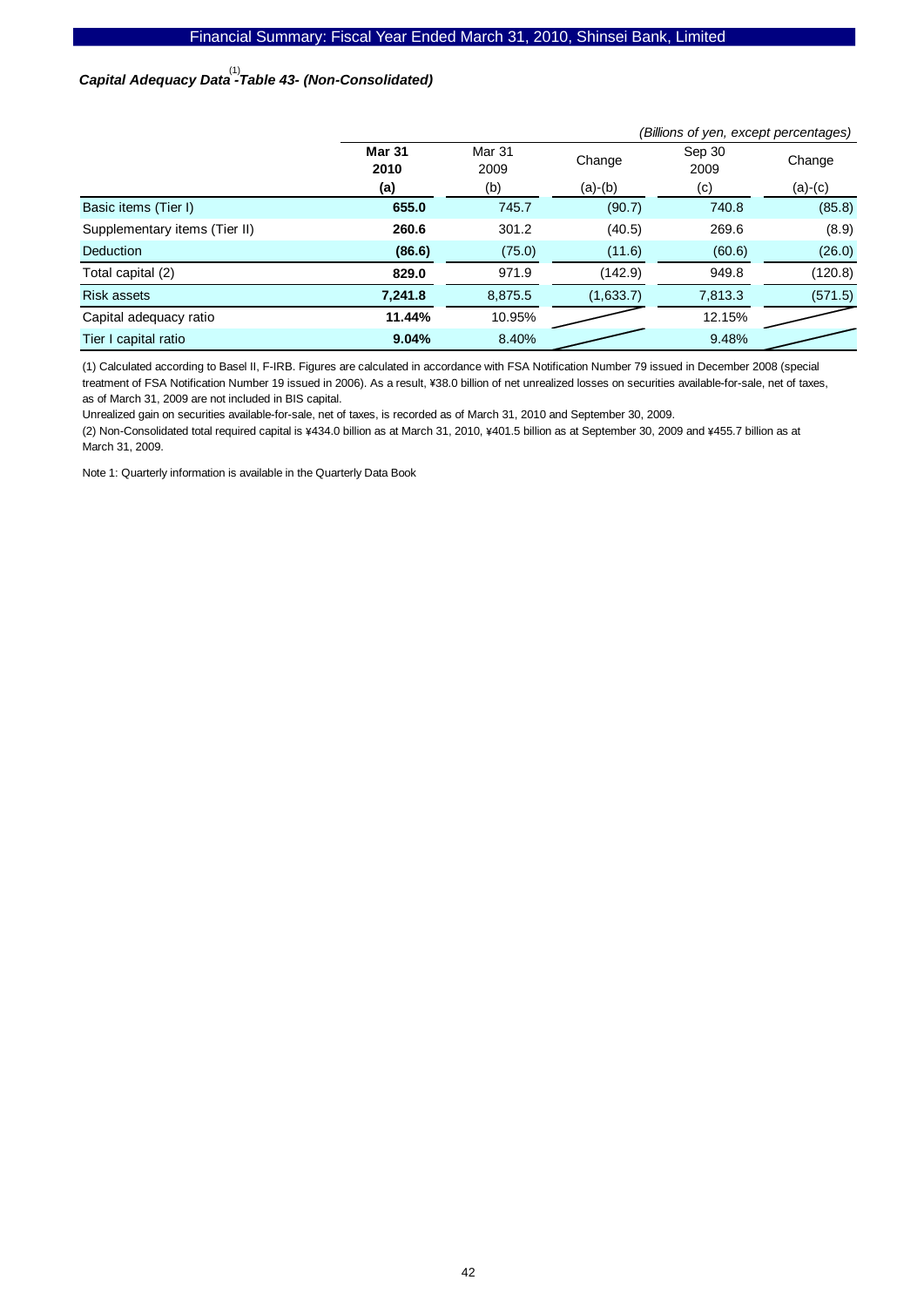# *Capital Adequacy Data -Table 43- (Non-Consolidated)*  (1)

|                               |                                         | (Billions of yen, except percentages) |           |                |           |  |
|-------------------------------|-----------------------------------------|---------------------------------------|-----------|----------------|-----------|--|
|                               | <b>Mar 31</b><br>Mar 31<br>2009<br>2010 |                                       | Change    | Sep 30<br>2009 | Change    |  |
|                               | (a)                                     | (b)                                   | $(a)-(b)$ | (c)            | $(a)-(c)$ |  |
| Basic items (Tier I)          | 655.0                                   | 745.7                                 | (90.7)    | 740.8          | (85.8)    |  |
| Supplementary items (Tier II) | 260.6                                   | 301.2                                 | (40.5)    | 269.6          | (8.9)     |  |
| Deduction                     | (86.6)                                  | (75.0)                                | (11.6)    | (60.6)         | (26.0)    |  |
| Total capital (2)             | 829.0                                   | 971.9                                 | (142.9)   | 949.8          | (120.8)   |  |
| <b>Risk assets</b>            | 7,241.8                                 | 8,875.5                               | (1,633.7) | 7,813.3        | (571.5)   |  |
| Capital adequacy ratio        | 11.44%                                  | 10.95%                                |           | 12.15%         |           |  |
| Tier I capital ratio          | 9.04%                                   | 8.40%                                 |           | 9.48%          |           |  |

(1) Calculated according to Basel II, F-IRB. Figures are calculated in accordance with FSA Notification Number 79 issued in December 2008 (special treatment of FSA Notification Number 19 issued in 2006). As a result, ¥38.0 billion of net unrealized losses on securities available-for-sale, net of taxes, as of March 31, 2009 are not included in BIS capital.

Unrealized gain on securities available-for-sale, net of taxes, is recorded as of March 31, 2010 and September 30, 2009.

(2) Non-Consolidated total required capital is ¥434.0 billion as at March 31, 2010, ¥401.5 billion as at September 30, 2009 and ¥455.7 billion as at March 31, 2009.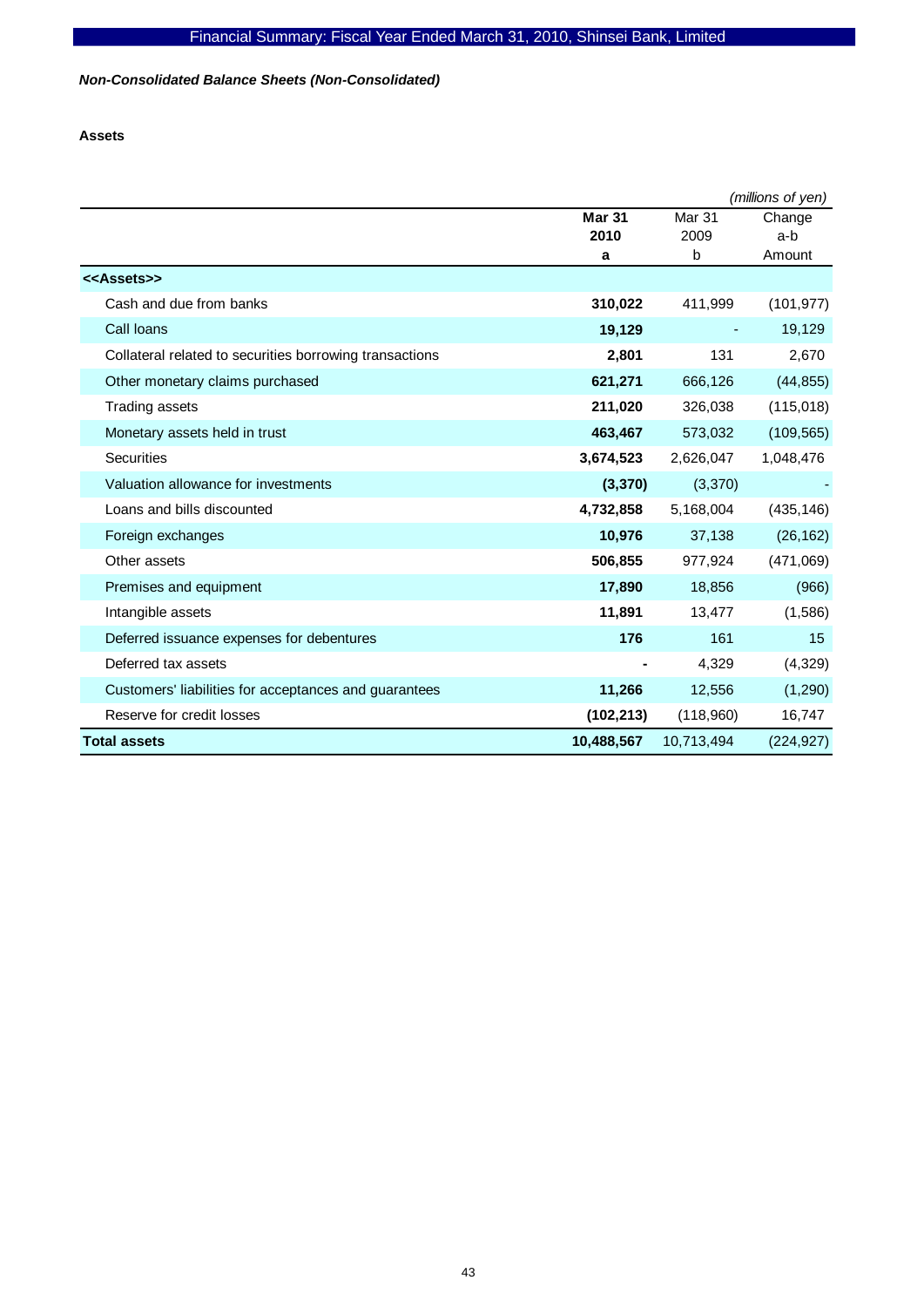*Non-Consolidated Balance Sheets (Non-Consolidated)* 

**Assets** 

|                                                         |               |               | (millions of yen) |
|---------------------------------------------------------|---------------|---------------|-------------------|
|                                                         | <b>Mar 31</b> | <b>Mar 31</b> | Change            |
|                                                         | 2010          | 2009          | a-b               |
|                                                         | a             | b             | Amount            |
| < <assets>&gt;</assets>                                 |               |               |                   |
| Cash and due from banks                                 | 310,022       | 411,999       | (101, 977)        |
| Call loans                                              | 19,129        |               | 19,129            |
| Collateral related to securities borrowing transactions | 2,801         | 131           | 2,670             |
| Other monetary claims purchased                         | 621,271       | 666,126       | (44, 855)         |
| <b>Trading assets</b>                                   | 211,020       | 326,038       | (115, 018)        |
| Monetary assets held in trust                           | 463,467       | 573,032       | (109, 565)        |
| Securities                                              | 3,674,523     | 2,626,047     | 1,048,476         |
| Valuation allowance for investments                     | (3, 370)      | (3,370)       |                   |
| Loans and bills discounted                              | 4,732,858     | 5,168,004     | (435, 146)        |
| Foreign exchanges                                       | 10,976        | 37,138        | (26, 162)         |
| Other assets                                            | 506,855       | 977,924       | (471,069)         |
| Premises and equipment                                  | 17,890        | 18,856        | (966)             |
| Intangible assets                                       | 11,891        | 13,477        | (1,586)           |
| Deferred issuance expenses for debentures               | 176           | 161           | 15                |
| Deferred tax assets                                     |               | 4,329         | (4,329)           |
| Customers' liabilities for acceptances and guarantees   | 11,266        | 12,556        | (1, 290)          |
| Reserve for credit losses                               | (102, 213)    | (118,960)     | 16,747            |
| <b>Total assets</b>                                     | 10,488,567    | 10,713,494    | (224, 927)        |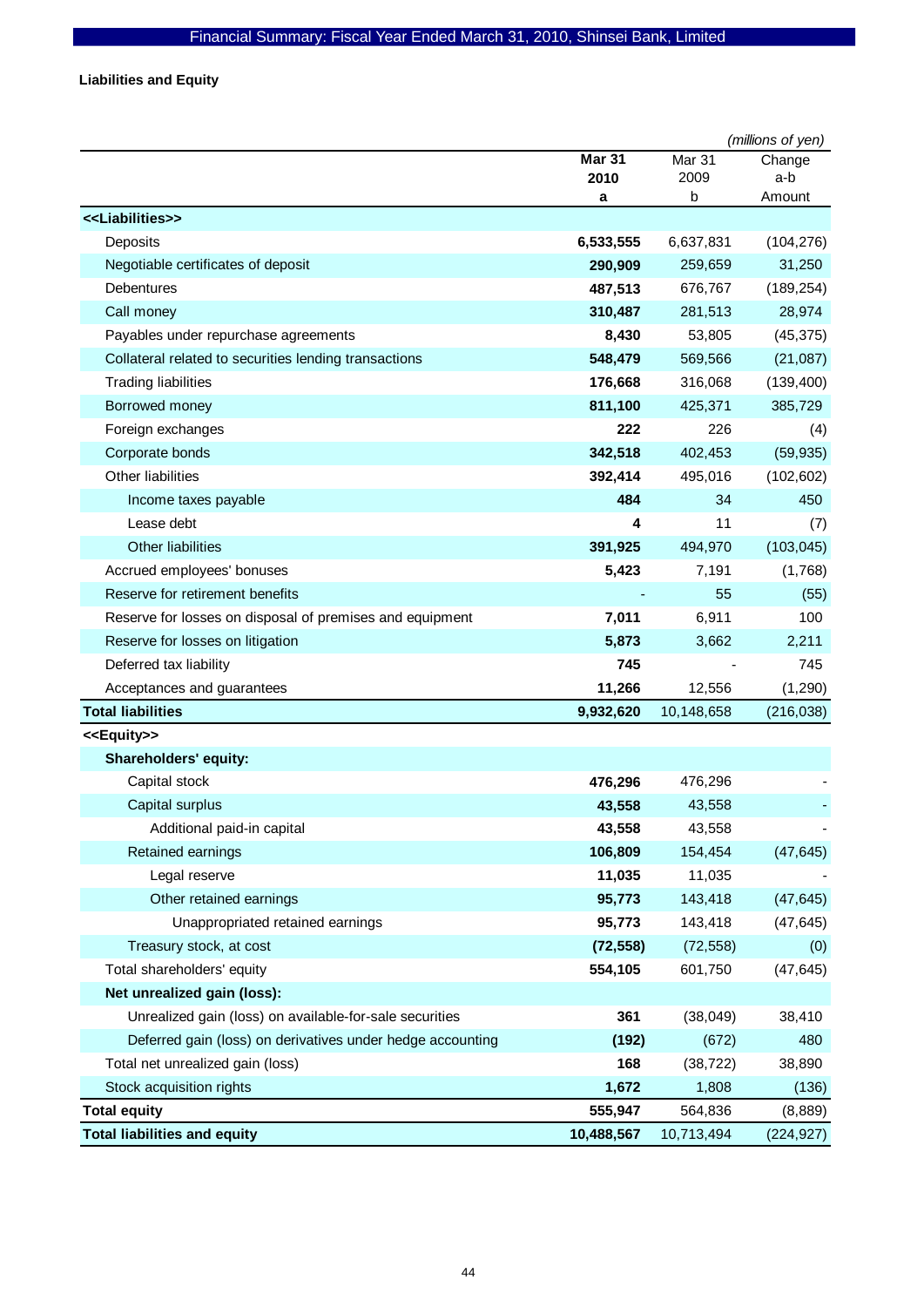**Liabilities and Equity** 

|                                                            |               |            | (millions of yen) |
|------------------------------------------------------------|---------------|------------|-------------------|
|                                                            | <b>Mar 31</b> | Mar 31     | Change            |
|                                                            | 2010<br>a     | 2009<br>b  | a-b<br>Amount     |
| < <liabilities>&gt;</liabilities>                          |               |            |                   |
| Deposits                                                   | 6,533,555     | 6,637,831  | (104, 276)        |
| Negotiable certificates of deposit                         | 290,909       | 259,659    | 31,250            |
| Debentures                                                 | 487,513       | 676,767    | (189, 254)        |
| Call money                                                 | 310,487       | 281,513    | 28,974            |
| Payables under repurchase agreements                       | 8,430         | 53,805     | (45, 375)         |
| Collateral related to securities lending transactions      | 548,479       | 569,566    | (21,087)          |
| <b>Trading liabilities</b>                                 | 176,668       | 316,068    | (139, 400)        |
| Borrowed money                                             | 811,100       | 425,371    | 385,729           |
| Foreign exchanges                                          | 222           | 226        | (4)               |
| Corporate bonds                                            | 342,518       | 402,453    | (59, 935)         |
| <b>Other liabilities</b>                                   | 392,414       | 495,016    | (102, 602)        |
| Income taxes payable                                       | 484           | 34         | 450               |
| Lease debt                                                 | 4             | 11         | (7)               |
| Other liabilities                                          | 391,925       | 494,970    | (103, 045)        |
| Accrued employees' bonuses                                 | 5,423         | 7,191      | (1,768)           |
| Reserve for retirement benefits                            |               | 55         | (55)              |
| Reserve for losses on disposal of premises and equipment   | 7,011         | 6,911      | 100               |
| Reserve for losses on litigation                           | 5,873         | 3,662      | 2,211             |
| Deferred tax liability                                     | 745           |            | 745               |
| Acceptances and guarantees                                 | 11,266        | 12,556     | (1, 290)          |
| <b>Total liabilities</b>                                   | 9,932,620     | 10,148,658 | (216, 038)        |
| < <equity>&gt;</equity>                                    |               |            |                   |
| Shareholders' equity:                                      |               |            |                   |
| Capital stock                                              | 476,296       | 476,296    |                   |
| Capital surplus                                            | 43,558        | 43,558     |                   |
| Additional paid-in capital                                 | 43,558        | 43,558     |                   |
| Retained earnings                                          | 106,809       | 154,454    | (47, 645)         |
| Legal reserve                                              | 11,035        | 11,035     |                   |
| Other retained earnings                                    | 95,773        | 143,418    | (47, 645)         |
| Unappropriated retained earnings                           | 95,773        | 143,418    | (47, 645)         |
| Treasury stock, at cost                                    | (72, 558)     | (72, 558)  | (0)               |
| Total shareholders' equity                                 | 554,105       | 601,750    | (47, 645)         |
| Net unrealized gain (loss):                                |               |            |                   |
| Unrealized gain (loss) on available-for-sale securities    | 361           | (38,049)   | 38,410            |
| Deferred gain (loss) on derivatives under hedge accounting | (192)         | (672)      | 480               |
| Total net unrealized gain (loss)                           | 168           | (38, 722)  | 38,890            |
| Stock acquisition rights                                   | 1,672         | 1,808      | (136)             |
| <b>Total equity</b>                                        | 555,947       | 564,836    | (8,889)           |
| <b>Total liabilities and equity</b>                        | 10,488,567    | 10,713,494 | (224, 927)        |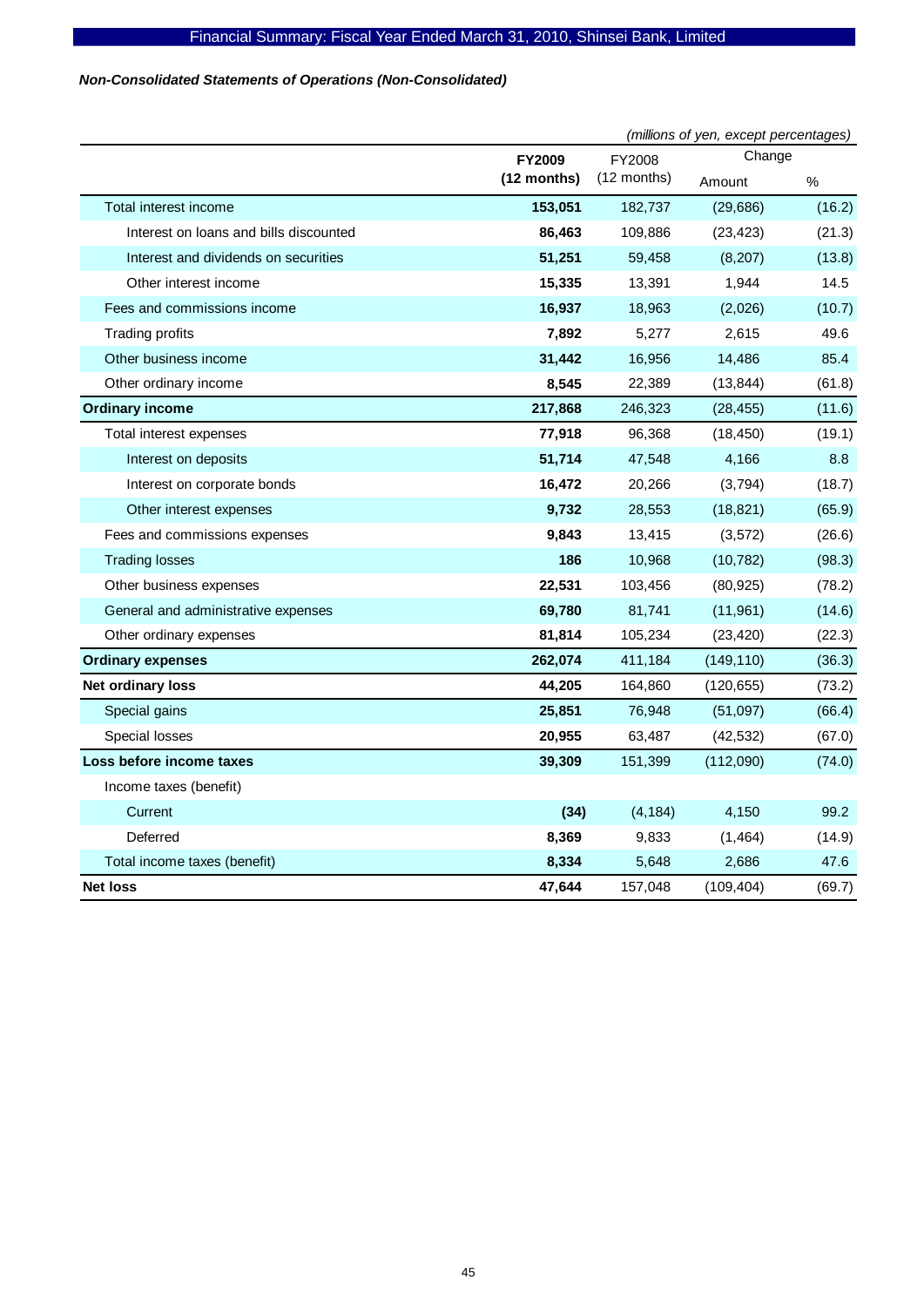# *Non-Consolidated Statements of Operations (Non-Consolidated)*

|                                        |               | (millions of yen, except percentages) |            |        |  |
|----------------------------------------|---------------|---------------------------------------|------------|--------|--|
|                                        | <b>FY2009</b> | FY2008                                | Change     |        |  |
|                                        | (12 months)   | (12 months)                           | Amount     | %      |  |
| Total interest income                  | 153,051       | 182,737                               | (29, 686)  | (16.2) |  |
| Interest on loans and bills discounted | 86,463        | 109,886                               | (23, 423)  | (21.3) |  |
| Interest and dividends on securities   | 51,251        | 59,458                                | (8, 207)   | (13.8) |  |
| Other interest income                  | 15,335        | 13,391                                | 1,944      | 14.5   |  |
| Fees and commissions income            | 16,937        | 18,963                                | (2,026)    | (10.7) |  |
| <b>Trading profits</b>                 | 7,892         | 5,277                                 | 2,615      | 49.6   |  |
| Other business income                  | 31,442        | 16,956                                | 14,486     | 85.4   |  |
| Other ordinary income                  | 8,545         | 22,389                                | (13, 844)  | (61.8) |  |
| <b>Ordinary income</b>                 | 217,868       | 246,323                               | (28, 455)  | (11.6) |  |
| Total interest expenses                | 77,918        | 96,368                                | (18, 450)  | (19.1) |  |
| Interest on deposits                   | 51,714        | 47,548                                | 4,166      | 8.8    |  |
| Interest on corporate bonds            | 16,472        | 20,266                                | (3,794)    | (18.7) |  |
| Other interest expenses                | 9,732         | 28,553                                | (18, 821)  | (65.9) |  |
| Fees and commissions expenses          | 9,843         | 13,415                                | (3, 572)   | (26.6) |  |
| <b>Trading losses</b>                  | 186           | 10,968                                | (10, 782)  | (98.3) |  |
| Other business expenses                | 22,531        | 103,456                               | (80, 925)  | (78.2) |  |
| General and administrative expenses    | 69,780        | 81,741                                | (11, 961)  | (14.6) |  |
| Other ordinary expenses                | 81,814        | 105,234                               | (23, 420)  | (22.3) |  |
| <b>Ordinary expenses</b>               | 262,074       | 411,184                               | (149, 110) | (36.3) |  |
| Net ordinary loss                      | 44,205        | 164,860                               | (120, 655) | (73.2) |  |
| Special gains                          | 25,851        | 76,948                                | (51,097)   | (66.4) |  |
| Special losses                         | 20,955        | 63,487                                | (42, 532)  | (67.0) |  |
| Loss before income taxes               | 39,309        | 151,399                               | (112,090)  | (74.0) |  |
| Income taxes (benefit)                 |               |                                       |            |        |  |
| Current                                | (34)          | (4, 184)                              | 4,150      | 99.2   |  |
| Deferred                               | 8,369         | 9,833                                 | (1,464)    | (14.9) |  |
| Total income taxes (benefit)           | 8,334         | 5,648                                 | 2,686      | 47.6   |  |
| <b>Net loss</b>                        | 47,644        | 157,048                               | (109, 404) | (69.7) |  |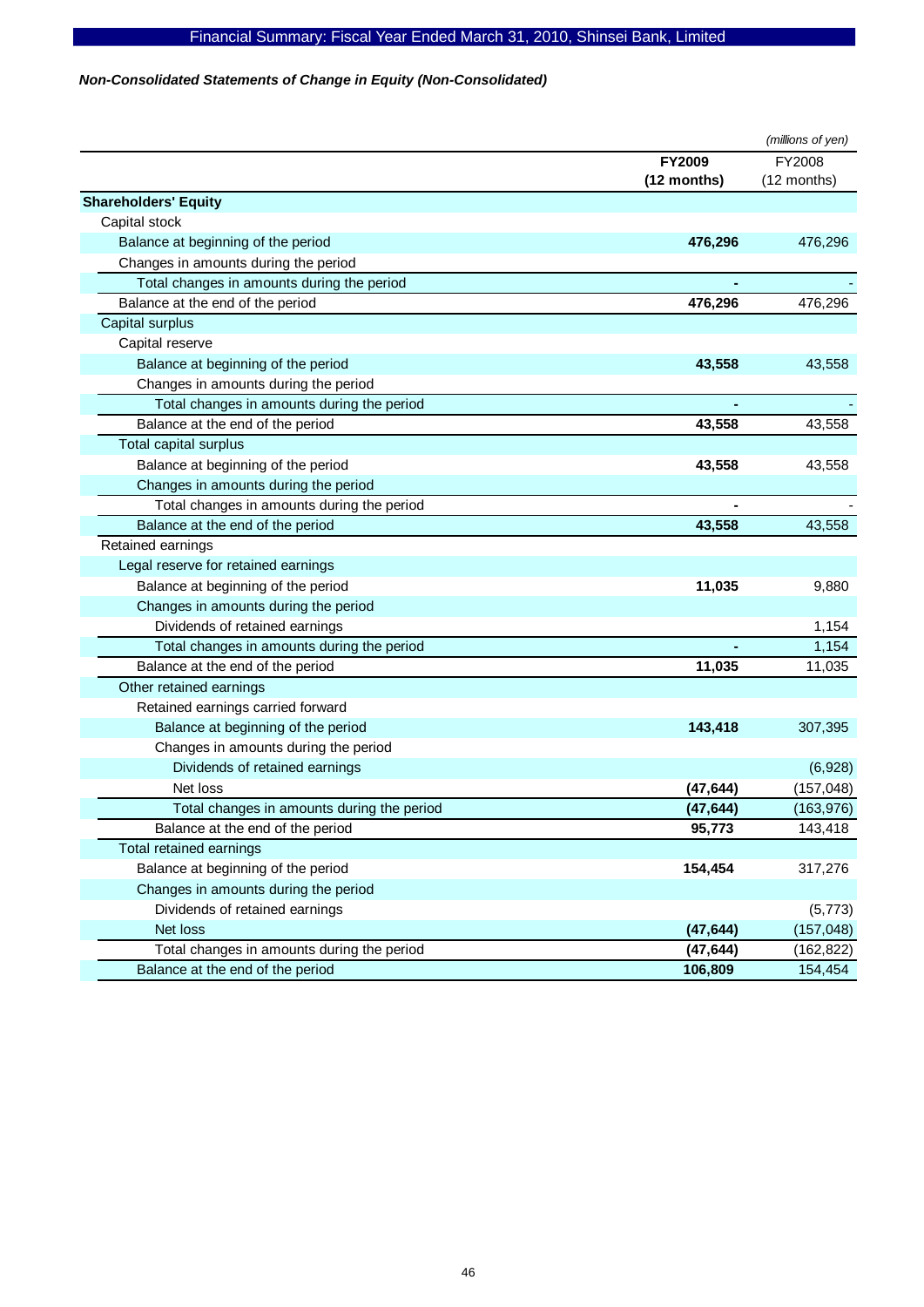# *Non-Consolidated Statements of Change in Equity (Non-Consolidated)*

|                                            |             | (millions of yen) |
|--------------------------------------------|-------------|-------------------|
|                                            | FY2009      | FY2008            |
|                                            | (12 months) | (12 months)       |
| <b>Shareholders' Equity</b>                |             |                   |
| Capital stock                              |             |                   |
| Balance at beginning of the period         | 476,296     | 476,296           |
| Changes in amounts during the period       |             |                   |
| Total changes in amounts during the period |             |                   |
| Balance at the end of the period           | 476,296     | 476,296           |
| Capital surplus                            |             |                   |
| Capital reserve                            |             |                   |
| Balance at beginning of the period         | 43,558      | 43,558            |
| Changes in amounts during the period       |             |                   |
| Total changes in amounts during the period |             |                   |
| Balance at the end of the period           | 43,558      | 43,558            |
| Total capital surplus                      |             |                   |
| Balance at beginning of the period         | 43,558      | 43,558            |
| Changes in amounts during the period       |             |                   |
| Total changes in amounts during the period |             |                   |
| Balance at the end of the period           | 43,558      | 43,558            |
| Retained earnings                          |             |                   |
| Legal reserve for retained earnings        |             |                   |
| Balance at beginning of the period         | 11,035      | 9,880             |
| Changes in amounts during the period       |             |                   |
| Dividends of retained earnings             |             | 1,154             |
| Total changes in amounts during the period |             | 1,154             |
| Balance at the end of the period           | 11,035      | 11,035            |
| Other retained earnings                    |             |                   |
| Retained earnings carried forward          |             |                   |
| Balance at beginning of the period         | 143,418     | 307,395           |
| Changes in amounts during the period       |             |                   |
| Dividends of retained earnings             |             | (6,928)           |
| Net loss                                   | (47, 644)   | (157, 048)        |
| Total changes in amounts during the period | (47, 644)   | (163, 976)        |
| Balance at the end of the period           | 95,773      | 143,418           |
| Total retained earnings                    |             |                   |
| Balance at beginning of the period         | 154,454     | 317,276           |
| Changes in amounts during the period       |             |                   |
| Dividends of retained earnings             |             | (5, 773)          |
| Net loss                                   | (47, 644)   | (157, 048)        |
| Total changes in amounts during the period | (47, 644)   | (162, 822)        |
| Balance at the end of the period           | 106,809     | 154,454           |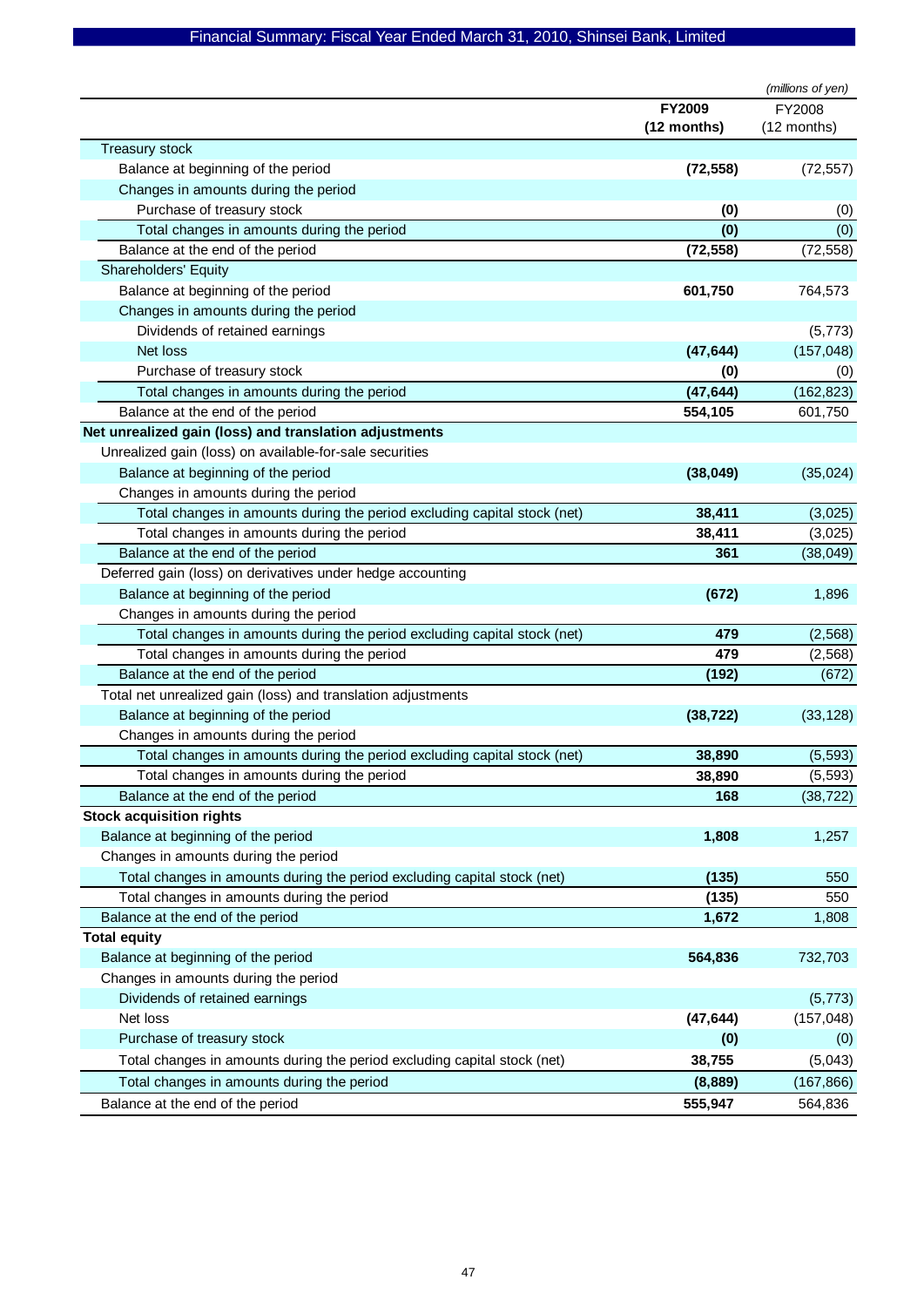| FY2009<br>FY2008<br>(12 months)<br>(12 months)<br><b>Treasury stock</b><br>Balance at beginning of the period<br>(72, 558)<br>(72, 557)<br>Changes in amounts during the period<br>Purchase of treasury stock<br>(0)<br>(0)<br>(0)<br>Total changes in amounts during the period<br>(0)<br>Balance at the end of the period<br>(72, 558)<br>(72, 558)<br><b>Shareholders' Equity</b><br>Balance at beginning of the period<br>601,750<br>764,573<br>Changes in amounts during the period<br>Dividends of retained earnings<br>(5, 773)<br>(157, 048)<br>Net loss<br>(47, 644)<br>Purchase of treasury stock<br>(0)<br>(0)<br>(47, 644)<br>(162, 823)<br>Total changes in amounts during the period<br>554,105<br>Balance at the end of the period<br>601,750<br>Net unrealized gain (loss) and translation adjustments<br>Unrealized gain (loss) on available-for-sale securities<br>Balance at beginning of the period<br>(38, 049)<br>(35, 024)<br>Changes in amounts during the period<br>Total changes in amounts during the period excluding capital stock (net)<br>38,411<br>(3,025)<br>38,411<br>Total changes in amounts during the period<br>(3,025)<br>Balance at the end of the period<br>361<br>(38, 049)<br>Deferred gain (loss) on derivatives under hedge accounting<br>Balance at beginning of the period<br>(672)<br>1,896<br>Changes in amounts during the period<br>Total changes in amounts during the period excluding capital stock (net)<br>479<br>(2, 568)<br>479<br>Total changes in amounts during the period<br>(2, 568)<br>Balance at the end of the period<br>(192)<br>(672)<br>Total net unrealized gain (loss) and translation adjustments<br>Balance at beginning of the period<br>(38, 722)<br>(33, 128)<br>Changes in amounts during the period<br>Total changes in amounts during the period excluding capital stock (net)<br>38,890<br>(5, 593)<br>I otal changes in amounts during the period<br>38,890<br>(5, 593)<br>Balance at the end of the period<br>168<br>(38, 722)<br><b>Stock acquisition rights</b><br>Balance at beginning of the period<br>1,808<br>1,257<br>Changes in amounts during the period<br>Total changes in amounts during the period excluding capital stock (net)<br>(135)<br>550<br>Total changes in amounts during the period<br>(135)<br>550<br>Balance at the end of the period<br>1,672<br>1,808<br><b>Total equity</b><br>Balance at beginning of the period<br>564,836<br>732,703<br>Changes in amounts during the period<br>Dividends of retained earnings<br>(5,773)<br>Net loss<br>(47, 644)<br>(157, 048)<br>Purchase of treasury stock<br>(0)<br>(0)<br>Total changes in amounts during the period excluding capital stock (net)<br>38,755<br>(5,043)<br>Total changes in amounts during the period<br>(8,889)<br>(167, 866)<br>555,947<br>Balance at the end of the period<br>564,836 |  | (millions of yen) |
|------------------------------------------------------------------------------------------------------------------------------------------------------------------------------------------------------------------------------------------------------------------------------------------------------------------------------------------------------------------------------------------------------------------------------------------------------------------------------------------------------------------------------------------------------------------------------------------------------------------------------------------------------------------------------------------------------------------------------------------------------------------------------------------------------------------------------------------------------------------------------------------------------------------------------------------------------------------------------------------------------------------------------------------------------------------------------------------------------------------------------------------------------------------------------------------------------------------------------------------------------------------------------------------------------------------------------------------------------------------------------------------------------------------------------------------------------------------------------------------------------------------------------------------------------------------------------------------------------------------------------------------------------------------------------------------------------------------------------------------------------------------------------------------------------------------------------------------------------------------------------------------------------------------------------------------------------------------------------------------------------------------------------------------------------------------------------------------------------------------------------------------------------------------------------------------------------------------------------------------------------------------------------------------------------------------------------------------------------------------------------------------------------------------------------------------------------------------------------------------------------------------------------------------------------------------------------------------------------------------------------------------------------------------------------------------------------------------------------------------------------------------------------------------------------------------------------------------------------------------|--|-------------------|
|                                                                                                                                                                                                                                                                                                                                                                                                                                                                                                                                                                                                                                                                                                                                                                                                                                                                                                                                                                                                                                                                                                                                                                                                                                                                                                                                                                                                                                                                                                                                                                                                                                                                                                                                                                                                                                                                                                                                                                                                                                                                                                                                                                                                                                                                                                                                                                                                                                                                                                                                                                                                                                                                                                                                                                                                                                                                  |  |                   |
|                                                                                                                                                                                                                                                                                                                                                                                                                                                                                                                                                                                                                                                                                                                                                                                                                                                                                                                                                                                                                                                                                                                                                                                                                                                                                                                                                                                                                                                                                                                                                                                                                                                                                                                                                                                                                                                                                                                                                                                                                                                                                                                                                                                                                                                                                                                                                                                                                                                                                                                                                                                                                                                                                                                                                                                                                                                                  |  |                   |
|                                                                                                                                                                                                                                                                                                                                                                                                                                                                                                                                                                                                                                                                                                                                                                                                                                                                                                                                                                                                                                                                                                                                                                                                                                                                                                                                                                                                                                                                                                                                                                                                                                                                                                                                                                                                                                                                                                                                                                                                                                                                                                                                                                                                                                                                                                                                                                                                                                                                                                                                                                                                                                                                                                                                                                                                                                                                  |  |                   |
|                                                                                                                                                                                                                                                                                                                                                                                                                                                                                                                                                                                                                                                                                                                                                                                                                                                                                                                                                                                                                                                                                                                                                                                                                                                                                                                                                                                                                                                                                                                                                                                                                                                                                                                                                                                                                                                                                                                                                                                                                                                                                                                                                                                                                                                                                                                                                                                                                                                                                                                                                                                                                                                                                                                                                                                                                                                                  |  |                   |
|                                                                                                                                                                                                                                                                                                                                                                                                                                                                                                                                                                                                                                                                                                                                                                                                                                                                                                                                                                                                                                                                                                                                                                                                                                                                                                                                                                                                                                                                                                                                                                                                                                                                                                                                                                                                                                                                                                                                                                                                                                                                                                                                                                                                                                                                                                                                                                                                                                                                                                                                                                                                                                                                                                                                                                                                                                                                  |  |                   |
|                                                                                                                                                                                                                                                                                                                                                                                                                                                                                                                                                                                                                                                                                                                                                                                                                                                                                                                                                                                                                                                                                                                                                                                                                                                                                                                                                                                                                                                                                                                                                                                                                                                                                                                                                                                                                                                                                                                                                                                                                                                                                                                                                                                                                                                                                                                                                                                                                                                                                                                                                                                                                                                                                                                                                                                                                                                                  |  |                   |
|                                                                                                                                                                                                                                                                                                                                                                                                                                                                                                                                                                                                                                                                                                                                                                                                                                                                                                                                                                                                                                                                                                                                                                                                                                                                                                                                                                                                                                                                                                                                                                                                                                                                                                                                                                                                                                                                                                                                                                                                                                                                                                                                                                                                                                                                                                                                                                                                                                                                                                                                                                                                                                                                                                                                                                                                                                                                  |  |                   |
|                                                                                                                                                                                                                                                                                                                                                                                                                                                                                                                                                                                                                                                                                                                                                                                                                                                                                                                                                                                                                                                                                                                                                                                                                                                                                                                                                                                                                                                                                                                                                                                                                                                                                                                                                                                                                                                                                                                                                                                                                                                                                                                                                                                                                                                                                                                                                                                                                                                                                                                                                                                                                                                                                                                                                                                                                                                                  |  |                   |
|                                                                                                                                                                                                                                                                                                                                                                                                                                                                                                                                                                                                                                                                                                                                                                                                                                                                                                                                                                                                                                                                                                                                                                                                                                                                                                                                                                                                                                                                                                                                                                                                                                                                                                                                                                                                                                                                                                                                                                                                                                                                                                                                                                                                                                                                                                                                                                                                                                                                                                                                                                                                                                                                                                                                                                                                                                                                  |  |                   |
|                                                                                                                                                                                                                                                                                                                                                                                                                                                                                                                                                                                                                                                                                                                                                                                                                                                                                                                                                                                                                                                                                                                                                                                                                                                                                                                                                                                                                                                                                                                                                                                                                                                                                                                                                                                                                                                                                                                                                                                                                                                                                                                                                                                                                                                                                                                                                                                                                                                                                                                                                                                                                                                                                                                                                                                                                                                                  |  |                   |
|                                                                                                                                                                                                                                                                                                                                                                                                                                                                                                                                                                                                                                                                                                                                                                                                                                                                                                                                                                                                                                                                                                                                                                                                                                                                                                                                                                                                                                                                                                                                                                                                                                                                                                                                                                                                                                                                                                                                                                                                                                                                                                                                                                                                                                                                                                                                                                                                                                                                                                                                                                                                                                                                                                                                                                                                                                                                  |  |                   |
|                                                                                                                                                                                                                                                                                                                                                                                                                                                                                                                                                                                                                                                                                                                                                                                                                                                                                                                                                                                                                                                                                                                                                                                                                                                                                                                                                                                                                                                                                                                                                                                                                                                                                                                                                                                                                                                                                                                                                                                                                                                                                                                                                                                                                                                                                                                                                                                                                                                                                                                                                                                                                                                                                                                                                                                                                                                                  |  |                   |
|                                                                                                                                                                                                                                                                                                                                                                                                                                                                                                                                                                                                                                                                                                                                                                                                                                                                                                                                                                                                                                                                                                                                                                                                                                                                                                                                                                                                                                                                                                                                                                                                                                                                                                                                                                                                                                                                                                                                                                                                                                                                                                                                                                                                                                                                                                                                                                                                                                                                                                                                                                                                                                                                                                                                                                                                                                                                  |  |                   |
|                                                                                                                                                                                                                                                                                                                                                                                                                                                                                                                                                                                                                                                                                                                                                                                                                                                                                                                                                                                                                                                                                                                                                                                                                                                                                                                                                                                                                                                                                                                                                                                                                                                                                                                                                                                                                                                                                                                                                                                                                                                                                                                                                                                                                                                                                                                                                                                                                                                                                                                                                                                                                                                                                                                                                                                                                                                                  |  |                   |
|                                                                                                                                                                                                                                                                                                                                                                                                                                                                                                                                                                                                                                                                                                                                                                                                                                                                                                                                                                                                                                                                                                                                                                                                                                                                                                                                                                                                                                                                                                                                                                                                                                                                                                                                                                                                                                                                                                                                                                                                                                                                                                                                                                                                                                                                                                                                                                                                                                                                                                                                                                                                                                                                                                                                                                                                                                                                  |  |                   |
|                                                                                                                                                                                                                                                                                                                                                                                                                                                                                                                                                                                                                                                                                                                                                                                                                                                                                                                                                                                                                                                                                                                                                                                                                                                                                                                                                                                                                                                                                                                                                                                                                                                                                                                                                                                                                                                                                                                                                                                                                                                                                                                                                                                                                                                                                                                                                                                                                                                                                                                                                                                                                                                                                                                                                                                                                                                                  |  |                   |
|                                                                                                                                                                                                                                                                                                                                                                                                                                                                                                                                                                                                                                                                                                                                                                                                                                                                                                                                                                                                                                                                                                                                                                                                                                                                                                                                                                                                                                                                                                                                                                                                                                                                                                                                                                                                                                                                                                                                                                                                                                                                                                                                                                                                                                                                                                                                                                                                                                                                                                                                                                                                                                                                                                                                                                                                                                                                  |  |                   |
|                                                                                                                                                                                                                                                                                                                                                                                                                                                                                                                                                                                                                                                                                                                                                                                                                                                                                                                                                                                                                                                                                                                                                                                                                                                                                                                                                                                                                                                                                                                                                                                                                                                                                                                                                                                                                                                                                                                                                                                                                                                                                                                                                                                                                                                                                                                                                                                                                                                                                                                                                                                                                                                                                                                                                                                                                                                                  |  |                   |
|                                                                                                                                                                                                                                                                                                                                                                                                                                                                                                                                                                                                                                                                                                                                                                                                                                                                                                                                                                                                                                                                                                                                                                                                                                                                                                                                                                                                                                                                                                                                                                                                                                                                                                                                                                                                                                                                                                                                                                                                                                                                                                                                                                                                                                                                                                                                                                                                                                                                                                                                                                                                                                                                                                                                                                                                                                                                  |  |                   |
|                                                                                                                                                                                                                                                                                                                                                                                                                                                                                                                                                                                                                                                                                                                                                                                                                                                                                                                                                                                                                                                                                                                                                                                                                                                                                                                                                                                                                                                                                                                                                                                                                                                                                                                                                                                                                                                                                                                                                                                                                                                                                                                                                                                                                                                                                                                                                                                                                                                                                                                                                                                                                                                                                                                                                                                                                                                                  |  |                   |
|                                                                                                                                                                                                                                                                                                                                                                                                                                                                                                                                                                                                                                                                                                                                                                                                                                                                                                                                                                                                                                                                                                                                                                                                                                                                                                                                                                                                                                                                                                                                                                                                                                                                                                                                                                                                                                                                                                                                                                                                                                                                                                                                                                                                                                                                                                                                                                                                                                                                                                                                                                                                                                                                                                                                                                                                                                                                  |  |                   |
|                                                                                                                                                                                                                                                                                                                                                                                                                                                                                                                                                                                                                                                                                                                                                                                                                                                                                                                                                                                                                                                                                                                                                                                                                                                                                                                                                                                                                                                                                                                                                                                                                                                                                                                                                                                                                                                                                                                                                                                                                                                                                                                                                                                                                                                                                                                                                                                                                                                                                                                                                                                                                                                                                                                                                                                                                                                                  |  |                   |
|                                                                                                                                                                                                                                                                                                                                                                                                                                                                                                                                                                                                                                                                                                                                                                                                                                                                                                                                                                                                                                                                                                                                                                                                                                                                                                                                                                                                                                                                                                                                                                                                                                                                                                                                                                                                                                                                                                                                                                                                                                                                                                                                                                                                                                                                                                                                                                                                                                                                                                                                                                                                                                                                                                                                                                                                                                                                  |  |                   |
|                                                                                                                                                                                                                                                                                                                                                                                                                                                                                                                                                                                                                                                                                                                                                                                                                                                                                                                                                                                                                                                                                                                                                                                                                                                                                                                                                                                                                                                                                                                                                                                                                                                                                                                                                                                                                                                                                                                                                                                                                                                                                                                                                                                                                                                                                                                                                                                                                                                                                                                                                                                                                                                                                                                                                                                                                                                                  |  |                   |
|                                                                                                                                                                                                                                                                                                                                                                                                                                                                                                                                                                                                                                                                                                                                                                                                                                                                                                                                                                                                                                                                                                                                                                                                                                                                                                                                                                                                                                                                                                                                                                                                                                                                                                                                                                                                                                                                                                                                                                                                                                                                                                                                                                                                                                                                                                                                                                                                                                                                                                                                                                                                                                                                                                                                                                                                                                                                  |  |                   |
|                                                                                                                                                                                                                                                                                                                                                                                                                                                                                                                                                                                                                                                                                                                                                                                                                                                                                                                                                                                                                                                                                                                                                                                                                                                                                                                                                                                                                                                                                                                                                                                                                                                                                                                                                                                                                                                                                                                                                                                                                                                                                                                                                                                                                                                                                                                                                                                                                                                                                                                                                                                                                                                                                                                                                                                                                                                                  |  |                   |
|                                                                                                                                                                                                                                                                                                                                                                                                                                                                                                                                                                                                                                                                                                                                                                                                                                                                                                                                                                                                                                                                                                                                                                                                                                                                                                                                                                                                                                                                                                                                                                                                                                                                                                                                                                                                                                                                                                                                                                                                                                                                                                                                                                                                                                                                                                                                                                                                                                                                                                                                                                                                                                                                                                                                                                                                                                                                  |  |                   |
|                                                                                                                                                                                                                                                                                                                                                                                                                                                                                                                                                                                                                                                                                                                                                                                                                                                                                                                                                                                                                                                                                                                                                                                                                                                                                                                                                                                                                                                                                                                                                                                                                                                                                                                                                                                                                                                                                                                                                                                                                                                                                                                                                                                                                                                                                                                                                                                                                                                                                                                                                                                                                                                                                                                                                                                                                                                                  |  |                   |
|                                                                                                                                                                                                                                                                                                                                                                                                                                                                                                                                                                                                                                                                                                                                                                                                                                                                                                                                                                                                                                                                                                                                                                                                                                                                                                                                                                                                                                                                                                                                                                                                                                                                                                                                                                                                                                                                                                                                                                                                                                                                                                                                                                                                                                                                                                                                                                                                                                                                                                                                                                                                                                                                                                                                                                                                                                                                  |  |                   |
|                                                                                                                                                                                                                                                                                                                                                                                                                                                                                                                                                                                                                                                                                                                                                                                                                                                                                                                                                                                                                                                                                                                                                                                                                                                                                                                                                                                                                                                                                                                                                                                                                                                                                                                                                                                                                                                                                                                                                                                                                                                                                                                                                                                                                                                                                                                                                                                                                                                                                                                                                                                                                                                                                                                                                                                                                                                                  |  |                   |
|                                                                                                                                                                                                                                                                                                                                                                                                                                                                                                                                                                                                                                                                                                                                                                                                                                                                                                                                                                                                                                                                                                                                                                                                                                                                                                                                                                                                                                                                                                                                                                                                                                                                                                                                                                                                                                                                                                                                                                                                                                                                                                                                                                                                                                                                                                                                                                                                                                                                                                                                                                                                                                                                                                                                                                                                                                                                  |  |                   |
|                                                                                                                                                                                                                                                                                                                                                                                                                                                                                                                                                                                                                                                                                                                                                                                                                                                                                                                                                                                                                                                                                                                                                                                                                                                                                                                                                                                                                                                                                                                                                                                                                                                                                                                                                                                                                                                                                                                                                                                                                                                                                                                                                                                                                                                                                                                                                                                                                                                                                                                                                                                                                                                                                                                                                                                                                                                                  |  |                   |
|                                                                                                                                                                                                                                                                                                                                                                                                                                                                                                                                                                                                                                                                                                                                                                                                                                                                                                                                                                                                                                                                                                                                                                                                                                                                                                                                                                                                                                                                                                                                                                                                                                                                                                                                                                                                                                                                                                                                                                                                                                                                                                                                                                                                                                                                                                                                                                                                                                                                                                                                                                                                                                                                                                                                                                                                                                                                  |  |                   |
|                                                                                                                                                                                                                                                                                                                                                                                                                                                                                                                                                                                                                                                                                                                                                                                                                                                                                                                                                                                                                                                                                                                                                                                                                                                                                                                                                                                                                                                                                                                                                                                                                                                                                                                                                                                                                                                                                                                                                                                                                                                                                                                                                                                                                                                                                                                                                                                                                                                                                                                                                                                                                                                                                                                                                                                                                                                                  |  |                   |
|                                                                                                                                                                                                                                                                                                                                                                                                                                                                                                                                                                                                                                                                                                                                                                                                                                                                                                                                                                                                                                                                                                                                                                                                                                                                                                                                                                                                                                                                                                                                                                                                                                                                                                                                                                                                                                                                                                                                                                                                                                                                                                                                                                                                                                                                                                                                                                                                                                                                                                                                                                                                                                                                                                                                                                                                                                                                  |  |                   |
|                                                                                                                                                                                                                                                                                                                                                                                                                                                                                                                                                                                                                                                                                                                                                                                                                                                                                                                                                                                                                                                                                                                                                                                                                                                                                                                                                                                                                                                                                                                                                                                                                                                                                                                                                                                                                                                                                                                                                                                                                                                                                                                                                                                                                                                                                                                                                                                                                                                                                                                                                                                                                                                                                                                                                                                                                                                                  |  |                   |
|                                                                                                                                                                                                                                                                                                                                                                                                                                                                                                                                                                                                                                                                                                                                                                                                                                                                                                                                                                                                                                                                                                                                                                                                                                                                                                                                                                                                                                                                                                                                                                                                                                                                                                                                                                                                                                                                                                                                                                                                                                                                                                                                                                                                                                                                                                                                                                                                                                                                                                                                                                                                                                                                                                                                                                                                                                                                  |  |                   |
|                                                                                                                                                                                                                                                                                                                                                                                                                                                                                                                                                                                                                                                                                                                                                                                                                                                                                                                                                                                                                                                                                                                                                                                                                                                                                                                                                                                                                                                                                                                                                                                                                                                                                                                                                                                                                                                                                                                                                                                                                                                                                                                                                                                                                                                                                                                                                                                                                                                                                                                                                                                                                                                                                                                                                                                                                                                                  |  |                   |
|                                                                                                                                                                                                                                                                                                                                                                                                                                                                                                                                                                                                                                                                                                                                                                                                                                                                                                                                                                                                                                                                                                                                                                                                                                                                                                                                                                                                                                                                                                                                                                                                                                                                                                                                                                                                                                                                                                                                                                                                                                                                                                                                                                                                                                                                                                                                                                                                                                                                                                                                                                                                                                                                                                                                                                                                                                                                  |  |                   |
|                                                                                                                                                                                                                                                                                                                                                                                                                                                                                                                                                                                                                                                                                                                                                                                                                                                                                                                                                                                                                                                                                                                                                                                                                                                                                                                                                                                                                                                                                                                                                                                                                                                                                                                                                                                                                                                                                                                                                                                                                                                                                                                                                                                                                                                                                                                                                                                                                                                                                                                                                                                                                                                                                                                                                                                                                                                                  |  |                   |
|                                                                                                                                                                                                                                                                                                                                                                                                                                                                                                                                                                                                                                                                                                                                                                                                                                                                                                                                                                                                                                                                                                                                                                                                                                                                                                                                                                                                                                                                                                                                                                                                                                                                                                                                                                                                                                                                                                                                                                                                                                                                                                                                                                                                                                                                                                                                                                                                                                                                                                                                                                                                                                                                                                                                                                                                                                                                  |  |                   |
|                                                                                                                                                                                                                                                                                                                                                                                                                                                                                                                                                                                                                                                                                                                                                                                                                                                                                                                                                                                                                                                                                                                                                                                                                                                                                                                                                                                                                                                                                                                                                                                                                                                                                                                                                                                                                                                                                                                                                                                                                                                                                                                                                                                                                                                                                                                                                                                                                                                                                                                                                                                                                                                                                                                                                                                                                                                                  |  |                   |
|                                                                                                                                                                                                                                                                                                                                                                                                                                                                                                                                                                                                                                                                                                                                                                                                                                                                                                                                                                                                                                                                                                                                                                                                                                                                                                                                                                                                                                                                                                                                                                                                                                                                                                                                                                                                                                                                                                                                                                                                                                                                                                                                                                                                                                                                                                                                                                                                                                                                                                                                                                                                                                                                                                                                                                                                                                                                  |  |                   |
|                                                                                                                                                                                                                                                                                                                                                                                                                                                                                                                                                                                                                                                                                                                                                                                                                                                                                                                                                                                                                                                                                                                                                                                                                                                                                                                                                                                                                                                                                                                                                                                                                                                                                                                                                                                                                                                                                                                                                                                                                                                                                                                                                                                                                                                                                                                                                                                                                                                                                                                                                                                                                                                                                                                                                                                                                                                                  |  |                   |
|                                                                                                                                                                                                                                                                                                                                                                                                                                                                                                                                                                                                                                                                                                                                                                                                                                                                                                                                                                                                                                                                                                                                                                                                                                                                                                                                                                                                                                                                                                                                                                                                                                                                                                                                                                                                                                                                                                                                                                                                                                                                                                                                                                                                                                                                                                                                                                                                                                                                                                                                                                                                                                                                                                                                                                                                                                                                  |  |                   |
|                                                                                                                                                                                                                                                                                                                                                                                                                                                                                                                                                                                                                                                                                                                                                                                                                                                                                                                                                                                                                                                                                                                                                                                                                                                                                                                                                                                                                                                                                                                                                                                                                                                                                                                                                                                                                                                                                                                                                                                                                                                                                                                                                                                                                                                                                                                                                                                                                                                                                                                                                                                                                                                                                                                                                                                                                                                                  |  |                   |
|                                                                                                                                                                                                                                                                                                                                                                                                                                                                                                                                                                                                                                                                                                                                                                                                                                                                                                                                                                                                                                                                                                                                                                                                                                                                                                                                                                                                                                                                                                                                                                                                                                                                                                                                                                                                                                                                                                                                                                                                                                                                                                                                                                                                                                                                                                                                                                                                                                                                                                                                                                                                                                                                                                                                                                                                                                                                  |  |                   |
|                                                                                                                                                                                                                                                                                                                                                                                                                                                                                                                                                                                                                                                                                                                                                                                                                                                                                                                                                                                                                                                                                                                                                                                                                                                                                                                                                                                                                                                                                                                                                                                                                                                                                                                                                                                                                                                                                                                                                                                                                                                                                                                                                                                                                                                                                                                                                                                                                                                                                                                                                                                                                                                                                                                                                                                                                                                                  |  |                   |
|                                                                                                                                                                                                                                                                                                                                                                                                                                                                                                                                                                                                                                                                                                                                                                                                                                                                                                                                                                                                                                                                                                                                                                                                                                                                                                                                                                                                                                                                                                                                                                                                                                                                                                                                                                                                                                                                                                                                                                                                                                                                                                                                                                                                                                                                                                                                                                                                                                                                                                                                                                                                                                                                                                                                                                                                                                                                  |  |                   |
|                                                                                                                                                                                                                                                                                                                                                                                                                                                                                                                                                                                                                                                                                                                                                                                                                                                                                                                                                                                                                                                                                                                                                                                                                                                                                                                                                                                                                                                                                                                                                                                                                                                                                                                                                                                                                                                                                                                                                                                                                                                                                                                                                                                                                                                                                                                                                                                                                                                                                                                                                                                                                                                                                                                                                                                                                                                                  |  |                   |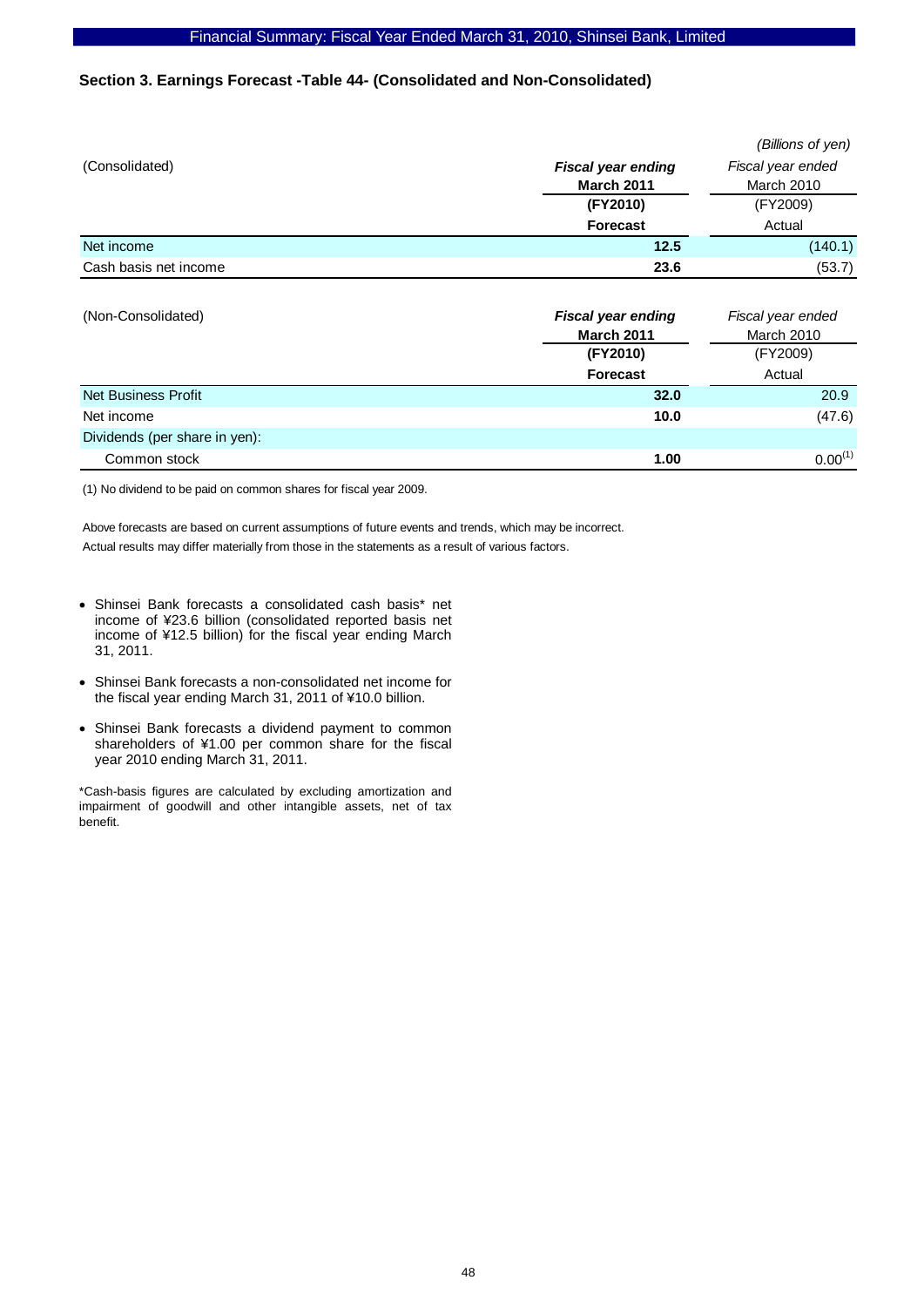# **Section 3. Earnings Forecast -Table 44- (Consolidated and Non-Consolidated)**

|                       |                                                | (Billions of yen)               |  |
|-----------------------|------------------------------------------------|---------------------------------|--|
| (Consolidated)        | <b>Fiscal year ending</b><br><b>March 2011</b> | Fiscal year ended<br>March 2010 |  |
|                       | (FY2010)                                       | (FY2009)                        |  |
|                       | <b>Forecast</b>                                | Actual                          |  |
| Net income            | 12.5                                           | (140.1)                         |  |
| Cash basis net income | 23.6                                           | (53.7)                          |  |

| (Non-Consolidated)            | <b>Fiscal year ending</b><br><b>March 2011</b> | Fiscal year ended<br><b>March 2010</b> |  |
|-------------------------------|------------------------------------------------|----------------------------------------|--|
|                               | (FY2010)                                       | (FY2009)                               |  |
|                               | <b>Forecast</b>                                | Actual                                 |  |
| Net Business Profit           | 32.0                                           | 20.9                                   |  |
| Net income                    | 10.0                                           | (47.6)                                 |  |
| Dividends (per share in yen): |                                                |                                        |  |
| Common stock                  | 1.00                                           | $0.00^{(1)}$                           |  |

(1) No dividend to be paid on common shares for fiscal year 2009.

Above forecasts are based on current assumptions of future events and trends, which may be incorrect. Actual results may differ materially from those in the statements as a result of various factors.

- Shinsei Bank forecasts a consolidated cash basis\* net income of ¥23.6 billion (consolidated reported basis net income of ¥12.5 billion) for the fiscal year ending March 31, 2011.
- Shinsei Bank forecasts a non-consolidated net income for the fiscal year ending March 31, 2011 of ¥10.0 billion.
- Shinsei Bank forecasts a dividend payment to common shareholders of ¥1.00 per common share for the fiscal year 2010 ending March 31, 2011.

\*Cash-basis figures are calculated by excluding amortization and impairment of goodwill and other intangible assets, net of tax benefit.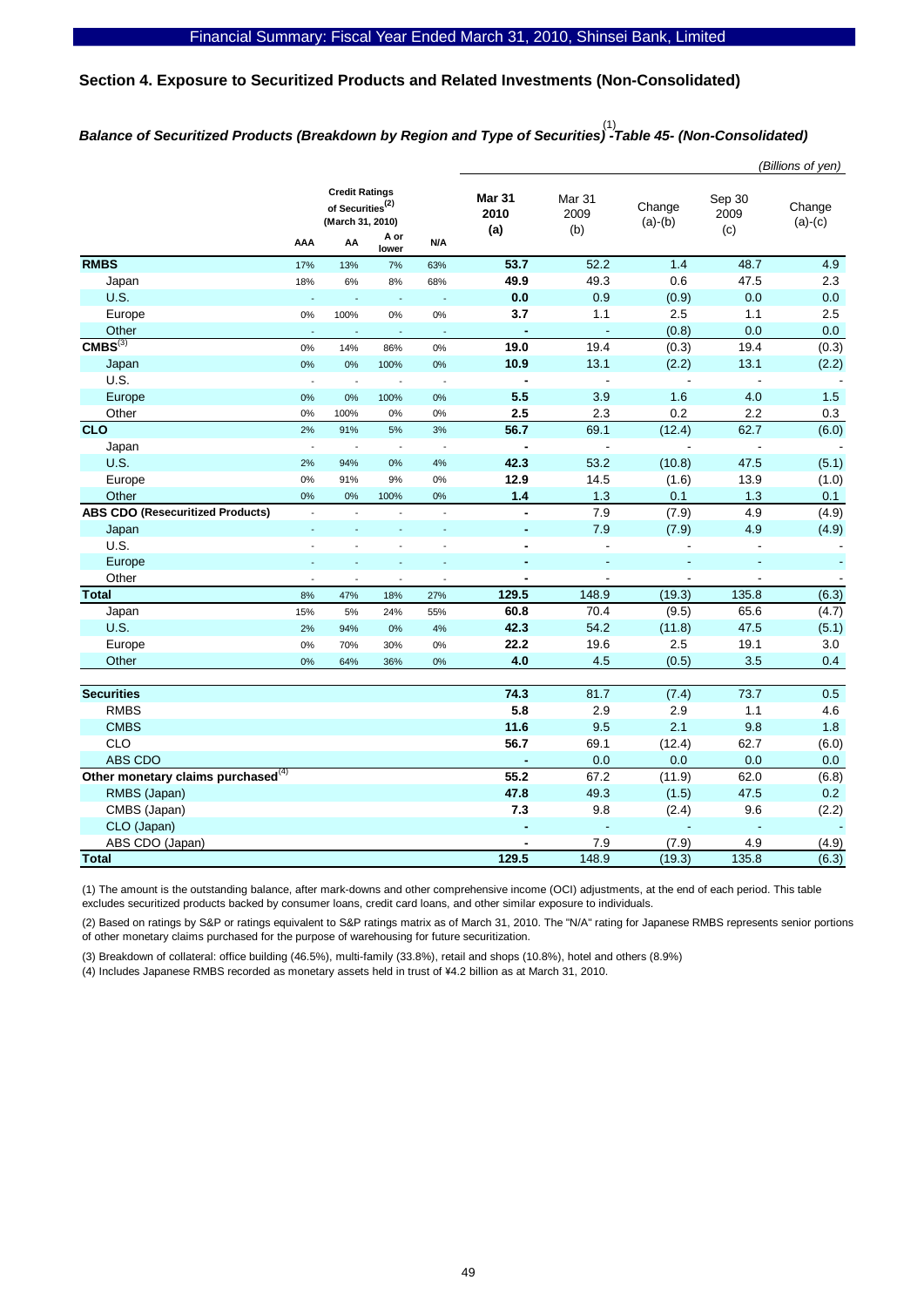# **Section 4. Exposure to Securitized Products and Related Investments (Non-Consolidated)**

# *Balance of Securitized Products (Breakdown by Region and Type of Securities) -Table 45- (Non-Consolidated)*  (1)

|                                                                                                                                                                     |                       | (Billions of yen)        |
|---------------------------------------------------------------------------------------------------------------------------------------------------------------------|-----------------------|--------------------------|
| <b>Credit Ratings</b><br>Mar 31<br>Mar 31<br>of Securities <sup>(2)</sup><br>Change<br>2010<br>2009<br>(March 31, 2010)<br>$(a)-(b)$<br>(b)<br>(a)<br>A or          | Sep 30<br>2009<br>(c) | Change<br>$(a)-(c)$      |
| AA<br>N/A<br>AAA<br>lower                                                                                                                                           |                       |                          |
| <b>RMBS</b><br>52.2<br>53.7<br>1.4<br>17%<br>13%<br>63%<br>7%                                                                                                       | 48.7                  | 4.9                      |
| 49.9<br>49.3<br>0.6<br>18%<br>Japan<br>6%<br>8%<br>68%                                                                                                              | 47.5                  | 2.3                      |
| <b>U.S.</b><br>0.0<br>0.9<br>(0.9)<br>L.<br>L.<br>$\Box$<br>$\Box$                                                                                                  | 0.0                   | 0.0                      |
| 3.7<br>1.1<br>0%<br>2.5<br>Europe<br>0%<br>100%<br>0%                                                                                                               | 1.1                   | 2.5                      |
| Other<br>(0.8)<br>$\blacksquare$<br>$\blacksquare$<br>$\Box$<br>L.<br>L,<br>÷.                                                                                      | 0.0                   | 0.0                      |
| CMBS <sup>(3)</sup><br>19.0<br>19.4<br>0%<br>(0.3)<br>14%<br>86%<br>0%                                                                                              | 19.4                  | (0.3)                    |
| 10.9<br>13.1<br>Japan<br>0%<br>0%<br>(2.2)<br>0%<br>100%                                                                                                            | 13.1                  | (2.2)                    |
| U.S.<br>$\blacksquare$<br>$\overline{\phantom{a}}$<br>$\overline{\phantom{a}}$<br>$\overline{\phantom{a}}$<br>$\sim$                                                | $\overline{a}$        |                          |
| 5.5<br>3.9<br>1.6<br>Europe<br>0%<br>0%<br>100%<br>0%                                                                                                               | 4.0                   | 1.5                      |
| 2.5<br>2.3<br>0.2<br>Other<br>0%<br>0%<br>100%<br>0%                                                                                                                | 2.2                   | 0.3                      |
| <b>CLO</b><br>56.7<br>69.1<br>(12.4)<br>2%<br>91%<br>5%<br>3%                                                                                                       | 62.7                  | (6.0)                    |
| $\overline{\phantom{a}}$<br>Japan<br>$\overline{\phantom{a}}$<br>$\sim$<br>$\blacksquare$<br>$\overline{\phantom{a}}$<br>$\overline{\phantom{a}}$<br>$\blacksquare$ | $\blacksquare$        | $\blacksquare$           |
| U.S.<br>42.3<br>53.2<br>(10.8)<br>2%<br>94%<br>0%<br>4%                                                                                                             | 47.5                  | (5.1)                    |
| 12.9<br>14.5<br>Europe<br>(1.6)<br>0%<br>91%<br>9%<br>0%                                                                                                            | 13.9                  | (1.0)                    |
| $1.4$<br>1.3<br>Other<br>0.1<br>0%<br>0%<br>100%<br>0%                                                                                                              | 1.3                   | 0.1                      |
| <b>ABS CDO (Resecuritized Products)</b><br>7.9<br>(7.9)<br>$\blacksquare$<br>$\overline{\phantom{a}}$<br>$\overline{\phantom{a}}$                                   | 4.9                   | (4.9)                    |
| 7.9<br>(7.9)<br>Japan<br>$\overline{a}$                                                                                                                             | 4.9                   | (4.9)                    |
| U.S.<br>$\overline{a}$                                                                                                                                              |                       | $\overline{\phantom{a}}$ |
| Europe<br>÷,<br>٠                                                                                                                                                   | ÷,                    |                          |
| Other<br>$\overline{a}$<br>L<br>$\overline{a}$<br>$\overline{a}$<br>$\overline{a}$                                                                                  | $\mathbf{r}$          |                          |
| 129.5<br>148.9<br>(19.3)<br><b>Total</b><br>8%<br>47%<br>18%<br>27%                                                                                                 | 135.8                 | (6.3)                    |
| 60.8<br>70.4<br>(9.5)<br>Japan<br>15%<br>5%<br>24%<br>55%                                                                                                           | 65.6                  | (4.7)                    |
| U.S.<br>42.3<br>54.2<br>(11.8)<br>2%<br>94%<br>0%<br>4%                                                                                                             | 47.5                  | (5.1)                    |
| 19.6<br>2.5<br>22.2<br>Europe<br>0%<br>70%<br>30%<br>0%                                                                                                             | 19.1                  | 3.0                      |
| 4.0<br>4.5<br>Other<br>(0.5)<br>0%<br>64%<br>0%<br>36%                                                                                                              | 3.5                   | 0.4                      |
|                                                                                                                                                                     |                       |                          |
| <b>Securities</b><br>74.3<br>81.7<br>(7.4)                                                                                                                          | 73.7                  | 0.5                      |
| 5.8<br><b>RMBS</b><br>2.9<br>2.9                                                                                                                                    | 1.1                   | 4.6                      |
| <b>CMBS</b><br>11.6<br>9.5<br>2.1                                                                                                                                   | 9.8                   | 1.8                      |
| CLO<br>56.7<br>69.1<br>(12.4)                                                                                                                                       | 62.7                  | (6.0)                    |
| ABS CDO<br>0.0<br>0.0                                                                                                                                               | 0.0                   | 0.0                      |
| Other monetary claims purchased <sup>(4)</sup><br>55.2<br>67.2<br>(11.9)                                                                                            | 62.0                  | (6.8)                    |
| 47.8<br>49.3<br>(1.5)<br>RMBS (Japan)                                                                                                                               | 47.5                  | 0.2                      |
| 7.3<br>CMBS (Japan)<br>9.8<br>(2.4)                                                                                                                                 | 9.6                   | (2.2)                    |
| CLO (Japan)<br>$\blacksquare$<br>$\blacksquare$<br>÷,                                                                                                               | $\blacksquare$        |                          |
| ABS CDO (Japan)<br>7.9<br>(7.9)                                                                                                                                     | 4.9                   | (4.9)                    |
| 129.5<br>148.9<br>(19.3)<br><b>Total</b>                                                                                                                            | 135.8                 | (6.3)                    |

(1) The amount is the outstanding balance, after mark-downs and other comprehensive income (OCI) adjustments, at the end of each period. This table excludes securitized products backed by consumer loans, credit card loans, and other similar exposure to individuals.

(2) Based on ratings by S&P or ratings equivalent to S&P ratings matrix as of March 31, 2010. The "N/A" rating for Japanese RMBS represents senior portions of other monetary claims purchased for the purpose of warehousing for future securitization.

(3) Breakdown of collateral: office building (46.5%), multi-family (33.8%), retail and shops (10.8%), hotel and others (8.9%)

(4) Includes Japanese RMBS recorded as monetary assets held in trust of \4.2 billion as at March 31, 2010.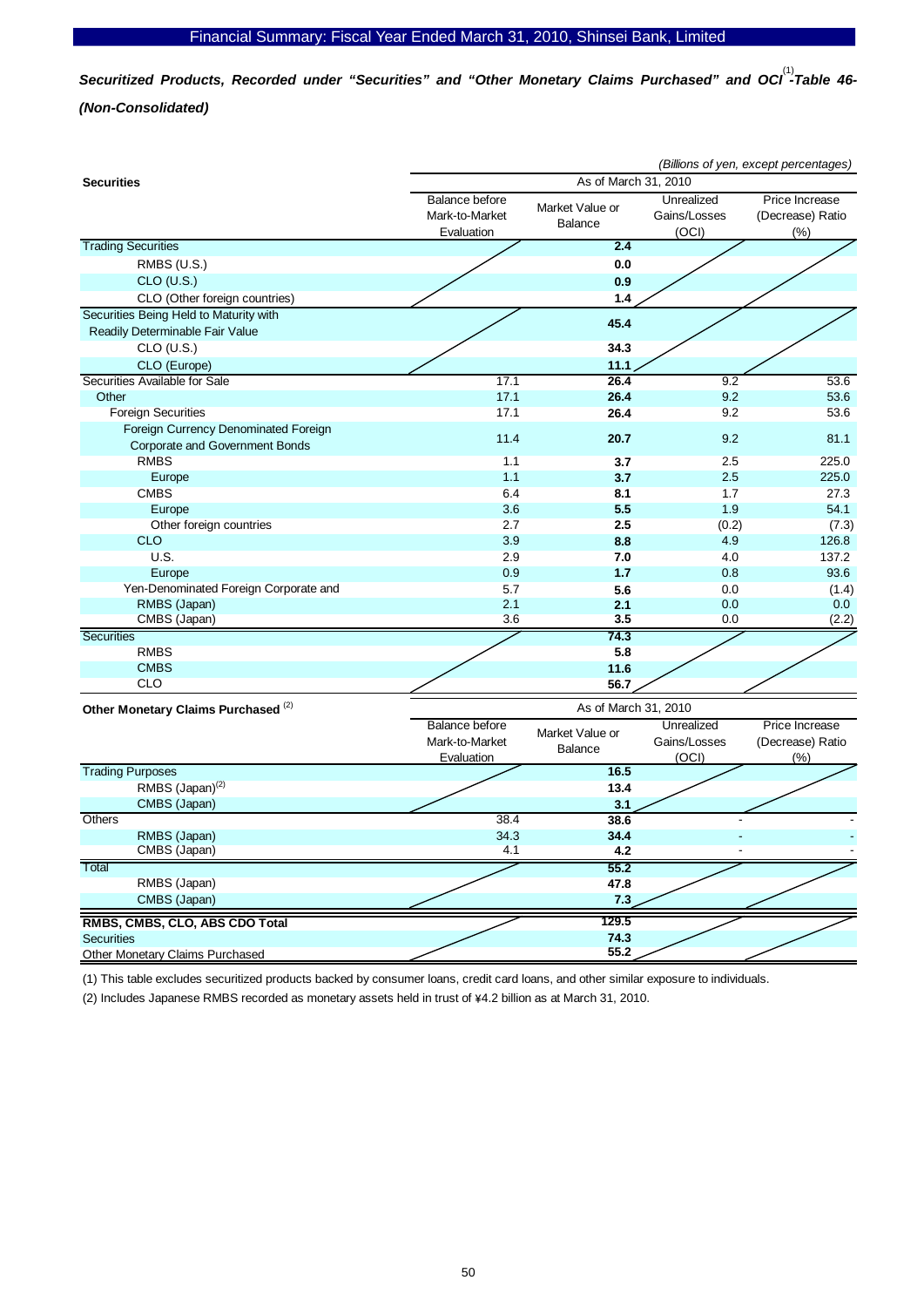Securitized Products, Recorded under "Securities" and "Other Monetary Claims Purchased" and OCI<sup>(1)</sup>-Table 46-*(Non-Consolidated)* 

|                                                                               | (Billions of yen, except percentages)                 |                                   |                                     |                                               |  |
|-------------------------------------------------------------------------------|-------------------------------------------------------|-----------------------------------|-------------------------------------|-----------------------------------------------|--|
| <b>Securities</b>                                                             | As of March 31, 2010                                  |                                   |                                     |                                               |  |
|                                                                               | Balance before<br>Mark-to-Market<br>Evaluation        | Market Value or<br><b>Balance</b> | Unrealized<br>Gains/Losses<br>(OCI) | Price Increase<br>(Decrease) Ratio<br>$(\% )$ |  |
| <b>Trading Securities</b>                                                     |                                                       | 2.4                               |                                     |                                               |  |
| RMBS (U.S.)                                                                   |                                                       | 0.0                               |                                     |                                               |  |
| $CLO$ (U.S.)                                                                  |                                                       | 0.9                               |                                     |                                               |  |
| CLO (Other foreign countries)                                                 |                                                       | 1.4                               |                                     |                                               |  |
| Securities Being Held to Maturity with                                        |                                                       |                                   |                                     |                                               |  |
| Readily Determinable Fair Value                                               |                                                       | 45.4                              |                                     |                                               |  |
| $CLO$ (U.S.)                                                                  |                                                       | 34.3                              |                                     |                                               |  |
| CLO (Europe)                                                                  |                                                       | 11.1                              |                                     |                                               |  |
| Securities Available for Sale                                                 | 17.1                                                  | 26.4                              | 9.2                                 | 53.6                                          |  |
| Other                                                                         | 17.1                                                  | 26.4                              | 9.2                                 | 53.6                                          |  |
| <b>Foreign Securities</b>                                                     | 17.1                                                  | 26.4                              | 9.2                                 | 53.6                                          |  |
| Foreign Currency Denominated Foreign<br><b>Corporate and Government Bonds</b> | 11.4                                                  | 20.7                              | 9.2                                 | 81.1                                          |  |
| <b>RMBS</b>                                                                   | 1.1                                                   | 3.7                               | 2.5                                 | 225.0                                         |  |
| Europe                                                                        | 1.1                                                   | 3.7                               | 2.5                                 | 225.0                                         |  |
| <b>CMBS</b>                                                                   | 6.4                                                   | 8.1                               | 1.7                                 | 27.3                                          |  |
| Europe                                                                        | 3.6                                                   | 5.5                               | 1.9                                 | 54.1                                          |  |
| Other foreign countries                                                       | 2.7                                                   | 2.5                               | (0.2)                               | (7.3)                                         |  |
| <b>CLO</b>                                                                    | 3.9                                                   | 8.8                               | 4.9                                 | 126.8                                         |  |
| U.S.                                                                          | 2.9                                                   | 7.0                               | 4.0                                 | 137.2                                         |  |
| Europe                                                                        | 0.9                                                   | 1.7                               | 0.8                                 | 93.6                                          |  |
| Yen-Denominated Foreign Corporate and                                         | 5.7                                                   | 5.6                               | 0.0                                 | (1.4)                                         |  |
| RMBS (Japan)                                                                  | 2.1                                                   | 2.1                               | 0.0                                 | 0.0                                           |  |
| CMBS (Japan)                                                                  | 3.6                                                   | 3.5                               | 0.0                                 | (2.2)                                         |  |
| Securities                                                                    |                                                       | 74.3                              |                                     |                                               |  |
| <b>RMBS</b>                                                                   |                                                       | 5.8                               |                                     |                                               |  |
| <b>CMBS</b>                                                                   |                                                       | 11.6                              |                                     |                                               |  |
| <b>CLO</b>                                                                    |                                                       | 56.7                              |                                     |                                               |  |
| Other Monetary Claims Purchased <sup>(2)</sup>                                |                                                       | As of March 31, 2010              |                                     |                                               |  |
|                                                                               | <b>Balance before</b><br>Mark-to-Market<br>Evaluation | Market Value or<br><b>Balance</b> | Unrealized<br>Gains/Losses<br>(OCI) | Price Increase<br>(Decrease) Ratio<br>(%)     |  |
| <b>Trading Purposes</b>                                                       |                                                       | 16.5                              |                                     |                                               |  |
| RMBS (Japan) <sup>(2)</sup>                                                   |                                                       | 13.4                              |                                     |                                               |  |
| CMBS (Japan)                                                                  |                                                       | 3.1                               |                                     |                                               |  |
| Others                                                                        | 38.4                                                  | 38.6                              |                                     |                                               |  |
| RMBS (Japan)                                                                  | 34.3                                                  | 34.4                              |                                     |                                               |  |
| CMBS (Japan)                                                                  | 4.1                                                   | 4.2                               |                                     |                                               |  |
| Total                                                                         |                                                       | 55.2                              |                                     |                                               |  |
| RMBS (Japan)                                                                  |                                                       | 47.8                              |                                     |                                               |  |
| CMBS (Japan)                                                                  |                                                       | 7.3                               |                                     |                                               |  |
| RMBS, CMBS, CLO, ABS CDO Total                                                |                                                       | 129.5                             |                                     |                                               |  |
| <b>Securities</b>                                                             |                                                       | 74.3                              |                                     |                                               |  |
| Other Monetary Claims Purchased                                               |                                                       | 55.2                              |                                     |                                               |  |

(1) This table excludes securitized products backed by consumer loans, credit card loans, and other similar exposure to individuals.

(2) Includes Japanese RMBS recorded as monetary assets held in trust of \4.2 billion as at March 31, 2010.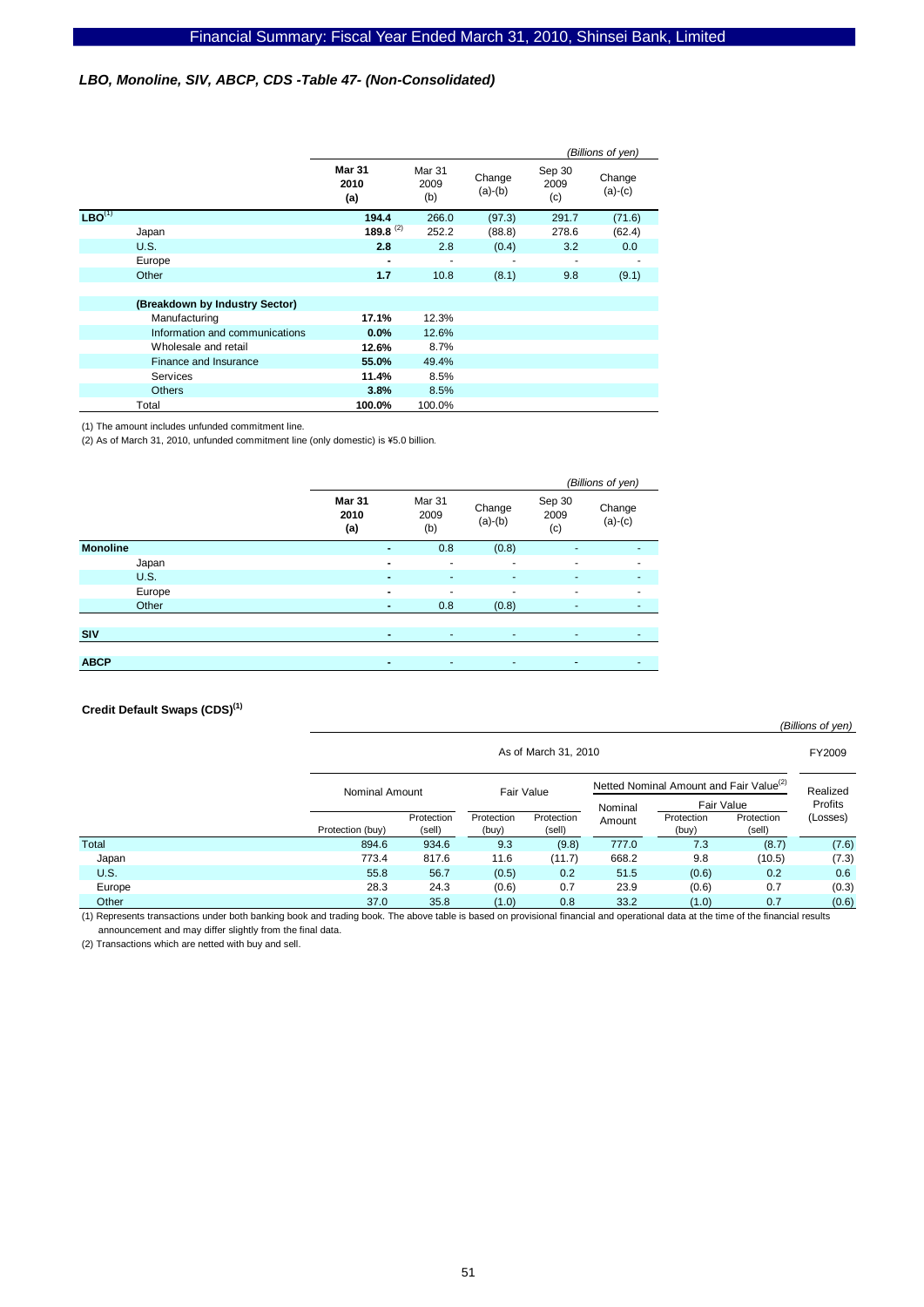# *LBO, Monoline, SIV, ABCP, CDS -Table 47- (Non-Consolidated)*

|             |                                |                              |                       |                     | (Billions of yen)     |                     |
|-------------|--------------------------------|------------------------------|-----------------------|---------------------|-----------------------|---------------------|
|             |                                | <b>Mar 31</b><br>2010<br>(a) | Mar 31<br>2009<br>(b) | Change<br>$(a)-(b)$ | Sep 30<br>2009<br>(c) | Change<br>$(a)-(c)$ |
| $LBO^{(1)}$ |                                | 194.4                        | 266.0                 | (97.3)              | 291.7                 | (71.6)              |
|             | Japan                          | 189.8 <sup>(2)</sup>         | 252.2                 | (88.8)              | 278.6                 | (62.4)              |
|             | U.S.                           | 2.8                          | 2.8                   | (0.4)               | 3.2                   | 0.0                 |
|             | Europe                         | $\blacksquare$               |                       |                     |                       |                     |
|             | Other                          | 1.7                          | 10.8                  | (8.1)               | 9.8                   | (9.1)               |
|             |                                |                              |                       |                     |                       |                     |
|             | (Breakdown by Industry Sector) |                              |                       |                     |                       |                     |
|             | Manufacturing                  | 17.1%                        | 12.3%                 |                     |                       |                     |
|             | Information and communications | 0.0%                         | 12.6%                 |                     |                       |                     |
|             | Wholesale and retail           | 12.6%                        | 8.7%                  |                     |                       |                     |
|             | Finance and Insurance          | 55.0%                        | 49.4%                 |                     |                       |                     |
|             | Services                       | 11.4%                        | 8.5%                  |                     |                       |                     |
|             | <b>Others</b>                  | 3.8%                         | 8.5%                  |                     |                       |                     |
|             | Total                          | 100.0%                       | 100.0%                |                     |                       |                     |

(1) The amount includes unfunded commitment line.

(2) As of March 31, 2010, unfunded commitment line (only domestic) is ¥5.0 billion.

|                 |                       |                          |                          |                       | (Billions of yen)   |
|-----------------|-----------------------|--------------------------|--------------------------|-----------------------|---------------------|
|                 | Mar 31<br>2010<br>(a) | Mar 31<br>2009<br>(b)    | Change<br>$(a)-(b)$      | Sep 30<br>2009<br>(c) | Change<br>$(a)-(c)$ |
| <b>Monoline</b> | $\blacksquare$        | 0.8                      | (0.8)                    | ٠                     | ٠                   |
| Japan           | $\blacksquare$        | $\overline{\phantom{a}}$ | $\overline{\phantom{a}}$ | ۰                     | ٠                   |
| <b>U.S.</b>     | $\blacksquare$        | ٠                        | ٠                        | ٠                     | ٠                   |
| Europe          | $\blacksquare$        | ۰                        | ٠                        | ٠                     | ۰                   |
| Other           | $\blacksquare$        | 0.8                      | (0.8)                    | ٠                     | ٠                   |
|                 |                       |                          |                          |                       |                     |
| <b>SIV</b>      | $\blacksquare$        | ٠                        | $\sim$                   | ٠                     | ٠                   |
|                 |                       |                          |                          |                       |                     |
| <b>ABCP</b>     | $\blacksquare$        | ٠                        | ٠                        | ٠                     | ٠                   |

#### **Credit Default Swaps (CDS)(1)**

|             |                  | As of March 31, 2010                                                                |                     |                      |         |                     |                      |          |
|-------------|------------------|-------------------------------------------------------------------------------------|---------------------|----------------------|---------|---------------------|----------------------|----------|
|             |                  | Netted Nominal Amount and Fair Value <sup>(2)</sup><br>Fair Value<br>Nominal Amount |                     |                      |         |                     |                      | Realized |
|             |                  |                                                                                     |                     |                      | Nominal | Fair Value          |                      | Profits  |
|             | Protection (buy) | Protection<br>(sell)                                                                | Protection<br>(buy) | Protection<br>(sell) | Amount  | Protection<br>(buy) | Protection<br>(sell) | (Losses) |
| Total       | 894.6            | 934.6                                                                               | 9.3                 | (9.8)                | 777.0   | 7.3                 | (8.7)                | (7.6)    |
| Japan       | 773.4            | 817.6                                                                               | 11.6                | (11.7)               | 668.2   | 9.8                 | (10.5)               | (7.3)    |
| <b>U.S.</b> | 55.8             | 56.7                                                                                | (0.5)               | 0.2                  | 51.5    | (0.6)               | 0.2                  | 0.6      |
| Europe      | 28.3             | 24.3                                                                                | (0.6)               | 0.7                  | 23.9    | (0.6)               | 0.7                  | (0.3)    |
| Other       | 37.0             | 35.8                                                                                | (1.0)               | 0.8                  | 33.2    | (1.0)               | 0.7                  | (0.6)    |

*(Billions of yen)*

(1) Represents transactions under both banking book and trading book. The above table is based on provisional financial and operational data at the time of the financial results announcement and may differ slightly from the final data.

(2) Transactions which are netted with buy and sell.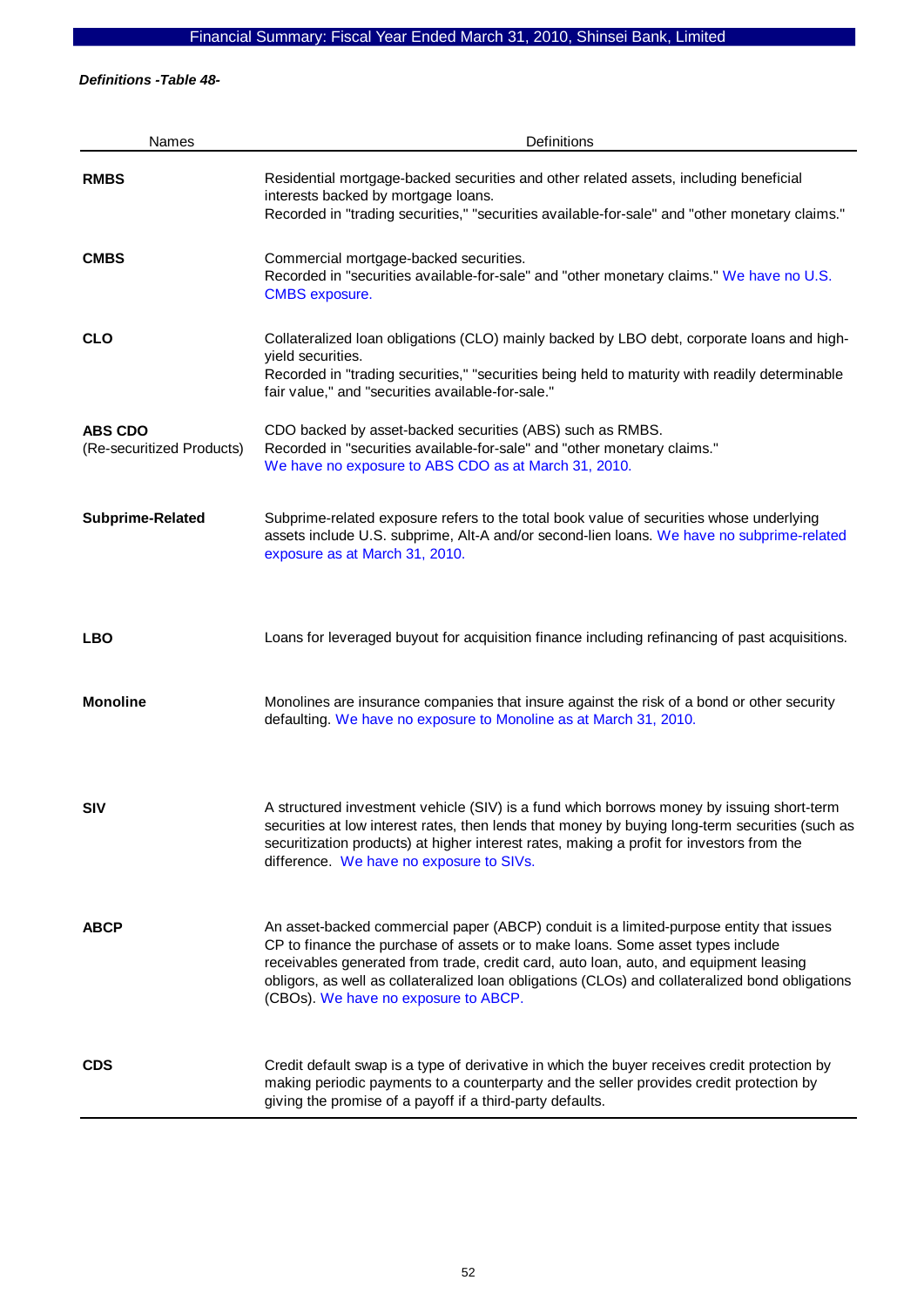*Definitions -Table 48-* 

| Names                                       | Definitions                                                                                                                                                                                                                                                                                                                                                                                                    |
|---------------------------------------------|----------------------------------------------------------------------------------------------------------------------------------------------------------------------------------------------------------------------------------------------------------------------------------------------------------------------------------------------------------------------------------------------------------------|
| <b>RMBS</b>                                 | Residential mortgage-backed securities and other related assets, including beneficial<br>interests backed by mortgage loans.<br>Recorded in "trading securities," "securities available-for-sale" and "other monetary claims."                                                                                                                                                                                 |
| <b>CMBS</b>                                 | Commercial mortgage-backed securities.<br>Recorded in "securities available-for-sale" and "other monetary claims." We have no U.S.<br><b>CMBS</b> exposure.                                                                                                                                                                                                                                                    |
| <b>CLO</b>                                  | Collateralized loan obligations (CLO) mainly backed by LBO debt, corporate loans and high-<br>yield securities.<br>Recorded in "trading securities," "securities being held to maturity with readily determinable<br>fair value," and "securities available-for-sale."                                                                                                                                         |
| <b>ABS CDO</b><br>(Re-securitized Products) | CDO backed by asset-backed securities (ABS) such as RMBS.<br>Recorded in "securities available-for-sale" and "other monetary claims."<br>We have no exposure to ABS CDO as at March 31, 2010.                                                                                                                                                                                                                  |
| Subprime-Related                            | Subprime-related exposure refers to the total book value of securities whose underlying<br>assets include U.S. subprime, Alt-A and/or second-lien loans. We have no subprime-related<br>exposure as at March 31, 2010.                                                                                                                                                                                         |
| <b>LBO</b>                                  | Loans for leveraged buyout for acquisition finance including refinancing of past acquisitions.                                                                                                                                                                                                                                                                                                                 |
| <b>Monoline</b>                             | Monolines are insurance companies that insure against the risk of a bond or other security<br>defaulting. We have no exposure to Monoline as at March 31, 2010.                                                                                                                                                                                                                                                |
| <b>SIV</b>                                  | A structured investment vehicle (SIV) is a fund which borrows money by issuing short-term<br>securities at low interest rates, then lends that money by buying long-term securities (such as<br>securitization products) at higher interest rates, making a profit for investors from the<br>difference. We have no exposure to SIVs.                                                                          |
| <b>ABCP</b>                                 | An asset-backed commercial paper (ABCP) conduit is a limited-purpose entity that issues<br>CP to finance the purchase of assets or to make loans. Some asset types include<br>receivables generated from trade, credit card, auto loan, auto, and equipment leasing<br>obligors, as well as collateralized loan obligations (CLOs) and collateralized bond obligations<br>(CBOs). We have no exposure to ABCP. |
| <b>CDS</b>                                  | Credit default swap is a type of derivative in which the buyer receives credit protection by<br>making periodic payments to a counterparty and the seller provides credit protection by<br>giving the promise of a payoff if a third-party defaults.                                                                                                                                                           |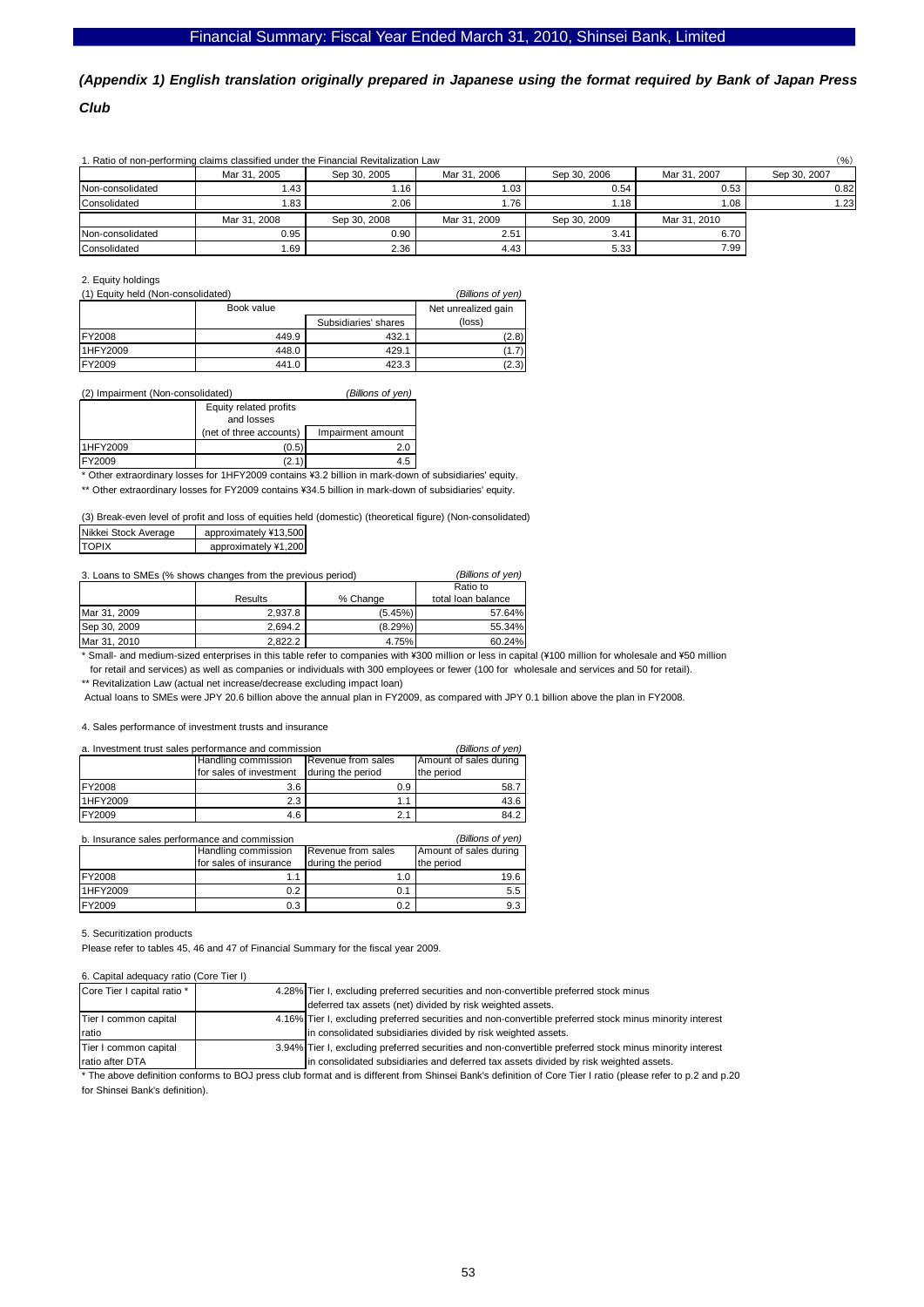# *(Appendix 1) English translation originally prepared in Japanese using the format required by Bank of Japan Press Club*

|                  | 1. Ratio of non-performing claims classified under the Financial Revitalization Law |              |              |              |              | $(\% )$      |
|------------------|-------------------------------------------------------------------------------------|--------------|--------------|--------------|--------------|--------------|
|                  | Mar 31, 2005                                                                        | Sep 30, 2005 | Mar 31, 2006 | Sep 30, 2006 | Mar 31, 2007 | Sep 30, 2007 |
| Non-consolidated | l.43                                                                                | 1.16         | $1.03 \mid$  | 0.54         | 0.53         | 0.82         |
| Consolidated     | 1.83                                                                                | 2.06         | 1.76         | 1.18         | 1.08         | 1.23         |
|                  | Mar 31, 2008                                                                        | Sep 30, 2008 | Mar 31, 2009 | Sep 30, 2009 | Mar 31, 2010 |              |
| Non-consolidated | 0.95                                                                                | 0.90         | 2.51         | 3.41         | 6.70         |              |
| Consolidated     | 1.69                                                                                | 2.36         | 4.43         | 5.33         | 7.99         |              |

#### 2. Equity holdings

| (1) Equity held (Non-consolidated) | (Billions of yen) |                      |        |
|------------------------------------|-------------------|----------------------|--------|
|                                    | Book value        | Net unrealized gain  |        |
|                                    |                   | Subsidiaries' shares | (loss) |
| <b>IFY2008</b>                     | 449.9             | 432.1                | (2.8)  |
| 1HFY2009                           | 448.0             | 429.1                | (1.7)  |
| <b>IFY2009</b>                     | 441.0             | 423.3                | (2.3)  |

#### (2) Impairment (Non-consolidated) *(Billions of yen)*

|          | Equity related profits  |                   |
|----------|-------------------------|-------------------|
|          | and losses              |                   |
|          | (net of three accounts) | Impairment amount |
| 1HFY2009 | (0.5)                   | 2.0               |
| FY2009   |                         | 4.5               |

\* Other extraordinary losses for 1HFY2009 contains \3.2 billion in mark-down of subsidiaries' equity.

\*\* Other extraordinary losses for FY2009 contains ¥34.5 billion in mark-down of subsidiaries' equity.

(3) Break-even level of profit and loss of equities held (domestic) (theoretical figure) (Non-consolidated)

| Nikkei Stock Average | approximately ¥13,500 |
|----------------------|-----------------------|
| <b>TOPIX</b>         | approximately ¥1,200  |
|                      |                       |

| 3. Loans to SMEs (% shows changes from the previous period) | (Billions of ven) |            |                    |
|-------------------------------------------------------------|-------------------|------------|--------------------|
|                                                             |                   | Ratio to   |                    |
|                                                             | Results           | % Change   | total loan balance |
| Mar 31, 2009                                                | 2.937.8           | (5.45%)    | 57.64%             |
| Sep 30, 2009                                                | 2.694.2           | $(8.29\%)$ | 55.34%             |
| Mar 31, 2010                                                | 2.822.2           | 4.75%      | 60.24%             |

\* Small- and medium-sized enterprises in this table refer to companies with ¥300 million or less in capital (¥100 million for wholesale and ¥50 million for retail and services) as well as companies or individuals with 300 employees or fewer (100 for wholesale and services and 50 for retail).

\*\* Revitalization Law (actual net increase/decrease excluding impact loan)

Actual loans to SMEs were JPY 20.6 billion above the annual plan in FY2009, as compared with JPY 0.1 billion above the plan in FY2008.

#### 4. Sales performance of investment trusts and insurance

| a. Investment trust sales performance and commission | (Billions of ven)                         |                        |            |
|------------------------------------------------------|-------------------------------------------|------------------------|------------|
|                                                      | Handling commission<br>Revenue from sales | Amount of sales during |            |
|                                                      | for sales of investment                   | during the period      | the period |
| <b>FY2008</b>                                        | 3.6                                       | 0.9                    | 58.7       |
| 1HFY2009                                             | 2.3                                       | 1.1                    | 43.6       |
| <b>FY2009</b>                                        | 4.6                                       | 2.1                    | 84.2       |

b. Insurance sales performance and commission *(Billions of yen)*

|               | Handling commission    | Revenue from sales | Amount of sales during |  |  |  |
|---------------|------------------------|--------------------|------------------------|--|--|--|
|               | for sales of insurance | during the period  | the period             |  |  |  |
| <b>FY2008</b> |                        |                    | 19.6                   |  |  |  |
| 1HFY2009      | 0.2                    | 0.1                | 5.5                    |  |  |  |
| <b>FY2009</b> | 0.3                    | 0.2                | 9.3                    |  |  |  |

#### 5. Securitization products

Please refer to tables 45, 46 and 47 of Financial Summary for the fiscal year 2009.

#### 6. Capital adequacy ratio (Core Tier I)

| Core Tier I capital ratio * | 4.28% Tier I, excluding preferred securities and non-convertible preferred stock minus                   |
|-----------------------------|----------------------------------------------------------------------------------------------------------|
|                             | deferred tax assets (net) divided by risk weighted assets.                                               |
| Tier I common capital       | 4.16% Tier I, excluding preferred securities and non-convertible preferred stock minus minority interest |
| Iratio                      | In consolidated subsidiaries divided by risk weighted assets.                                            |
| Tier I common capital       | 3.94% Tier I, excluding preferred securities and non-convertible preferred stock minus minority interest |
| <b>Iratio after DTA</b>     | in consolidated subsidiaries and deferred tax assets divided by risk weighted assets.                    |

\* The above definition conforms to BOJ press club format and is different from Shinsei Bank's definition of Core Tier I ratio (please refer to p.2 and p.20 for Shinsei Bank's definition).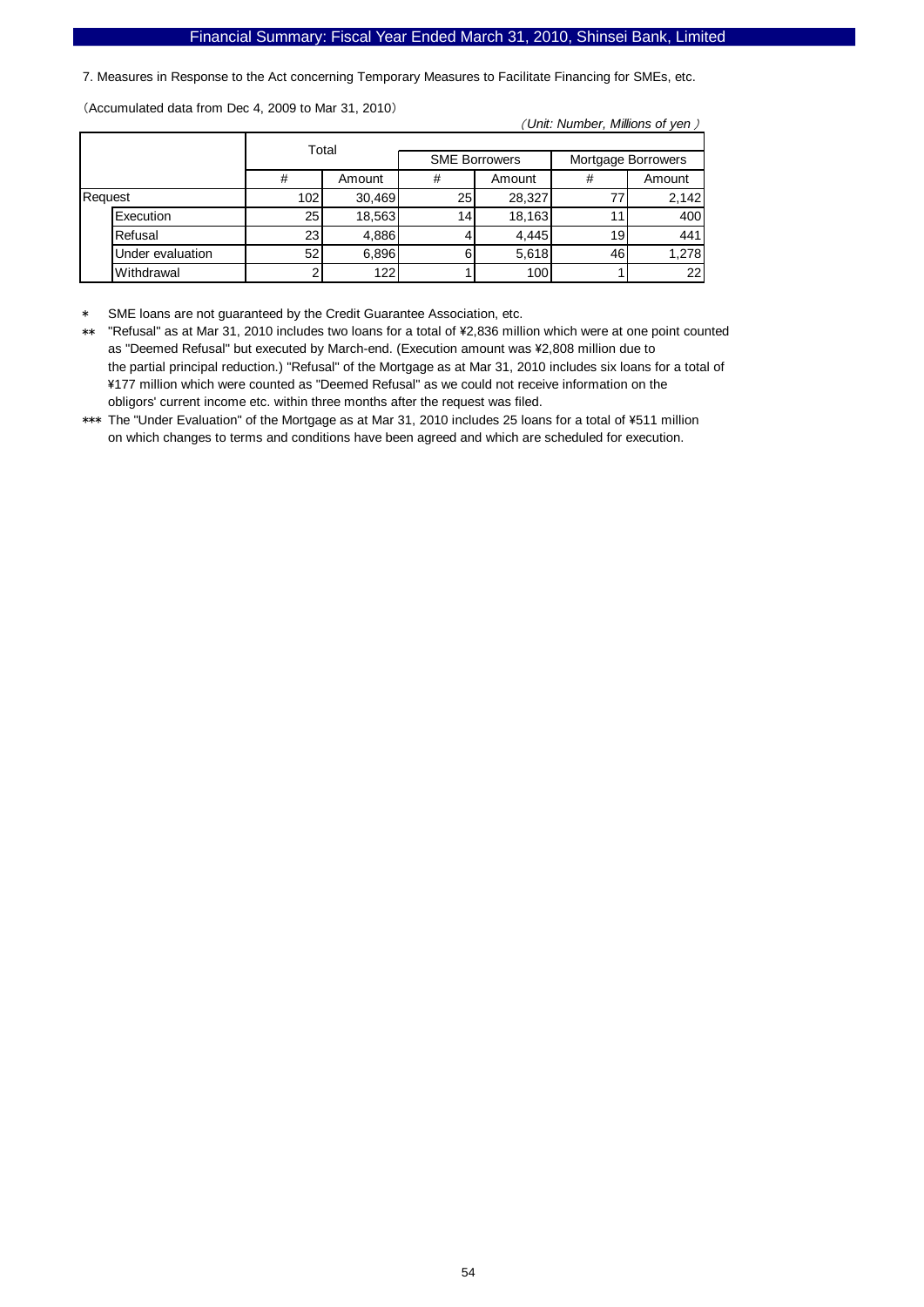7. Measures in Response to the Act concerning Temporary Measures to Facilitate Financing for SMEs, etc.

(Accumulated data from Dec 4, 2009 to Mar 31, 2010)

( *Unit: Number, Millions of yen* )

|         |                  | Total<br>#<br>Amount |        |                 |                      |    |                    |
|---------|------------------|----------------------|--------|-----------------|----------------------|----|--------------------|
|         |                  |                      |        |                 | <b>SME Borrowers</b> |    | Mortgage Borrowers |
|         |                  |                      |        | #               | Amount               | #  | Amount             |
| Request |                  | 102                  | 30,469 | 25              | 28,327               |    | 2.142              |
|         | Execution        | 25                   | 18,563 | 14 <sub>1</sub> | 18,163               |    | 400                |
|         | Refusal          | 23                   | 4,886  |                 | 4,445                | 19 | 441                |
|         | Under evaluation | 52                   | 6,896  | 6               | 5,618                | 46 | 1,278              |
|         | Withdrawal       | ົ                    | 122    |                 | 100                  |    | 22                 |

SME loans are not guaranteed by the Credit Guarantee Association, etc.

\*\* "Refusal" as at Mar 31, 2010 includes two loans for a total of \2,836 million which were at one point counted as "Deemed Refusal" but executed by March-end. (Execution amount was ¥2,808 million due to the partial principal reduction.) "Refusal" of the Mortgage as at Mar 31, 2010 includes six loans for a total of \177 million which were counted as "Deemed Refusal" as we could not receive information on the obligors' current income etc. within three months after the request was filed.

\*\*\* The "Under Evaluation" of the Mortgage as at Mar 31, 2010 includes 25 loans for a total of \511 million on which changes to terms and conditions have been agreed and which are scheduled for execution.